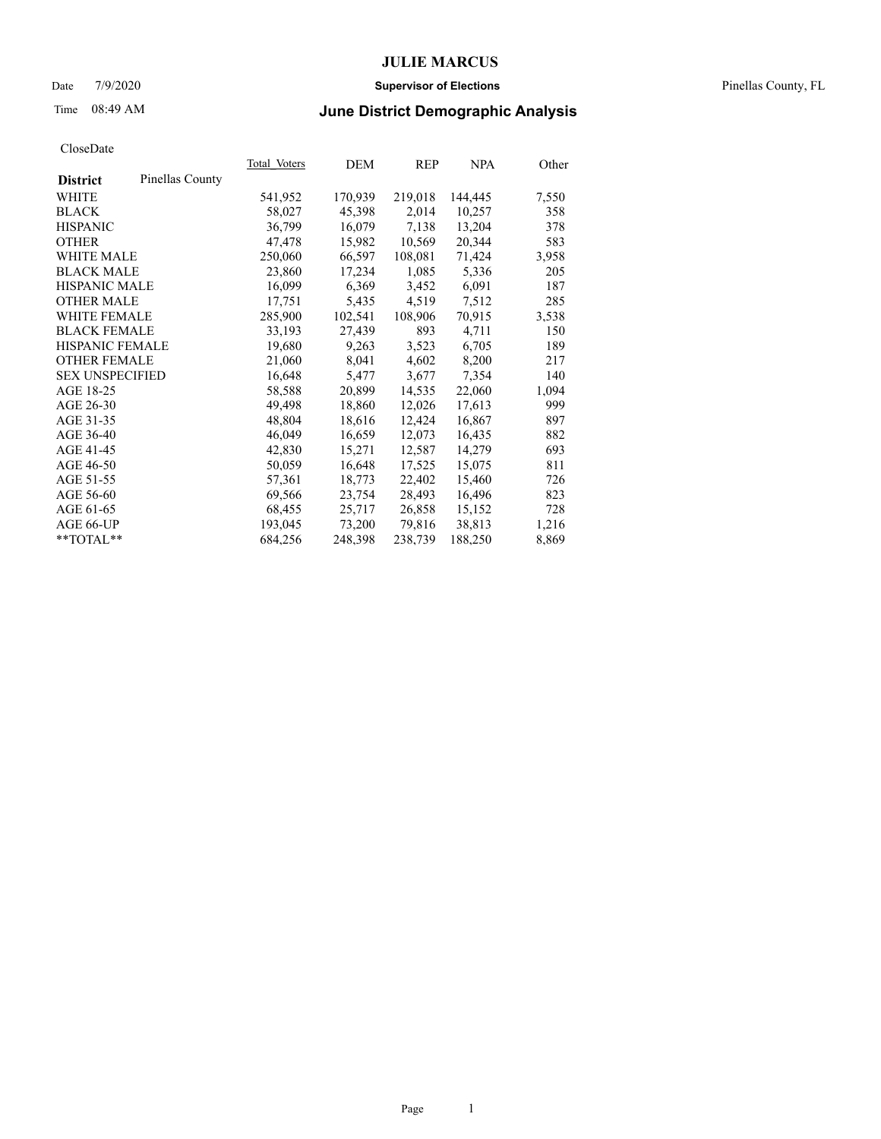### Date 7/9/2020 **Supervisor of Elections** Pinellas County, FL

# Time 08:49 AM **June District Demographic Analysis**

|                        |                 | Total Voters | DEM     | <u>REP</u> | <b>NPA</b> | Other |
|------------------------|-----------------|--------------|---------|------------|------------|-------|
| <b>District</b>        | Pinellas County |              |         |            |            |       |
| WHITE                  |                 | 541,952      | 170,939 | 219,018    | 144,445    | 7,550 |
| <b>BLACK</b>           |                 | 58,027       | 45,398  | 2,014      | 10,257     | 358   |
| <b>HISPANIC</b>        |                 | 36,799       | 16,079  | 7,138      | 13,204     | 378   |
| <b>OTHER</b>           |                 | 47,478       | 15,982  | 10,569     | 20,344     | 583   |
| <b>WHITE MALE</b>      |                 | 250,060      | 66,597  | 108,081    | 71,424     | 3,958 |
| <b>BLACK MALE</b>      |                 | 23,860       | 17,234  | 1,085      | 5,336      | 205   |
| <b>HISPANIC MALE</b>   |                 | 16,099       | 6,369   | 3,452      | 6,091      | 187   |
| <b>OTHER MALE</b>      |                 | 17,751       | 5,435   | 4,519      | 7,512      | 285   |
| <b>WHITE FEMALE</b>    |                 | 285,900      | 102,541 | 108,906    | 70,915     | 3,538 |
| <b>BLACK FEMALE</b>    |                 | 33,193       | 27,439  | 893        | 4,711      | 150   |
| <b>HISPANIC FEMALE</b> |                 | 19,680       | 9,263   | 3,523      | 6,705      | 189   |
| <b>OTHER FEMALE</b>    |                 | 21,060       | 8,041   | 4,602      | 8,200      | 217   |
| <b>SEX UNSPECIFIED</b> |                 | 16,648       | 5,477   | 3,677      | 7,354      | 140   |
| AGE 18-25              |                 | 58,588       | 20,899  | 14,535     | 22,060     | 1,094 |
| AGE 26-30              |                 | 49,498       | 18,860  | 12,026     | 17,613     | 999   |
| AGE 31-35              |                 | 48,804       | 18,616  | 12,424     | 16,867     | 897   |
| AGE 36-40              |                 | 46,049       | 16,659  | 12,073     | 16,435     | 882   |
| AGE 41-45              |                 | 42,830       | 15,271  | 12,587     | 14,279     | 693   |
| AGE 46-50              |                 | 50,059       | 16,648  | 17,525     | 15,075     | 811   |
| AGE 51-55              |                 | 57,361       | 18,773  | 22,402     | 15,460     | 726   |
| AGE 56-60              |                 | 69,566       | 23,754  | 28,493     | 16,496     | 823   |
| AGE 61-65              |                 | 68,455       | 25,717  | 26,858     | 15,152     | 728   |
| AGE 66-UP              |                 | 193,045      | 73,200  | 79,816     | 38,813     | 1,216 |
| $*$ $TOTAL**$          |                 | 684,256      | 248,398 | 238,739    | 188,250    | 8,869 |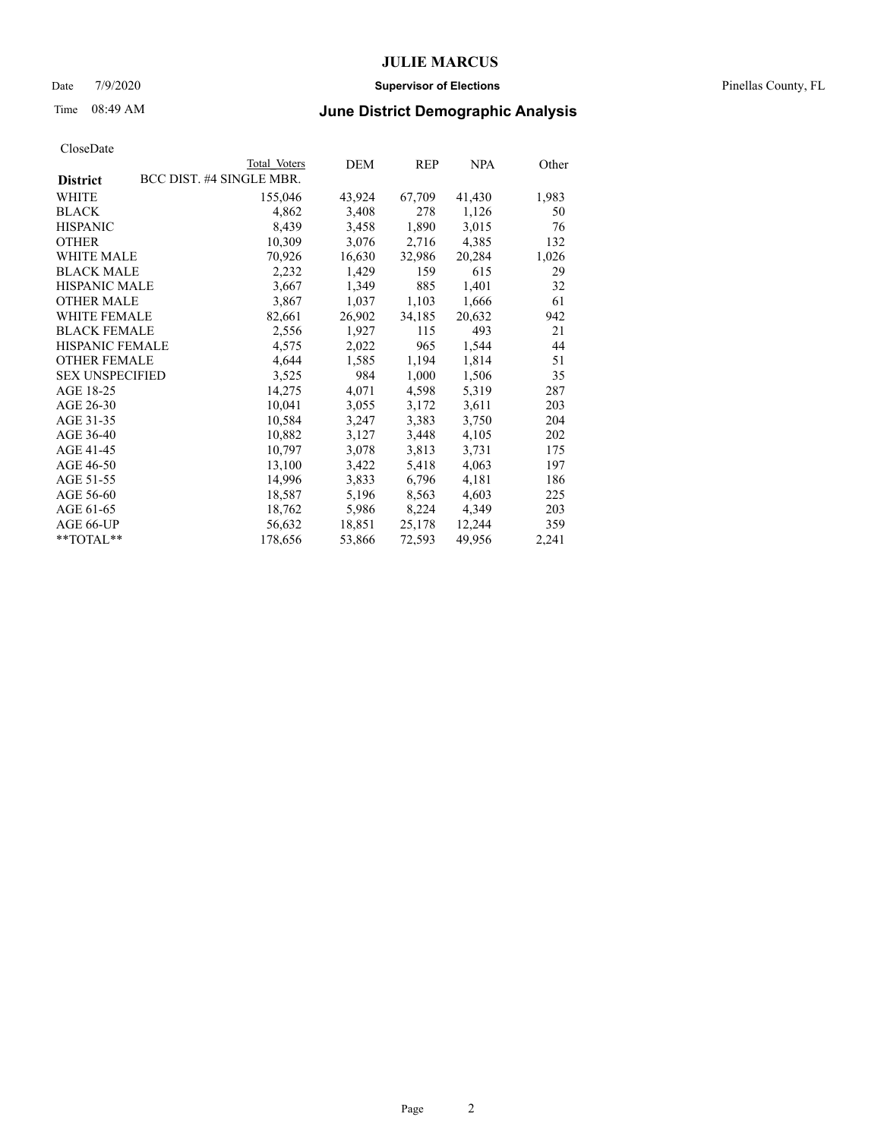### Date 7/9/2020 **Supervisor of Elections** Pinellas County, FL

## Time 08:49 AM **June District Demographic Analysis**

|                        | Total Voters             | DEM    | REP    | <b>NPA</b> | Other |
|------------------------|--------------------------|--------|--------|------------|-------|
| <b>District</b>        | BCC DIST. #4 SINGLE MBR. |        |        |            |       |
| WHITE                  | 155,046                  | 43,924 | 67,709 | 41,430     | 1,983 |
| <b>BLACK</b>           | 4,862                    | 3,408  | 278    | 1,126      | 50    |
| <b>HISPANIC</b>        | 8,439                    | 3,458  | 1,890  | 3,015      | 76    |
| <b>OTHER</b>           | 10,309                   | 3,076  | 2,716  | 4,385      | 132   |
| WHITE MALE             | 70,926                   | 16,630 | 32,986 | 20,284     | 1,026 |
| <b>BLACK MALE</b>      | 2,232                    | 1,429  | 159    | 615        | 29    |
| <b>HISPANIC MALE</b>   | 3,667                    | 1,349  | 885    | 1,401      | 32    |
| <b>OTHER MALE</b>      | 3,867                    | 1,037  | 1,103  | 1,666      | 61    |
| <b>WHITE FEMALE</b>    | 82,661                   | 26,902 | 34,185 | 20,632     | 942   |
| <b>BLACK FEMALE</b>    | 2,556                    | 1,927  | 115    | 493        | 21    |
| <b>HISPANIC FEMALE</b> | 4,575                    | 2,022  | 965    | 1,544      | 44    |
| <b>OTHER FEMALE</b>    | 4,644                    | 1,585  | 1,194  | 1,814      | 51    |
| <b>SEX UNSPECIFIED</b> | 3,525                    | 984    | 1,000  | 1,506      | 35    |
| AGE 18-25              | 14,275                   | 4,071  | 4,598  | 5,319      | 287   |
| AGE 26-30              | 10,041                   | 3,055  | 3,172  | 3,611      | 203   |
| AGE 31-35              | 10,584                   | 3,247  | 3,383  | 3,750      | 204   |
| AGE 36-40              | 10,882                   | 3,127  | 3,448  | 4,105      | 202   |
| AGE 41-45              | 10,797                   | 3,078  | 3,813  | 3,731      | 175   |
| AGE 46-50              | 13,100                   | 3,422  | 5,418  | 4,063      | 197   |
| AGE 51-55              | 14,996                   | 3,833  | 6,796  | 4,181      | 186   |
| AGE 56-60              | 18,587                   | 5,196  | 8,563  | 4,603      | 225   |
| AGE 61-65              | 18,762                   | 5,986  | 8,224  | 4,349      | 203   |
| AGE 66-UP              | 56,632                   | 18,851 | 25,178 | 12,244     | 359   |
| $*$ TOTAL $*$          | 178,656                  | 53,866 | 72,593 | 49,956     | 2,241 |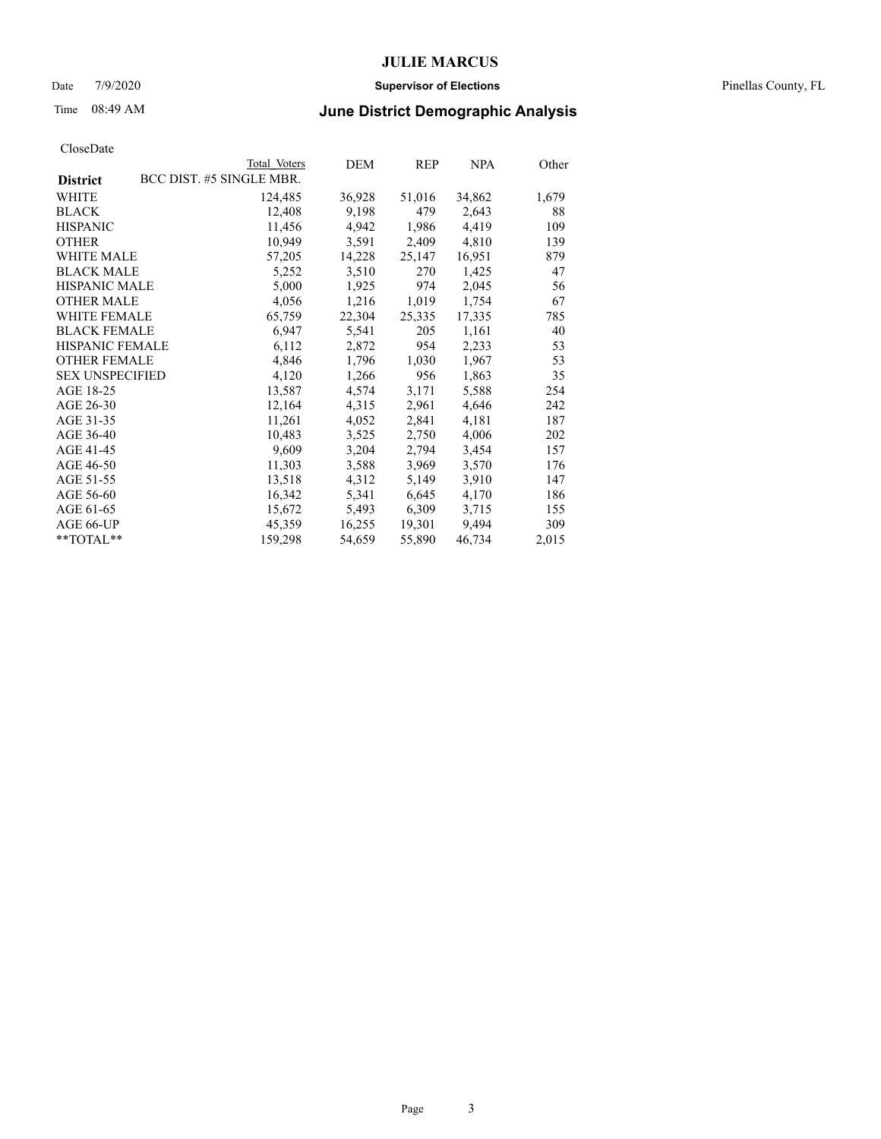### Date 7/9/2020 **Supervisor of Elections** Pinellas County, FL

# Time 08:49 AM **June District Demographic Analysis**

|                        |                          | Total Voters | DEM    | REP    | <b>NPA</b> | Other |
|------------------------|--------------------------|--------------|--------|--------|------------|-------|
| <b>District</b>        | BCC DIST. #5 SINGLE MBR. |              |        |        |            |       |
| <b>WHITE</b>           |                          | 124,485      | 36,928 | 51,016 | 34,862     | 1,679 |
| <b>BLACK</b>           |                          | 12,408       | 9,198  | 479    | 2,643      | 88    |
| <b>HISPANIC</b>        |                          | 11,456       | 4,942  | 1,986  | 4,419      | 109   |
| <b>OTHER</b>           |                          | 10,949       | 3,591  | 2,409  | 4,810      | 139   |
| <b>WHITE MALE</b>      |                          | 57,205       | 14,228 | 25,147 | 16,951     | 879   |
| <b>BLACK MALE</b>      |                          | 5,252        | 3,510  | 270    | 1,425      | 47    |
| <b>HISPANIC MALE</b>   |                          | 5,000        | 1,925  | 974    | 2,045      | 56    |
| <b>OTHER MALE</b>      |                          | 4,056        | 1,216  | 1,019  | 1,754      | 67    |
| <b>WHITE FEMALE</b>    |                          | 65,759       | 22,304 | 25,335 | 17,335     | 785   |
| <b>BLACK FEMALE</b>    |                          | 6,947        | 5,541  | 205    | 1,161      | 40    |
| <b>HISPANIC FEMALE</b> |                          | 6,112        | 2,872  | 954    | 2,233      | 53    |
| <b>OTHER FEMALE</b>    |                          | 4,846        | 1,796  | 1,030  | 1,967      | 53    |
| <b>SEX UNSPECIFIED</b> |                          | 4,120        | 1,266  | 956    | 1,863      | 35    |
| AGE 18-25              |                          | 13,587       | 4,574  | 3,171  | 5,588      | 254   |
| AGE 26-30              |                          | 12,164       | 4,315  | 2,961  | 4,646      | 242   |
| AGE 31-35              |                          | 11,261       | 4,052  | 2,841  | 4,181      | 187   |
| AGE 36-40              |                          | 10,483       | 3,525  | 2,750  | 4,006      | 202   |
| AGE 41-45              |                          | 9,609        | 3,204  | 2,794  | 3,454      | 157   |
| AGE 46-50              |                          | 11,303       | 3,588  | 3,969  | 3,570      | 176   |
| AGE 51-55              |                          | 13,518       | 4,312  | 5,149  | 3,910      | 147   |
| AGE 56-60              |                          | 16,342       | 5,341  | 6,645  | 4,170      | 186   |
| AGE 61-65              |                          | 15,672       | 5,493  | 6,309  | 3,715      | 155   |
| AGE 66-UP              |                          | 45,359       | 16,255 | 19,301 | 9,494      | 309   |
| **TOTAL**              |                          | 159,298      | 54,659 | 55,890 | 46,734     | 2,015 |
|                        |                          |              |        |        |            |       |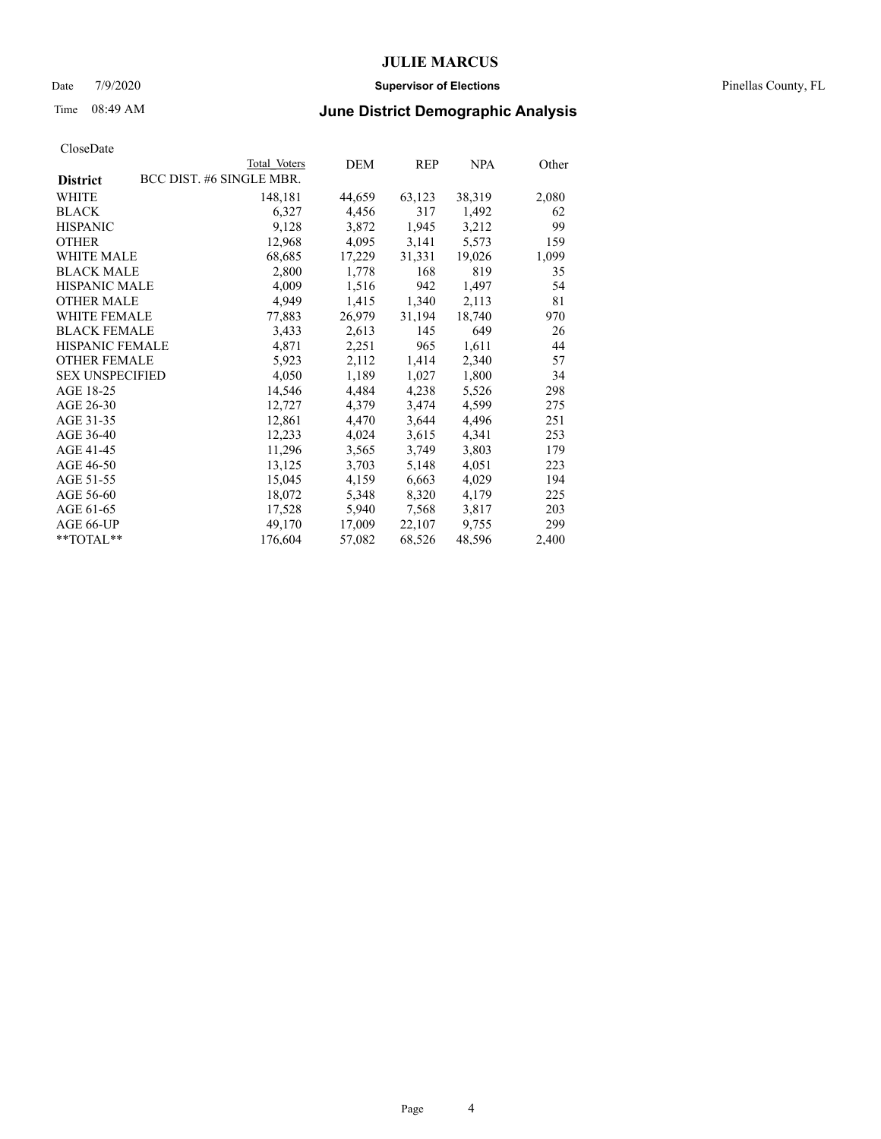### Date 7/9/2020 **Supervisor of Elections** Pinellas County, FL

# Time 08:49 AM **June District Demographic Analysis**

|                        | Total Voters             | DEM    | REP    | <b>NPA</b> | Other |
|------------------------|--------------------------|--------|--------|------------|-------|
| <b>District</b>        | BCC DIST. #6 SINGLE MBR. |        |        |            |       |
| WHITE                  | 148,181                  | 44,659 | 63,123 | 38,319     | 2,080 |
| <b>BLACK</b>           | 6,327                    | 4,456  | 317    | 1,492      | 62    |
| <b>HISPANIC</b>        | 9,128                    | 3,872  | 1,945  | 3,212      | 99    |
| <b>OTHER</b>           | 12,968                   | 4,095  | 3,141  | 5,573      | 159   |
| <b>WHITE MALE</b>      | 68,685                   | 17,229 | 31,331 | 19,026     | 1,099 |
| <b>BLACK MALE</b>      | 2,800                    | 1,778  | 168    | 819        | 35    |
| <b>HISPANIC MALE</b>   | 4,009                    | 1,516  | 942    | 1,497      | 54    |
| <b>OTHER MALE</b>      | 4,949                    | 1,415  | 1,340  | 2,113      | 81    |
| <b>WHITE FEMALE</b>    | 77,883                   | 26,979 | 31,194 | 18,740     | 970   |
| <b>BLACK FEMALE</b>    | 3,433                    | 2,613  | 145    | 649        | 26    |
| <b>HISPANIC FEMALE</b> | 4,871                    | 2,251  | 965    | 1,611      | 44    |
| <b>OTHER FEMALE</b>    | 5,923                    | 2,112  | 1,414  | 2,340      | 57    |
| <b>SEX UNSPECIFIED</b> | 4,050                    | 1,189  | 1,027  | 1,800      | 34    |
| AGE 18-25              | 14,546                   | 4,484  | 4,238  | 5,526      | 298   |
| AGE 26-30              | 12,727                   | 4,379  | 3,474  | 4,599      | 275   |
| AGE 31-35              | 12,861                   | 4,470  | 3,644  | 4,496      | 251   |
| AGE 36-40              | 12,233                   | 4,024  | 3,615  | 4,341      | 253   |
| AGE 41-45              | 11,296                   | 3,565  | 3,749  | 3,803      | 179   |
| AGE 46-50              | 13,125                   | 3,703  | 5,148  | 4,051      | 223   |
| AGE 51-55              | 15,045                   | 4,159  | 6,663  | 4,029      | 194   |
| AGE 56-60              | 18,072                   | 5,348  | 8,320  | 4,179      | 225   |
| AGE 61-65              | 17,528                   | 5,940  | 7,568  | 3,817      | 203   |
| AGE 66-UP              | 49,170                   | 17,009 | 22,107 | 9,755      | 299   |
| **TOTAL**              | 176,604                  | 57,082 | 68,526 | 48,596     | 2,400 |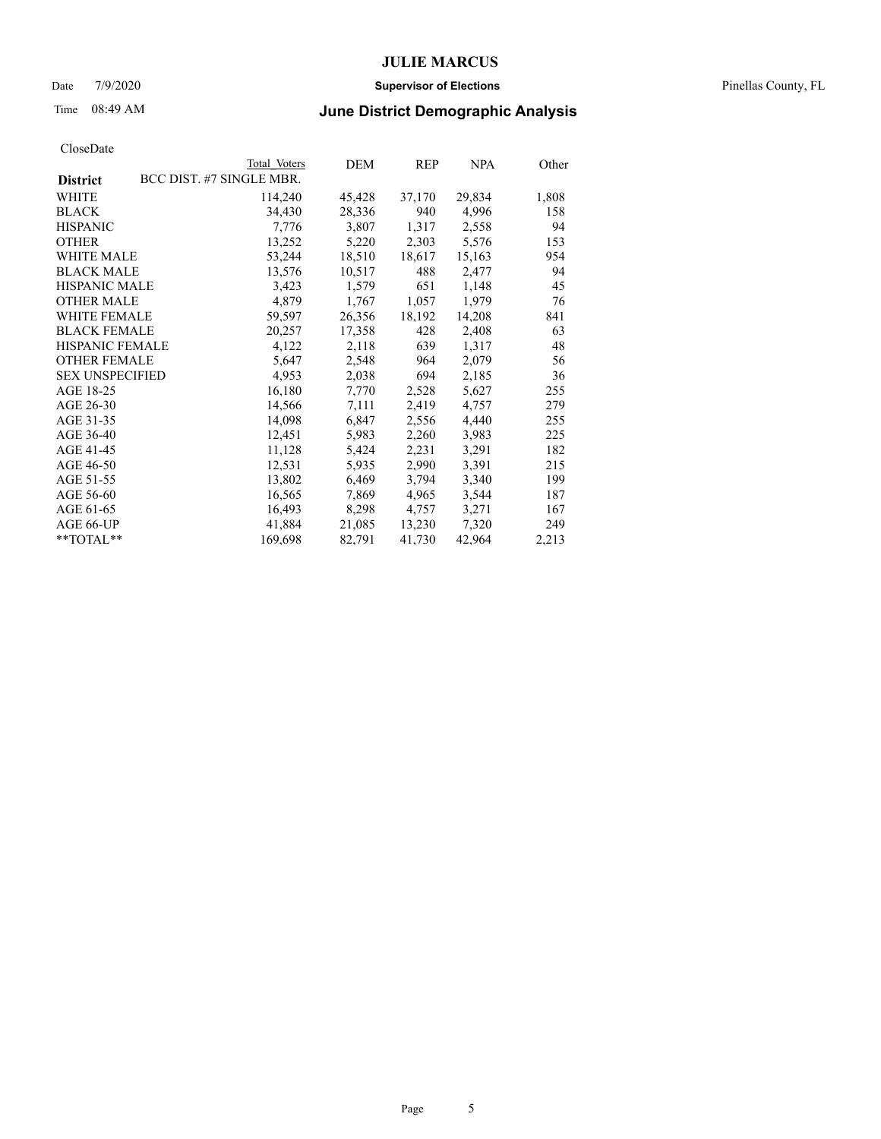### Date 7/9/2020 **Supervisor of Elections** Pinellas County, FL

# Time 08:49 AM **June District Demographic Analysis**

|                        | Total Voters             | DEM    | <b>REP</b> | <b>NPA</b> | Other |
|------------------------|--------------------------|--------|------------|------------|-------|
| <b>District</b>        | BCC DIST. #7 SINGLE MBR. |        |            |            |       |
| WHITE                  | 114,240                  | 45,428 | 37,170     | 29,834     | 1,808 |
| <b>BLACK</b>           | 34,430                   | 28,336 | 940        | 4,996      | 158   |
| <b>HISPANIC</b>        | 7,776                    | 3,807  | 1,317      | 2,558      | 94    |
| <b>OTHER</b>           | 13,252                   | 5,220  | 2,303      | 5,576      | 153   |
| <b>WHITE MALE</b>      | 53,244                   | 18,510 | 18,617     | 15,163     | 954   |
| <b>BLACK MALE</b>      | 13,576                   | 10,517 | 488        | 2,477      | 94    |
| <b>HISPANIC MALE</b>   | 3,423                    | 1,579  | 651        | 1,148      | 45    |
| <b>OTHER MALE</b>      | 4,879                    | 1,767  | 1,057      | 1,979      | 76    |
| <b>WHITE FEMALE</b>    | 59,597                   | 26,356 | 18,192     | 14,208     | 841   |
| <b>BLACK FEMALE</b>    | 20,257                   | 17,358 | 428        | 2,408      | 63    |
| <b>HISPANIC FEMALE</b> | 4,122                    | 2,118  | 639        | 1,317      | 48    |
| <b>OTHER FEMALE</b>    | 5,647                    | 2,548  | 964        | 2,079      | 56    |
| <b>SEX UNSPECIFIED</b> | 4,953                    | 2,038  | 694        | 2,185      | 36    |
| AGE 18-25              | 16,180                   | 7,770  | 2,528      | 5,627      | 255   |
| AGE 26-30              | 14,566                   | 7,111  | 2,419      | 4,757      | 279   |
| AGE 31-35              | 14,098                   | 6,847  | 2,556      | 4,440      | 255   |
| AGE 36-40              | 12,451                   | 5,983  | 2,260      | 3,983      | 225   |
| AGE 41-45              | 11,128                   | 5,424  | 2,231      | 3,291      | 182   |
| AGE 46-50              | 12,531                   | 5,935  | 2,990      | 3,391      | 215   |
| AGE 51-55              | 13,802                   | 6,469  | 3,794      | 3,340      | 199   |
| AGE 56-60              | 16,565                   | 7,869  | 4,965      | 3,544      | 187   |
| AGE 61-65              | 16,493                   | 8,298  | 4,757      | 3,271      | 167   |
| AGE 66-UP              | 41,884                   | 21,085 | 13,230     | 7,320      | 249   |
| **TOTAL**              | 169,698                  | 82,791 | 41,730     | 42,964     | 2,213 |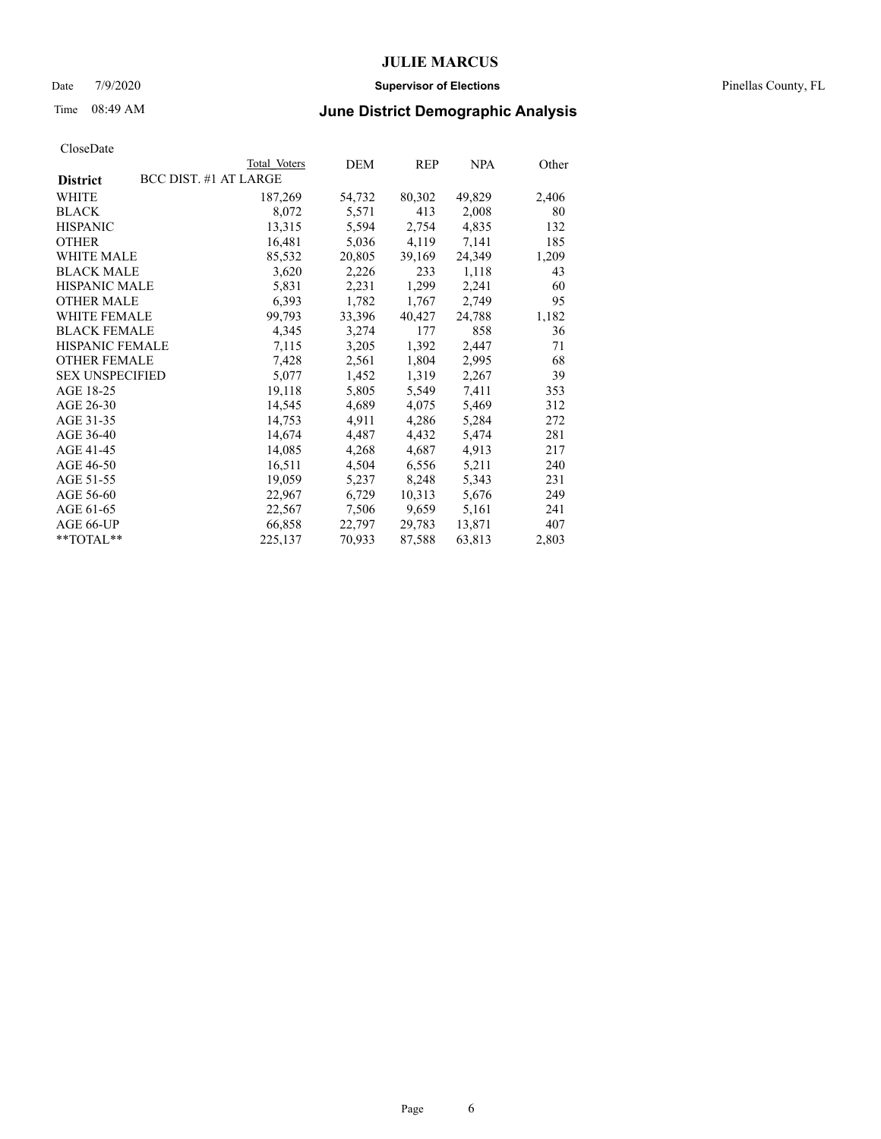### Date 7/9/2020 **Supervisor of Elections** Pinellas County, FL

# Time 08:49 AM **June District Demographic Analysis**

|                        |                       | Total Voters | DEM    | <b>REP</b> | <b>NPA</b> | Other |
|------------------------|-----------------------|--------------|--------|------------|------------|-------|
| <b>District</b>        | BCC DIST. #1 AT LARGE |              |        |            |            |       |
| WHITE                  |                       | 187,269      | 54,732 | 80,302     | 49,829     | 2,406 |
| <b>BLACK</b>           |                       | 8,072        | 5,571  | 413        | 2,008      | 80    |
| <b>HISPANIC</b>        |                       | 13,315       | 5,594  | 2,754      | 4,835      | 132   |
| <b>OTHER</b>           |                       | 16,481       | 5,036  | 4,119      | 7,141      | 185   |
| <b>WHITE MALE</b>      |                       | 85,532       | 20,805 | 39,169     | 24,349     | 1,209 |
| <b>BLACK MALE</b>      |                       | 3,620        | 2,226  | 233        | 1,118      | 43    |
| <b>HISPANIC MALE</b>   |                       | 5,831        | 2,231  | 1,299      | 2,241      | 60    |
| <b>OTHER MALE</b>      |                       | 6,393        | 1,782  | 1,767      | 2,749      | 95    |
| WHITE FEMALE           |                       | 99,793       | 33,396 | 40,427     | 24,788     | 1,182 |
| <b>BLACK FEMALE</b>    |                       | 4,345        | 3,274  | 177        | 858        | 36    |
| <b>HISPANIC FEMALE</b> |                       | 7,115        | 3,205  | 1,392      | 2,447      | 71    |
| <b>OTHER FEMALE</b>    |                       | 7,428        | 2,561  | 1,804      | 2,995      | 68    |
| <b>SEX UNSPECIFIED</b> |                       | 5,077        | 1,452  | 1,319      | 2,267      | 39    |
| AGE 18-25              |                       | 19,118       | 5,805  | 5,549      | 7,411      | 353   |
| AGE 26-30              |                       | 14,545       | 4,689  | 4,075      | 5,469      | 312   |
| AGE 31-35              |                       | 14,753       | 4,911  | 4,286      | 5,284      | 272   |
| AGE 36-40              |                       | 14,674       | 4,487  | 4,432      | 5,474      | 281   |
| AGE 41-45              |                       | 14,085       | 4,268  | 4,687      | 4,913      | 217   |
| AGE 46-50              |                       | 16,511       | 4,504  | 6,556      | 5,211      | 240   |
| AGE 51-55              |                       | 19,059       | 5,237  | 8,248      | 5,343      | 231   |
| AGE 56-60              |                       | 22,967       | 6,729  | 10,313     | 5,676      | 249   |
| AGE 61-65              |                       | 22,567       | 7,506  | 9,659      | 5,161      | 241   |
| AGE 66-UP              |                       | 66,858       | 22,797 | 29,783     | 13,871     | 407   |
| $*$ $TOTAL**$          |                       | 225,137      | 70,933 | 87,588     | 63,813     | 2,803 |
|                        |                       |              |        |            |            |       |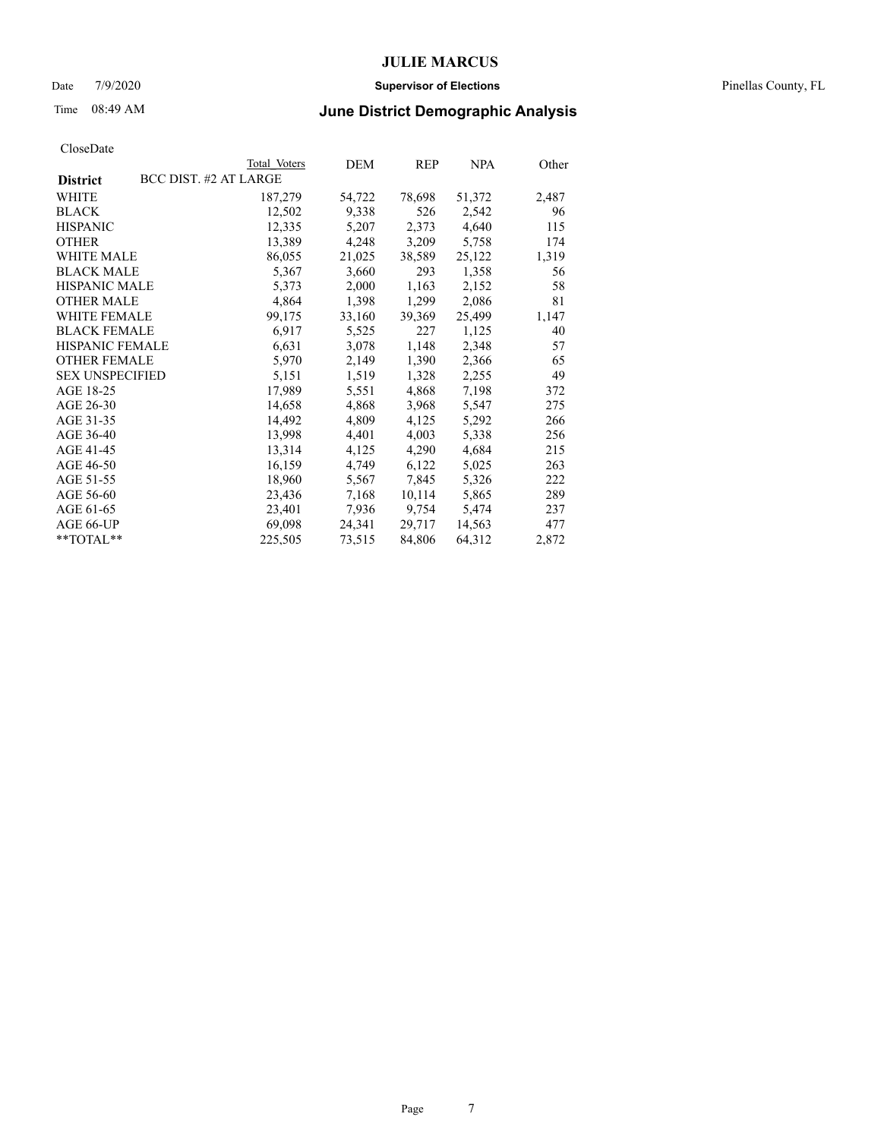### Date 7/9/2020 **Supervisor of Elections** Pinellas County, FL

## Time 08:49 AM **June District Demographic Analysis**

|                        | Total Voters          | DEM    | <b>REP</b> | <b>NPA</b> | Other |
|------------------------|-----------------------|--------|------------|------------|-------|
| <b>District</b>        | BCC DIST. #2 AT LARGE |        |            |            |       |
| WHITE                  | 187,279               | 54,722 | 78,698     | 51,372     | 2,487 |
| <b>BLACK</b>           | 12,502                | 9,338  | 526        | 2,542      | 96    |
| <b>HISPANIC</b>        | 12,335                | 5,207  | 2,373      | 4,640      | 115   |
| <b>OTHER</b>           | 13,389                | 4,248  | 3,209      | 5,758      | 174   |
| <b>WHITE MALE</b>      | 86,055                | 21,025 | 38,589     | 25,122     | 1,319 |
| <b>BLACK MALE</b>      | 5,367                 | 3,660  | 293        | 1,358      | 56    |
| <b>HISPANIC MALE</b>   | 5,373                 | 2,000  | 1,163      | 2,152      | 58    |
| <b>OTHER MALE</b>      | 4,864                 | 1,398  | 1,299      | 2,086      | 81    |
| <b>WHITE FEMALE</b>    | 99,175                | 33,160 | 39,369     | 25,499     | 1,147 |
| <b>BLACK FEMALE</b>    | 6,917                 | 5,525  | 227        | 1,125      | 40    |
| <b>HISPANIC FEMALE</b> | 6,631                 | 3,078  | 1,148      | 2,348      | 57    |
| <b>OTHER FEMALE</b>    | 5,970                 | 2,149  | 1,390      | 2,366      | 65    |
| <b>SEX UNSPECIFIED</b> | 5,151                 | 1,519  | 1,328      | 2,255      | 49    |
| AGE 18-25              | 17,989                | 5,551  | 4,868      | 7,198      | 372   |
| AGE 26-30              | 14,658                | 4,868  | 3,968      | 5,547      | 275   |
| AGE 31-35              | 14,492                | 4,809  | 4,125      | 5,292      | 266   |
| AGE 36-40              | 13,998                | 4,401  | 4,003      | 5,338      | 256   |
| AGE 41-45              | 13,314                | 4,125  | 4,290      | 4,684      | 215   |
| AGE 46-50              | 16,159                | 4,749  | 6,122      | 5,025      | 263   |
| AGE 51-55              | 18,960                | 5,567  | 7,845      | 5,326      | 222   |
| AGE 56-60              | 23,436                | 7,168  | 10,114     | 5,865      | 289   |
| AGE 61-65              | 23,401                | 7,936  | 9,754      | 5,474      | 237   |
| AGE 66-UP              | 69,098                | 24,341 | 29,717     | 14,563     | 477   |
| **TOTAL**              | 225,505               | 73,515 | 84,806     | 64,312     | 2,872 |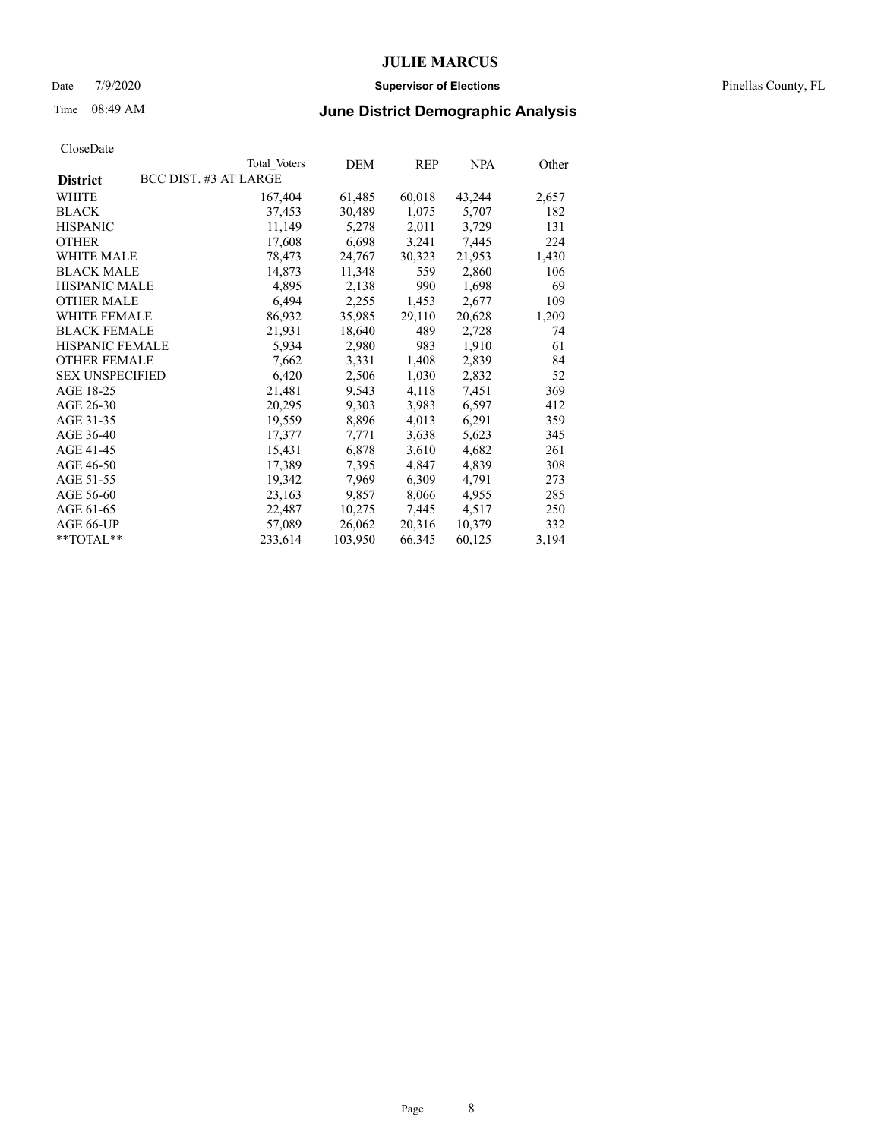### Date 7/9/2020 **Supervisor of Elections** Pinellas County, FL

## Time 08:49 AM **June District Demographic Analysis**

|                        | Total Voters          | DEM     | <b>REP</b> | <b>NPA</b> | Other |
|------------------------|-----------------------|---------|------------|------------|-------|
| <b>District</b>        | BCC DIST. #3 AT LARGE |         |            |            |       |
| WHITE                  | 167,404               | 61,485  | 60,018     | 43,244     | 2,657 |
| <b>BLACK</b>           | 37,453                | 30,489  | 1,075      | 5,707      | 182   |
| <b>HISPANIC</b>        | 11,149                | 5,278   | 2,011      | 3,729      | 131   |
| <b>OTHER</b>           | 17,608                | 6,698   | 3,241      | 7,445      | 224   |
| WHITE MALE             | 78,473                | 24,767  | 30,323     | 21,953     | 1,430 |
| <b>BLACK MALE</b>      | 14,873                | 11,348  | 559        | 2,860      | 106   |
| <b>HISPANIC MALE</b>   | 4,895                 | 2,138   | 990        | 1,698      | 69    |
| <b>OTHER MALE</b>      | 6,494                 | 2,255   | 1,453      | 2,677      | 109   |
| <b>WHITE FEMALE</b>    | 86,932                | 35,985  | 29,110     | 20,628     | 1,209 |
| <b>BLACK FEMALE</b>    | 21,931                | 18,640  | 489        | 2,728      | 74    |
| HISPANIC FEMALE        | 5,934                 | 2,980   | 983        | 1,910      | 61    |
| <b>OTHER FEMALE</b>    | 7,662                 | 3,331   | 1,408      | 2,839      | 84    |
| <b>SEX UNSPECIFIED</b> | 6,420                 | 2,506   | 1,030      | 2,832      | 52    |
| AGE 18-25              | 21,481                | 9,543   | 4,118      | 7,451      | 369   |
| AGE 26-30              | 20,295                | 9,303   | 3,983      | 6,597      | 412   |
| AGE 31-35              | 19,559                | 8,896   | 4,013      | 6,291      | 359   |
| AGE 36-40              | 17,377                | 7,771   | 3,638      | 5,623      | 345   |
| AGE 41-45              | 15,431                | 6,878   | 3,610      | 4,682      | 261   |
| AGE 46-50              | 17,389                | 7,395   | 4,847      | 4,839      | 308   |
| AGE 51-55              | 19,342                | 7,969   | 6,309      | 4,791      | 273   |
| AGE 56-60              | 23,163                | 9,857   | 8,066      | 4,955      | 285   |
| AGE 61-65              | 22,487                | 10,275  | 7,445      | 4,517      | 250   |
| AGE 66-UP              | 57,089                | 26,062  | 20,316     | 10,379     | 332   |
| $*$ $TOTAL**$          | 233,614               | 103,950 | 66,345     | 60,125     | 3,194 |
|                        |                       |         |            |            |       |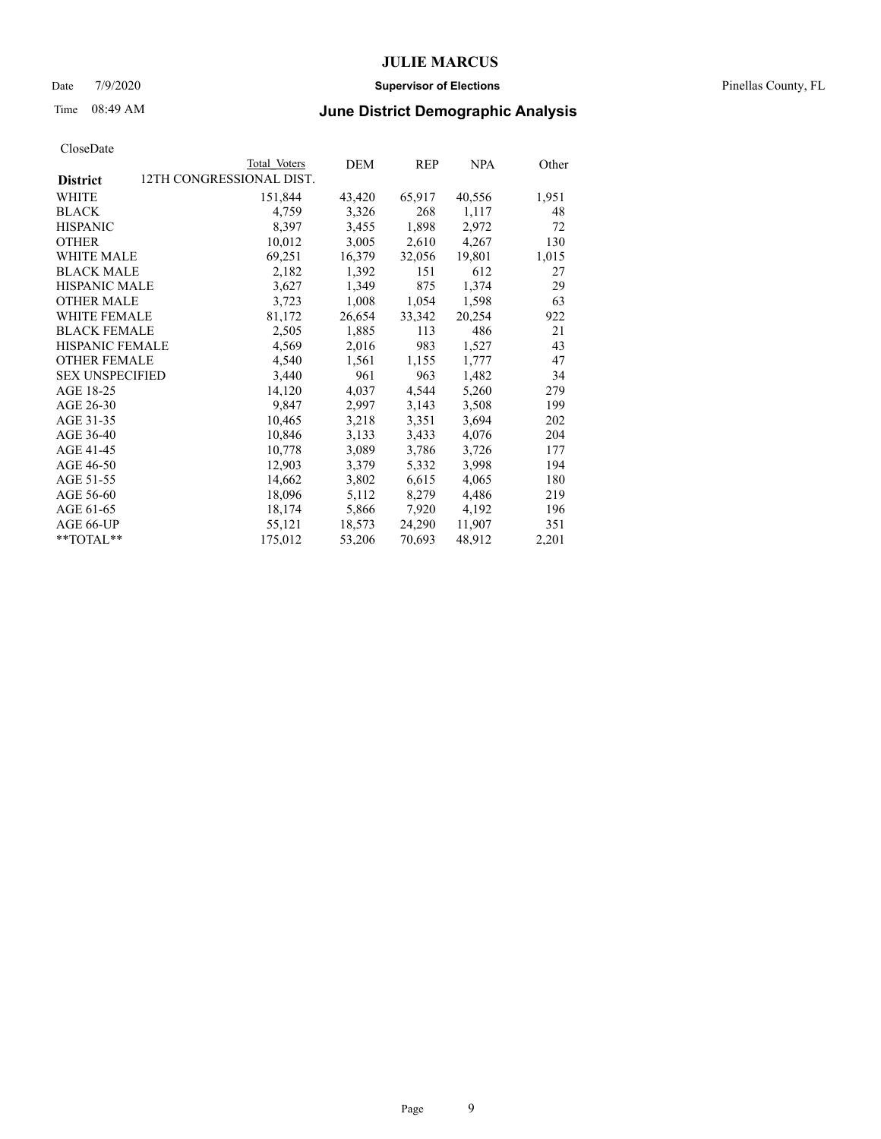### Date 7/9/2020 **Supervisor of Elections** Pinellas County, FL

## Time 08:49 AM **June District Demographic Analysis**

|                        | Total Voters             | DEM    | REP    | <b>NPA</b> | Other |
|------------------------|--------------------------|--------|--------|------------|-------|
| <b>District</b>        | 12TH CONGRESSIONAL DIST. |        |        |            |       |
| WHITE                  | 151,844                  | 43,420 | 65,917 | 40,556     | 1,951 |
| <b>BLACK</b>           | 4,759                    | 3,326  | 268    | 1,117      | 48    |
| <b>HISPANIC</b>        | 8,397                    | 3,455  | 1,898  | 2,972      | 72    |
| <b>OTHER</b>           | 10,012                   | 3,005  | 2,610  | 4,267      | 130   |
| WHITE MALE             | 69,251                   | 16,379 | 32,056 | 19,801     | 1,015 |
| <b>BLACK MALE</b>      | 2,182                    | 1,392  | 151    | 612        | 27    |
| <b>HISPANIC MALE</b>   | 3,627                    | 1,349  | 875    | 1,374      | 29    |
| <b>OTHER MALE</b>      | 3,723                    | 1,008  | 1,054  | 1,598      | 63    |
| <b>WHITE FEMALE</b>    | 81,172                   | 26,654 | 33,342 | 20,254     | 922   |
| <b>BLACK FEMALE</b>    | 2,505                    | 1,885  | 113    | 486        | 21    |
| <b>HISPANIC FEMALE</b> | 4,569                    | 2,016  | 983    | 1,527      | 43    |
| <b>OTHER FEMALE</b>    | 4,540                    | 1,561  | 1,155  | 1,777      | 47    |
| <b>SEX UNSPECIFIED</b> | 3,440                    | 961    | 963    | 1,482      | 34    |
| AGE 18-25              | 14,120                   | 4,037  | 4,544  | 5,260      | 279   |
| AGE 26-30              | 9,847                    | 2,997  | 3,143  | 3,508      | 199   |
| AGE 31-35              | 10,465                   | 3,218  | 3,351  | 3,694      | 202   |
| AGE 36-40              | 10,846                   | 3,133  | 3,433  | 4,076      | 204   |
| AGE 41-45              | 10,778                   | 3,089  | 3,786  | 3,726      | 177   |
| AGE 46-50              | 12,903                   | 3,379  | 5,332  | 3,998      | 194   |
| AGE 51-55              | 14,662                   | 3,802  | 6,615  | 4,065      | 180   |
| AGE 56-60              | 18,096                   | 5,112  | 8,279  | 4,486      | 219   |
| AGE 61-65              | 18,174                   | 5,866  | 7,920  | 4,192      | 196   |
| AGE 66-UP              | 55,121                   | 18,573 | 24,290 | 11,907     | 351   |
| $*$ TOTAL $*$          | 175,012                  | 53,206 | 70,693 | 48,912     | 2,201 |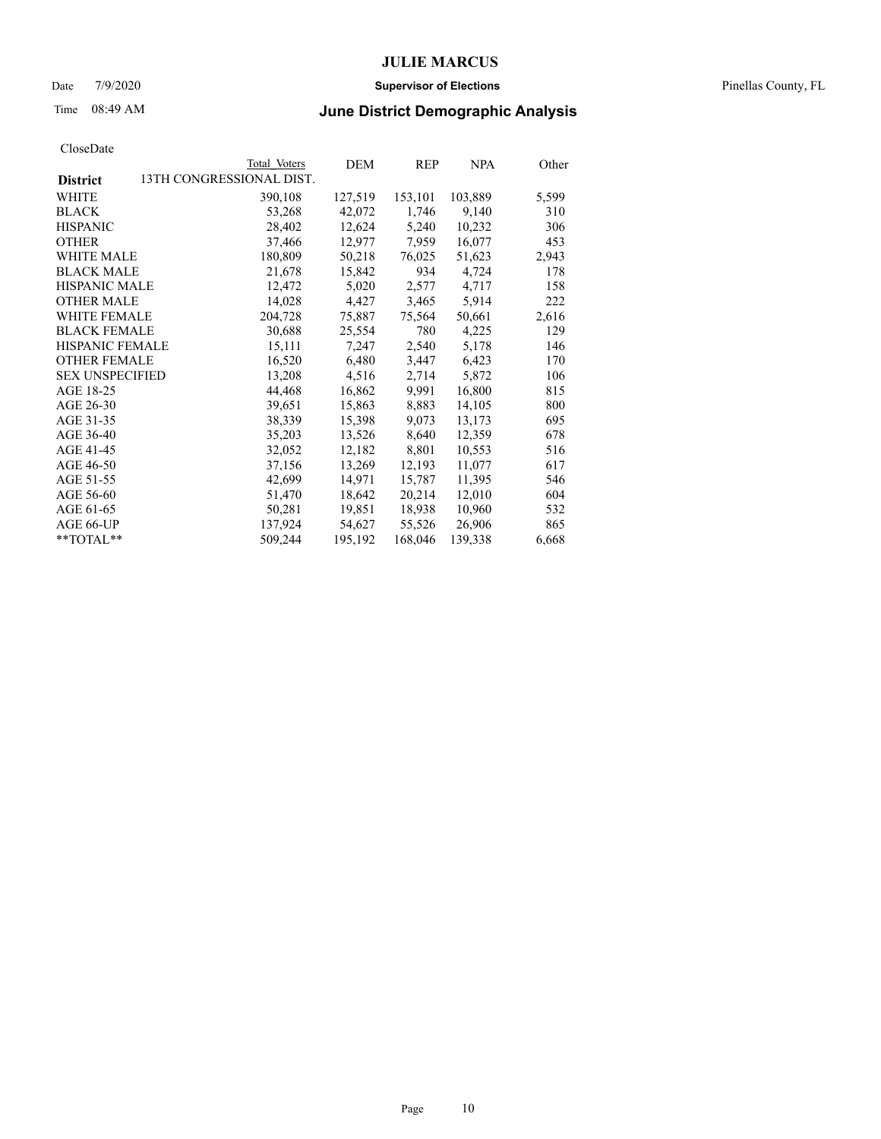### Date 7/9/2020 **Supervisor of Elections** Pinellas County, FL

# Time 08:49 AM **June District Demographic Analysis**

|                                             | Total Voters | DEM     | REP     | <b>NPA</b> | Other |
|---------------------------------------------|--------------|---------|---------|------------|-------|
| 13TH CONGRESSIONAL DIST.<br><b>District</b> |              |         |         |            |       |
| <b>WHITE</b>                                | 390,108      | 127,519 | 153,101 | 103,889    | 5,599 |
| <b>BLACK</b>                                | 53,268       | 42,072  | 1,746   | 9,140      | 310   |
| <b>HISPANIC</b>                             | 28,402       | 12,624  | 5,240   | 10,232     | 306   |
| <b>OTHER</b>                                | 37,466       | 12,977  | 7,959   | 16,077     | 453   |
| <b>WHITE MALE</b>                           | 180,809      | 50,218  | 76,025  | 51,623     | 2,943 |
| <b>BLACK MALE</b>                           | 21,678       | 15,842  | 934     | 4,724      | 178   |
| <b>HISPANIC MALE</b>                        | 12,472       | 5,020   | 2,577   | 4,717      | 158   |
| <b>OTHER MALE</b>                           | 14,028       | 4,427   | 3,465   | 5,914      | 222   |
| <b>WHITE FEMALE</b>                         | 204,728      | 75,887  | 75,564  | 50,661     | 2,616 |
| <b>BLACK FEMALE</b>                         | 30,688       | 25,554  | 780     | 4,225      | 129   |
| HISPANIC FEMALE                             | 15,111       | 7,247   | 2,540   | 5,178      | 146   |
| <b>OTHER FEMALE</b>                         | 16,520       | 6,480   | 3,447   | 6,423      | 170   |
| <b>SEX UNSPECIFIED</b>                      | 13,208       | 4,516   | 2,714   | 5,872      | 106   |
| AGE 18-25                                   | 44,468       | 16,862  | 9,991   | 16,800     | 815   |
| AGE 26-30                                   | 39,651       | 15,863  | 8,883   | 14,105     | 800   |
| AGE 31-35                                   | 38,339       | 15,398  | 9,073   | 13,173     | 695   |
| AGE 36-40                                   | 35,203       | 13,526  | 8,640   | 12,359     | 678   |
| AGE 41-45                                   | 32,052       | 12,182  | 8,801   | 10,553     | 516   |
| AGE 46-50                                   | 37,156       | 13,269  | 12,193  | 11,077     | 617   |
| AGE 51-55                                   | 42,699       | 14,971  | 15,787  | 11,395     | 546   |
| AGE 56-60                                   | 51,470       | 18,642  | 20,214  | 12,010     | 604   |
| AGE 61-65                                   | 50,281       | 19,851  | 18,938  | 10,960     | 532   |
| AGE 66-UP                                   | 137,924      | 54,627  | 55,526  | 26,906     | 865   |
| **TOTAL**                                   | 509,244      | 195,192 | 168,046 | 139,338    | 6,668 |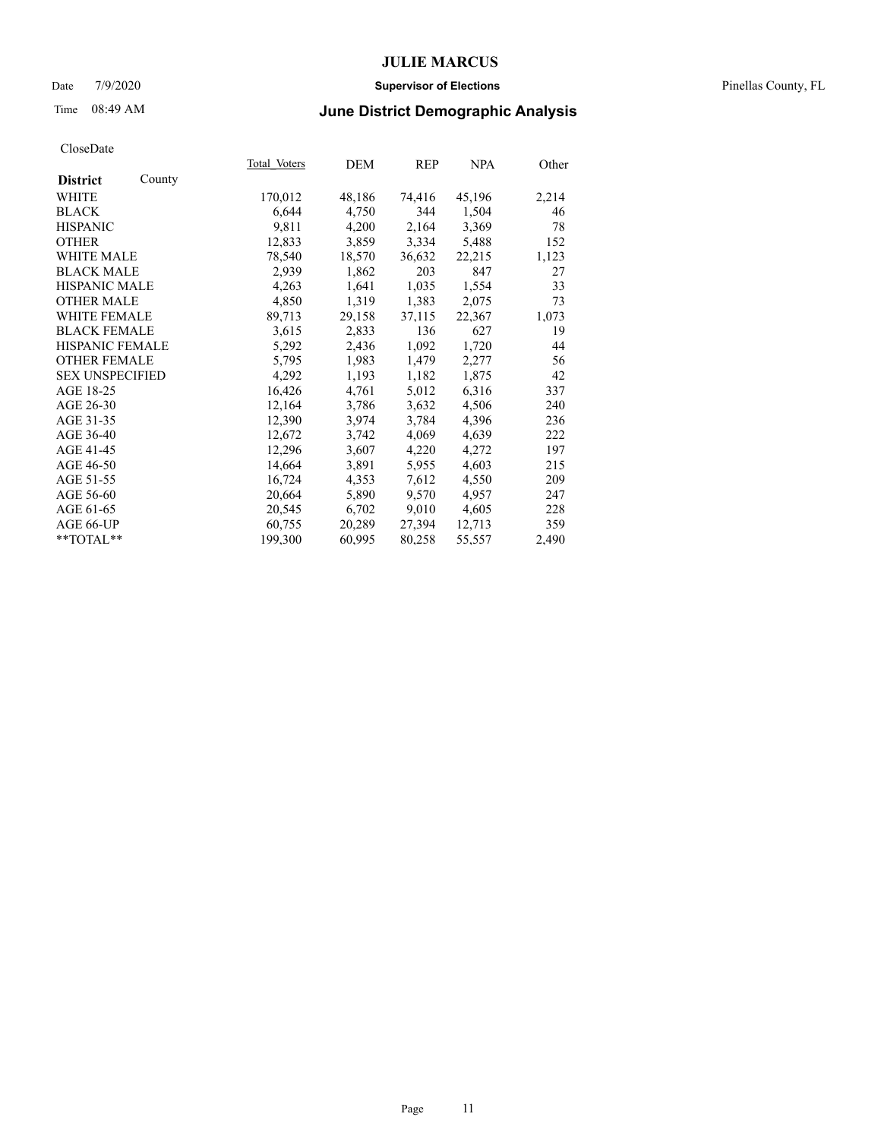### Date 7/9/2020 **Supervisor of Elections** Pinellas County, FL

# Time 08:49 AM **June District Demographic Analysis**

|                        |        | Total Voters | DEM    | REP    | <b>NPA</b> | Other |
|------------------------|--------|--------------|--------|--------|------------|-------|
| <b>District</b>        | County |              |        |        |            |       |
| WHITE                  |        | 170,012      | 48,186 | 74,416 | 45,196     | 2,214 |
| <b>BLACK</b>           |        | 6,644        | 4,750  | 344    | 1,504      | 46    |
| <b>HISPANIC</b>        |        | 9,811        | 4,200  | 2,164  | 3,369      | 78    |
| <b>OTHER</b>           |        | 12,833       | 3,859  | 3,334  | 5,488      | 152   |
| <b>WHITE MALE</b>      |        | 78,540       | 18,570 | 36,632 | 22,215     | 1,123 |
| <b>BLACK MALE</b>      |        | 2,939        | 1,862  | 203    | 847        | 27    |
| <b>HISPANIC MALE</b>   |        | 4,263        | 1,641  | 1,035  | 1,554      | 33    |
| <b>OTHER MALE</b>      |        | 4,850        | 1,319  | 1,383  | 2,075      | 73    |
| <b>WHITE FEMALE</b>    |        | 89,713       | 29,158 | 37,115 | 22,367     | 1,073 |
| <b>BLACK FEMALE</b>    |        | 3,615        | 2,833  | 136    | 627        | 19    |
| HISPANIC FEMALE        |        | 5,292        | 2,436  | 1,092  | 1,720      | 44    |
| <b>OTHER FEMALE</b>    |        | 5,795        | 1,983  | 1,479  | 2,277      | 56    |
| <b>SEX UNSPECIFIED</b> |        | 4,292        | 1,193  | 1,182  | 1,875      | 42    |
| AGE 18-25              |        | 16,426       | 4,761  | 5,012  | 6,316      | 337   |
| AGE 26-30              |        | 12,164       | 3,786  | 3,632  | 4,506      | 240   |
| AGE 31-35              |        | 12,390       | 3,974  | 3,784  | 4,396      | 236   |
| AGE 36-40              |        | 12,672       | 3,742  | 4,069  | 4,639      | 222   |
| AGE 41-45              |        | 12,296       | 3,607  | 4,220  | 4,272      | 197   |
| AGE 46-50              |        | 14,664       | 3,891  | 5,955  | 4,603      | 215   |
| AGE 51-55              |        | 16,724       | 4,353  | 7,612  | 4,550      | 209   |
| AGE 56-60              |        | 20,664       | 5,890  | 9,570  | 4,957      | 247   |
| AGE 61-65              |        | 20,545       | 6,702  | 9,010  | 4,605      | 228   |
| AGE 66-UP              |        | 60,755       | 20,289 | 27,394 | 12,713     | 359   |
| $*$ TOTAL $*$          |        | 199,300      | 60,995 | 80,258 | 55,557     | 2,490 |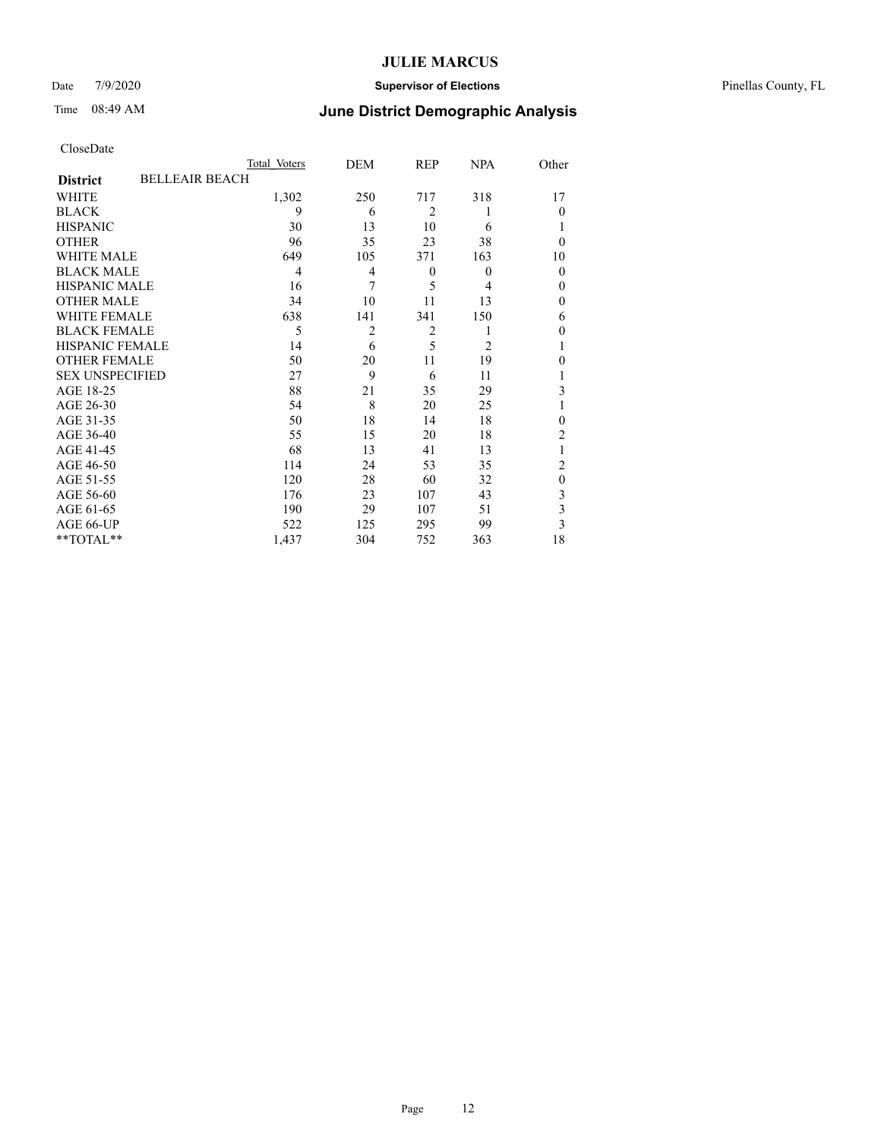### Date 7/9/2020 **Supervisor of Elections** Pinellas County, FL

# Time 08:49 AM **June District Demographic Analysis**

|                        | Total Voters          | DEM            | REP              | <b>NPA</b> | Other                   |
|------------------------|-----------------------|----------------|------------------|------------|-------------------------|
| <b>District</b>        | <b>BELLEAIR BEACH</b> |                |                  |            |                         |
| WHITE                  | 1,302                 | 250            | 717              | 318        | 17                      |
| <b>BLACK</b>           | 9                     | 6              | $\overline{2}$   |            | $\theta$                |
| <b>HISPANIC</b>        | 30                    | 13             | 10               | 6          | 1                       |
| <b>OTHER</b>           | 96                    | 35             | 23               | 38         | $\theta$                |
| <b>WHITE MALE</b>      | 649                   | 105            | 371              | 163        | 10                      |
| <b>BLACK MALE</b>      | 4                     | 4              | $\boldsymbol{0}$ | $\theta$   | $\mathbf{0}$            |
| HISPANIC MALE          | 16                    | 7              | 5                | 4          | $\theta$                |
| <b>OTHER MALE</b>      | 34                    | 10             | 11               | 13         | $\theta$                |
| <b>WHITE FEMALE</b>    | 638                   | 141            | 341              | 150        | 6                       |
| <b>BLACK FEMALE</b>    | 5                     | $\overline{2}$ | $\overline{2}$   |            | $\theta$                |
| <b>HISPANIC FEMALE</b> | 14                    | 6              | 5                | 2          | 1                       |
| <b>OTHER FEMALE</b>    | 50                    | 20             | 11               | 19         | $\theta$                |
| <b>SEX UNSPECIFIED</b> | 27                    | 9              | 6                | 11         |                         |
| AGE 18-25              | 88                    | 21             | 35               | 29         | 3                       |
| AGE 26-30              | 54                    | 8              | 20               | 25         | 1                       |
| AGE 31-35              | 50                    | 18             | 14               | 18         | $\mathbf{0}$            |
| AGE 36-40              | 55                    | 15             | 20               | 18         | $\overline{2}$          |
| AGE 41-45              | 68                    | 13             | 41               | 13         |                         |
| AGE 46-50              | 114                   | 24             | 53               | 35         | 2                       |
| AGE 51-55              | 120                   | 28             | 60               | 32         | $\mathbf{0}$            |
| AGE 56-60              | 176                   | 23             | 107              | 43         | 3                       |
| AGE 61-65              | 190                   | 29             | 107              | 51         | $\overline{\mathbf{3}}$ |
| AGE 66-UP              | 522                   | 125            | 295              | 99         | 3                       |
| **TOTAL**              | 1,437                 | 304            | 752              | 363        | 18                      |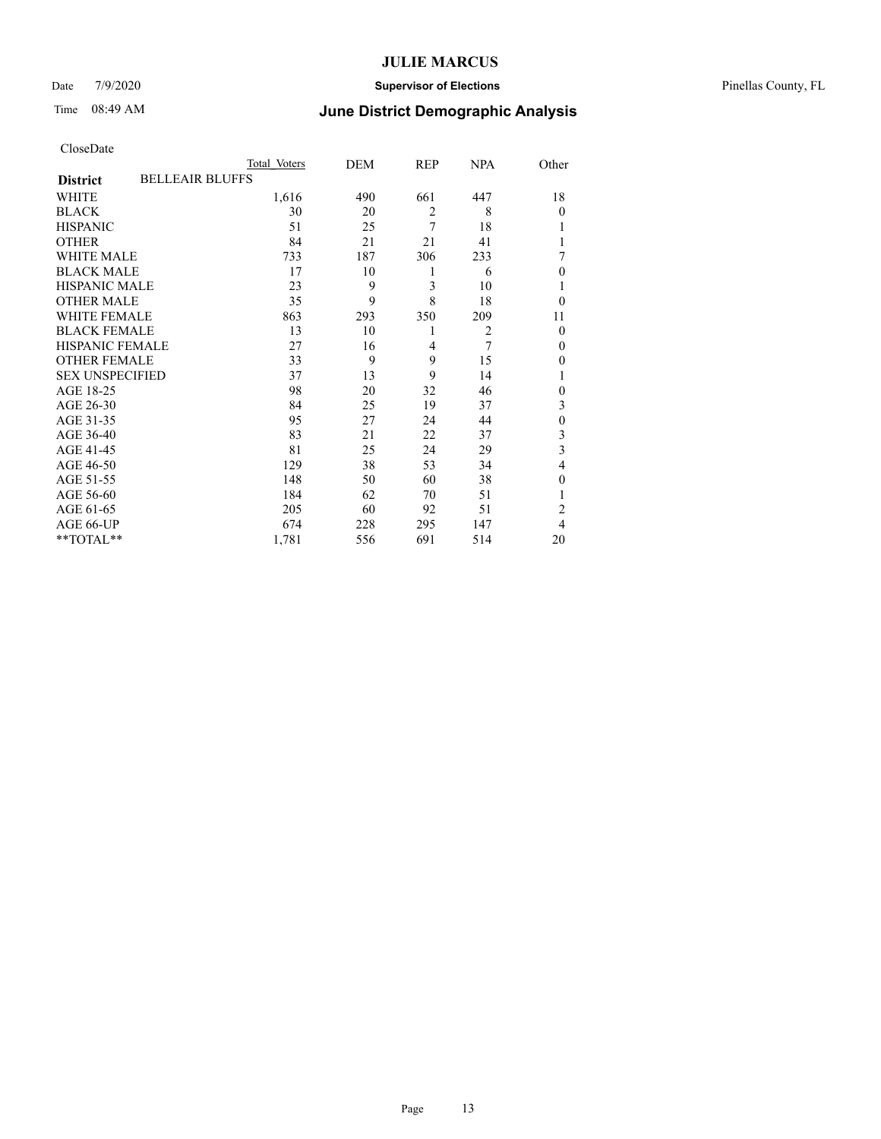### Date 7/9/2020 **Supervisor of Elections** Pinellas County, FL

# Time 08:49 AM **June District Demographic Analysis**

|                                           | Total Voters | DEM | REP            | <b>NPA</b>     | Other          |
|-------------------------------------------|--------------|-----|----------------|----------------|----------------|
| <b>BELLEAIR BLUFFS</b><br><b>District</b> |              |     |                |                |                |
| WHITE                                     | 1,616        | 490 | 661            | 447            | 18             |
| <b>BLACK</b>                              | 30           | 20  | $\overline{2}$ | 8              | $\theta$       |
| <b>HISPANIC</b>                           | 51           | 25  | 7              | 18             | 1              |
| <b>OTHER</b>                              | 84           | 21  | 21             | 41             | 1              |
| <b>WHITE MALE</b>                         | 733          | 187 | 306            | 233            | 7              |
| <b>BLACK MALE</b>                         | 17           | 10  | 1              | 6              | $\theta$       |
| <b>HISPANIC MALE</b>                      | 23           | 9   | 3              | 10             | 1              |
| <b>OTHER MALE</b>                         | 35           | 9   | 8              | 18             | $\theta$       |
| <b>WHITE FEMALE</b>                       | 863          | 293 | 350            | 209            | 11             |
| <b>BLACK FEMALE</b>                       | 13           | 10  | 1              | $\overline{2}$ | $\Omega$       |
| <b>HISPANIC FEMALE</b>                    | 27           | 16  | $\overline{4}$ | 7              | $\Omega$       |
| <b>OTHER FEMALE</b>                       | 33           | 9   | 9              | 15             | $\theta$       |
| <b>SEX UNSPECIFIED</b>                    | 37           | 13  | 9              | 14             | 1              |
| AGE 18-25                                 | 98           | 20  | 32             | 46             | $\theta$       |
| AGE 26-30                                 | 84           | 25  | 19             | 37             | 3              |
| AGE 31-35                                 | 95           | 27  | 24             | 44             | $\mathbf{0}$   |
| AGE 36-40                                 | 83           | 21  | 22             | 37             | 3              |
| AGE 41-45                                 | 81           | 25  | 24             | 29             | 3              |
| AGE 46-50                                 | 129          | 38  | 53             | 34             | 4              |
| AGE 51-55                                 | 148          | 50  | 60             | 38             | $\theta$       |
| AGE 56-60                                 | 184          | 62  | 70             | 51             | 1              |
| AGE 61-65                                 | 205          | 60  | 92             | 51             | $\overline{2}$ |
| AGE 66-UP                                 | 674          | 228 | 295            | 147            | 4              |
| **TOTAL**                                 | 1,781        | 556 | 691            | 514            | 20             |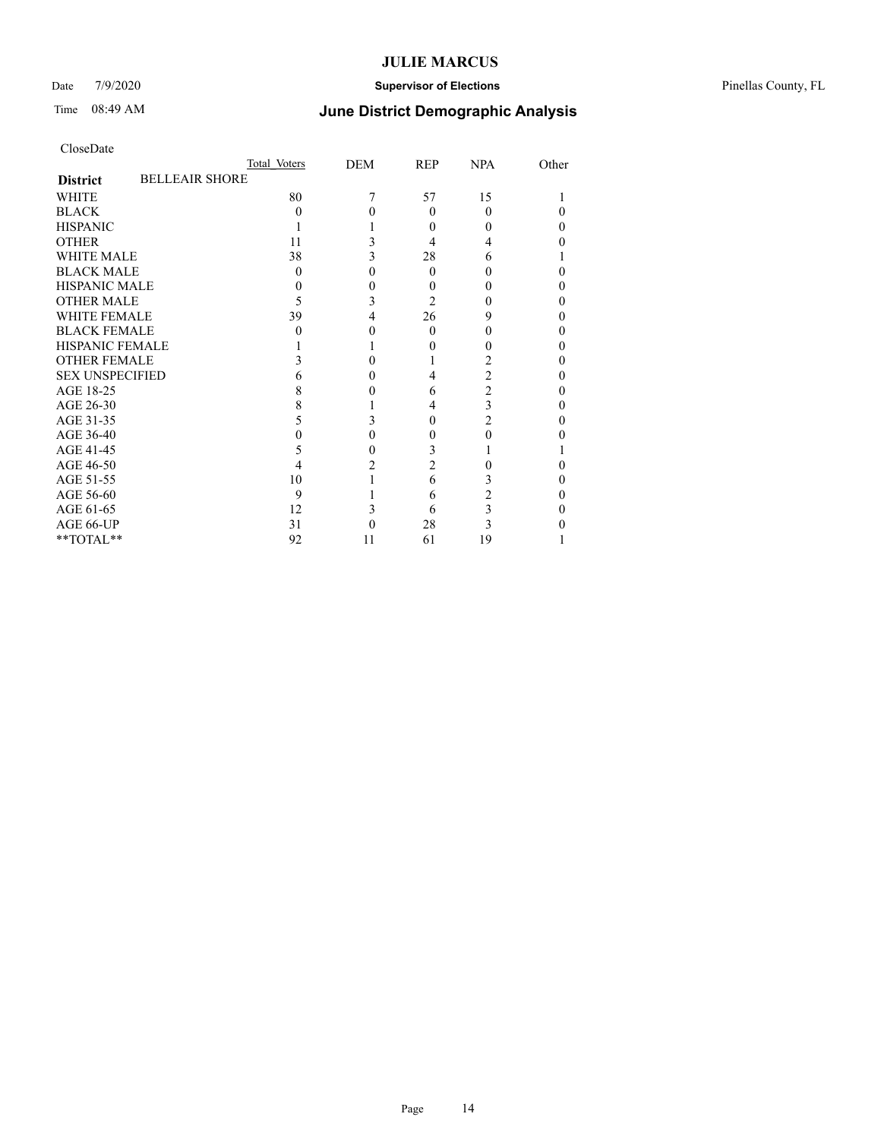### Date 7/9/2020 **Supervisor of Elections** Pinellas County, FL

# Time 08:49 AM **June District Demographic Analysis**

|                        | Total Voters          | DEM | REP            | <b>NPA</b> | Other |
|------------------------|-----------------------|-----|----------------|------------|-------|
| <b>District</b>        | <b>BELLEAIR SHORE</b> |     |                |            |       |
| <b>WHITE</b>           | 80                    |     | 57             | 15         |       |
| <b>BLACK</b>           | 0                     |     | $\Omega$       | 0          |       |
| <b>HISPANIC</b>        |                       |     | 0              |            |       |
| <b>OTHER</b>           | 11                    |     | 4              |            |       |
| <b>WHITE MALE</b>      | 38                    |     | 28             | 6          |       |
| <b>BLACK MALE</b>      | 0                     |     | 0              |            |       |
| <b>HISPANIC MALE</b>   |                       |     | 0              |            |       |
| <b>OTHER MALE</b>      | 5                     | 3   | $\overline{c}$ |            | 0     |
| <b>WHITE FEMALE</b>    | 39                    | 4   | 26             | 9          |       |
| <b>BLACK FEMALE</b>    | 0                     | 0   | $\theta$       |            | 0     |
| <b>HISPANIC FEMALE</b> |                       |     |                |            |       |
| <b>OTHER FEMALE</b>    |                       |     |                |            |       |
| <b>SEX UNSPECIFIED</b> |                       |     | 4              | 2          |       |
| AGE 18-25              |                       |     | 6              | 2          |       |
| AGE 26-30              |                       |     | 4              | 3          | 0     |
| AGE 31-35              |                       |     | 0              | 2          |       |
| AGE 36-40              |                       | 0   | 0              | 0          |       |
| AGE 41-45              |                       |     | 3              |            |       |
| AGE 46-50              |                       |     | $\overline{c}$ |            |       |
| AGE 51-55              | 10                    |     | 6              | 3          |       |
| AGE 56-60              | 9                     |     | 6              | 2          |       |
| AGE 61-65              | 12                    |     | 6              | 3          |       |
| AGE 66-UP              | 31                    |     | 28             | 3          |       |
| $**TOTAL**$            | 92                    | 11  | 61             | 19         |       |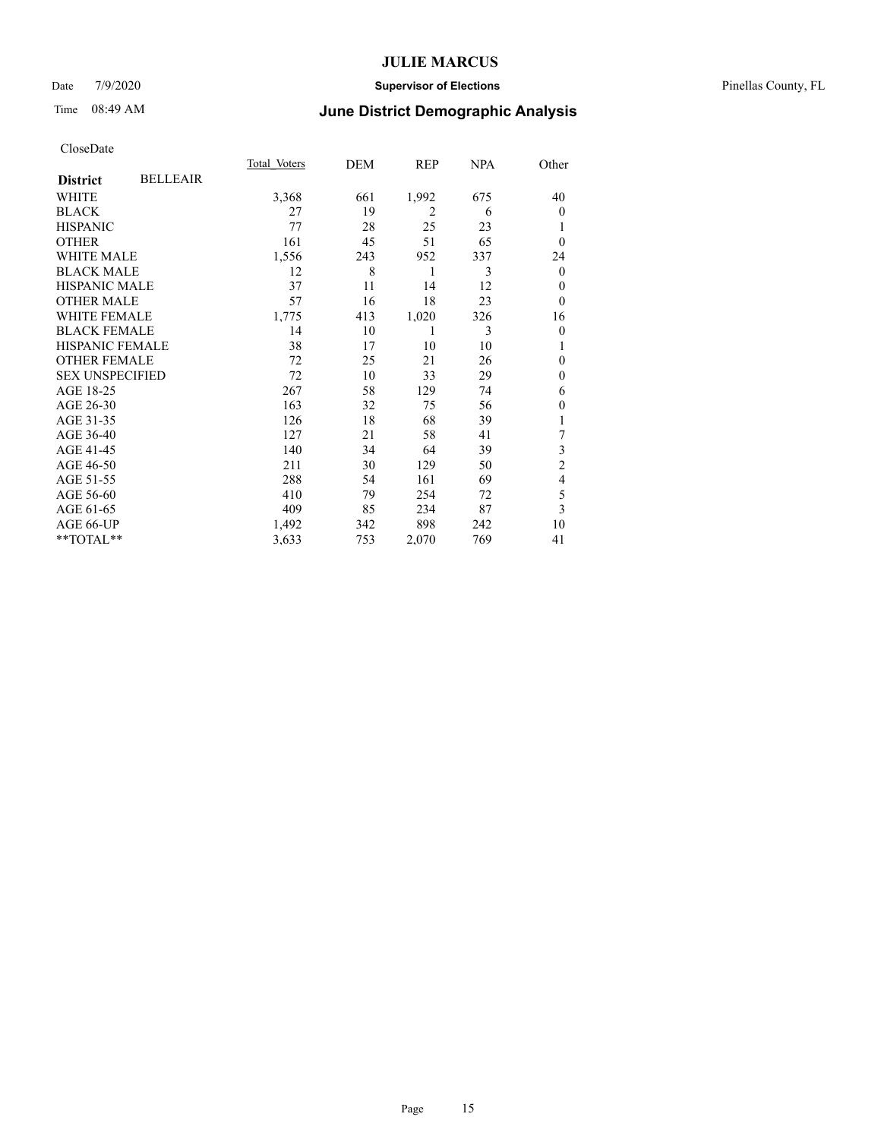### Date 7/9/2020 **Supervisor of Elections** Pinellas County, FL

## Time 08:49 AM **June District Demographic Analysis**

|                        |                 | Total Voters | DEM | REP            | NPA | Other                   |
|------------------------|-----------------|--------------|-----|----------------|-----|-------------------------|
| <b>District</b>        | <b>BELLEAIR</b> |              |     |                |     |                         |
| WHITE                  |                 | 3,368        | 661 | 1,992          | 675 | 40                      |
| <b>BLACK</b>           |                 | 27           | 19  | $\overline{2}$ | 6   | $\overline{0}$          |
| <b>HISPANIC</b>        |                 | 77           | 28  | 25             | 23  | 1                       |
| <b>OTHER</b>           |                 | 161          | 45  | 51             | 65  | $\theta$                |
| WHITE MALE             |                 | 1,556        | 243 | 952            | 337 | 24                      |
| <b>BLACK MALE</b>      |                 | 12           | 8   | 1              | 3   | $\theta$                |
| HISPANIC MALE          |                 | 37           | 11  | 14             | 12  | $\theta$                |
| <b>OTHER MALE</b>      |                 | 57           | 16  | 18             | 23  | $\theta$                |
| <b>WHITE FEMALE</b>    |                 | 1,775        | 413 | 1,020          | 326 | 16                      |
| <b>BLACK FEMALE</b>    |                 | 14           | 10  | 1              | 3   | $\mathbf{0}$            |
| <b>HISPANIC FEMALE</b> |                 | 38           | 17  | 10             | 10  | 1                       |
| <b>OTHER FEMALE</b>    |                 | 72           | 25  | 21             | 26  | $\mathbf{0}$            |
| <b>SEX UNSPECIFIED</b> |                 | 72           | 10  | 33             | 29  | $\mathbf{0}$            |
| AGE 18-25              |                 | 267          | 58  | 129            | 74  | 6                       |
| AGE 26-30              |                 | 163          | 32  | 75             | 56  | $\mathbf{0}$            |
| AGE 31-35              |                 | 126          | 18  | 68             | 39  | 1                       |
| AGE 36-40              |                 | 127          | 21  | 58             | 41  | 7                       |
| AGE 41-45              |                 | 140          | 34  | 64             | 39  | 3                       |
| AGE 46-50              |                 | 211          | 30  | 129            | 50  | $\overline{c}$          |
| AGE 51-55              |                 | 288          | 54  | 161            | 69  | 4                       |
| AGE 56-60              |                 | 410          | 79  | 254            | 72  | 5                       |
| AGE 61-65              |                 | 409          | 85  | 234            | 87  | $\overline{\mathbf{3}}$ |
| AGE 66-UP              |                 | 1,492        | 342 | 898            | 242 | 10                      |
| **TOTAL**              |                 | 3,633        | 753 | 2,070          | 769 | 41                      |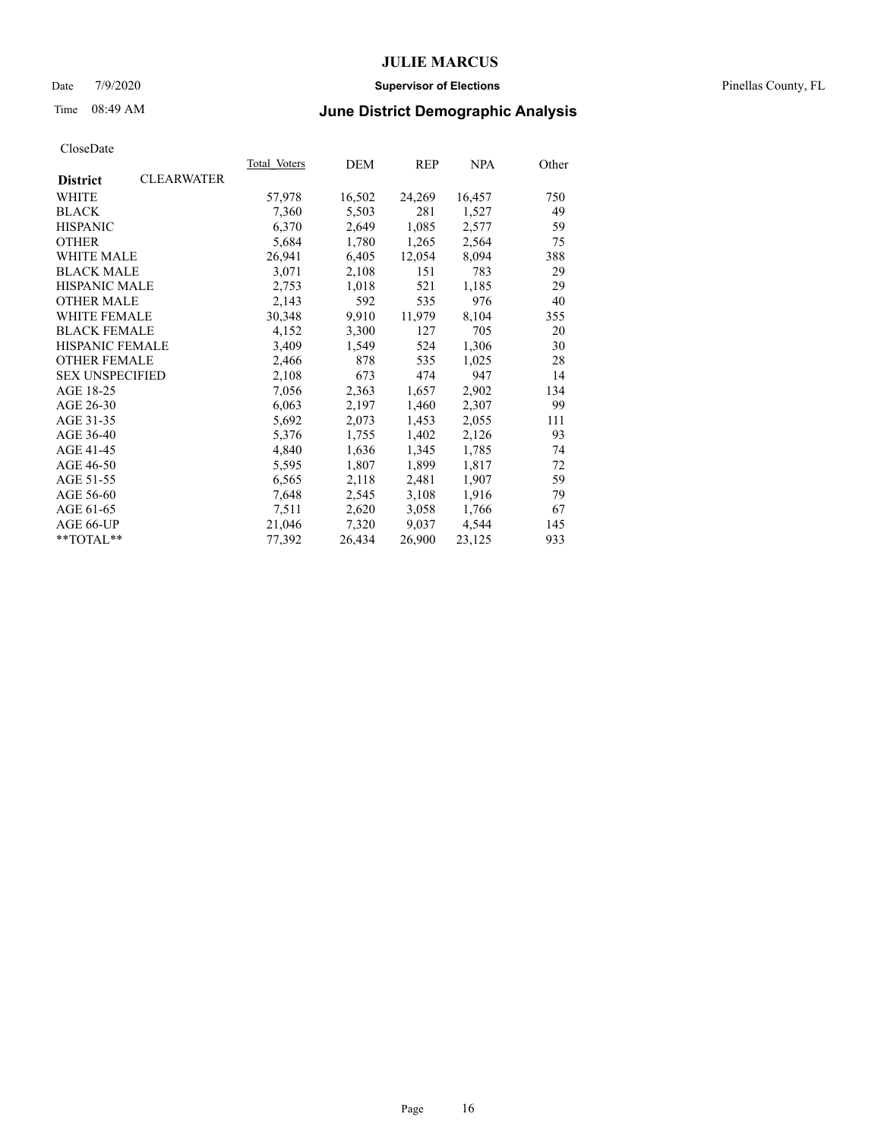### Date 7/9/2020 **Supervisor of Elections** Pinellas County, FL

# Time 08:49 AM **June District Demographic Analysis**

|                        |                   | Total Voters | DEM    | <b>REP</b> | <b>NPA</b> | Other |
|------------------------|-------------------|--------------|--------|------------|------------|-------|
| <b>District</b>        | <b>CLEARWATER</b> |              |        |            |            |       |
| WHITE                  |                   | 57,978       | 16,502 | 24,269     | 16,457     | 750   |
| <b>BLACK</b>           |                   | 7,360        | 5,503  | 281        | 1,527      | 49    |
| <b>HISPANIC</b>        |                   | 6,370        | 2,649  | 1,085      | 2,577      | 59    |
| <b>OTHER</b>           |                   | 5,684        | 1,780  | 1,265      | 2,564      | 75    |
| WHITE MALE             |                   | 26,941       | 6,405  | 12,054     | 8,094      | 388   |
| <b>BLACK MALE</b>      |                   | 3,071        | 2,108  | 151        | 783        | 29    |
| <b>HISPANIC MALE</b>   |                   | 2,753        | 1,018  | 521        | 1,185      | 29    |
| <b>OTHER MALE</b>      |                   | 2,143        | 592    | 535        | 976        | 40    |
| <b>WHITE FEMALE</b>    |                   | 30,348       | 9,910  | 11,979     | 8,104      | 355   |
| <b>BLACK FEMALE</b>    |                   | 4,152        | 3,300  | 127        | 705        | 20    |
| <b>HISPANIC FEMALE</b> |                   | 3,409        | 1,549  | 524        | 1,306      | 30    |
| <b>OTHER FEMALE</b>    |                   | 2,466        | 878    | 535        | 1,025      | 28    |
| <b>SEX UNSPECIFIED</b> |                   | 2,108        | 673    | 474        | 947        | 14    |
| AGE 18-25              |                   | 7,056        | 2,363  | 1,657      | 2,902      | 134   |
| AGE 26-30              |                   | 6,063        | 2,197  | 1,460      | 2,307      | 99    |
| AGE 31-35              |                   | 5,692        | 2,073  | 1,453      | 2,055      | 111   |
| AGE 36-40              |                   | 5,376        | 1,755  | 1,402      | 2,126      | 93    |
| AGE 41-45              |                   | 4,840        | 1,636  | 1,345      | 1,785      | 74    |
| AGE 46-50              |                   | 5,595        | 1,807  | 1,899      | 1,817      | 72    |
| AGE 51-55              |                   | 6,565        | 2,118  | 2,481      | 1,907      | 59    |
| AGE 56-60              |                   | 7,648        | 2,545  | 3,108      | 1,916      | 79    |
| AGE 61-65              |                   | 7,511        | 2,620  | 3,058      | 1,766      | 67    |
| AGE 66-UP              |                   | 21,046       | 7,320  | 9,037      | 4,544      | 145   |
| $*$ TOTAL $*$          |                   | 77,392       | 26,434 | 26,900     | 23,125     | 933   |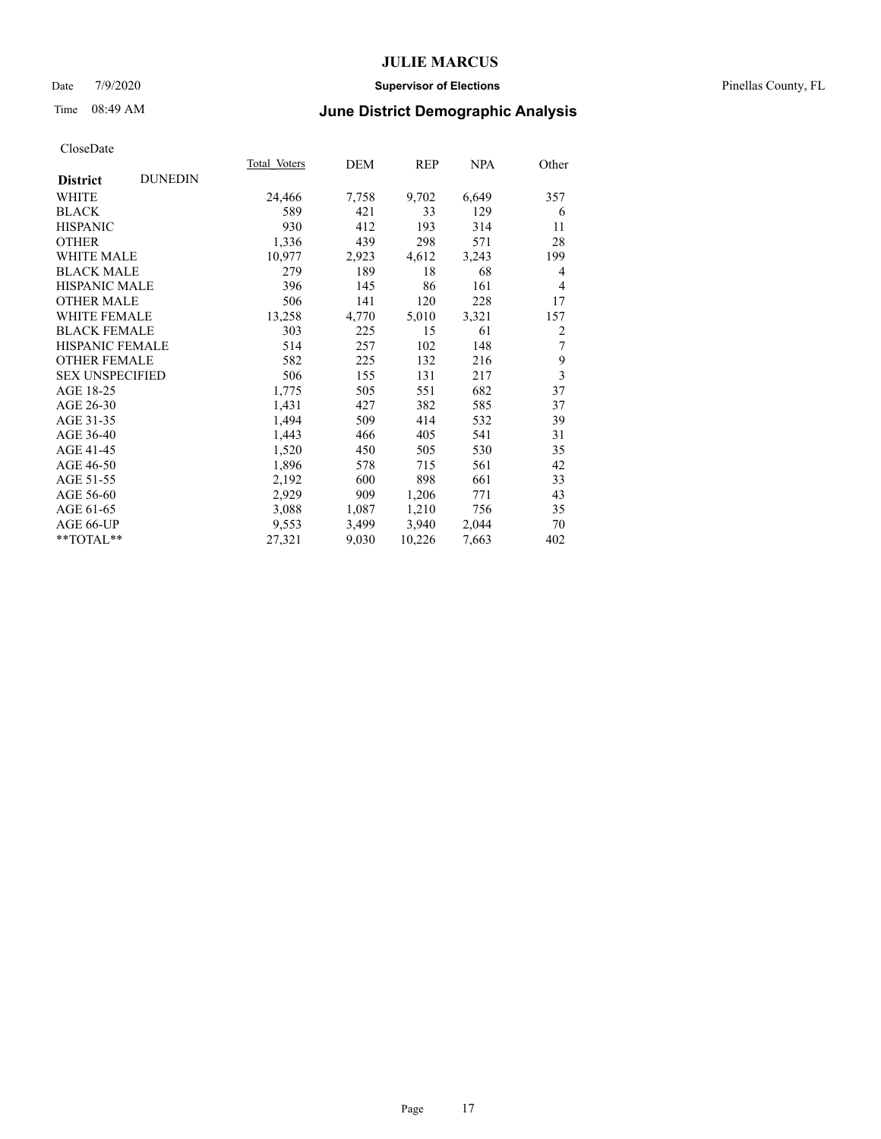### Date 7/9/2020 **Supervisor of Elections** Pinellas County, FL

# Time 08:49 AM **June District Demographic Analysis**

|                        |                | Total Voters | DEM   | REP    | NPA   | Other          |
|------------------------|----------------|--------------|-------|--------|-------|----------------|
| <b>District</b>        | <b>DUNEDIN</b> |              |       |        |       |                |
| WHITE                  |                | 24,466       | 7,758 | 9,702  | 6,649 | 357            |
| <b>BLACK</b>           |                | 589          | 421   | 33     | 129   | 6              |
| <b>HISPANIC</b>        |                | 930          | 412   | 193    | 314   | 11             |
| <b>OTHER</b>           |                | 1,336        | 439   | 298    | 571   | 28             |
| <b>WHITE MALE</b>      |                | 10,977       | 2,923 | 4,612  | 3,243 | 199            |
| <b>BLACK MALE</b>      |                | 279          | 189   | 18     | 68    | 4              |
| <b>HISPANIC MALE</b>   |                | 396          | 145   | 86     | 161   | $\overline{4}$ |
| <b>OTHER MALE</b>      |                | 506          | 141   | 120    | 228   | 17             |
| <b>WHITE FEMALE</b>    |                | 13,258       | 4,770 | 5,010  | 3,321 | 157            |
| <b>BLACK FEMALE</b>    |                | 303          | 225   | 15     | 61    | 2              |
| HISPANIC FEMALE        |                | 514          | 257   | 102    | 148   | 7              |
| <b>OTHER FEMALE</b>    |                | 582          | 225   | 132    | 216   | 9              |
| <b>SEX UNSPECIFIED</b> |                | 506          | 155   | 131    | 217   | 3              |
| AGE 18-25              |                | 1,775        | 505   | 551    | 682   | 37             |
| AGE 26-30              |                | 1,431        | 427   | 382    | 585   | 37             |
| AGE 31-35              |                | 1,494        | 509   | 414    | 532   | 39             |
| AGE 36-40              |                | 1,443        | 466   | 405    | 541   | 31             |
| AGE 41-45              |                | 1,520        | 450   | 505    | 530   | 35             |
| AGE 46-50              |                | 1,896        | 578   | 715    | 561   | 42             |
| AGE 51-55              |                | 2,192        | 600   | 898    | 661   | 33             |
| AGE 56-60              |                | 2,929        | 909   | 1,206  | 771   | 43             |
| AGE 61-65              |                | 3,088        | 1,087 | 1,210  | 756   | 35             |
| AGE 66-UP              |                | 9,553        | 3,499 | 3,940  | 2,044 | 70             |
| $*$ TOTAL $*$          |                | 27,321       | 9,030 | 10,226 | 7,663 | 402            |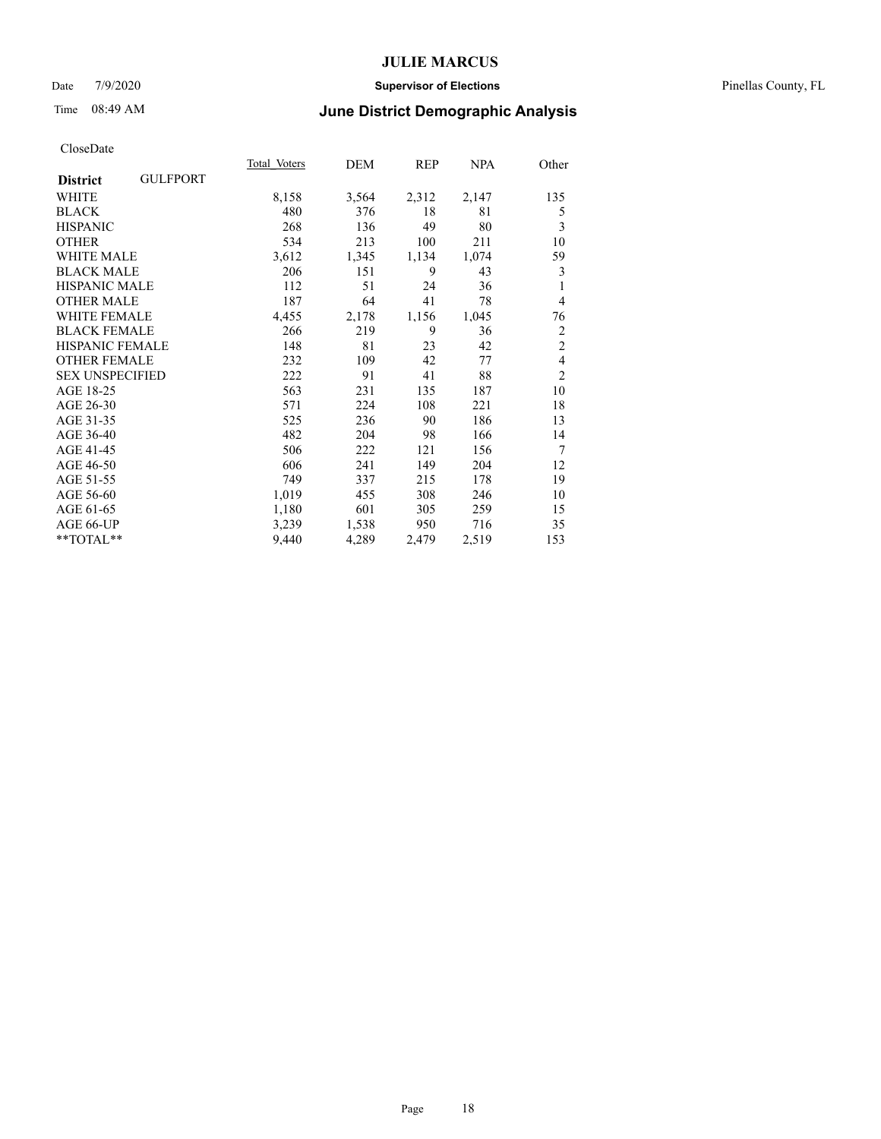### Date 7/9/2020 **Supervisor of Elections** Pinellas County, FL

# Time 08:49 AM **June District Demographic Analysis**

|                                    | Total Voters | DEM   | REP   | <u>NPA</u> | Other          |
|------------------------------------|--------------|-------|-------|------------|----------------|
| <b>GULFPORT</b><br><b>District</b> |              |       |       |            |                |
| WHITE                              | 8,158        | 3,564 | 2,312 | 2,147      | 135            |
| <b>BLACK</b>                       | 480          | 376   | 18    | 81         | 5              |
| <b>HISPANIC</b>                    | 268          | 136   | 49    | 80         | 3              |
| <b>OTHER</b>                       | 534          | 213   | 100   | 211        | 10             |
| <b>WHITE MALE</b>                  | 3,612        | 1,345 | 1,134 | 1,074      | 59             |
| <b>BLACK MALE</b>                  | 206          | 151   | 9     | 43         | 3              |
| <b>HISPANIC MALE</b>               | 112          | 51    | 24    | 36         | 1              |
| <b>OTHER MALE</b>                  | 187          | 64    | 41    | 78         | 4              |
| <b>WHITE FEMALE</b>                | 4,455        | 2,178 | 1,156 | 1,045      | 76             |
| <b>BLACK FEMALE</b>                | 266          | 219   | 9     | 36         | $\overline{c}$ |
| <b>HISPANIC FEMALE</b>             | 148          | 81    | 23    | 42         | $\overline{c}$ |
| <b>OTHER FEMALE</b>                | 232          | 109   | 42    | 77         | $\overline{4}$ |
| <b>SEX UNSPECIFIED</b>             | 222          | 91    | 41    | 88         | $\overline{2}$ |
| AGE 18-25                          | 563          | 231   | 135   | 187        | 10             |
| AGE 26-30                          | 571          | 224   | 108   | 221        | 18             |
| AGE 31-35                          | 525          | 236   | 90    | 186        | 13             |
| AGE 36-40                          | 482          | 204   | 98    | 166        | 14             |
| AGE 41-45                          | 506          | 222   | 121   | 156        | 7              |
| AGE 46-50                          | 606          | 241   | 149   | 204        | 12             |
| AGE 51-55                          | 749          | 337   | 215   | 178        | 19             |
| AGE 56-60                          | 1,019        | 455   | 308   | 246        | 10             |
| AGE 61-65                          | 1,180        | 601   | 305   | 259        | 15             |
| AGE 66-UP                          | 3,239        | 1,538 | 950   | 716        | 35             |
| **TOTAL**                          | 9,440        | 4,289 | 2,479 | 2,519      | 153            |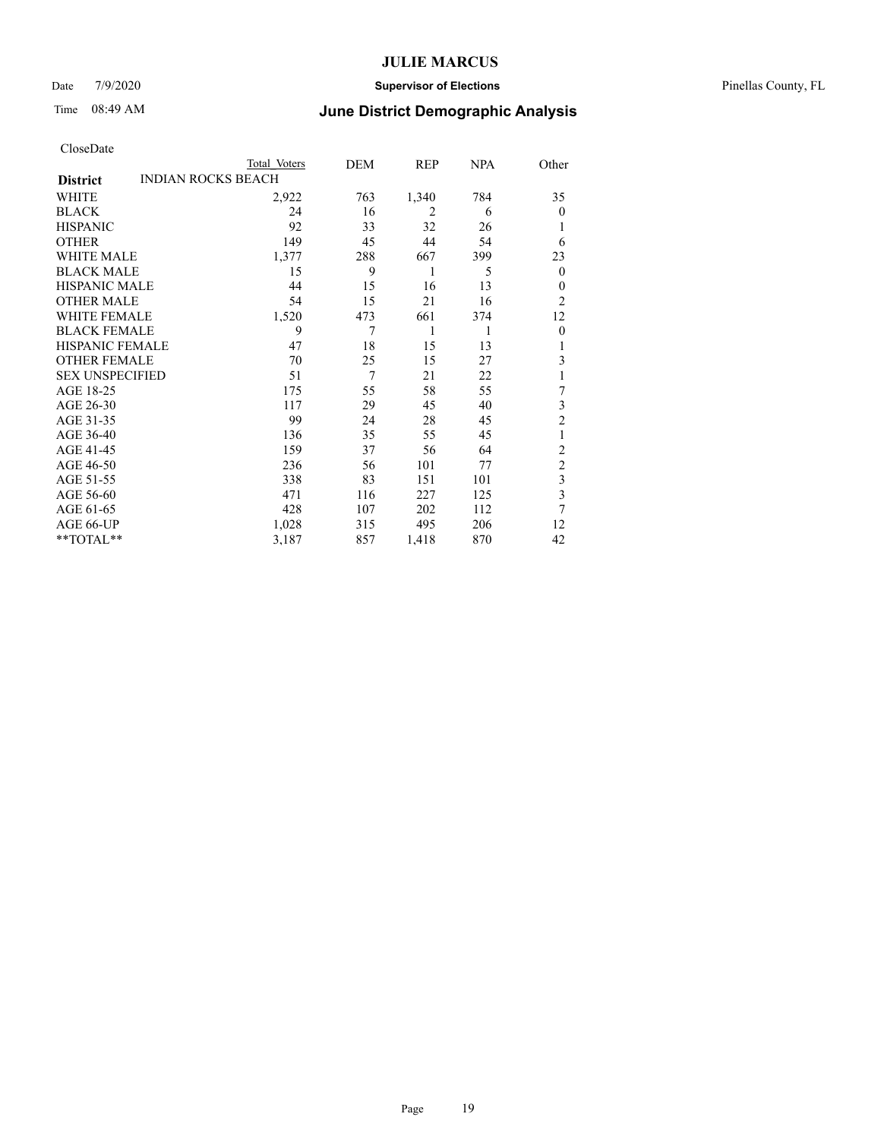### Date 7/9/2020 **Supervisor of Elections** Pinellas County, FL

# Time 08:49 AM **June District Demographic Analysis**

|                        |                           | Total Voters | DEM | REP            | <b>NPA</b> | Other                   |
|------------------------|---------------------------|--------------|-----|----------------|------------|-------------------------|
| <b>District</b>        | <b>INDIAN ROCKS BEACH</b> |              |     |                |            |                         |
| WHITE                  |                           | 2,922        | 763 | 1,340          | 784        | 35                      |
| <b>BLACK</b>           |                           | 24           | 16  | $\overline{2}$ | 6          | $\mathbf{0}$            |
| <b>HISPANIC</b>        |                           | 92           | 33  | 32             | 26         |                         |
| <b>OTHER</b>           |                           | 149          | 45  | 44             | 54         | 6                       |
| <b>WHITE MALE</b>      |                           | 1,377        | 288 | 667            | 399        | 23                      |
| <b>BLACK MALE</b>      |                           | 15           | 9   | 1              | 5          | $\mathbf{0}$            |
| HISPANIC MALE          |                           | 44           | 15  | 16             | 13         | $\theta$                |
| <b>OTHER MALE</b>      |                           | 54           | 15  | 21             | 16         | 2                       |
| <b>WHITE FEMALE</b>    |                           | 1,520        | 473 | 661            | 374        | 12                      |
| <b>BLACK FEMALE</b>    |                           | 9            | 7   | 1              | 1          | $\mathbf{0}$            |
| <b>HISPANIC FEMALE</b> |                           | 47           | 18  | 15             | 13         | 1                       |
| <b>OTHER FEMALE</b>    |                           | 70           | 25  | 15             | 27         | 3                       |
| <b>SEX UNSPECIFIED</b> |                           | 51           | 7   | 21             | 22         |                         |
| AGE 18-25              |                           | 175          | 55  | 58             | 55         | 7                       |
| AGE 26-30              |                           | 117          | 29  | 45             | 40         | 3                       |
| AGE 31-35              |                           | 99           | 24  | 28             | 45         | $\overline{2}$          |
| AGE 36-40              |                           | 136          | 35  | 55             | 45         | 1                       |
| AGE 41-45              |                           | 159          | 37  | 56             | 64         | $\overline{c}$          |
| AGE 46-50              |                           | 236          | 56  | 101            | 77         | $\overline{2}$          |
| AGE 51-55              |                           | 338          | 83  | 151            | 101        | 3                       |
| AGE 56-60              |                           | 471          | 116 | 227            | 125        | $\overline{\mathbf{3}}$ |
| AGE 61-65              |                           | 428          | 107 | 202            | 112        | 7                       |
| AGE 66-UP              |                           | 1,028        | 315 | 495            | 206        | 12                      |
| $*$ $TOTAL**$          |                           | 3,187        | 857 | 1,418          | 870        | 42                      |
|                        |                           |              |     |                |            |                         |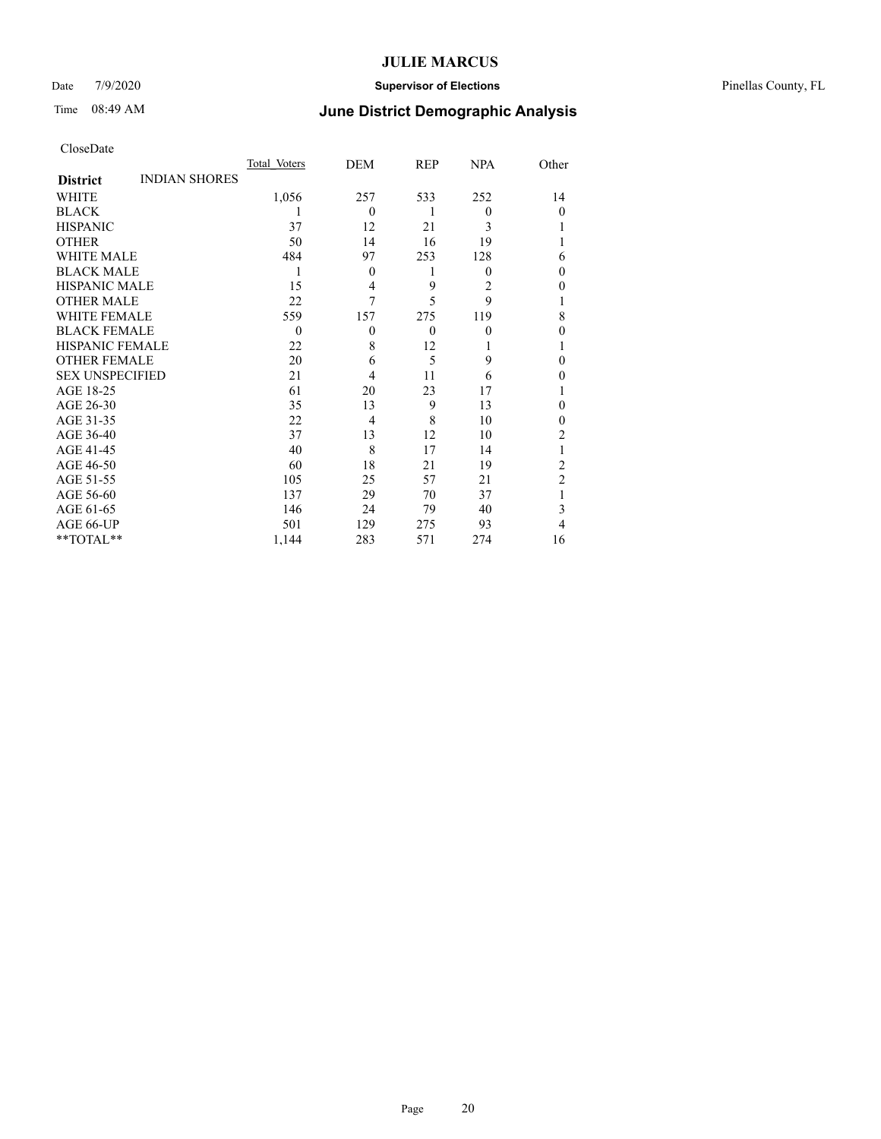### Date 7/9/2020 **Supervisor of Elections** Pinellas County, FL

# Time 08:49 AM **June District Demographic Analysis**

|                        |                      | Total Voters | DEM      | REP      | <b>NPA</b> | Other          |
|------------------------|----------------------|--------------|----------|----------|------------|----------------|
| <b>District</b>        | <b>INDIAN SHORES</b> |              |          |          |            |                |
| WHITE                  |                      | 1,056        | 257      | 533      | 252        | 14             |
| <b>BLACK</b>           |                      |              | $\theta$ | 1        | $\theta$   | $\Omega$       |
| <b>HISPANIC</b>        |                      | 37           | 12       | 21       | 3          |                |
| <b>OTHER</b>           |                      | 50           | 14       | 16       | 19         |                |
| WHITE MALE             |                      | 484          | 97       | 253      | 128        | 6              |
| <b>BLACK MALE</b>      |                      | 1            | $\theta$ | 1        | $\theta$   | 0              |
| <b>HISPANIC MALE</b>   |                      | 15           | 4        | 9        | 2          | 0              |
| <b>OTHER MALE</b>      |                      | 22           | 7        | 5        | 9          |                |
| <b>WHITE FEMALE</b>    |                      | 559          | 157      | 275      | 119        | 8              |
| <b>BLACK FEMALE</b>    |                      | $\theta$     | $\theta$ | $\theta$ | $\theta$   | 0              |
| <b>HISPANIC FEMALE</b> |                      | 22           | 8        | 12       |            |                |
| <b>OTHER FEMALE</b>    |                      | 20           | 6        | 5        | 9          | 0              |
| <b>SEX UNSPECIFIED</b> |                      | 21           | 4        | 11       | 6          | 0              |
| AGE 18-25              |                      | 61           | 20       | 23       | 17         |                |
| AGE 26-30              |                      | 35           | 13       | 9        | 13         | 0              |
| AGE 31-35              |                      | 22           | 4        | 8        | 10         | 0              |
| AGE 36-40              |                      | 37           | 13       | 12       | 10         | 2              |
| AGE 41-45              |                      | 40           | 8        | 17       | 14         |                |
| AGE 46-50              |                      | 60           | 18       | 21       | 19         | 2              |
| AGE 51-55              |                      | 105          | 25       | 57       | 21         | $\overline{2}$ |
| AGE 56-60              |                      | 137          | 29       | 70       | 37         |                |
| AGE 61-65              |                      | 146          | 24       | 79       | 40         | 3              |
| AGE 66-UP              |                      | 501          | 129      | 275      | 93         | 4              |
| **TOTAL**              |                      | 1,144        | 283      | 571      | 274        | 16             |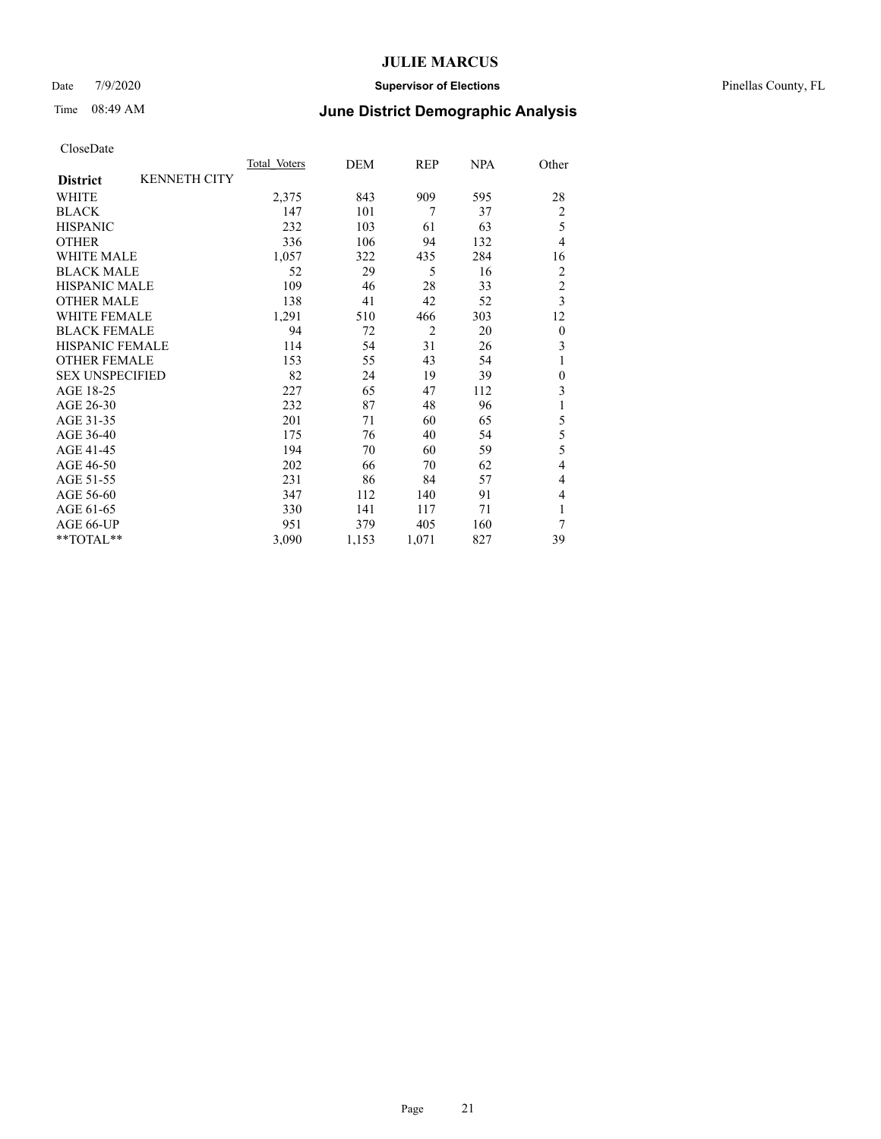### Date 7/9/2020 **Supervisor of Elections** Pinellas County, FL

# Time 08:49 AM **June District Demographic Analysis**

|                        |                     | Total Voters | DEM   | REP            | NPA | Other            |
|------------------------|---------------------|--------------|-------|----------------|-----|------------------|
| <b>District</b>        | <b>KENNETH CITY</b> |              |       |                |     |                  |
| WHITE                  |                     | 2,375        | 843   | 909            | 595 | 28               |
| <b>BLACK</b>           |                     | 147          | 101   | 7              | 37  | $\overline{2}$   |
| <b>HISPANIC</b>        |                     | 232          | 103   | 61             | 63  | 5                |
| <b>OTHER</b>           |                     | 336          | 106   | 94             | 132 | $\overline{4}$   |
| WHITE MALE             |                     | 1,057        | 322   | 435            | 284 | 16               |
| <b>BLACK MALE</b>      |                     | 52           | 29    | 5              | 16  | 2                |
| <b>HISPANIC MALE</b>   |                     | 109          | 46    | 28             | 33  | $\overline{c}$   |
| <b>OTHER MALE</b>      |                     | 138          | 41    | 42             | 52  | $\overline{3}$   |
| <b>WHITE FEMALE</b>    |                     | 1,291        | 510   | 466            | 303 | 12               |
| <b>BLACK FEMALE</b>    |                     | 94           | 72    | $\overline{2}$ | 20  | $\theta$         |
| <b>HISPANIC FEMALE</b> |                     | 114          | 54    | 31             | 26  | 3                |
| <b>OTHER FEMALE</b>    |                     | 153          | 55    | 43             | 54  | 1                |
| <b>SEX UNSPECIFIED</b> |                     | 82           | 24    | 19             | 39  | $\boldsymbol{0}$ |
| AGE 18-25              |                     | 227          | 65    | 47             | 112 | 3                |
| AGE 26-30              |                     | 232          | 87    | 48             | 96  | 1                |
| AGE 31-35              |                     | 201          | 71    | 60             | 65  | 5                |
| AGE 36-40              |                     | 175          | 76    | 40             | 54  | 5                |
| AGE 41-45              |                     | 194          | 70    | 60             | 59  | 5                |
| AGE 46-50              |                     | 202          | 66    | 70             | 62  | $\overline{4}$   |
| AGE 51-55              |                     | 231          | 86    | 84             | 57  | 4                |
| AGE 56-60              |                     | 347          | 112   | 140            | 91  | 4                |
| AGE 61-65              |                     | 330          | 141   | 117            | 71  | 1                |
| AGE 66-UP              |                     | 951          | 379   | 405            | 160 | 7                |
| **TOTAL**              |                     | 3,090        | 1,153 | 1,071          | 827 | 39               |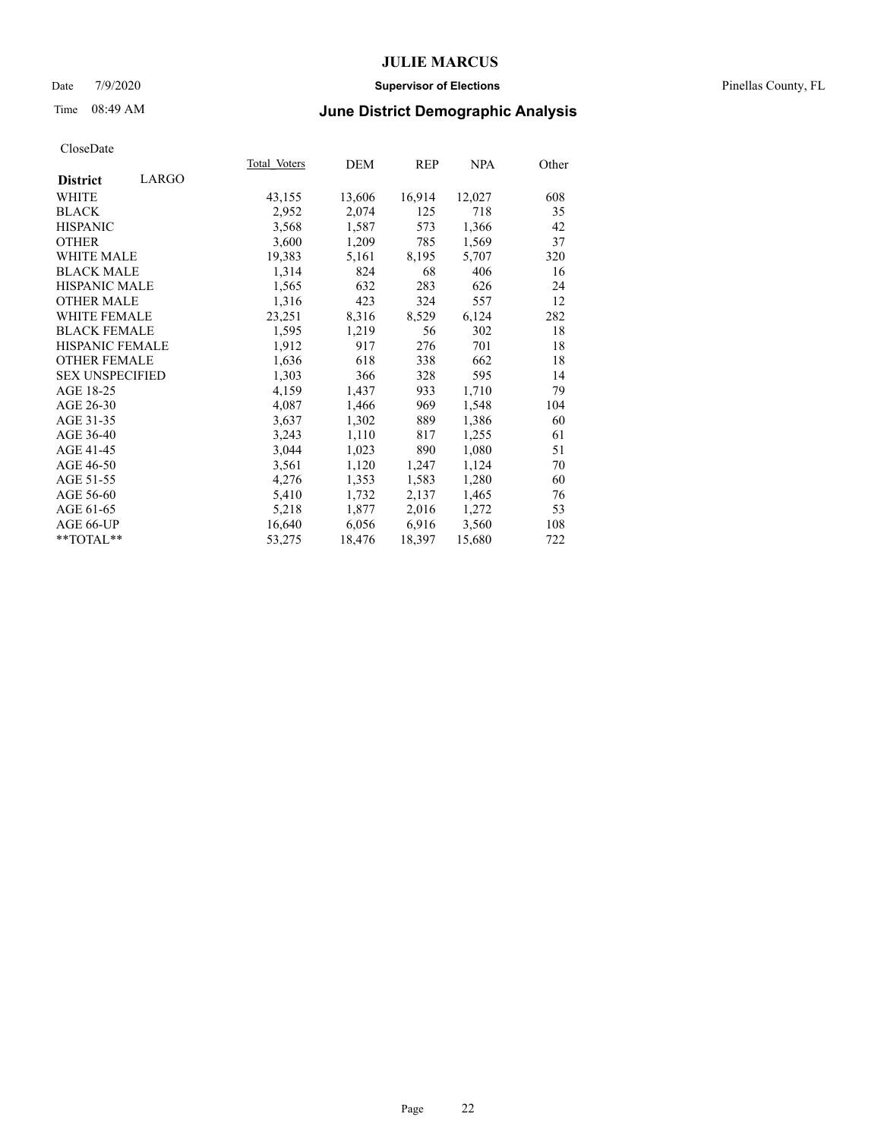### Date 7/9/2020 **Supervisor of Elections** Pinellas County, FL

# Time 08:49 AM **June District Demographic Analysis**

|                          | Total Voters | DEM    | REP    | <b>NPA</b> | Other |
|--------------------------|--------------|--------|--------|------------|-------|
| LARGO<br><b>District</b> |              |        |        |            |       |
| WHITE                    | 43,155       | 13,606 | 16,914 | 12,027     | 608   |
| <b>BLACK</b>             | 2,952        | 2,074  | 125    | 718        | 35    |
| <b>HISPANIC</b>          | 3,568        | 1,587  | 573    | 1,366      | 42    |
| <b>OTHER</b>             | 3,600        | 1,209  | 785    | 1,569      | 37    |
| WHITE MALE               | 19,383       | 5,161  | 8,195  | 5,707      | 320   |
| <b>BLACK MALE</b>        | 1,314        | 824    | 68     | 406        | 16    |
| <b>HISPANIC MALE</b>     | 1,565        | 632    | 283    | 626        | 24    |
| <b>OTHER MALE</b>        | 1,316        | 423    | 324    | 557        | 12    |
| <b>WHITE FEMALE</b>      | 23,251       | 8,316  | 8,529  | 6,124      | 282   |
| <b>BLACK FEMALE</b>      | 1,595        | 1,219  | 56     | 302        | 18    |
| <b>HISPANIC FEMALE</b>   | 1,912        | 917    | 276    | 701        | 18    |
| <b>OTHER FEMALE</b>      | 1,636        | 618    | 338    | 662        | 18    |
| <b>SEX UNSPECIFIED</b>   | 1,303        | 366    | 328    | 595        | 14    |
| AGE 18-25                | 4,159        | 1,437  | 933    | 1,710      | 79    |
| AGE 26-30                | 4,087        | 1,466  | 969    | 1,548      | 104   |
| AGE 31-35                | 3,637        | 1,302  | 889    | 1,386      | 60    |
| AGE 36-40                | 3,243        | 1,110  | 817    | 1,255      | 61    |
| AGE 41-45                | 3,044        | 1,023  | 890    | 1,080      | 51    |
| AGE 46-50                | 3,561        | 1,120  | 1,247  | 1,124      | 70    |
| AGE 51-55                | 4,276        | 1,353  | 1,583  | 1,280      | 60    |
| AGE 56-60                | 5,410        | 1,732  | 2,137  | 1,465      | 76    |
| AGE 61-65                | 5,218        | 1,877  | 2,016  | 1,272      | 53    |
| AGE 66-UP                | 16,640       | 6,056  | 6,916  | 3,560      | 108   |
| $*$ $TOTAL**$            | 53,275       | 18,476 | 18,397 | 15,680     | 722   |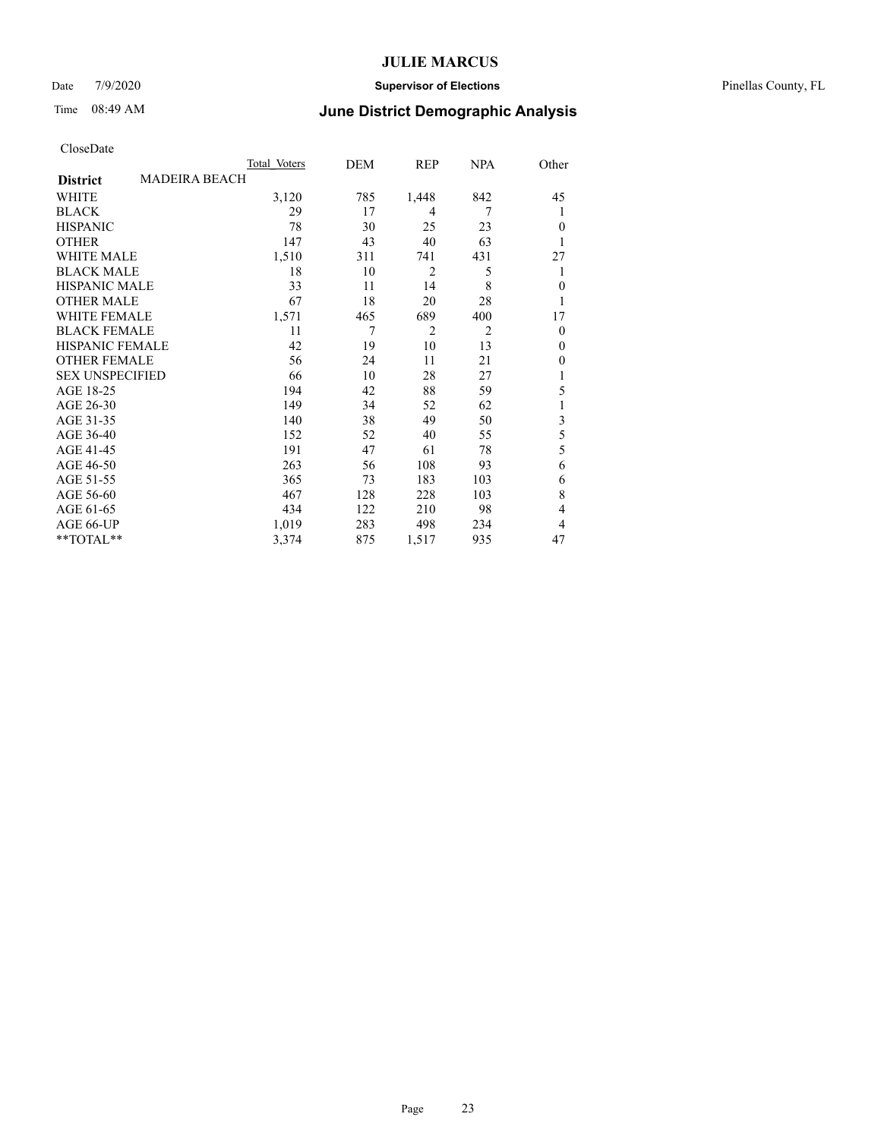### Date 7/9/2020 **Supervisor of Elections** Pinellas County, FL

## Time 08:49 AM **June District Demographic Analysis**

|                        |                      | Total Voters | DEM | REP            | <b>NPA</b>     | Other                   |
|------------------------|----------------------|--------------|-----|----------------|----------------|-------------------------|
| <b>District</b>        | <b>MADEIRA BEACH</b> |              |     |                |                |                         |
| WHITE                  |                      | 3,120        | 785 | 1,448          | 842            | 45                      |
| <b>BLACK</b>           |                      | 29           | 17  | 4              | 7              | 1                       |
| <b>HISPANIC</b>        |                      | 78           | 30  | 25             | 23             | $\theta$                |
| <b>OTHER</b>           |                      | 147          | 43  | 40             | 63             | 1                       |
| WHITE MALE             |                      | 1,510        | 311 | 741            | 431            | 27                      |
| <b>BLACK MALE</b>      |                      | 18           | 10  | $\overline{2}$ | 5              | 1                       |
| <b>HISPANIC MALE</b>   |                      | 33           | 11  | 14             | 8              | $\mathbf{0}$            |
| <b>OTHER MALE</b>      |                      | 67           | 18  | 20             | 28             | 1                       |
| WHITE FEMALE           |                      | 1,571        | 465 | 689            | 400            | 17                      |
| <b>BLACK FEMALE</b>    |                      | 11           | 7   | $\overline{2}$ | $\overline{2}$ | $\overline{0}$          |
| <b>HISPANIC FEMALE</b> |                      | 42           | 19  | 10             | 13             | $\theta$                |
| <b>OTHER FEMALE</b>    |                      | 56           | 24  | 11             | 21             | $\theta$                |
| <b>SEX UNSPECIFIED</b> |                      | 66           | 10  | 28             | 27             | 1                       |
| AGE 18-25              |                      | 194          | 42  | 88             | 59             | 5                       |
| AGE 26-30              |                      | 149          | 34  | 52             | 62             | 1                       |
| AGE 31-35              |                      | 140          | 38  | 49             | 50             | $\overline{\mathbf{3}}$ |
| AGE 36-40              |                      | 152          | 52  | 40             | 55             | 5                       |
| AGE 41-45              |                      | 191          | 47  | 61             | 78             | 5                       |
| AGE 46-50              |                      | 263          | 56  | 108            | 93             | 6                       |
| AGE 51-55              |                      | 365          | 73  | 183            | 103            | 6                       |
| AGE 56-60              |                      | 467          | 128 | 228            | 103            | 8                       |
| AGE 61-65              |                      | 434          | 122 | 210            | 98             | 4                       |
| AGE 66-UP              |                      | 1,019        | 283 | 498            | 234            | 4                       |
| **TOTAL**              |                      | 3,374        | 875 | 1,517          | 935            | 47                      |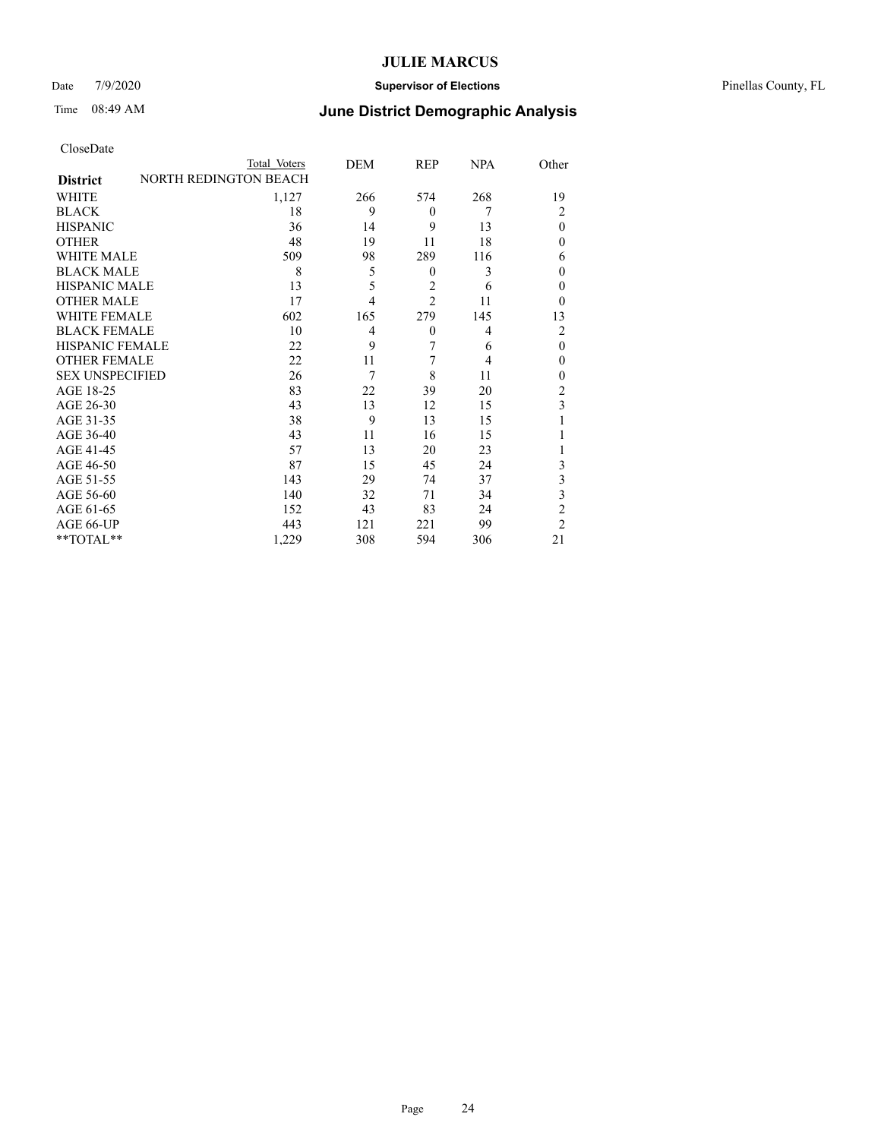### Date 7/9/2020 **Supervisor of Elections** Pinellas County, FL

# Time 08:49 AM **June District Demographic Analysis**

|                        | Total Voters                 | DEM            | REP              | <b>NPA</b> | Other          |
|------------------------|------------------------------|----------------|------------------|------------|----------------|
| <b>District</b>        | <b>NORTH REDINGTON BEACH</b> |                |                  |            |                |
| WHITE                  | 1,127                        | 266            | 574              | 268        | 19             |
| <b>BLACK</b>           | 18                           | 9              | $\Omega$         | 7          | $\overline{2}$ |
| <b>HISPANIC</b>        | 36                           | 14             | 9                | 13         | $\theta$       |
| <b>OTHER</b>           | 48                           | 19             | 11               | 18         | $\theta$       |
| WHITE MALE             | 509                          | 98             | 289              | 116        | 6              |
| <b>BLACK MALE</b>      | 8                            | 5              | $\theta$         | 3          | $\theta$       |
| <b>HISPANIC MALE</b>   | 13                           | 5              | $\overline{2}$   | 6          | $\theta$       |
| <b>OTHER MALE</b>      | 17                           | $\overline{4}$ | $\overline{c}$   | 11         | $\theta$       |
| <b>WHITE FEMALE</b>    | 602                          | 165            | 279              | 145        | 13             |
| <b>BLACK FEMALE</b>    | 10                           | 4              | $\boldsymbol{0}$ | 4          | $\overline{2}$ |
| <b>HISPANIC FEMALE</b> | 22                           | 9              | 7                | 6          | $\theta$       |
| <b>OTHER FEMALE</b>    | 22                           | 11             | 7                | 4          | $\theta$       |
| <b>SEX UNSPECIFIED</b> | 26                           | 7              | 8                | 11         | $\theta$       |
| AGE 18-25              | 83                           | 22             | 39               | 20         | $\overline{2}$ |
| AGE 26-30              | 43                           | 13             | 12               | 15         | 3              |
| AGE 31-35              | 38                           | 9              | 13               | 15         |                |
| AGE 36-40              | 43                           | 11             | 16               | 15         | 1              |
| AGE 41-45              | 57                           | 13             | 20               | 23         |                |
| AGE 46-50              | 87                           | 15             | 45               | 24         | 3              |
| AGE 51-55              | 143                          | 29             | 74               | 37         | 3              |
| AGE 56-60              | 140                          | 32             | 71               | 34         | 3              |
| AGE 61-65              | 152                          | 43             | 83               | 24         | $\overline{2}$ |
| AGE 66-UP              | 443                          | 121            | 221              | 99         | $\overline{2}$ |
| **TOTAL**              | 1,229                        | 308            | 594              | 306        | 21             |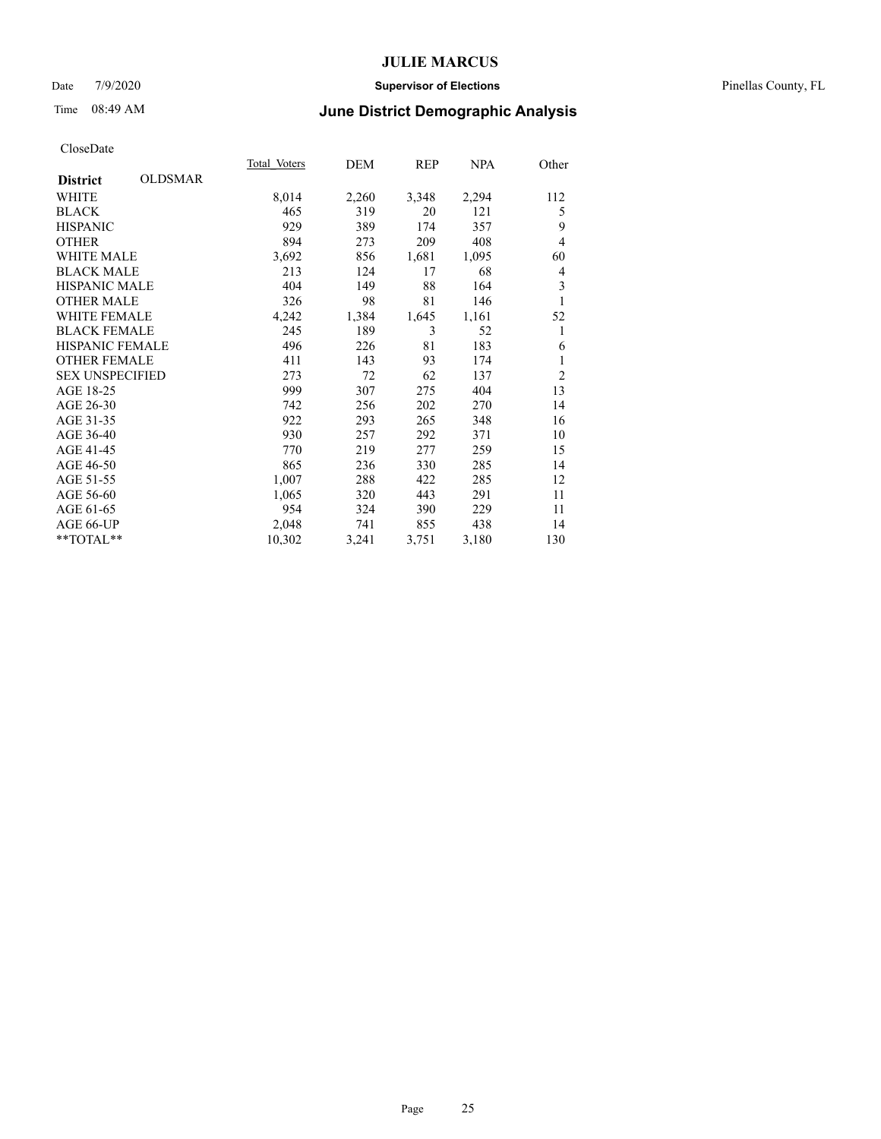### Date 7/9/2020 **Supervisor of Elections** Pinellas County, FL

# Time 08:49 AM **June District Demographic Analysis**

|                                   | Total Voters | DEM   | REP   | <b>NPA</b> | Other          |
|-----------------------------------|--------------|-------|-------|------------|----------------|
| <b>OLDSMAR</b><br><b>District</b> |              |       |       |            |                |
| WHITE                             | 8,014        | 2,260 | 3,348 | 2,294      | 112            |
| <b>BLACK</b>                      | 465          | 319   | 20    | 121        | 5              |
| <b>HISPANIC</b>                   | 929          | 389   | 174   | 357        | 9              |
| <b>OTHER</b>                      | 894          | 273   | 209   | 408        | 4              |
| WHITE MALE                        | 3,692        | 856   | 1,681 | 1,095      | 60             |
| <b>BLACK MALE</b>                 | 213          | 124   | 17    | 68         | 4              |
| <b>HISPANIC MALE</b>              | 404          | 149   | 88    | 164        | 3              |
| <b>OTHER MALE</b>                 | 326          | 98    | 81    | 146        | 1              |
| <b>WHITE FEMALE</b>               | 4,242        | 1,384 | 1,645 | 1,161      | 52             |
| <b>BLACK FEMALE</b>               | 245          | 189   | 3     | 52         | 1              |
| <b>HISPANIC FEMALE</b>            | 496          | 226   | 81    | 183        | 6              |
| <b>OTHER FEMALE</b>               | 411          | 143   | 93    | 174        | 1              |
| <b>SEX UNSPECIFIED</b>            | 273          | 72    | 62    | 137        | $\overline{2}$ |
| AGE 18-25                         | 999          | 307   | 275   | 404        | 13             |
| AGE 26-30                         | 742          | 256   | 202   | 270        | 14             |
| AGE 31-35                         | 922          | 293   | 265   | 348        | 16             |
| AGE 36-40                         | 930          | 257   | 292   | 371        | 10             |
| AGE 41-45                         | 770          | 219   | 277   | 259        | 15             |
| AGE 46-50                         | 865          | 236   | 330   | 285        | 14             |
| AGE 51-55                         | 1,007        | 288   | 422   | 285        | 12             |
| AGE 56-60                         | 1,065        | 320   | 443   | 291        | 11             |
| AGE 61-65                         | 954          | 324   | 390   | 229        | 11             |
| AGE 66-UP                         | 2,048        | 741   | 855   | 438        | 14             |
| **TOTAL**                         | 10,302       | 3,241 | 3,751 | 3,180      | 130            |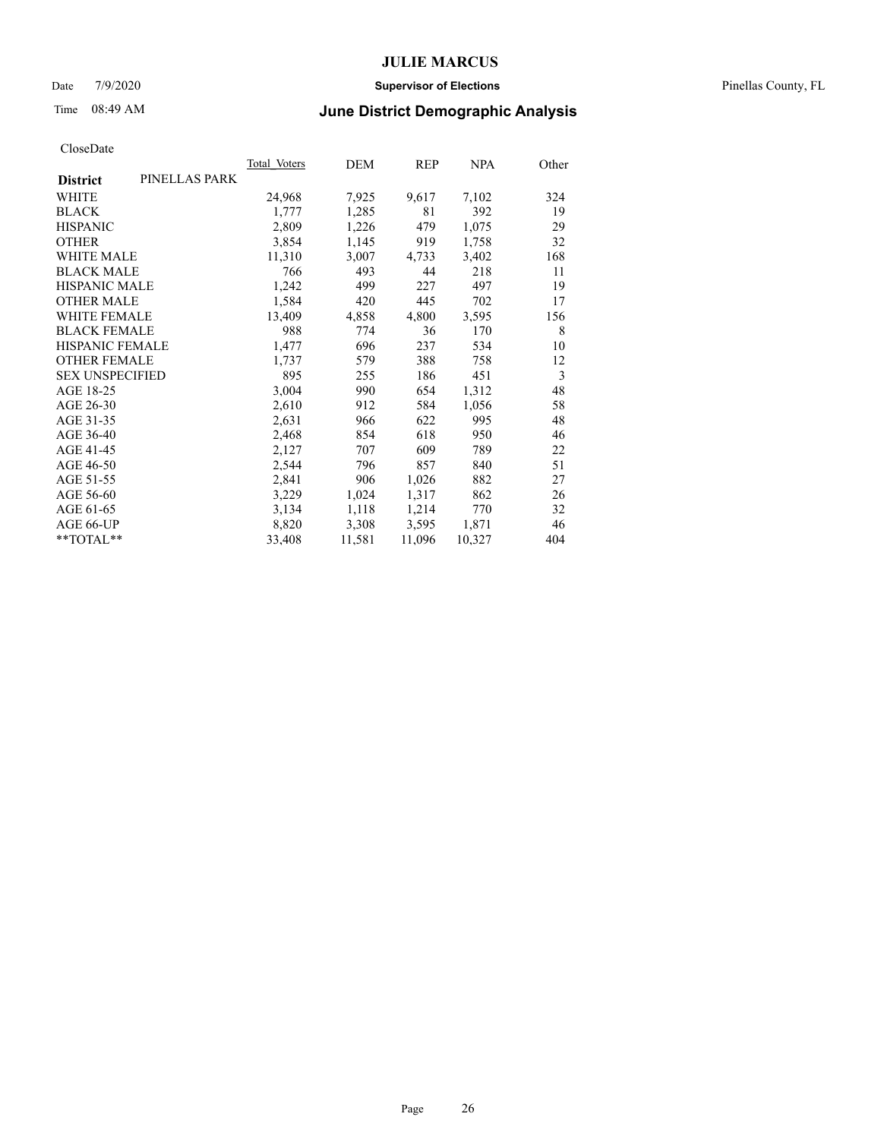### Date 7/9/2020 **Supervisor of Elections** Pinellas County, FL

# Time 08:49 AM **June District Demographic Analysis**

| Total Voters | DEM    | <b>REP</b> | <b>NPA</b> | Other |
|--------------|--------|------------|------------|-------|
|              |        |            |            |       |
| 24,968       | 7,925  | 9,617      | 7,102      | 324   |
| 1,777        | 1,285  | 81         | 392        | 19    |
| 2,809        | 1,226  | 479        | 1,075      | 29    |
| 3,854        | 1,145  | 919        | 1,758      | 32    |
| 11,310       | 3,007  | 4,733      | 3,402      | 168   |
| 766          | 493    | 44         | 218        | 11    |
| 1,242        | 499    | 227        | 497        | 19    |
| 1,584        | 420    | 445        | 702        | 17    |
| 13,409       | 4,858  | 4,800      | 3,595      | 156   |
| 988          | 774    | 36         | 170        | 8     |
| 1,477        | 696    | 237        | 534        | 10    |
| 1,737        | 579    | 388        | 758        | 12    |
| 895          | 255    | 186        | 451        | 3     |
| 3,004        | 990    | 654        | 1,312      | 48    |
| 2,610        | 912    | 584        | 1,056      | 58    |
| 2,631        | 966    | 622        | 995        | 48    |
| 2,468        | 854    | 618        | 950        | 46    |
| 2,127        | 707    | 609        | 789        | 22    |
| 2,544        | 796    | 857        | 840        | 51    |
| 2,841        | 906    | 1,026      | 882        | 27    |
| 3,229        | 1,024  | 1,317      | 862        | 26    |
| 3,134        | 1,118  | 1,214      | 770        | 32    |
| 8,820        | 3,308  | 3,595      | 1,871      | 46    |
| 33,408       | 11,581 | 11,096     | 10,327     | 404   |
|              |        |            |            |       |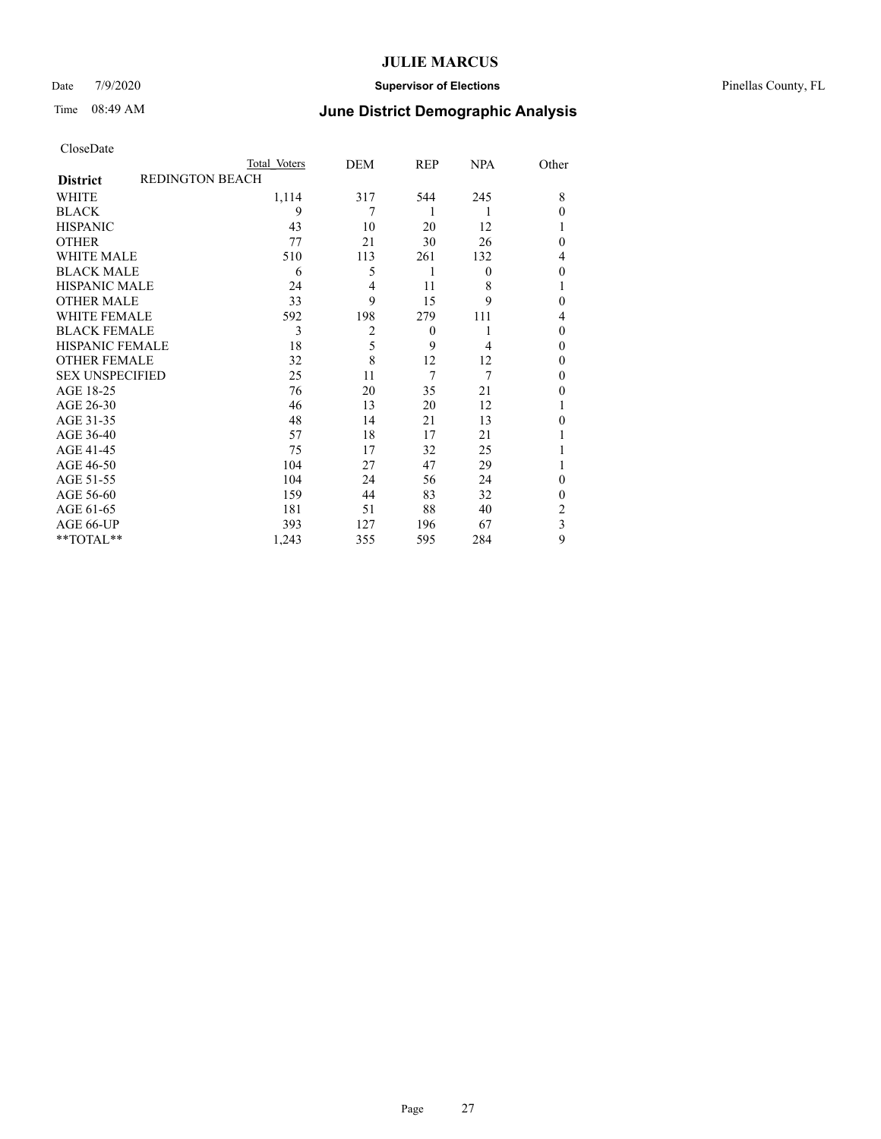### Date 7/9/2020 **Supervisor of Elections** Pinellas County, FL

# Time 08:49 AM **June District Demographic Analysis**

| CloseDate |
|-----------|
|-----------|

|                        |                        | Total Voters | DEM            | REP      | <b>NPA</b> | Other          |
|------------------------|------------------------|--------------|----------------|----------|------------|----------------|
| <b>District</b>        | <b>REDINGTON BEACH</b> |              |                |          |            |                |
| WHITE                  |                        | 1,114        | 317            | 544      | 245        | 8              |
| <b>BLACK</b>           |                        | 9            | 7              | 1        | 1          | $\theta$       |
| <b>HISPANIC</b>        |                        | 43           | 10             | 20       | 12         |                |
| <b>OTHER</b>           |                        | 77           | 21             | 30       | 26         | $\theta$       |
| <b>WHITE MALE</b>      |                        | 510          | 113            | 261      | 132        | 4              |
| <b>BLACK MALE</b>      |                        | 6            | 5              | 1        | $\theta$   | $\theta$       |
| <b>HISPANIC MALE</b>   |                        | 24           | 4              | 11       | 8          | 1              |
| <b>OTHER MALE</b>      |                        | 33           | 9              | 15       | 9          | $\theta$       |
| <b>WHITE FEMALE</b>    |                        | 592          | 198            | 279      | 111        | 4              |
| <b>BLACK FEMALE</b>    |                        | 3            | $\overline{2}$ | $\theta$ |            | $\theta$       |
| <b>HISPANIC FEMALE</b> |                        | 18           | 5              | 9        | 4          | $\theta$       |
| <b>OTHER FEMALE</b>    |                        | 32           | 8              | 12       | 12         | $\theta$       |
| <b>SEX UNSPECIFIED</b> |                        | 25           | 11             | 7        | 7          | $\theta$       |
| AGE 18-25              |                        | 76           | 20             | 35       | 21         | $\theta$       |
| AGE 26-30              |                        | 46           | 13             | 20       | 12         |                |
| AGE 31-35              |                        | 48           | 14             | 21       | 13         | $\theta$       |
| AGE 36-40              |                        | 57           | 18             | 17       | 21         |                |
| AGE 41-45              |                        | 75           | 17             | 32       | 25         |                |
| AGE 46-50              |                        | 104          | 27             | 47       | 29         |                |
| AGE 51-55              |                        | 104          | 24             | 56       | 24         | $\theta$       |
| AGE 56-60              |                        | 159          | 44             | 83       | 32         | $\theta$       |
| AGE 61-65              |                        | 181          | 51             | 88       | 40         | $\overline{2}$ |
| AGE 66-UP              |                        | 393          | 127            | 196      | 67         | 3              |
| **TOTAL**              |                        | 1,243        | 355            | 595      | 284        | 9              |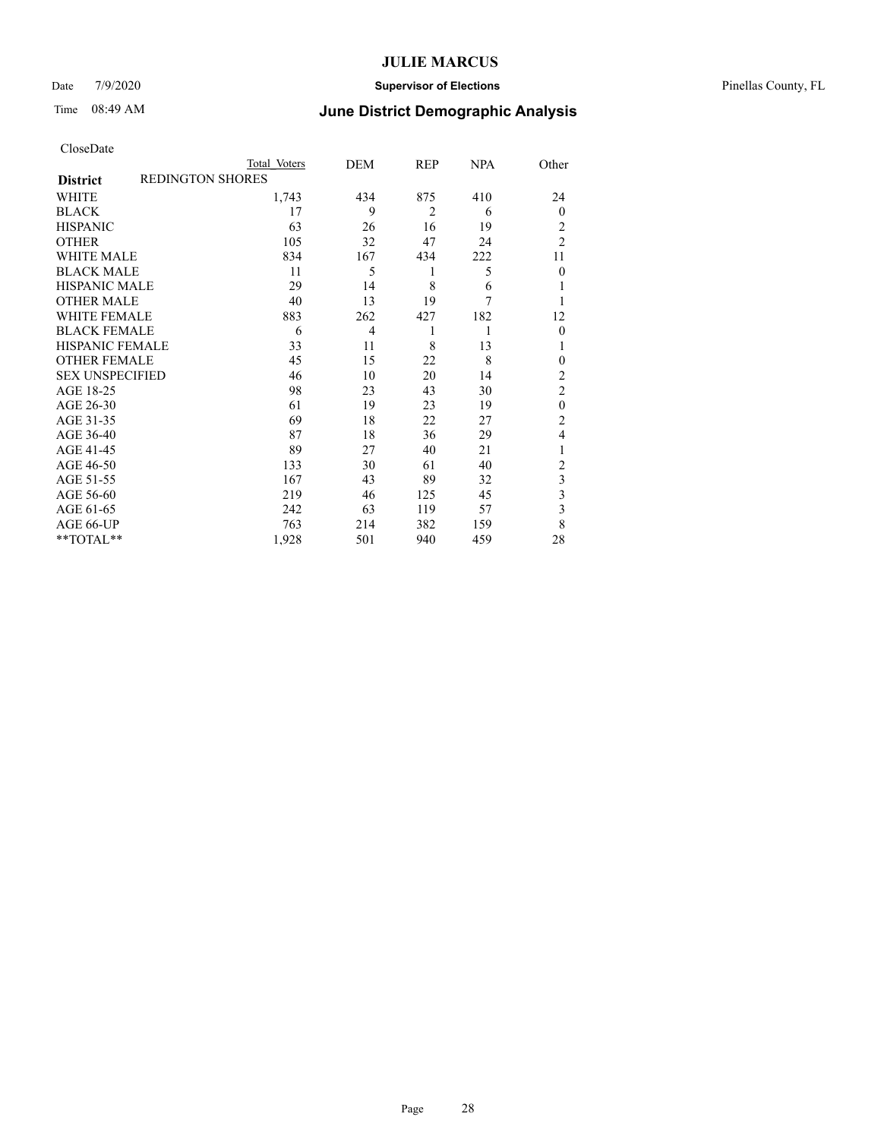### Date 7/9/2020 **Supervisor of Elections** Pinellas County, FL

# Time 08:49 AM **June District Demographic Analysis**

|                                            | Total Voters | DEM            | REP            | <b>NPA</b> | Other          |
|--------------------------------------------|--------------|----------------|----------------|------------|----------------|
| <b>REDINGTON SHORES</b><br><b>District</b> |              |                |                |            |                |
| WHITE                                      | 1,743        | 434            | 875            | 410        | 24             |
| <b>BLACK</b>                               | 17           | 9              | $\overline{2}$ | 6          | $\theta$       |
| <b>HISPANIC</b>                            | 63           | 26             | 16             | 19         | 2              |
| <b>OTHER</b>                               | 105          | 32             | 47             | 24         | $\overline{2}$ |
| <b>WHITE MALE</b>                          | 834          | 167            | 434            | 222        | 11             |
| <b>BLACK MALE</b>                          | 11           | 5              | 1              | 5          | $\theta$       |
| <b>HISPANIC MALE</b>                       | 29           | 14             | 8              | 6          | 1              |
| <b>OTHER MALE</b>                          | 40           | 13             | 19             | 7          | 1              |
| <b>WHITE FEMALE</b>                        | 883          | 262            | 427            | 182        | 12             |
| <b>BLACK FEMALE</b>                        | 6            | $\overline{4}$ | 1              | 1          | $\theta$       |
| <b>HISPANIC FEMALE</b>                     | 33           | 11             | 8              | 13         | 1              |
| <b>OTHER FEMALE</b>                        | 45           | 15             | 22             | 8          | 0              |
| <b>SEX UNSPECIFIED</b>                     | 46           | 10             | 20             | 14         | $\overline{2}$ |
| AGE 18-25                                  | 98           | 23             | 43             | 30         | $\overline{2}$ |
| AGE 26-30                                  | 61           | 19             | 23             | 19         | $\mathbf{0}$   |
| AGE 31-35                                  | 69           | 18             | 22             | 27         | $\overline{c}$ |
| AGE 36-40                                  | 87           | 18             | 36             | 29         | 4              |
| AGE 41-45                                  | 89           | 27             | 40             | 21         | 1              |
| AGE 46-50                                  | 133          | 30             | 61             | 40         | 2              |
| AGE 51-55                                  | 167          | 43             | 89             | 32         | 3              |
| AGE 56-60                                  | 219          | 46             | 125            | 45         | 3              |
| AGE 61-65                                  | 242          | 63             | 119            | 57         | 3              |
| AGE 66-UP                                  | 763          | 214            | 382            | 159        | 8              |
| **TOTAL**                                  | 1,928        | 501            | 940            | 459        | 28             |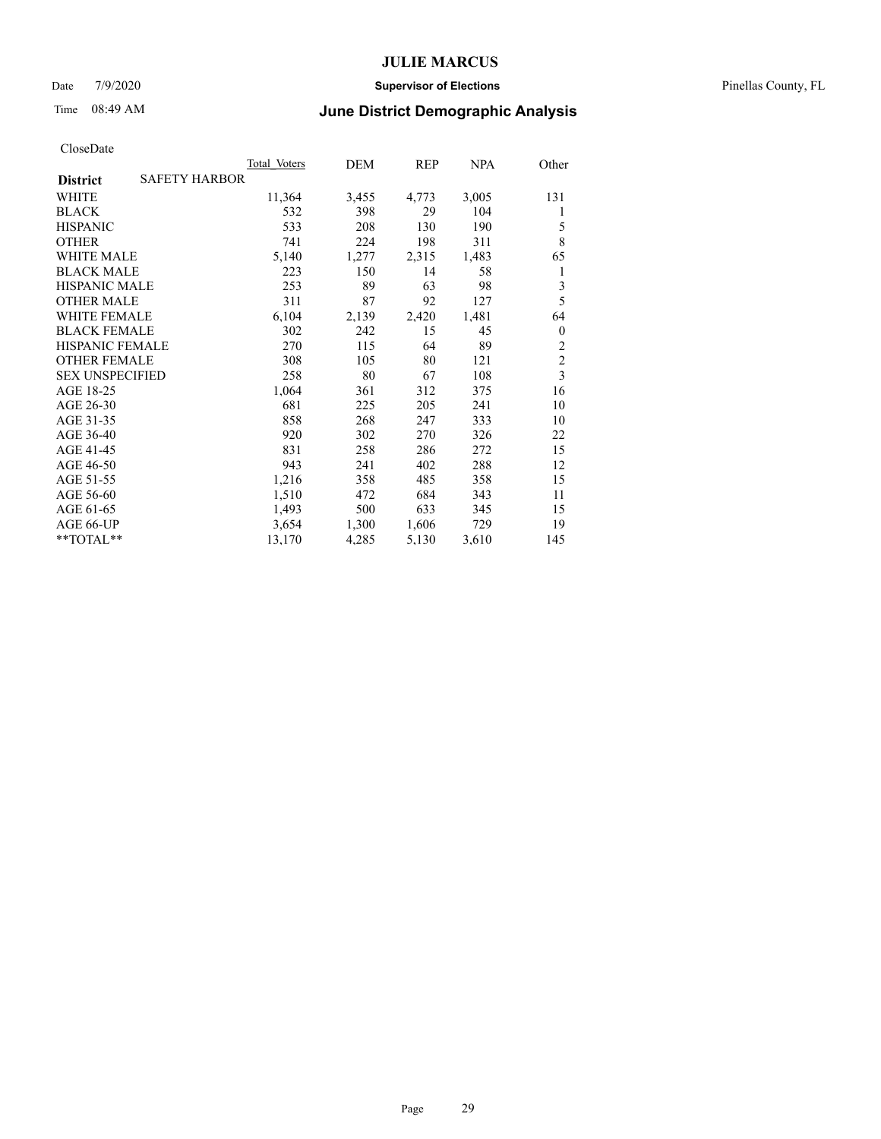### Date 7/9/2020 **Supervisor of Elections** Pinellas County, FL

## Time 08:49 AM **June District Demographic Analysis**

|                                         | Total Voters | DEM   | REP   | NPA   | Other                   |
|-----------------------------------------|--------------|-------|-------|-------|-------------------------|
| <b>SAFETY HARBOR</b><br><b>District</b> |              |       |       |       |                         |
| WHITE                                   | 11,364       | 3,455 | 4,773 | 3,005 | 131                     |
| <b>BLACK</b>                            | 532          | 398   | 29    | 104   | 1                       |
| <b>HISPANIC</b>                         | 533          | 208   | 130   | 190   | 5                       |
| <b>OTHER</b>                            | 741          | 224   | 198   | 311   | 8                       |
| WHITE MALE                              | 5,140        | 1,277 | 2,315 | 1,483 | 65                      |
| <b>BLACK MALE</b>                       | 223          | 150   | 14    | 58    | 1                       |
| <b>HISPANIC MALE</b>                    | 253          | 89    | 63    | 98    | $\overline{\mathbf{3}}$ |
| <b>OTHER MALE</b>                       | 311          | 87    | 92    | 127   | 5                       |
| WHITE FEMALE                            | 6,104        | 2,139 | 2,420 | 1,481 | 64                      |
| <b>BLACK FEMALE</b>                     | 302          | 242   | 15    | 45    | $\theta$                |
| <b>HISPANIC FEMALE</b>                  | 270          | 115   | 64    | 89    | $\overline{2}$          |
| <b>OTHER FEMALE</b>                     | 308          | 105   | 80    | 121   | $\overline{c}$          |
| <b>SEX UNSPECIFIED</b>                  | 258          | 80    | 67    | 108   | $\overline{3}$          |
| AGE 18-25                               | 1,064        | 361   | 312   | 375   | 16                      |
| AGE 26-30                               | 681          | 225   | 205   | 241   | 10                      |
| AGE 31-35                               | 858          | 268   | 247   | 333   | 10                      |
| AGE 36-40                               | 920          | 302   | 270   | 326   | 22                      |
| AGE 41-45                               | 831          | 258   | 286   | 272   | 15                      |
| AGE 46-50                               | 943          | 241   | 402   | 288   | 12                      |
| AGE 51-55                               | 1,216        | 358   | 485   | 358   | 15                      |
| AGE 56-60                               | 1,510        | 472   | 684   | 343   | 11                      |
| AGE 61-65                               | 1,493        | 500   | 633   | 345   | 15                      |
| AGE 66-UP                               | 3,654        | 1,300 | 1,606 | 729   | 19                      |
| **TOTAL**                               | 13,170       | 4,285 | 5,130 | 3,610 | 145                     |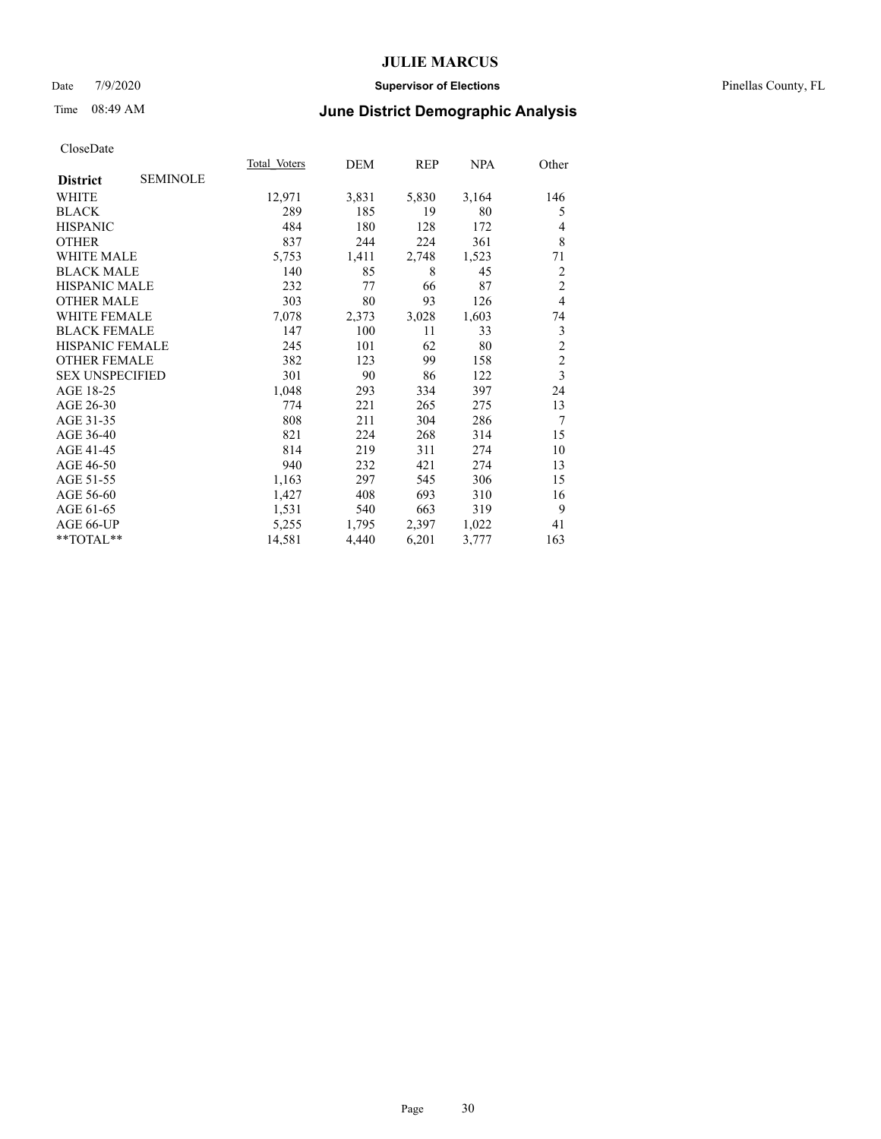### Date 7/9/2020 **Supervisor of Elections** Pinellas County, FL

# Time 08:49 AM **June District Demographic Analysis**

| <b>Total Voters</b> | DEM   | REP   | NPA   | Other                   |
|---------------------|-------|-------|-------|-------------------------|
|                     |       |       |       |                         |
| 12,971              | 3,831 | 5,830 | 3,164 | 146                     |
| 289                 | 185   | 19    | 80    | 5                       |
| 484                 | 180   | 128   | 172   | 4                       |
| 837                 | 244   | 224   | 361   | 8                       |
| 5,753               | 1,411 | 2,748 | 1,523 | 71                      |
| 140                 | 85    | 8     | 45    | 2                       |
| 232                 | 77    | 66    | 87    | $\overline{c}$          |
| 303                 | 80    | 93    | 126   | $\overline{4}$          |
| 7,078               | 2,373 | 3,028 | 1,603 | 74                      |
| 147                 | 100   | 11    | 33    | 3                       |
| 245                 | 101   | 62    | 80    | $\overline{c}$          |
| 382                 | 123   | 99    | 158   | $\overline{c}$          |
| 301                 | 90    | 86    | 122   | $\overline{\mathbf{3}}$ |
| 1,048               | 293   | 334   | 397   | 24                      |
| 774                 | 221   | 265   | 275   | 13                      |
| 808                 | 211   | 304   | 286   | 7                       |
| 821                 | 224   | 268   | 314   | 15                      |
| 814                 | 219   | 311   | 274   | 10                      |
| 940                 | 232   | 421   | 274   | 13                      |
| 1,163               | 297   | 545   | 306   | 15                      |
| 1,427               | 408   | 693   | 310   | 16                      |
| 1,531               | 540   | 663   | 319   | 9                       |
| 5,255               | 1,795 | 2,397 | 1,022 | 41                      |
| 14,581              | 4,440 | 6,201 | 3,777 | 163                     |
|                     |       |       |       |                         |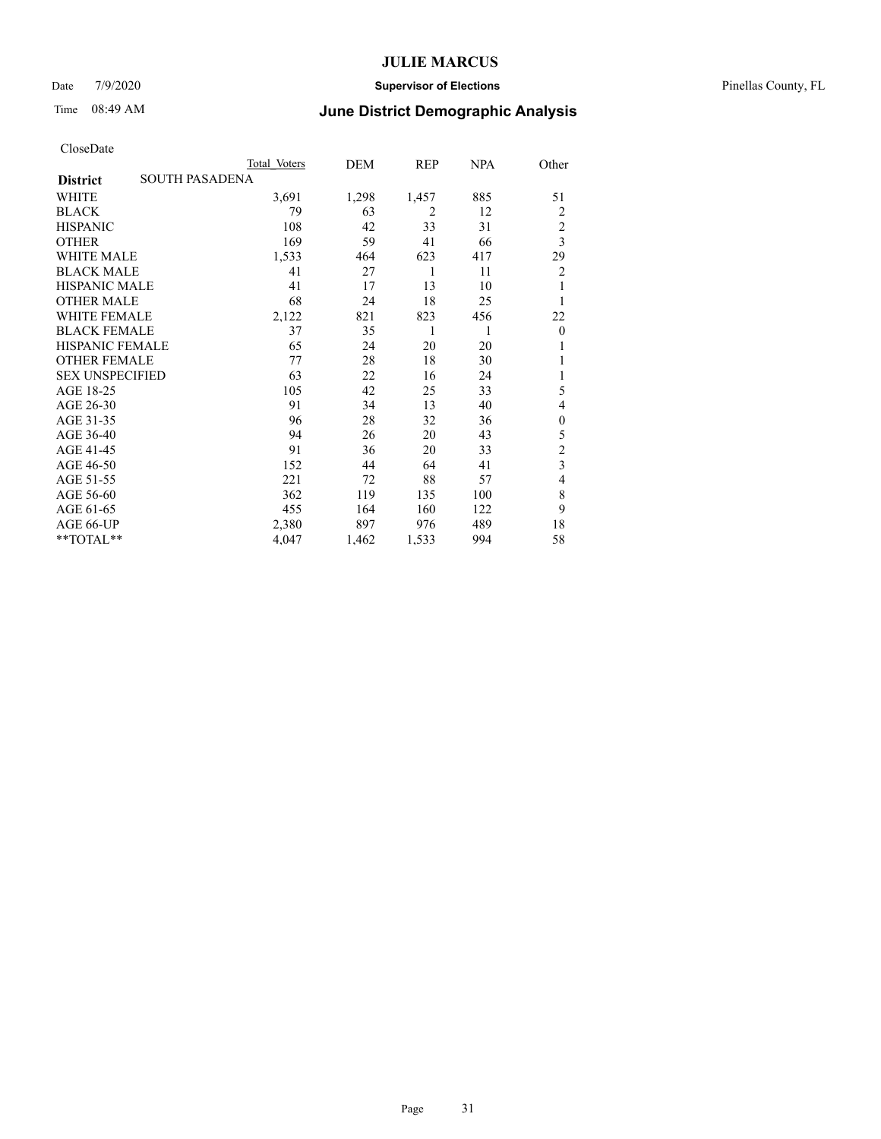### Date 7/9/2020 **Supervisor of Elections** Pinellas County, FL

## Time 08:49 AM **June District Demographic Analysis**

|                        |                       | Total Voters | DEM   | REP            | NPA | Other                   |
|------------------------|-----------------------|--------------|-------|----------------|-----|-------------------------|
| <b>District</b>        | <b>SOUTH PASADENA</b> |              |       |                |     |                         |
| <b>WHITE</b>           |                       | 3,691        | 1,298 | 1,457          | 885 | 51                      |
| <b>BLACK</b>           |                       | 79           | 63    | $\overline{2}$ | 12  | 2                       |
| <b>HISPANIC</b>        |                       | 108          | 42    | 33             | 31  | $\overline{c}$          |
| <b>OTHER</b>           |                       | 169          | 59    | 41             | 66  | $\overline{\mathbf{3}}$ |
| <b>WHITE MALE</b>      |                       | 1,533        | 464   | 623            | 417 | 29                      |
| <b>BLACK MALE</b>      |                       | 41           | 27    | 1              | 11  | 2                       |
| <b>HISPANIC MALE</b>   |                       | 41           | 17    | 13             | 10  | 1                       |
| <b>OTHER MALE</b>      |                       | 68           | 24    | 18             | 25  | 1                       |
| <b>WHITE FEMALE</b>    |                       | 2,122        | 821   | 823            | 456 | 22                      |
| <b>BLACK FEMALE</b>    |                       | 37           | 35    | 1              | 1   | $\theta$                |
| <b>HISPANIC FEMALE</b> |                       | 65           | 24    | 20             | 20  | 1                       |
| <b>OTHER FEMALE</b>    |                       | 77           | 28    | 18             | 30  | 1                       |
| <b>SEX UNSPECIFIED</b> |                       | 63           | 22    | 16             | 24  | 1                       |
| AGE 18-25              |                       | 105          | 42    | 25             | 33  | 5                       |
| AGE 26-30              |                       | 91           | 34    | 13             | 40  | 4                       |
| AGE 31-35              |                       | 96           | 28    | 32             | 36  | $\theta$                |
| AGE 36-40              |                       | 94           | 26    | 20             | 43  | 5                       |
| AGE 41-45              |                       | 91           | 36    | 20             | 33  | $\overline{c}$          |
| AGE 46-50              |                       | 152          | 44    | 64             | 41  | $\overline{\mathbf{3}}$ |
| AGE 51-55              |                       | 221          | 72    | 88             | 57  | 4                       |
| AGE 56-60              |                       | 362          | 119   | 135            | 100 | 8                       |
| AGE 61-65              |                       | 455          | 164   | 160            | 122 | 9                       |
| AGE 66-UP              |                       | 2,380        | 897   | 976            | 489 | 18                      |
| **TOTAL**              |                       | 4,047        | 1,462 | 1,533          | 994 | 58                      |
|                        |                       |              |       |                |     |                         |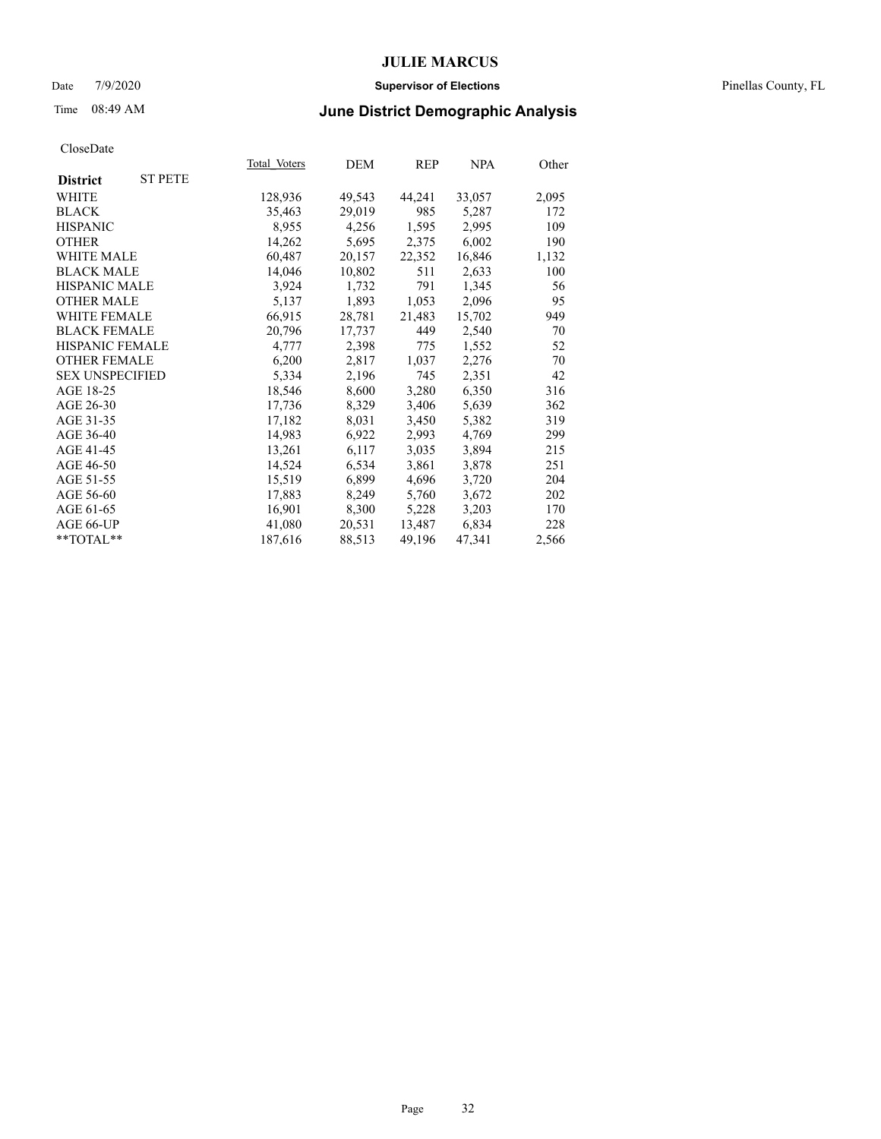### Date 7/9/2020 **Supervisor of Elections** Pinellas County, FL

# Time 08:49 AM **June District Demographic Analysis**

| Total Voters | DEM    | REP    | NPA    | Other |
|--------------|--------|--------|--------|-------|
|              |        |        |        |       |
| 128,936      | 49,543 | 44,241 | 33,057 | 2,095 |
| 35,463       | 29,019 | 985    | 5,287  | 172   |
| 8,955        | 4,256  | 1,595  | 2,995  | 109   |
| 14,262       | 5,695  | 2,375  | 6,002  | 190   |
| 60,487       | 20,157 | 22,352 | 16,846 | 1,132 |
| 14,046       | 10,802 | 511    | 2,633  | 100   |
| 3,924        | 1,732  | 791    | 1,345  | 56    |
| 5,137        | 1,893  | 1,053  | 2,096  | 95    |
| 66,915       | 28,781 | 21,483 | 15,702 | 949   |
| 20,796       | 17,737 | 449    | 2,540  | 70    |
| 4,777        | 2,398  | 775    | 1,552  | 52    |
| 6,200        | 2,817  | 1,037  | 2,276  | 70    |
| 5,334        | 2,196  | 745    | 2,351  | 42    |
| 18,546       | 8,600  | 3,280  | 6,350  | 316   |
| 17,736       | 8,329  | 3,406  | 5,639  | 362   |
| 17,182       | 8,031  | 3,450  | 5,382  | 319   |
| 14,983       | 6,922  | 2,993  | 4,769  | 299   |
| 13,261       | 6,117  | 3,035  | 3,894  | 215   |
| 14,524       | 6,534  | 3,861  | 3,878  | 251   |
| 15,519       | 6,899  | 4,696  | 3,720  | 204   |
| 17,883       | 8,249  | 5,760  | 3,672  | 202   |
| 16,901       | 8,300  | 5,228  | 3,203  | 170   |
| 41,080       | 20,531 | 13,487 | 6,834  | 228   |
| 187,616      | 88,513 | 49,196 | 47,341 | 2,566 |
|              |        |        |        |       |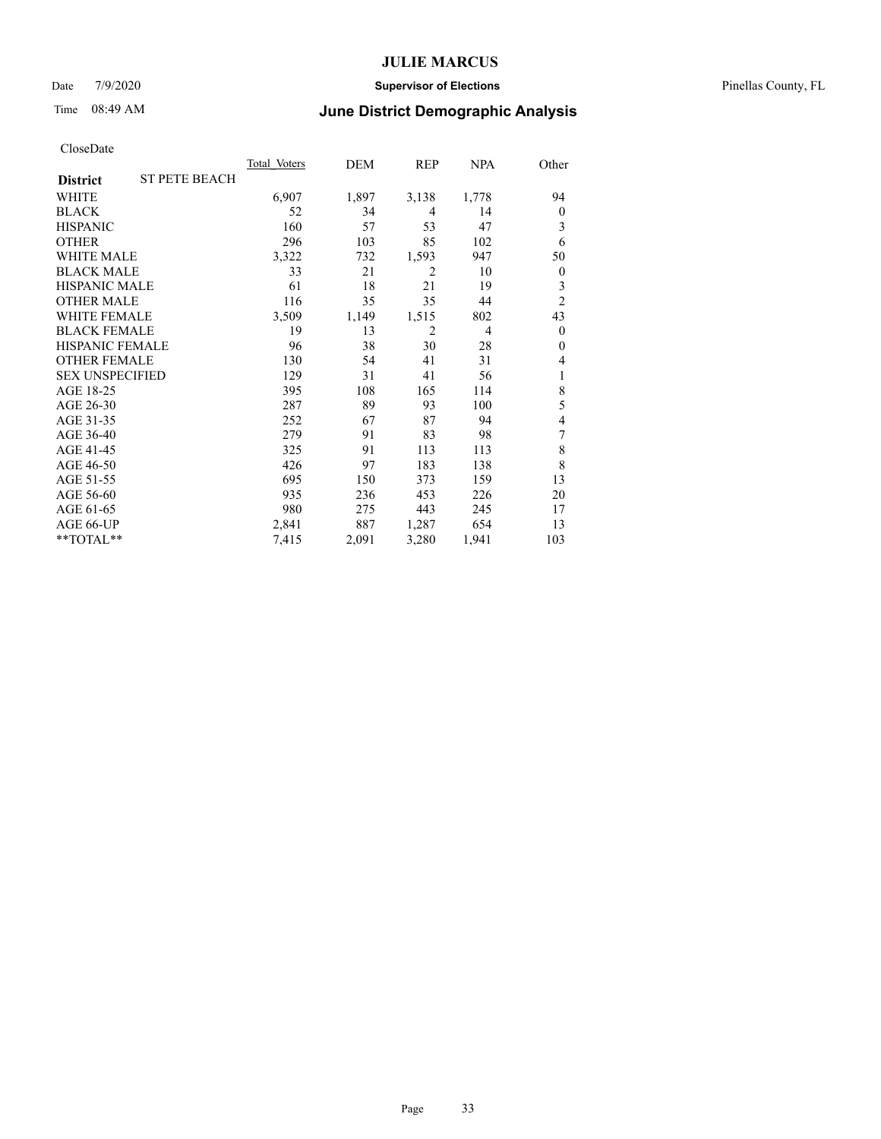### Date 7/9/2020 **Supervisor of Elections** Pinellas County, FL

# Time 08:49 AM **June District Demographic Analysis**

|                        |                      | Total Voters | DEM   | REP            | NPA            | Other            |
|------------------------|----------------------|--------------|-------|----------------|----------------|------------------|
| <b>District</b>        | <b>ST PETE BEACH</b> |              |       |                |                |                  |
| WHITE                  |                      | 6,907        | 1,897 | 3,138          | 1,778          | 94               |
| <b>BLACK</b>           |                      | 52           | 34    | 4              | 14             | $\overline{0}$   |
| <b>HISPANIC</b>        |                      | 160          | 57    | 53             | 47             | 3                |
| <b>OTHER</b>           |                      | 296          | 103   | 85             | 102            | 6                |
| <b>WHITE MALE</b>      |                      | 3,322        | 732   | 1,593          | 947            | 50               |
| <b>BLACK MALE</b>      |                      | 33           | 21    | $\overline{2}$ | 10             | $\boldsymbol{0}$ |
| <b>HISPANIC MALE</b>   |                      | 61           | 18    | 21             | 19             | 3                |
| <b>OTHER MALE</b>      |                      | 116          | 35    | 35             | 44             | $\overline{2}$   |
| <b>WHITE FEMALE</b>    |                      | 3,509        | 1,149 | 1,515          | 802            | 43               |
| <b>BLACK FEMALE</b>    |                      | 19           | 13    | $\overline{2}$ | $\overline{4}$ | $\theta$         |
| <b>HISPANIC FEMALE</b> |                      | 96           | 38    | 30             | 28             | $\theta$         |
| <b>OTHER FEMALE</b>    |                      | 130          | 54    | 41             | 31             | 4                |
| <b>SEX UNSPECIFIED</b> |                      | 129          | 31    | 41             | 56             | 1                |
| AGE 18-25              |                      | 395          | 108   | 165            | 114            | 8                |
| AGE 26-30              |                      | 287          | 89    | 93             | 100            | 5                |
| AGE 31-35              |                      | 252          | 67    | 87             | 94             | 4                |
| AGE 36-40              |                      | 279          | 91    | 83             | 98             | 7                |
| AGE 41-45              |                      | 325          | 91    | 113            | 113            | 8                |
| AGE 46-50              |                      | 426          | 97    | 183            | 138            | 8                |
| AGE 51-55              |                      | 695          | 150   | 373            | 159            | 13               |
| AGE 56-60              |                      | 935          | 236   | 453            | 226            | 20               |
| AGE 61-65              |                      | 980          | 275   | 443            | 245            | 17               |
| AGE 66-UP              |                      | 2,841        | 887   | 1,287          | 654            | 13               |
| **TOTAL**              |                      | 7,415        | 2,091 | 3,280          | 1,941          | 103              |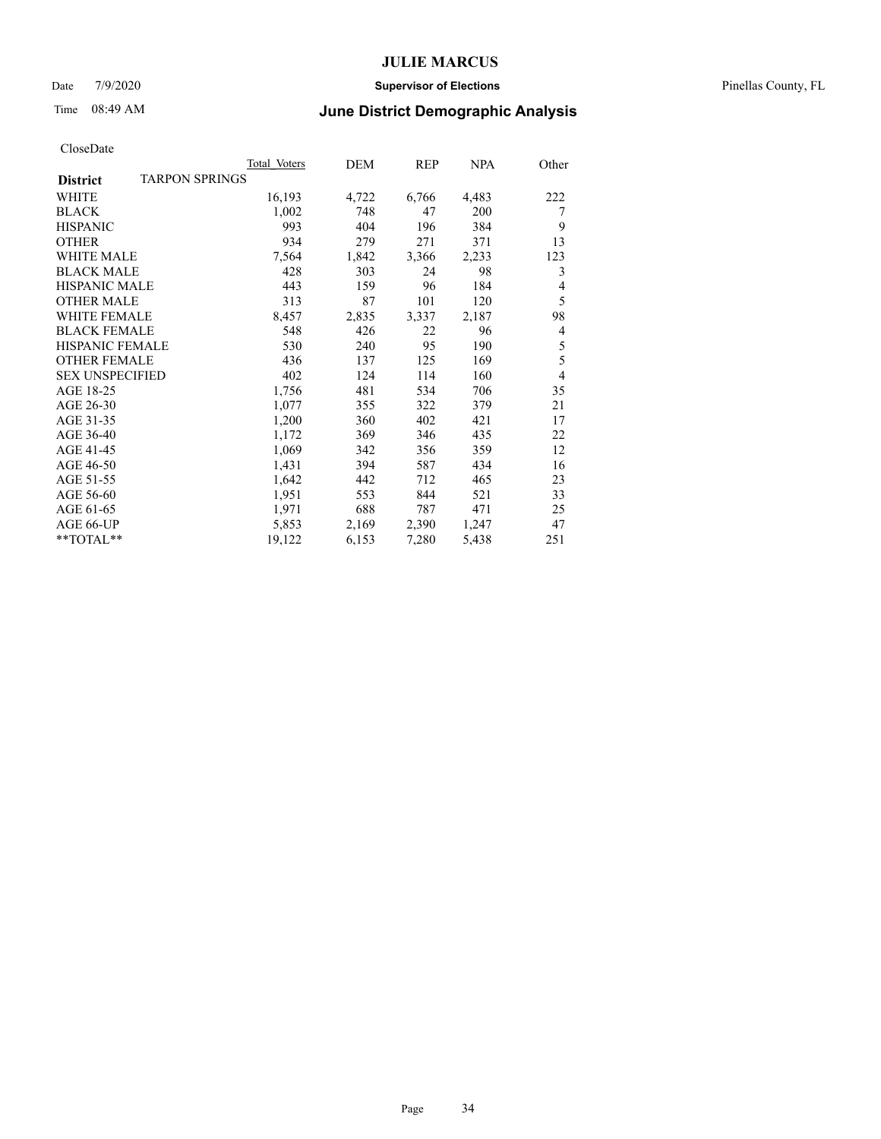### Date 7/9/2020 **Supervisor of Elections** Pinellas County, FL

# Time 08:49 AM **June District Demographic Analysis**

|                                   | Total Voters | DEM   | REP   | NPA   | Other          |
|-----------------------------------|--------------|-------|-------|-------|----------------|
| TARPON SPRINGS<br><b>District</b> |              |       |       |       |                |
| WHITE                             | 16,193       | 4,722 | 6,766 | 4,483 | 222            |
| <b>BLACK</b>                      | 1,002        | 748   | 47    | 200   | 7              |
| <b>HISPANIC</b>                   | 993          | 404   | 196   | 384   | 9              |
| <b>OTHER</b>                      | 934          | 279   | 271   | 371   | 13             |
| WHITE MALE                        | 7,564        | 1,842 | 3,366 | 2,233 | 123            |
| <b>BLACK MALE</b>                 | 428          | 303   | 24    | 98    | 3              |
| <b>HISPANIC MALE</b>              | 443          | 159   | 96    | 184   | 4              |
| <b>OTHER MALE</b>                 | 313          | 87    | 101   | 120   | 5              |
| <b>WHITE FEMALE</b>               | 8,457        | 2,835 | 3,337 | 2,187 | 98             |
| <b>BLACK FEMALE</b>               | 548          | 426   | 22    | 96    | 4              |
| <b>HISPANIC FEMALE</b>            | 530          | 240   | 95    | 190   | 5              |
| <b>OTHER FEMALE</b>               | 436          | 137   | 125   | 169   | 5              |
| <b>SEX UNSPECIFIED</b>            | 402          | 124   | 114   | 160   | $\overline{4}$ |
| AGE 18-25                         | 1,756        | 481   | 534   | 706   | 35             |
| AGE 26-30                         | 1,077        | 355   | 322   | 379   | 21             |
| AGE 31-35                         | 1,200        | 360   | 402   | 421   | 17             |
| AGE 36-40                         | 1,172        | 369   | 346   | 435   | 22             |
| AGE 41-45                         | 1,069        | 342   | 356   | 359   | 12             |
| AGE 46-50                         | 1,431        | 394   | 587   | 434   | 16             |
| AGE 51-55                         | 1,642        | 442   | 712   | 465   | 23             |
| AGE 56-60                         | 1,951        | 553   | 844   | 521   | 33             |
| AGE 61-65                         | 1,971        | 688   | 787   | 471   | 25             |
| AGE 66-UP                         | 5,853        | 2,169 | 2,390 | 1,247 | 47             |
| $*$ $TOTAL**$                     | 19,122       | 6,153 | 7,280 | 5,438 | 251            |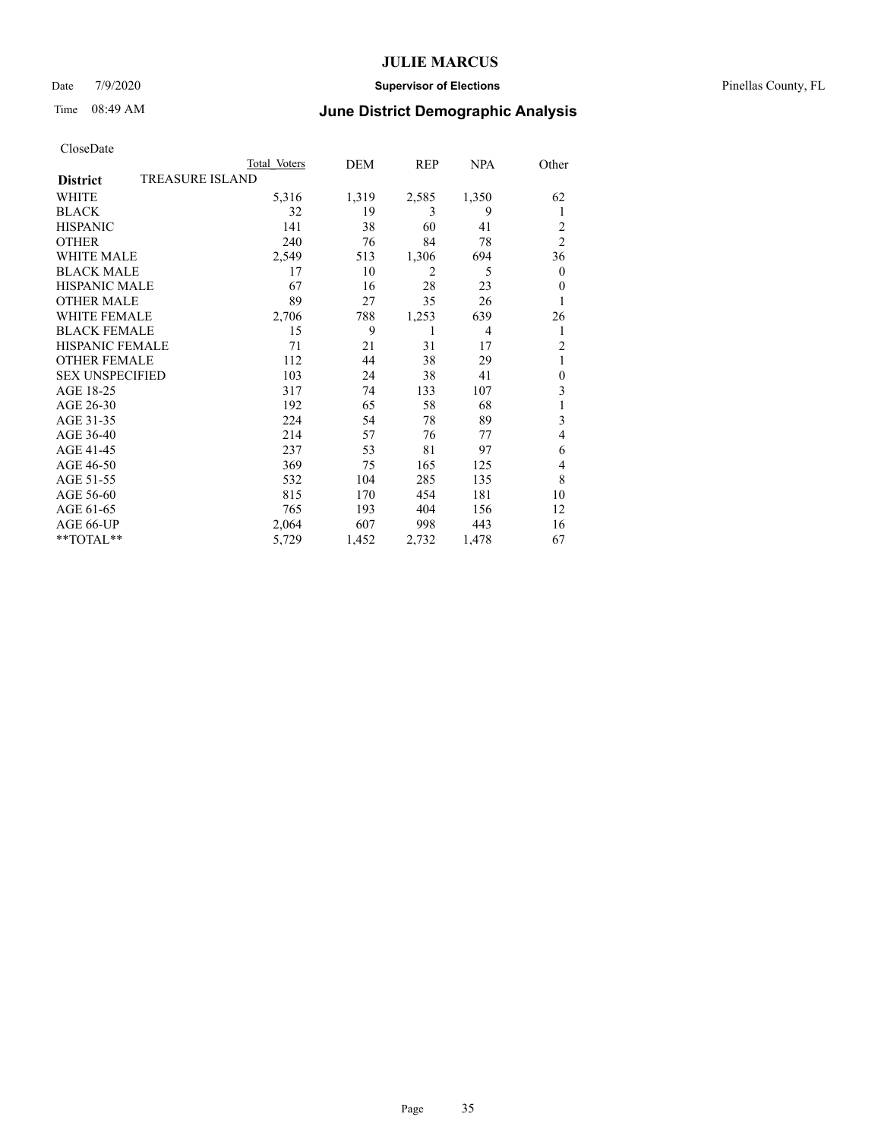### Date 7/9/2020 **Supervisor of Elections** Pinellas County, FL

## Time 08:49 AM **June District Demographic Analysis**

|                        |                        | Total Voters | DEM   | REP            | NPA            | Other          |
|------------------------|------------------------|--------------|-------|----------------|----------------|----------------|
| <b>District</b>        | <b>TREASURE ISLAND</b> |              |       |                |                |                |
| WHITE                  |                        | 5,316        | 1,319 | 2,585          | 1,350          | 62             |
| <b>BLACK</b>           |                        | 32           | 19    | 3              | 9              | 1              |
| <b>HISPANIC</b>        |                        | 141          | 38    | 60             | 41             | 2              |
| <b>OTHER</b>           |                        | 240          | 76    | 84             | 78             | $\overline{2}$ |
| WHITE MALE             |                        | 2,549        | 513   | 1,306          | 694            | 36             |
| <b>BLACK MALE</b>      |                        | 17           | 10    | $\overline{2}$ | 5              | $\mathbf{0}$   |
| <b>HISPANIC MALE</b>   |                        | 67           | 16    | 28             | 23             | $\mathbf{0}$   |
| <b>OTHER MALE</b>      |                        | 89           | 27    | 35             | 26             | 1              |
| <b>WHITE FEMALE</b>    |                        | 2,706        | 788   | 1,253          | 639            | 26             |
| <b>BLACK FEMALE</b>    |                        | 15           | 9     |                | $\overline{4}$ | 1              |
| <b>HISPANIC FEMALE</b> |                        | 71           | 21    | 31             | 17             | $\overline{2}$ |
| <b>OTHER FEMALE</b>    |                        | 112          | 44    | 38             | 29             | 1              |
| <b>SEX UNSPECIFIED</b> |                        | 103          | 24    | 38             | 41             | $\theta$       |
| AGE 18-25              |                        | 317          | 74    | 133            | 107            | 3              |
| AGE 26-30              |                        | 192          | 65    | 58             | 68             | 1              |
| AGE 31-35              |                        | 224          | 54    | 78             | 89             | 3              |
| AGE 36-40              |                        | 214          | 57    | 76             | 77             | 4              |
| AGE 41-45              |                        | 237          | 53    | 81             | 97             | 6              |
| AGE 46-50              |                        | 369          | 75    | 165            | 125            | 4              |
| AGE 51-55              |                        | 532          | 104   | 285            | 135            | 8              |
| AGE 56-60              |                        | 815          | 170   | 454            | 181            | 10             |
| AGE 61-65              |                        | 765          | 193   | 404            | 156            | 12             |
| AGE 66-UP              |                        | 2,064        | 607   | 998            | 443            | 16             |
| **TOTAL**              |                        | 5,729        | 1,452 | 2,732          | 1,478          | 67             |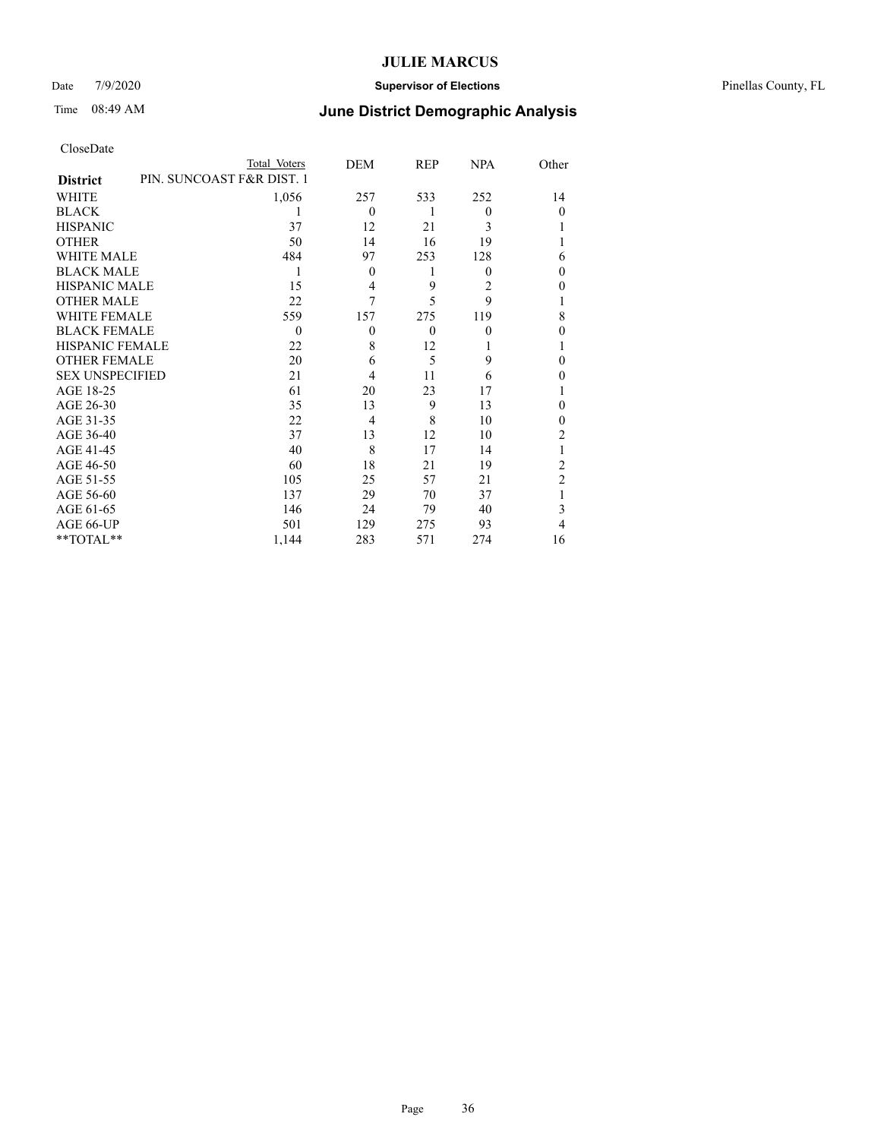### Date 7/9/2020 **Supervisor of Elections** Pinellas County, FL

# Time 08:49 AM **June District Demographic Analysis**

|                        |                           | Total Voters | DEM            | REP      | <b>NPA</b> | Other          |
|------------------------|---------------------------|--------------|----------------|----------|------------|----------------|
| <b>District</b>        | PIN. SUNCOAST F&R DIST. 1 |              |                |          |            |                |
| WHITE                  |                           | 1,056        | 257            | 533      | 252        | 14             |
| <b>BLACK</b>           |                           |              | $\theta$       | 1        | $\theta$   | $\theta$       |
| <b>HISPANIC</b>        |                           | 37           | 12             | 21       | 3          |                |
| <b>OTHER</b>           |                           | 50           | 14             | 16       | 19         |                |
| WHITE MALE             |                           | 484          | 97             | 253      | 128        | 6              |
| <b>BLACK MALE</b>      |                           | 1            | $\theta$       | 1        | $\theta$   | $\theta$       |
| <b>HISPANIC MALE</b>   |                           | 15           | $\overline{4}$ | 9        | 2          | $\theta$       |
| <b>OTHER MALE</b>      |                           | 22           | 7              | 5        | 9          | 1              |
| <b>WHITE FEMALE</b>    |                           | 559          | 157            | 275      | 119        | 8              |
| <b>BLACK FEMALE</b>    |                           | $\theta$     | $\theta$       | $\theta$ | $\theta$   | $\theta$       |
| <b>HISPANIC FEMALE</b> |                           | 22           | 8              | 12       |            |                |
| <b>OTHER FEMALE</b>    |                           | 20           | 6              | 5        | 9          | $\theta$       |
| <b>SEX UNSPECIFIED</b> |                           | 21           | 4              | 11       | 6          | $\Omega$       |
| AGE 18-25              |                           | 61           | 20             | 23       | 17         |                |
| AGE 26-30              |                           | 35           | 13             | 9        | 13         | $\theta$       |
| AGE 31-35              |                           | 22           | $\overline{4}$ | 8        | 10         | $\theta$       |
| AGE 36-40              |                           | 37           | 13             | 12       | 10         | $\overline{2}$ |
| AGE 41-45              |                           | 40           | 8              | 17       | 14         |                |
| AGE 46-50              |                           | 60           | 18             | 21       | 19         | 2              |
| AGE 51-55              |                           | 105          | 25             | 57       | 21         | $\overline{2}$ |
| AGE 56-60              |                           | 137          | 29             | 70       | 37         |                |
| AGE 61-65              |                           | 146          | 24             | 79       | 40         | 3              |
| AGE 66-UP              |                           | 501          | 129            | 275      | 93         | 4              |
| **TOTAL**              |                           | 1,144        | 283            | 571      | 274        | 16             |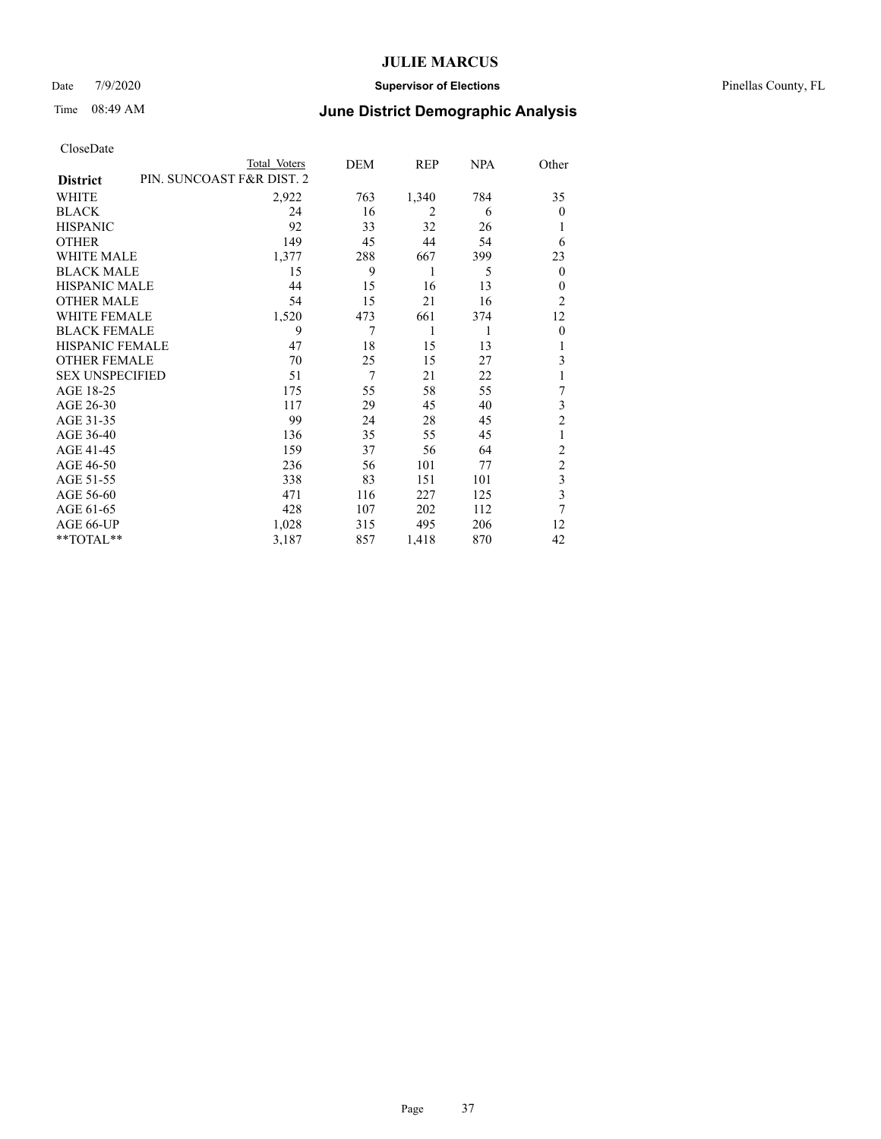### Date 7/9/2020 **Supervisor of Elections** Pinellas County, FL

## Time 08:49 AM **June District Demographic Analysis**

|                        | Total Voters              | DEM | REP   | NPA | Other                   |
|------------------------|---------------------------|-----|-------|-----|-------------------------|
| <b>District</b>        | PIN. SUNCOAST F&R DIST. 2 |     |       |     |                         |
| WHITE                  | 2,922                     | 763 | 1,340 | 784 | 35                      |
| <b>BLACK</b>           | 24                        | 16  | 2     | 6   | $\Omega$                |
| <b>HISPANIC</b>        | 92                        | 33  | 32    | 26  | 1                       |
| <b>OTHER</b>           | 149                       | 45  | 44    | 54  | 6                       |
| WHITE MALE             | 1,377                     | 288 | 667   | 399 | 23                      |
| <b>BLACK MALE</b>      | 15                        | 9   | 1     | 5   | $\theta$                |
| HISPANIC MALE          | 44                        | 15  | 16    | 13  | $\Omega$                |
| <b>OTHER MALE</b>      | 54                        | 15  | 21    | 16  | $\overline{2}$          |
| <b>WHITE FEMALE</b>    | 1,520                     | 473 | 661   | 374 | 12                      |
| <b>BLACK FEMALE</b>    | 9                         | 7   | 1     | 1   | $\theta$                |
| <b>HISPANIC FEMALE</b> | 47                        | 18  | 15    | 13  | 1                       |
| <b>OTHER FEMALE</b>    | 70                        | 25  | 15    | 27  | 3                       |
| <b>SEX UNSPECIFIED</b> | 51                        | 7   | 21    | 22  | 1                       |
| AGE 18-25              | 175                       | 55  | 58    | 55  | 7                       |
| AGE 26-30              | 117                       | 29  | 45    | 40  | 3                       |
| AGE 31-35              | 99                        | 24  | 28    | 45  | $\overline{2}$          |
| AGE 36-40              | 136                       | 35  | 55    | 45  | 1                       |
| AGE 41-45              | 159                       | 37  | 56    | 64  | $\overline{c}$          |
| AGE 46-50              | 236                       | 56  | 101   | 77  | $\overline{c}$          |
| AGE 51-55              | 338                       | 83  | 151   | 101 | 3                       |
| AGE 56-60              | 471                       | 116 | 227   | 125 | $\overline{\mathbf{3}}$ |
| AGE 61-65              | 428                       | 107 | 202   | 112 | $\overline{7}$          |
| AGE 66-UP              | 1,028                     | 315 | 495   | 206 | 12                      |
| **TOTAL**              | 3,187                     | 857 | 1,418 | 870 | 42                      |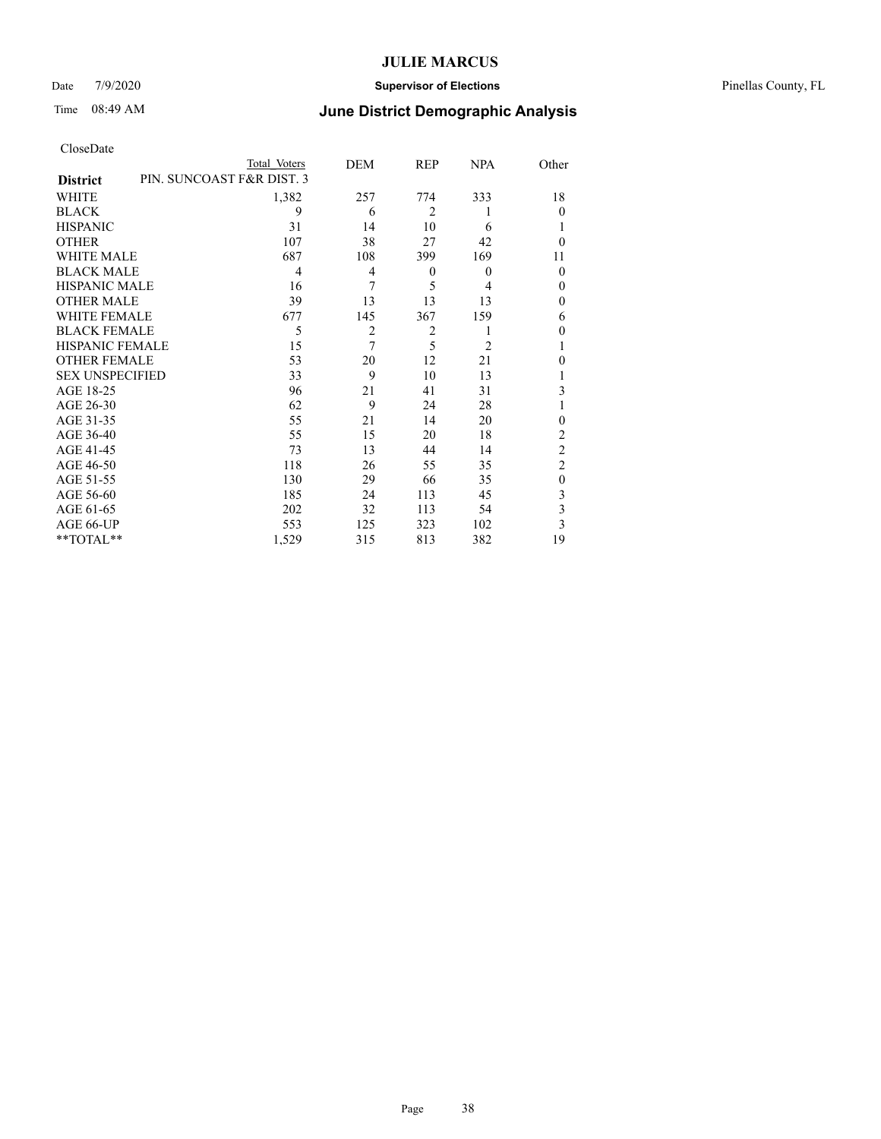### Date 7/9/2020 **Supervisor of Elections** Pinellas County, FL

| CloseDate |
|-----------|
|-----------|

|                        | Total Voters              | DEM            | REP            | <b>NPA</b>     | Other          |
|------------------------|---------------------------|----------------|----------------|----------------|----------------|
| <b>District</b>        | PIN. SUNCOAST F&R DIST. 3 |                |                |                |                |
| WHITE                  | 1,382                     | 257            | 774            | 333            | 18             |
| <b>BLACK</b>           | 9                         | 6              | $\overline{2}$ |                | $\Omega$       |
| <b>HISPANIC</b>        | 31                        | 14             | 10             | 6              | 1              |
| <b>OTHER</b>           | 107                       | 38             | 27             | 42             | $\Omega$       |
| WHITE MALE             | 687                       | 108            | 399            | 169            | 11             |
| <b>BLACK MALE</b>      | $\overline{4}$            | 4              | $\theta$       | $\overline{0}$ | $\theta$       |
| <b>HISPANIC MALE</b>   | 16                        | 7              | 5              | 4              | $\theta$       |
| <b>OTHER MALE</b>      | 39                        | 13             | 13             | 13             | $\theta$       |
| <b>WHITE FEMALE</b>    | 677                       | 145            | 367            | 159            | 6              |
| <b>BLACK FEMALE</b>    | 5                         | $\overline{2}$ | $\overline{2}$ |                | $\mathbf{0}$   |
| <b>HISPANIC FEMALE</b> | 15                        | 7              | 5              | 2              | 1              |
| <b>OTHER FEMALE</b>    | 53                        | 20             | 12             | 21             | $\theta$       |
| <b>SEX UNSPECIFIED</b> | 33                        | 9              | 10             | 13             | 1              |
| AGE 18-25              | 96                        | 21             | 41             | 31             | 3              |
| AGE 26-30              | 62                        | 9              | 24             | 28             | 1              |
| AGE 31-35              | 55                        | 21             | 14             | 20             | $\theta$       |
| AGE 36-40              | 55                        | 15             | 20             | 18             | $\overline{2}$ |
| AGE 41-45              | 73                        | 13             | 44             | 14             | $\overline{c}$ |
| AGE 46-50              | 118                       | 26             | 55             | 35             | $\overline{2}$ |
| AGE 51-55              | 130                       | 29             | 66             | 35             | $\theta$       |
| AGE 56-60              | 185                       | 24             | 113            | 45             | 3              |
| AGE 61-65              | 202                       | 32             | 113            | 54             | 3              |
| AGE 66-UP              | 553                       | 125            | 323            | 102            | 3              |
| **TOTAL**              | 1,529                     | 315            | 813            | 382            | 19             |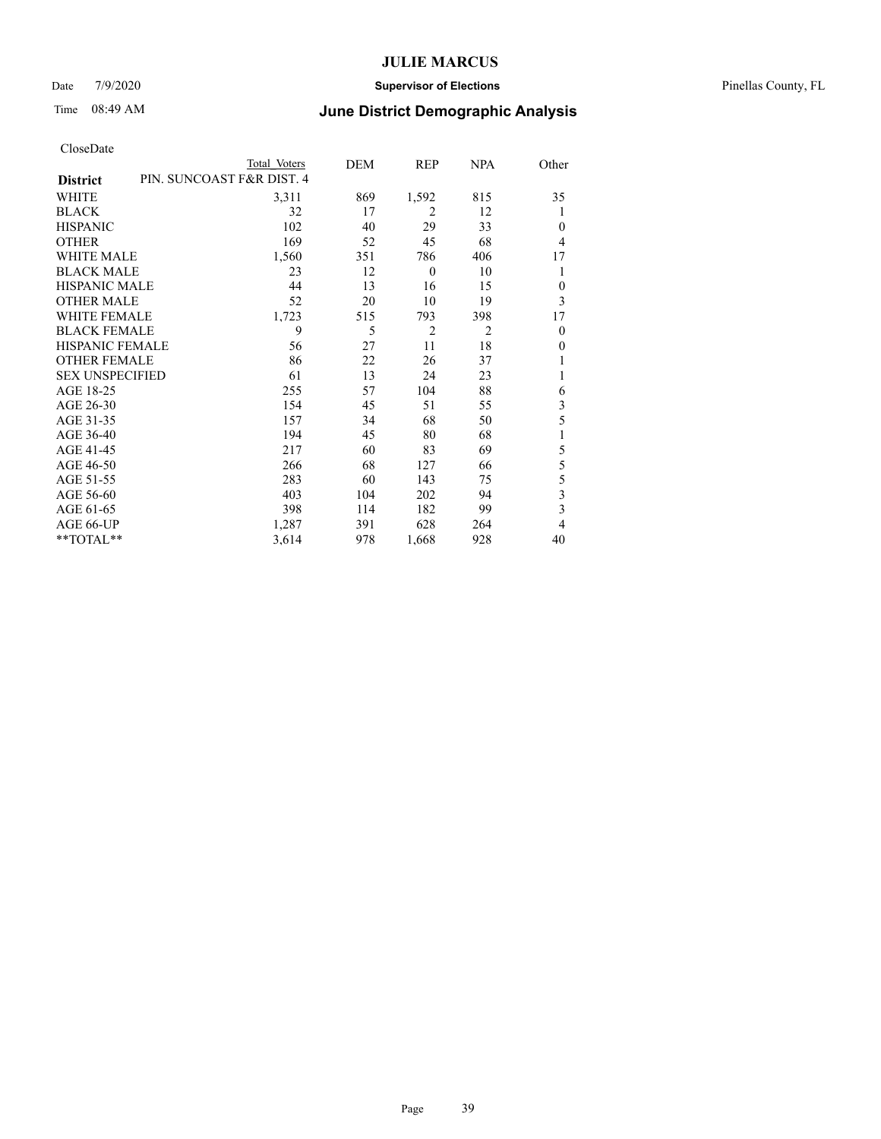### Date 7/9/2020 **Supervisor of Elections** Pinellas County, FL

## Time 08:49 AM **June District Demographic Analysis**

|                        |                           | Total Voters | DEM | REP            | NPA            | Other                   |
|------------------------|---------------------------|--------------|-----|----------------|----------------|-------------------------|
| <b>District</b>        | PIN. SUNCOAST F&R DIST. 4 |              |     |                |                |                         |
| WHITE                  |                           | 3,311        | 869 | 1,592          | 815            | 35                      |
| <b>BLACK</b>           |                           | 32           | 17  | 2              | 12             | 1                       |
| <b>HISPANIC</b>        |                           | 102          | 40  | 29             | 33             | $\theta$                |
| <b>OTHER</b>           |                           | 169          | 52  | 45             | 68             | 4                       |
| WHITE MALE             |                           | 1,560        | 351 | 786            | 406            | 17                      |
| <b>BLACK MALE</b>      |                           | 23           | 12  | $\theta$       | 10             | 1                       |
| HISPANIC MALE          |                           | 44           | 13  | 16             | 15             | $\theta$                |
| <b>OTHER MALE</b>      |                           | 52           | 20  | 10             | 19             | 3                       |
| <b>WHITE FEMALE</b>    |                           | 1,723        | 515 | 793            | 398            | 17                      |
| <b>BLACK FEMALE</b>    |                           | 9            | 5   | $\overline{2}$ | $\overline{2}$ | $\theta$                |
| <b>HISPANIC FEMALE</b> |                           | 56           | 27  | 11             | 18             | $\theta$                |
| <b>OTHER FEMALE</b>    |                           | 86           | 22  | 26             | 37             | 1                       |
| <b>SEX UNSPECIFIED</b> |                           | 61           | 13  | 24             | 23             | 1                       |
| AGE 18-25              |                           | 255          | 57  | 104            | 88             | 6                       |
| AGE 26-30              |                           | 154          | 45  | 51             | 55             | 3                       |
| AGE 31-35              |                           | 157          | 34  | 68             | 50             | 5                       |
| AGE 36-40              |                           | 194          | 45  | 80             | 68             | 1                       |
| AGE 41-45              |                           | 217          | 60  | 83             | 69             | 5                       |
| AGE 46-50              |                           | 266          | 68  | 127            | 66             | 5                       |
| AGE 51-55              |                           | 283          | 60  | 143            | 75             | 5                       |
| AGE 56-60              |                           | 403          | 104 | 202            | 94             | $\overline{\mathbf{3}}$ |
| AGE 61-65              |                           | 398          | 114 | 182            | 99             | $\overline{\mathbf{3}}$ |
| AGE 66-UP              |                           | 1,287        | 391 | 628            | 264            | $\overline{4}$          |
| **TOTAL**              |                           | 3,614        | 978 | 1,668          | 928            | 40                      |
|                        |                           |              |     |                |                |                         |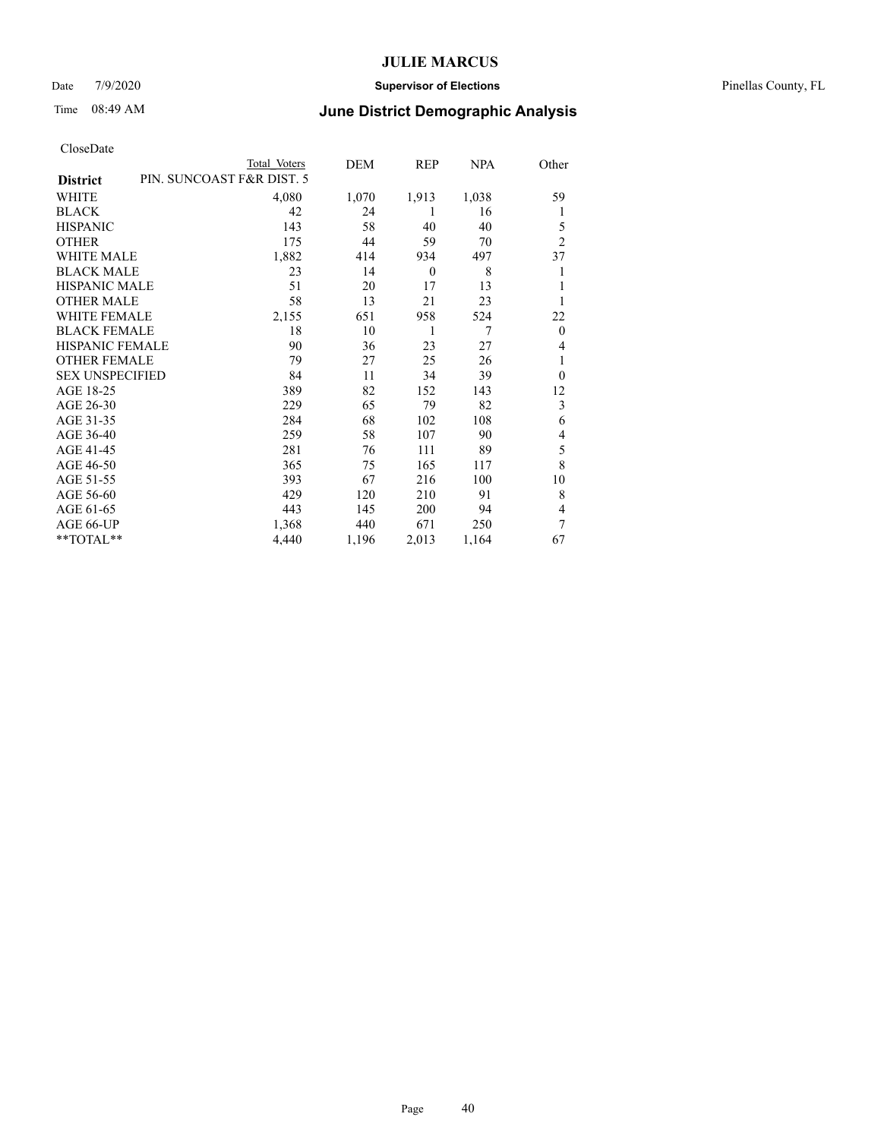### Date 7/9/2020 **Supervisor of Elections** Pinellas County, FL

## Time 08:49 AM **June District Demographic Analysis**

| Total Voters | DEM                       | REP      | NPA   | Other          |
|--------------|---------------------------|----------|-------|----------------|
|              |                           |          |       |                |
| 4,080        | 1,070                     | 1,913    | 1,038 | 59             |
| 42           | 24                        | 1        | 16    | 1              |
| 143          | 58                        | 40       | 40    | 5              |
| 175          | 44                        | 59       | 70    | $\overline{2}$ |
| 1,882        | 414                       | 934      | 497   | 37             |
| 23           | 14                        | $\theta$ | 8     | 1              |
| 51           | 20                        | 17       | 13    |                |
| 58           | 13                        | 21       | 23    | 1              |
| 2,155        | 651                       | 958      | 524   | 22             |
| 18           | 10                        | 1        | 7     | $\mathbf{0}$   |
| 90           | 36                        | 23       | 27    | 4              |
| 79           | 27                        | 25       | 26    | 1              |
| 84           | 11                        | 34       | 39    | $\theta$       |
| 389          | 82                        | 152      | 143   | 12             |
| 229          | 65                        | 79       | 82    | 3              |
| 284          | 68                        | 102      | 108   | 6              |
| 259          | 58                        | 107      | 90    | 4              |
| 281          | 76                        | 111      | 89    | 5              |
| 365          | 75                        | 165      | 117   | 8              |
| 393          | 67                        | 216      | 100   | 10             |
| 429          | 120                       | 210      | 91    | 8              |
| 443          | 145                       | 200      | 94    | 4              |
| 1,368        | 440                       | 671      | 250   | 7              |
| 4,440        | 1,196                     | 2,013    | 1,164 | 67             |
|              | PIN. SUNCOAST F&R DIST. 5 |          |       |                |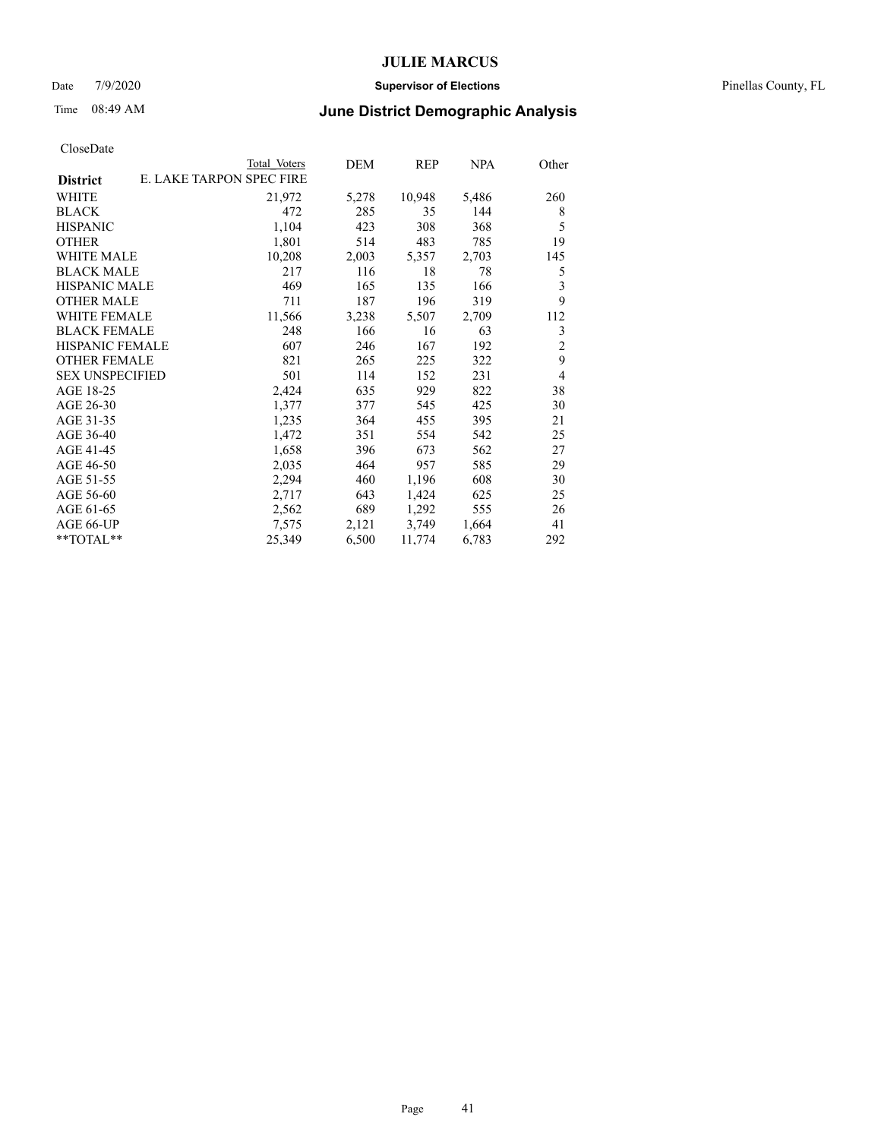### Date 7/9/2020 **Supervisor of Elections** Pinellas County, FL

# Time 08:49 AM **June District Demographic Analysis**

|                        | Total Voters             | DEM   | REP    | NPA   | Other          |
|------------------------|--------------------------|-------|--------|-------|----------------|
| <b>District</b>        | E. LAKE TARPON SPEC FIRE |       |        |       |                |
| WHITE                  | 21,972                   | 5,278 | 10,948 | 5,486 | 260            |
| <b>BLACK</b>           | 472                      | 285   | 35     | 144   | 8              |
| <b>HISPANIC</b>        | 1,104                    | 423   | 308    | 368   | 5              |
| <b>OTHER</b>           | 1,801                    | 514   | 483    | 785   | 19             |
| WHITE MALE             | 10,208                   | 2,003 | 5,357  | 2,703 | 145            |
| <b>BLACK MALE</b>      | 217                      | 116   | 18     | 78    | 5              |
| <b>HISPANIC MALE</b>   | 469                      | 165   | 135    | 166   | 3              |
| <b>OTHER MALE</b>      | 711                      | 187   | 196    | 319   | 9              |
| <b>WHITE FEMALE</b>    | 11,566                   | 3,238 | 5,507  | 2,709 | 112            |
| <b>BLACK FEMALE</b>    | 248                      | 166   | 16     | 63    | 3              |
| <b>HISPANIC FEMALE</b> | 607                      | 246   | 167    | 192   | $\overline{c}$ |
| <b>OTHER FEMALE</b>    | 821                      | 265   | 225    | 322   | 9              |
| <b>SEX UNSPECIFIED</b> | 501                      | 114   | 152    | 231   | $\overline{4}$ |
| AGE 18-25              | 2,424                    | 635   | 929    | 822   | 38             |
| AGE 26-30              | 1,377                    | 377   | 545    | 425   | 30             |
| AGE 31-35              | 1,235                    | 364   | 455    | 395   | 21             |
| AGE 36-40              | 1,472                    | 351   | 554    | 542   | 25             |
| AGE 41-45              | 1,658                    | 396   | 673    | 562   | 27             |
| AGE 46-50              | 2,035                    | 464   | 957    | 585   | 29             |
| AGE 51-55              | 2,294                    | 460   | 1,196  | 608   | 30             |
| AGE 56-60              | 2,717                    | 643   | 1,424  | 625   | 25             |
| AGE 61-65              | 2,562                    | 689   | 1,292  | 555   | 26             |
| AGE 66-UP              | 7,575                    | 2,121 | 3,749  | 1,664 | 41             |
| $*$ $TOTAL**$          | 25,349                   | 6,500 | 11,774 | 6,783 | 292            |
|                        |                          |       |        |       |                |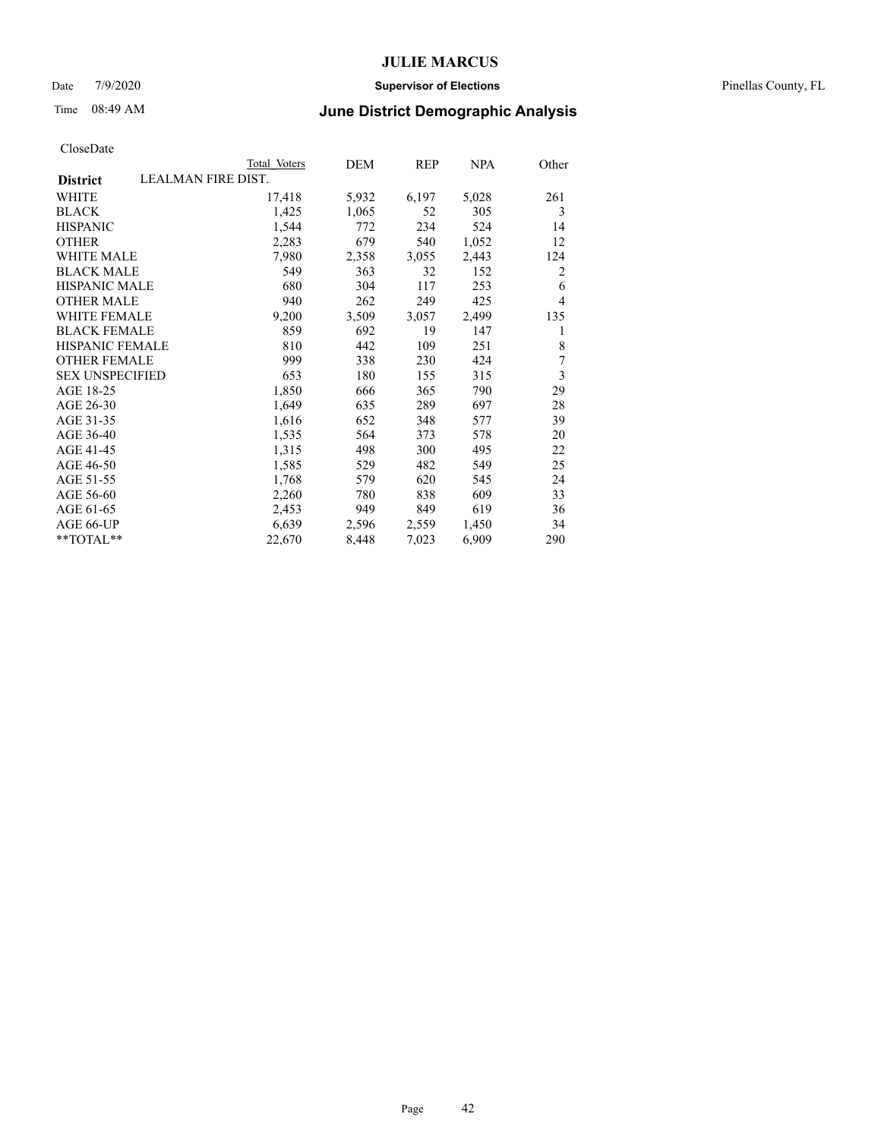### Date 7/9/2020 **Supervisor of Elections** Pinellas County, FL

| CloseDate |
|-----------|
|-----------|

|                                              | Total Voters | DEM   | REP   | <b>NPA</b> | Other |
|----------------------------------------------|--------------|-------|-------|------------|-------|
| <b>LEALMAN FIRE DIST.</b><br><b>District</b> |              |       |       |            |       |
| <b>WHITE</b>                                 | 17,418       | 5,932 | 6,197 | 5,028      | 261   |
| <b>BLACK</b>                                 | 1,425        | 1,065 | 52    | 305        | 3     |
| <b>HISPANIC</b>                              | 1,544        | 772   | 234   | 524        | 14    |
| <b>OTHER</b>                                 | 2,283        | 679   | 540   | 1,052      | 12    |
| WHITE MALE                                   | 7,980        | 2,358 | 3,055 | 2,443      | 124   |
| <b>BLACK MALE</b>                            | 549          | 363   | 32    | 152        | 2     |
| <b>HISPANIC MALE</b>                         | 680          | 304   | 117   | 253        | 6     |
| <b>OTHER MALE</b>                            | 940          | 262   | 249   | 425        | 4     |
| <b>WHITE FEMALE</b>                          | 9,200        | 3,509 | 3,057 | 2,499      | 135   |
| <b>BLACK FEMALE</b>                          | 859          | 692   | 19    | 147        | 1     |
| <b>HISPANIC FEMALE</b>                       | 810          | 442   | 109   | 251        | 8     |
| <b>OTHER FEMALE</b>                          | 999          | 338   | 230   | 424        | 7     |
| <b>SEX UNSPECIFIED</b>                       | 653          | 180   | 155   | 315        | 3     |
| AGE 18-25                                    | 1,850        | 666   | 365   | 790        | 29    |
| AGE 26-30                                    | 1,649        | 635   | 289   | 697        | 28    |
| AGE 31-35                                    | 1,616        | 652   | 348   | 577        | 39    |
| AGE 36-40                                    | 1,535        | 564   | 373   | 578        | 20    |
| AGE 41-45                                    | 1,315        | 498   | 300   | 495        | 22    |
| AGE 46-50                                    | 1,585        | 529   | 482   | 549        | 25    |
| AGE 51-55                                    | 1,768        | 579   | 620   | 545        | 24    |
| AGE 56-60                                    | 2,260        | 780   | 838   | 609        | 33    |
| AGE 61-65                                    | 2,453        | 949   | 849   | 619        | 36    |
| AGE 66-UP                                    | 6,639        | 2,596 | 2,559 | 1,450      | 34    |
| **TOTAL**                                    | 22,670       | 8,448 | 7,023 | 6,909      | 290   |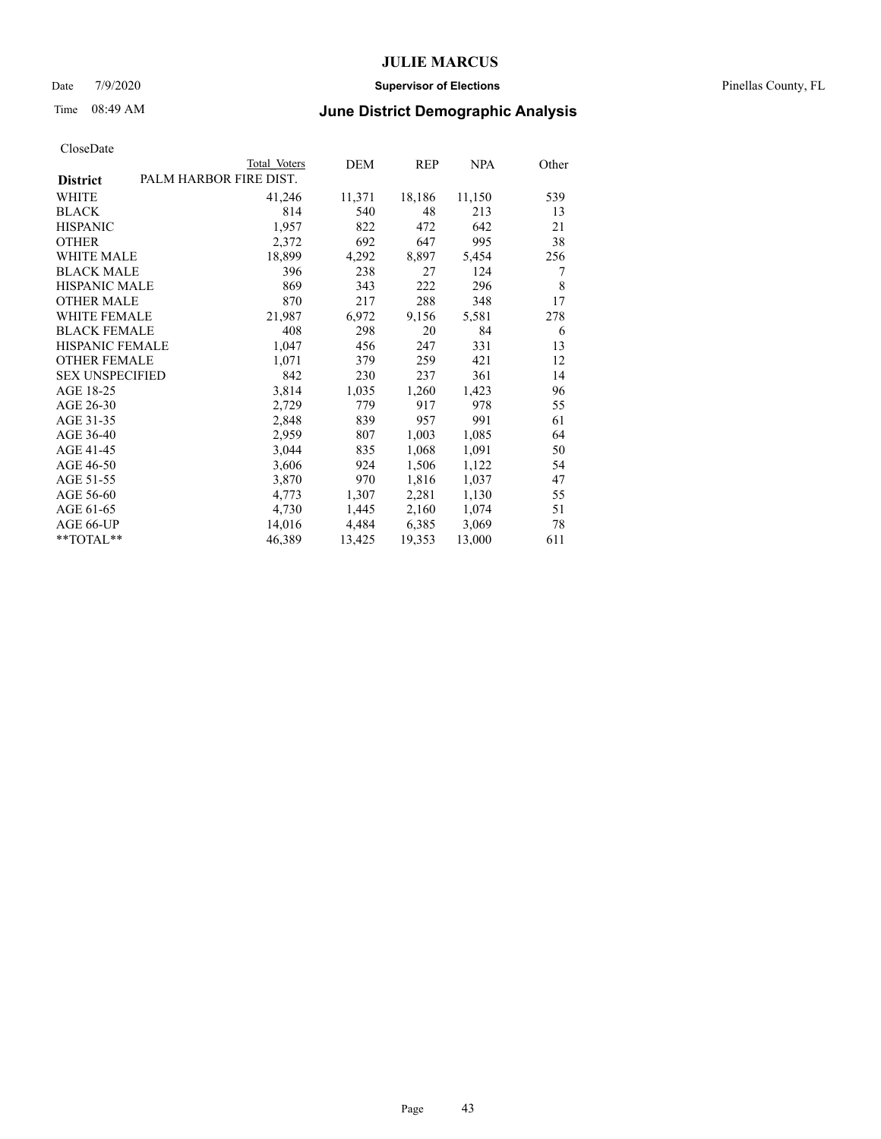### Date 7/9/2020 **Supervisor of Elections** Pinellas County, FL

# Time 08:49 AM **June District Demographic Analysis**

| Total Voters | DEM                    | REP    | NPA    | Other |
|--------------|------------------------|--------|--------|-------|
|              |                        |        |        |       |
| 41,246       | 11,371                 | 18,186 | 11,150 | 539   |
| 814          | 540                    | 48     | 213    | 13    |
| 1,957        | 822                    | 472    | 642    | 21    |
| 2,372        | 692                    | 647    | 995    | 38    |
| 18,899       | 4,292                  | 8,897  | 5,454  | 256   |
| 396          | 238                    | 27     | 124    | 7     |
| 869          | 343                    | 222    | 296    | 8     |
| 870          | 217                    | 288    | 348    | 17    |
| 21,987       | 6,972                  | 9,156  | 5,581  | 278   |
| 408          | 298                    | 20     | 84     | 6     |
| 1,047        | 456                    | 247    | 331    | 13    |
| 1,071        | 379                    | 259    | 421    | 12    |
| 842          | 230                    | 237    | 361    | 14    |
| 3,814        | 1,035                  | 1,260  | 1,423  | 96    |
| 2,729        | 779                    | 917    | 978    | 55    |
| 2,848        | 839                    | 957    | 991    | 61    |
| 2,959        | 807                    | 1,003  | 1,085  | 64    |
| 3,044        | 835                    | 1,068  | 1,091  | 50    |
| 3,606        | 924                    | 1,506  | 1,122  | 54    |
| 3,870        | 970                    | 1,816  | 1,037  | 47    |
| 4,773        | 1,307                  | 2,281  | 1,130  | 55    |
| 4,730        | 1,445                  | 2,160  | 1,074  | 51    |
| 14,016       | 4,484                  | 6,385  | 3,069  | 78    |
| 46,389       | 13,425                 | 19,353 | 13,000 | 611   |
|              | PALM HARBOR FIRE DIST. |        |        |       |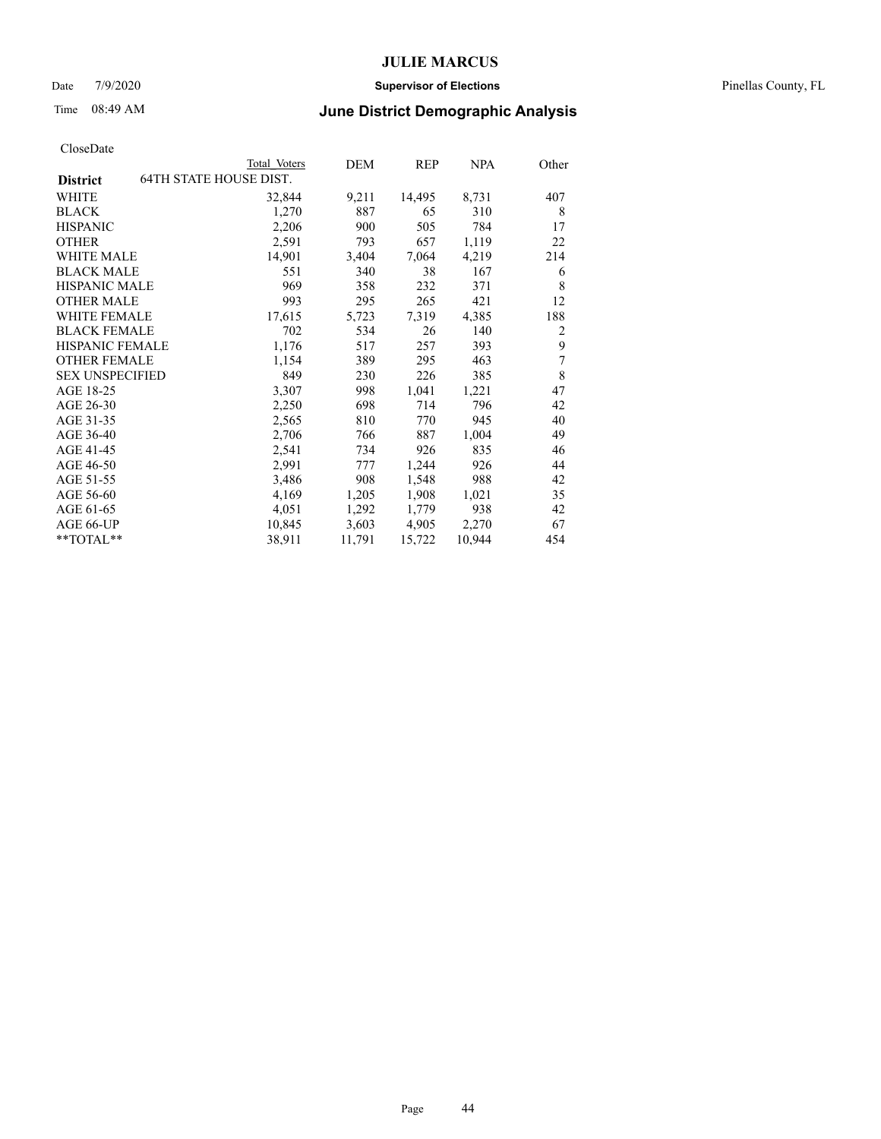### Date 7/9/2020 **Supervisor of Elections** Pinellas County, FL

# Time 08:49 AM **June District Demographic Analysis**

| <b>64TH STATE HOUSE DIST.</b><br><b>District</b><br>WHITE<br>32,844<br>9,211<br>14,495<br>8,731<br>1,270<br><b>BLACK</b><br>887<br>65<br>310<br>2,206<br>900<br>505<br><b>HISPANIC</b><br>784<br><b>OTHER</b><br>2,591<br>793<br>657<br>1,119<br>WHITE MALE<br>14,901<br>3,404<br>7,064<br>4,219<br><b>BLACK MALE</b><br>551<br>340<br>38<br>167<br><b>HISPANIC MALE</b><br>969<br>358<br>232<br>371<br>295<br>265<br>421<br><b>OTHER MALE</b><br>993<br><b>WHITE FEMALE</b><br>17,615<br>7,319<br>4,385<br>5,723<br><b>BLACK FEMALE</b><br>702<br>534<br>26<br>140<br>HISPANIC FEMALE<br>257<br>393<br>1,176<br>517<br><b>OTHER FEMALE</b><br>389<br>295<br>463<br>1,154 | 407<br>8<br>17 |
|---------------------------------------------------------------------------------------------------------------------------------------------------------------------------------------------------------------------------------------------------------------------------------------------------------------------------------------------------------------------------------------------------------------------------------------------------------------------------------------------------------------------------------------------------------------------------------------------------------------------------------------------------------------------------|----------------|
|                                                                                                                                                                                                                                                                                                                                                                                                                                                                                                                                                                                                                                                                           |                |
|                                                                                                                                                                                                                                                                                                                                                                                                                                                                                                                                                                                                                                                                           |                |
|                                                                                                                                                                                                                                                                                                                                                                                                                                                                                                                                                                                                                                                                           |                |
|                                                                                                                                                                                                                                                                                                                                                                                                                                                                                                                                                                                                                                                                           |                |
|                                                                                                                                                                                                                                                                                                                                                                                                                                                                                                                                                                                                                                                                           | 22             |
|                                                                                                                                                                                                                                                                                                                                                                                                                                                                                                                                                                                                                                                                           | 214            |
|                                                                                                                                                                                                                                                                                                                                                                                                                                                                                                                                                                                                                                                                           | 6              |
|                                                                                                                                                                                                                                                                                                                                                                                                                                                                                                                                                                                                                                                                           | 8              |
|                                                                                                                                                                                                                                                                                                                                                                                                                                                                                                                                                                                                                                                                           | 12             |
|                                                                                                                                                                                                                                                                                                                                                                                                                                                                                                                                                                                                                                                                           | 188            |
|                                                                                                                                                                                                                                                                                                                                                                                                                                                                                                                                                                                                                                                                           | $\overline{c}$ |
|                                                                                                                                                                                                                                                                                                                                                                                                                                                                                                                                                                                                                                                                           | 9              |
|                                                                                                                                                                                                                                                                                                                                                                                                                                                                                                                                                                                                                                                                           | 7              |
| <b>SEX UNSPECIFIED</b><br>849<br>385<br>230<br>226                                                                                                                                                                                                                                                                                                                                                                                                                                                                                                                                                                                                                        | $\,$ 8 $\,$    |
| AGE 18-25<br>1,041<br>1,221<br>3,307<br>998                                                                                                                                                                                                                                                                                                                                                                                                                                                                                                                                                                                                                               | 47             |
| AGE 26-30<br>2,250<br>698<br>714<br>796                                                                                                                                                                                                                                                                                                                                                                                                                                                                                                                                                                                                                                   | 42             |
| AGE 31-35<br>945<br>2,565<br>810<br>770                                                                                                                                                                                                                                                                                                                                                                                                                                                                                                                                                                                                                                   | 40             |
| AGE 36-40<br>766<br>887<br>1,004<br>2,706                                                                                                                                                                                                                                                                                                                                                                                                                                                                                                                                                                                                                                 | 49             |
| AGE 41-45<br>734<br>926<br>835<br>2,541                                                                                                                                                                                                                                                                                                                                                                                                                                                                                                                                                                                                                                   | 46             |
| AGE 46-50<br>2,991<br>1,244<br>926<br>777                                                                                                                                                                                                                                                                                                                                                                                                                                                                                                                                                                                                                                 | 44             |
| AGE 51-55<br>1,548<br>3,486<br>908<br>988                                                                                                                                                                                                                                                                                                                                                                                                                                                                                                                                                                                                                                 | 42             |
| AGE 56-60<br>1,205<br>1,908<br>4,169<br>1,021                                                                                                                                                                                                                                                                                                                                                                                                                                                                                                                                                                                                                             | 35             |
| AGE 61-65<br>4,051<br>1,292<br>1,779<br>938                                                                                                                                                                                                                                                                                                                                                                                                                                                                                                                                                                                                                               | 42             |
| AGE 66-UP<br>10,845<br>3,603<br>4,905<br>2,270                                                                                                                                                                                                                                                                                                                                                                                                                                                                                                                                                                                                                            | 67             |
| 10,944<br>$*$ $TOTAL**$<br>38,911<br>11,791<br>15,722                                                                                                                                                                                                                                                                                                                                                                                                                                                                                                                                                                                                                     | 454            |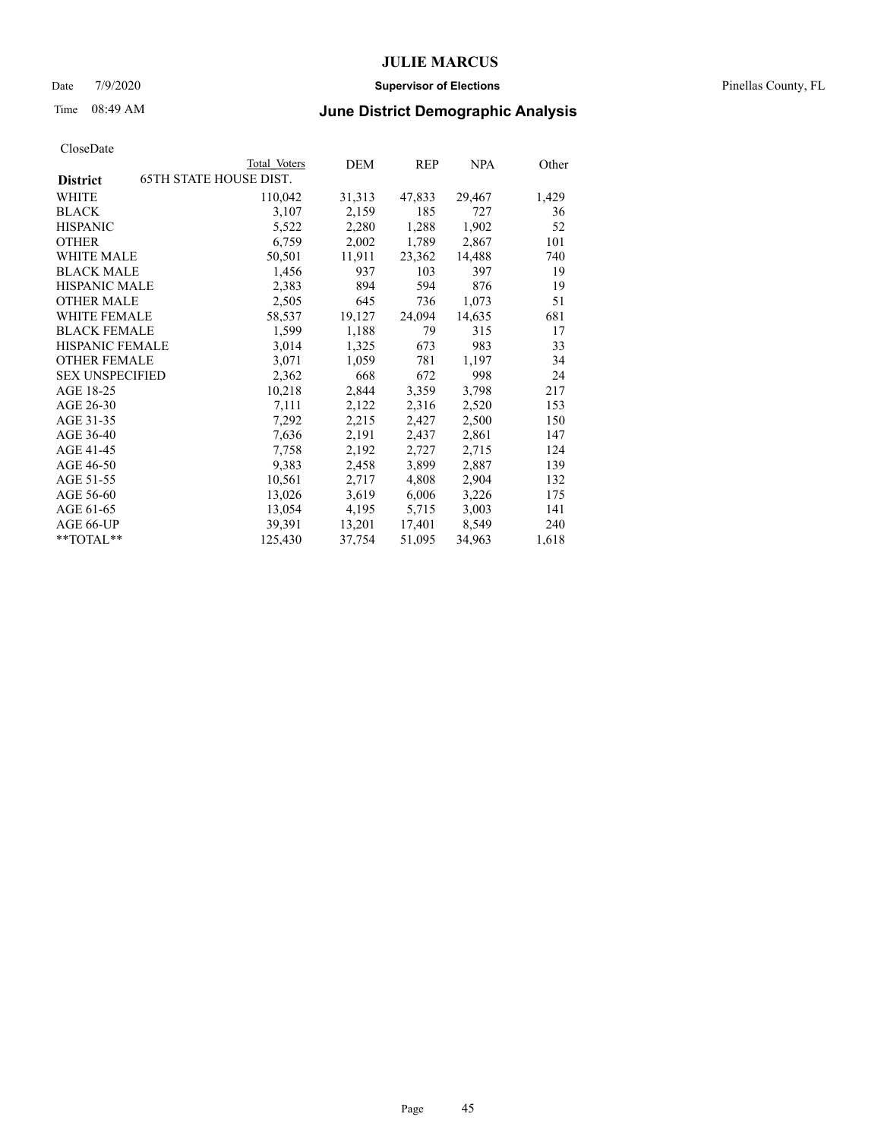### Date 7/9/2020 **Supervisor of Elections** Pinellas County, FL

# Time 08:49 AM **June District Demographic Analysis**

|                        | Total Voters                  | DEM    | REP    | <b>NPA</b> | Other |
|------------------------|-------------------------------|--------|--------|------------|-------|
| <b>District</b>        | <b>65TH STATE HOUSE DIST.</b> |        |        |            |       |
| WHITE                  | 110,042                       | 31,313 | 47,833 | 29,467     | 1,429 |
| <b>BLACK</b>           | 3,107                         | 2,159  | 185    | 727        | 36    |
| <b>HISPANIC</b>        | 5,522                         | 2,280  | 1,288  | 1,902      | 52    |
| <b>OTHER</b>           | 6,759                         | 2,002  | 1,789  | 2,867      | 101   |
| WHITE MALE             | 50,501                        | 11,911 | 23,362 | 14,488     | 740   |
| <b>BLACK MALE</b>      | 1,456                         | 937    | 103    | 397        | 19    |
| <b>HISPANIC MALE</b>   | 2,383                         | 894    | 594    | 876        | 19    |
| <b>OTHER MALE</b>      | 2,505                         | 645    | 736    | 1,073      | 51    |
| <b>WHITE FEMALE</b>    | 58,537                        | 19,127 | 24,094 | 14,635     | 681   |
| <b>BLACK FEMALE</b>    | 1,599                         | 1,188  | 79     | 315        | 17    |
| <b>HISPANIC FEMALE</b> | 3,014                         | 1,325  | 673    | 983        | 33    |
| <b>OTHER FEMALE</b>    | 3,071                         | 1,059  | 781    | 1,197      | 34    |
| <b>SEX UNSPECIFIED</b> | 2,362                         | 668    | 672    | 998        | 24    |
| AGE 18-25              | 10,218                        | 2,844  | 3,359  | 3,798      | 217   |
| AGE 26-30              | 7,111                         | 2,122  | 2,316  | 2,520      | 153   |
| AGE 31-35              | 7,292                         | 2,215  | 2,427  | 2,500      | 150   |
| AGE 36-40              | 7,636                         | 2,191  | 2,437  | 2,861      | 147   |
| AGE 41-45              | 7,758                         | 2,192  | 2,727  | 2,715      | 124   |
| AGE 46-50              | 9,383                         | 2,458  | 3,899  | 2,887      | 139   |
| AGE 51-55              | 10,561                        | 2,717  | 4,808  | 2,904      | 132   |
| AGE 56-60              | 13,026                        | 3,619  | 6,006  | 3,226      | 175   |
| AGE 61-65              | 13,054                        | 4,195  | 5,715  | 3,003      | 141   |
| AGE 66-UP              | 39,391                        | 13,201 | 17,401 | 8,549      | 240   |
| $*$ $TOTAL**$          | 125,430                       | 37,754 | 51,095 | 34,963     | 1,618 |
|                        |                               |        |        |            |       |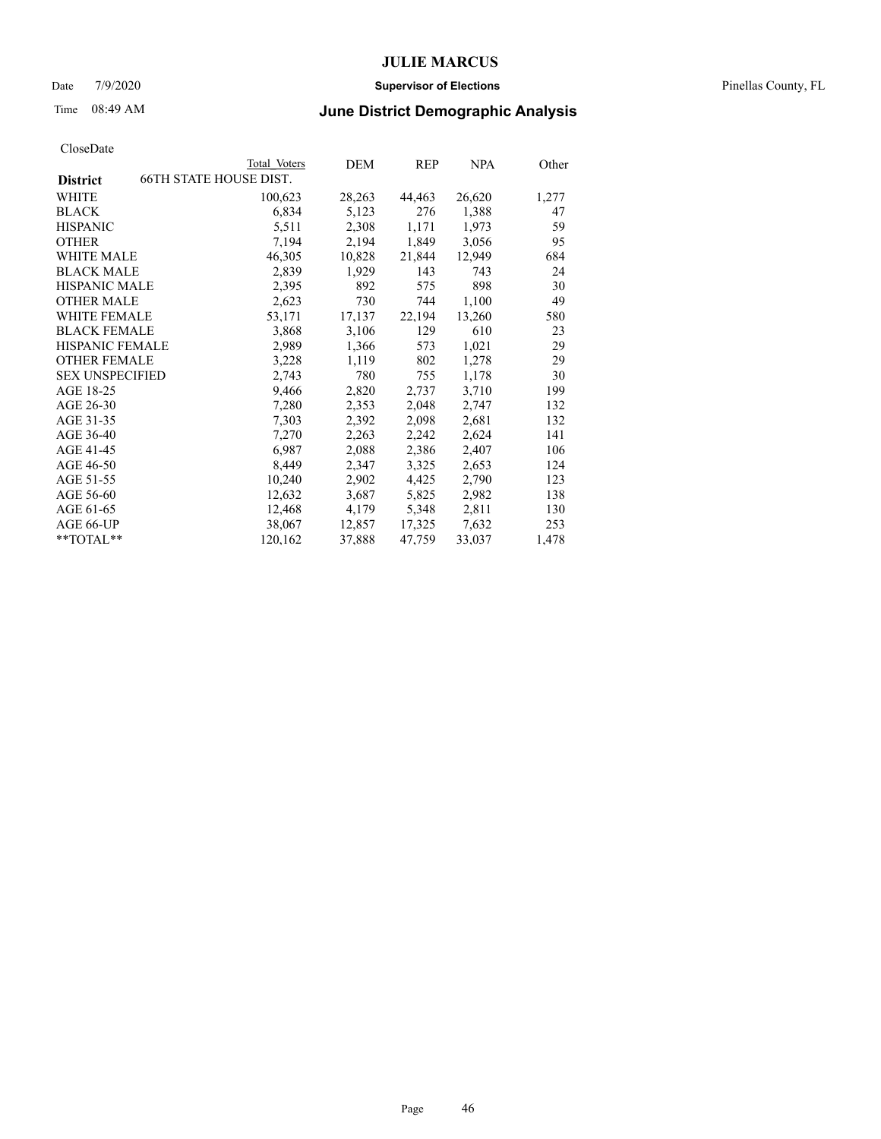### Date 7/9/2020 **Supervisor of Elections** Pinellas County, FL

# Time 08:49 AM **June District Demographic Analysis**

|                        |                               | Total Voters | DEM    | REP    | <b>NPA</b> | Other |
|------------------------|-------------------------------|--------------|--------|--------|------------|-------|
| <b>District</b>        | <b>66TH STATE HOUSE DIST.</b> |              |        |        |            |       |
| WHITE                  |                               | 100,623      | 28,263 | 44,463 | 26,620     | 1,277 |
| <b>BLACK</b>           |                               | 6,834        | 5,123  | 276    | 1,388      | 47    |
| <b>HISPANIC</b>        |                               | 5,511        | 2,308  | 1,171  | 1,973      | 59    |
| <b>OTHER</b>           |                               | 7,194        | 2,194  | 1,849  | 3,056      | 95    |
| WHITE MALE             |                               | 46,305       | 10,828 | 21,844 | 12,949     | 684   |
| <b>BLACK MALE</b>      |                               | 2,839        | 1,929  | 143    | 743        | 24    |
| <b>HISPANIC MALE</b>   |                               | 2,395        | 892    | 575    | 898        | 30    |
| <b>OTHER MALE</b>      |                               | 2,623        | 730    | 744    | 1,100      | 49    |
| <b>WHITE FEMALE</b>    |                               | 53,171       | 17,137 | 22,194 | 13,260     | 580   |
| <b>BLACK FEMALE</b>    |                               | 3,868        | 3,106  | 129    | 610        | 23    |
| <b>HISPANIC FEMALE</b> |                               | 2,989        | 1,366  | 573    | 1,021      | 29    |
| <b>OTHER FEMALE</b>    |                               | 3,228        | 1,119  | 802    | 1,278      | 29    |
| <b>SEX UNSPECIFIED</b> |                               | 2,743        | 780    | 755    | 1,178      | 30    |
| AGE 18-25              |                               | 9,466        | 2,820  | 2,737  | 3,710      | 199   |
| AGE 26-30              |                               | 7,280        | 2,353  | 2,048  | 2,747      | 132   |
| AGE 31-35              |                               | 7,303        | 2,392  | 2,098  | 2,681      | 132   |
| AGE 36-40              |                               | 7,270        | 2,263  | 2,242  | 2,624      | 141   |
| AGE 41-45              |                               | 6,987        | 2,088  | 2,386  | 2,407      | 106   |
| AGE 46-50              |                               | 8,449        | 2,347  | 3,325  | 2,653      | 124   |
| AGE 51-55              |                               | 10,240       | 2,902  | 4,425  | 2,790      | 123   |
| AGE 56-60              |                               | 12,632       | 3,687  | 5,825  | 2,982      | 138   |
| AGE 61-65              |                               | 12,468       | 4,179  | 5,348  | 2,811      | 130   |
| AGE 66-UP              |                               | 38,067       | 12,857 | 17,325 | 7,632      | 253   |
| $*$ $TOTAL**$          |                               | 120,162      | 37,888 | 47,759 | 33,037     | 1,478 |
|                        |                               |              |        |        |            |       |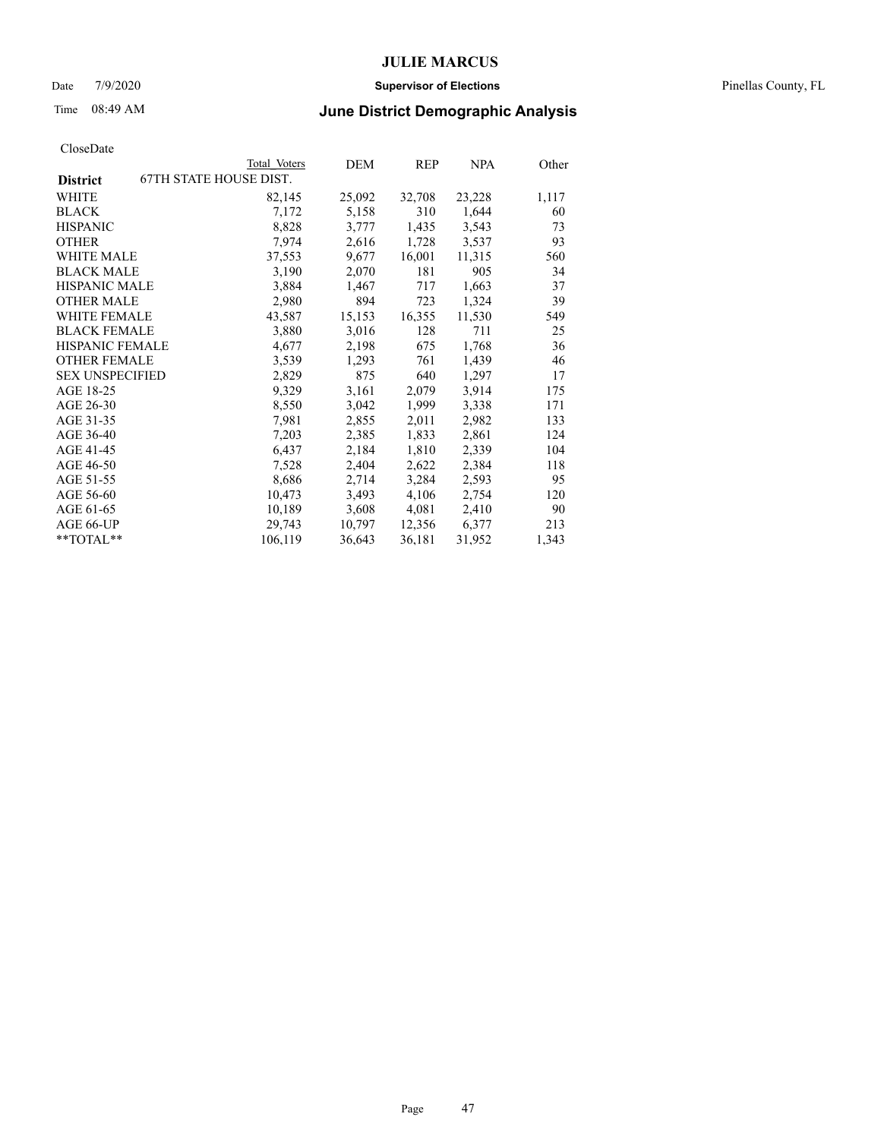### Date 7/9/2020 **Supervisor of Elections** Pinellas County, FL

# Time 08:49 AM **June District Demographic Analysis**

|                        | Total Voters                  | DEM    | REP    | <b>NPA</b> | Other |
|------------------------|-------------------------------|--------|--------|------------|-------|
| <b>District</b>        | <b>67TH STATE HOUSE DIST.</b> |        |        |            |       |
| WHITE                  | 82,145                        | 25,092 | 32,708 | 23,228     | 1,117 |
| <b>BLACK</b>           | 7,172                         | 5,158  | 310    | 1,644      | 60    |
| <b>HISPANIC</b>        | 8,828                         | 3,777  | 1,435  | 3,543      | 73    |
| <b>OTHER</b>           | 7,974                         | 2,616  | 1,728  | 3,537      | 93    |
| WHITE MALE             | 37,553                        | 9,677  | 16,001 | 11,315     | 560   |
| <b>BLACK MALE</b>      | 3,190                         | 2,070  | 181    | 905        | 34    |
| <b>HISPANIC MALE</b>   | 3,884                         | 1,467  | 717    | 1,663      | 37    |
| <b>OTHER MALE</b>      | 2,980                         | 894    | 723    | 1,324      | 39    |
| <b>WHITE FEMALE</b>    | 43,587                        | 15,153 | 16,355 | 11,530     | 549   |
| <b>BLACK FEMALE</b>    | 3,880                         | 3,016  | 128    | 711        | 25    |
| <b>HISPANIC FEMALE</b> | 4,677                         | 2,198  | 675    | 1,768      | 36    |
| <b>OTHER FEMALE</b>    | 3,539                         | 1,293  | 761    | 1,439      | 46    |
| <b>SEX UNSPECIFIED</b> | 2,829                         | 875    | 640    | 1,297      | 17    |
| AGE 18-25              | 9,329                         | 3,161  | 2,079  | 3,914      | 175   |
| AGE 26-30              | 8,550                         | 3,042  | 1,999  | 3,338      | 171   |
| AGE 31-35              | 7,981                         | 2,855  | 2,011  | 2,982      | 133   |
| AGE 36-40              | 7,203                         | 2,385  | 1,833  | 2,861      | 124   |
| AGE 41-45              | 6,437                         | 2,184  | 1,810  | 2,339      | 104   |
| AGE 46-50              | 7,528                         | 2,404  | 2,622  | 2,384      | 118   |
| AGE 51-55              | 8,686                         | 2,714  | 3,284  | 2,593      | 95    |
| AGE 56-60              | 10,473                        | 3,493  | 4,106  | 2,754      | 120   |
| AGE 61-65              | 10,189                        | 3,608  | 4,081  | 2,410      | 90    |
| AGE 66-UP              | 29,743                        | 10,797 | 12,356 | 6,377      | 213   |
| **TOTAL**              | 106,119                       | 36,643 | 36,181 | 31,952     | 1,343 |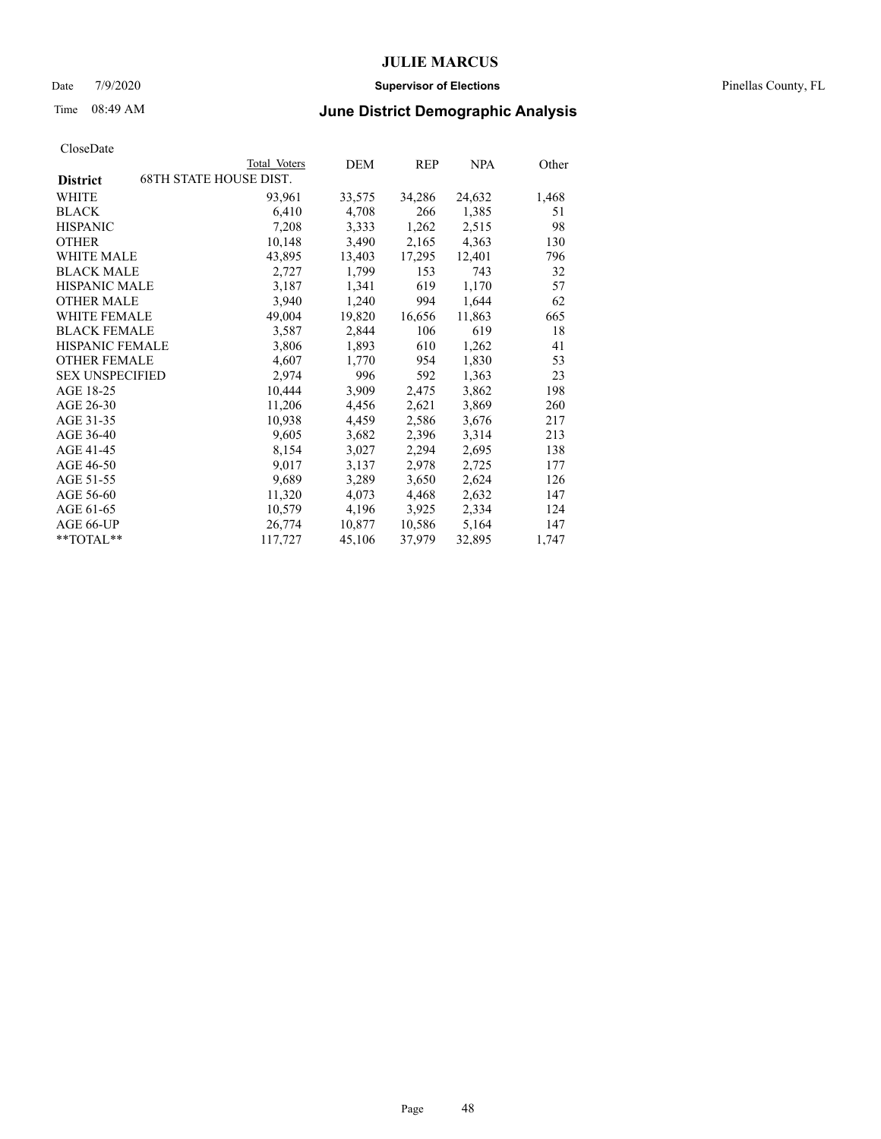### Date 7/9/2020 **Supervisor of Elections** Pinellas County, FL

# Time 08:49 AM **June District Demographic Analysis**

| Total Voters                  | DEM    | REP    | <b>NPA</b> | Other |
|-------------------------------|--------|--------|------------|-------|
| <b>68TH STATE HOUSE DIST.</b> |        |        |            |       |
| 93,961                        | 33,575 | 34,286 | 24,632     | 1,468 |
| 6,410                         | 4,708  | 266    | 1,385      | 51    |
| 7,208                         | 3,333  | 1,262  | 2,515      | 98    |
| 10,148                        | 3,490  | 2,165  | 4,363      | 130   |
| 43,895                        | 13,403 | 17,295 | 12,401     | 796   |
| 2,727                         | 1,799  | 153    | 743        | 32    |
| 3,187                         | 1,341  | 619    | 1,170      | 57    |
| 3,940                         | 1,240  | 994    | 1,644      | 62    |
| 49,004                        | 19,820 | 16,656 | 11,863     | 665   |
| 3,587                         | 2,844  | 106    | 619        | 18    |
| 3,806                         | 1,893  | 610    | 1,262      | 41    |
| 4,607                         | 1,770  | 954    | 1,830      | 53    |
| 2,974                         | 996    | 592    | 1,363      | 23    |
| 10,444                        | 3,909  | 2,475  | 3,862      | 198   |
| 11,206                        | 4,456  | 2,621  | 3,869      | 260   |
| 10,938                        | 4,459  | 2,586  | 3,676      | 217   |
| 9,605                         | 3,682  | 2,396  | 3,314      | 213   |
| 8,154                         | 3,027  | 2,294  | 2,695      | 138   |
| 9,017                         | 3,137  | 2,978  | 2,725      | 177   |
| 9,689                         | 3,289  | 3,650  | 2,624      | 126   |
| 11,320                        | 4,073  | 4,468  | 2,632      | 147   |
| 10,579                        | 4,196  | 3,925  | 2,334      | 124   |
| 26,774                        | 10,877 | 10,586 | 5,164      | 147   |
| 117,727                       | 45,106 | 37,979 | 32,895     | 1,747 |
|                               |        |        |            |       |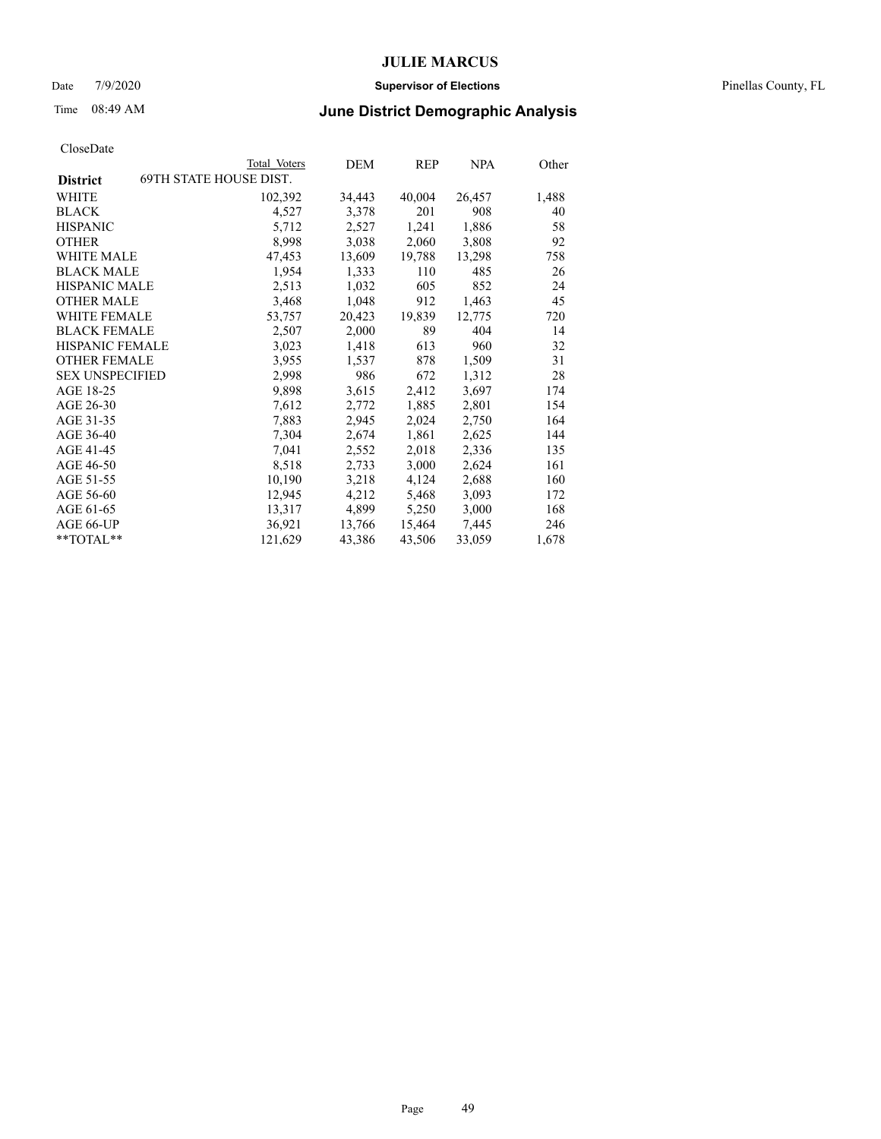### Date 7/9/2020 **Supervisor of Elections** Pinellas County, FL

# Time 08:49 AM **June District Demographic Analysis**

|                                                  | Total Voters | DEM    | REP    | <b>NPA</b> | Other |
|--------------------------------------------------|--------------|--------|--------|------------|-------|
| <b>69TH STATE HOUSE DIST.</b><br><b>District</b> |              |        |        |            |       |
| WHITE                                            | 102,392      | 34,443 | 40,004 | 26,457     | 1,488 |
| <b>BLACK</b>                                     | 4,527        | 3,378  | 201    | 908        | 40    |
| <b>HISPANIC</b>                                  | 5,712        | 2,527  | 1,241  | 1,886      | 58    |
| <b>OTHER</b>                                     | 8,998        | 3,038  | 2,060  | 3,808      | 92    |
| WHITE MALE                                       | 47,453       | 13,609 | 19,788 | 13,298     | 758   |
| <b>BLACK MALE</b>                                | 1,954        | 1,333  | 110    | 485        | 26    |
| <b>HISPANIC MALE</b>                             | 2,513        | 1,032  | 605    | 852        | 24    |
| <b>OTHER MALE</b>                                | 3,468        | 1,048  | 912    | 1,463      | 45    |
| WHITE FEMALE                                     | 53,757       | 20,423 | 19,839 | 12,775     | 720   |
| <b>BLACK FEMALE</b>                              | 2,507        | 2,000  | 89     | 404        | 14    |
| HISPANIC FEMALE                                  | 3,023        | 1,418  | 613    | 960        | 32    |
| <b>OTHER FEMALE</b>                              | 3,955        | 1,537  | 878    | 1,509      | 31    |
| <b>SEX UNSPECIFIED</b>                           | 2,998        | 986    | 672    | 1,312      | 28    |
| AGE 18-25                                        | 9,898        | 3,615  | 2,412  | 3,697      | 174   |
| AGE 26-30                                        | 7,612        | 2,772  | 1,885  | 2,801      | 154   |
| AGE 31-35                                        | 7,883        | 2,945  | 2,024  | 2,750      | 164   |
| AGE 36-40                                        | 7,304        | 2,674  | 1,861  | 2,625      | 144   |
| AGE 41-45                                        | 7,041        | 2,552  | 2,018  | 2,336      | 135   |
| AGE 46-50                                        | 8,518        | 2,733  | 3,000  | 2,624      | 161   |
| AGE 51-55                                        | 10,190       | 3,218  | 4,124  | 2,688      | 160   |
| AGE 56-60                                        | 12,945       | 4,212  | 5,468  | 3,093      | 172   |
| AGE 61-65                                        | 13,317       | 4,899  | 5,250  | 3,000      | 168   |
| AGE 66-UP                                        | 36,921       | 13,766 | 15,464 | 7,445      | 246   |
| $*$ $TOTAL**$                                    | 121,629      | 43,386 | 43,506 | 33,059     | 1,678 |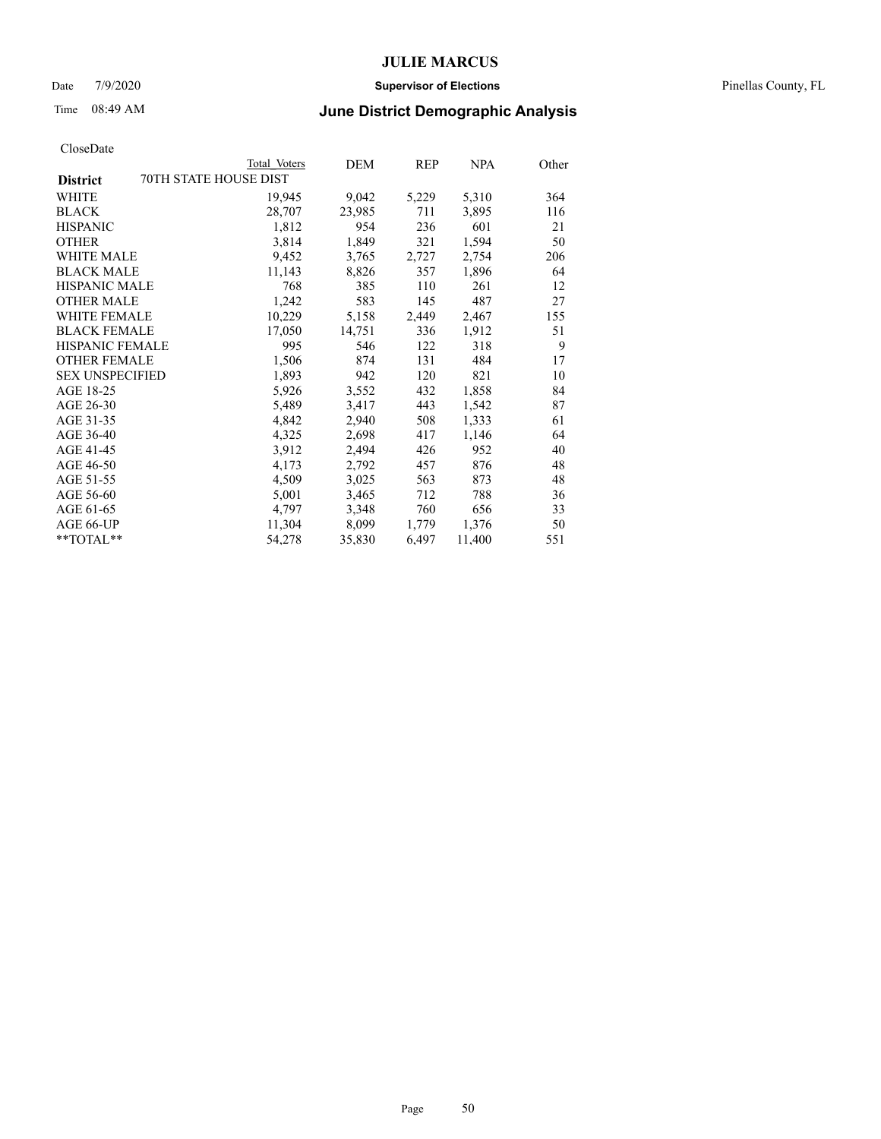### Date 7/9/2020 **Supervisor of Elections** Pinellas County, FL

# Time 08:49 AM **June District Demographic Analysis**

|                        | Total Voters          | DEM    | <b>REP</b> | <b>NPA</b> | Other |
|------------------------|-----------------------|--------|------------|------------|-------|
| <b>District</b>        | 70TH STATE HOUSE DIST |        |            |            |       |
| WHITE                  | 19,945                | 9,042  | 5,229      | 5,310      | 364   |
| <b>BLACK</b>           | 28,707                | 23,985 | 711        | 3,895      | 116   |
| <b>HISPANIC</b>        | 1,812                 | 954    | 236        | 601        | 21    |
| <b>OTHER</b>           | 3,814                 | 1,849  | 321        | 1,594      | 50    |
| <b>WHITE MALE</b>      | 9,452                 | 3,765  | 2,727      | 2,754      | 206   |
| <b>BLACK MALE</b>      | 11,143                | 8,826  | 357        | 1,896      | 64    |
| HISPANIC MALE          | 768                   | 385    | 110        | 261        | 12    |
| <b>OTHER MALE</b>      | 1,242                 | 583    | 145        | 487        | 27    |
| <b>WHITE FEMALE</b>    | 10,229                | 5,158  | 2,449      | 2,467      | 155   |
| <b>BLACK FEMALE</b>    | 17,050                | 14,751 | 336        | 1,912      | 51    |
| <b>HISPANIC FEMALE</b> | 995                   | 546    | 122        | 318        | 9     |
| <b>OTHER FEMALE</b>    | 1,506                 | 874    | 131        | 484        | 17    |
| <b>SEX UNSPECIFIED</b> | 1,893                 | 942    | 120        | 821        | 10    |
| AGE 18-25              | 5,926                 | 3,552  | 432        | 1,858      | 84    |
| AGE 26-30              | 5,489                 | 3,417  | 443        | 1,542      | 87    |
| AGE 31-35              | 4,842                 | 2,940  | 508        | 1,333      | 61    |
| AGE 36-40              | 4,325                 | 2,698  | 417        | 1,146      | 64    |
| AGE 41-45              | 3,912                 | 2,494  | 426        | 952        | 40    |
| AGE 46-50              | 4,173                 | 2,792  | 457        | 876        | 48    |
| AGE 51-55              | 4,509                 | 3,025  | 563        | 873        | 48    |
| AGE 56-60              | 5,001                 | 3,465  | 712        | 788        | 36    |
| AGE 61-65              | 4,797                 | 3,348  | 760        | 656        | 33    |
| AGE 66-UP              | 11,304                | 8,099  | 1,779      | 1,376      | 50    |
| $*$ $TOTAL**$          | 54,278                | 35,830 | 6,497      | 11,400     | 551   |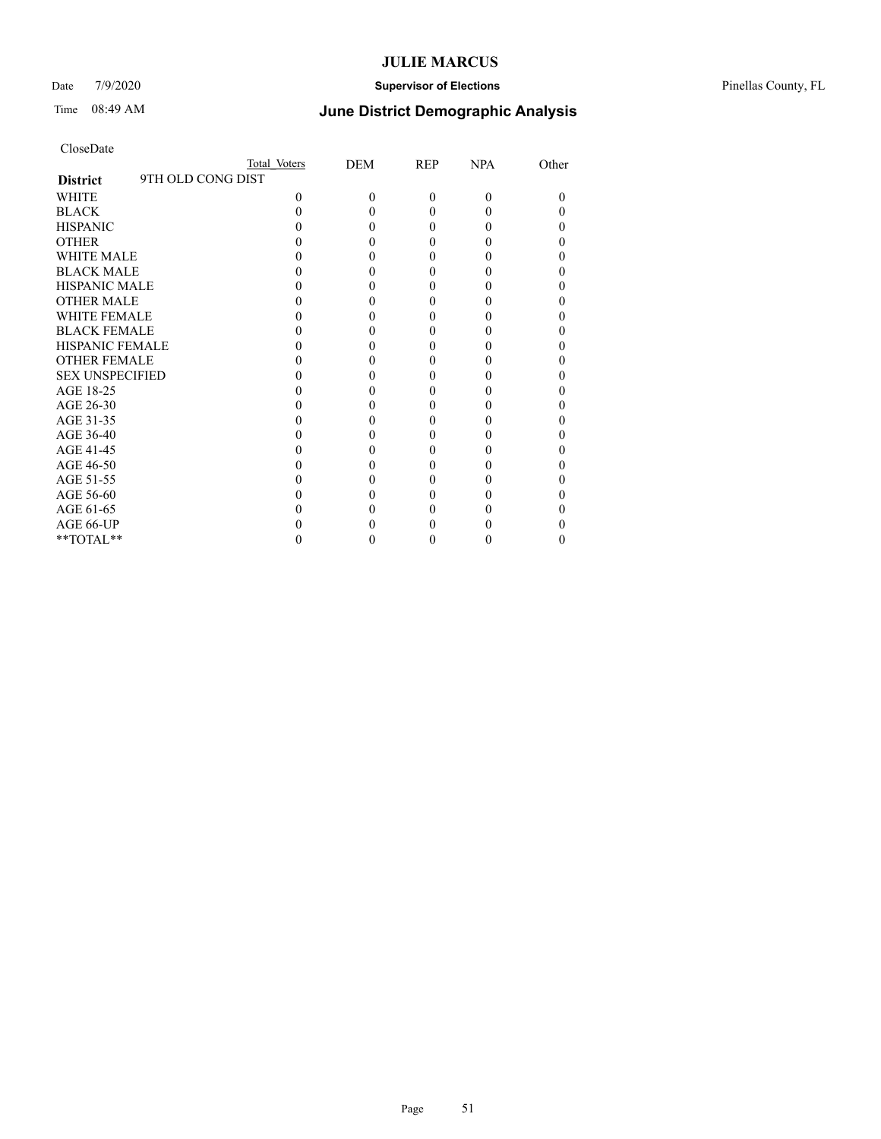### Date 7/9/2020 **Supervisor of Elections** Pinellas County, FL

## Time 08:49 AM **June District Demographic Analysis**

|                                      | Total Voters | DEM      | REP      | <b>NPA</b> | Other |
|--------------------------------------|--------------|----------|----------|------------|-------|
| 9TH OLD CONG DIST<br><b>District</b> |              |          |          |            |       |
| WHITE                                | $\theta$     | $\Omega$ | $\theta$ | $\Omega$   | 0     |
| <b>BLACK</b>                         |              |          | 0        |            |       |
| <b>HISPANIC</b>                      |              | 0        | 0        |            |       |
| <b>OTHER</b>                         |              |          |          |            |       |
| <b>WHITE MALE</b>                    |              |          |          |            |       |
| <b>BLACK MALE</b>                    |              |          |          |            |       |
| <b>HISPANIC MALE</b>                 |              |          |          |            |       |
| <b>OTHER MALE</b>                    |              |          | 0        |            |       |
| <b>WHITE FEMALE</b>                  |              |          |          |            |       |
| <b>BLACK FEMALE</b>                  |              |          | 0        |            |       |
| <b>HISPANIC FEMALE</b>               |              |          |          |            |       |
| <b>OTHER FEMALE</b>                  |              |          |          |            |       |
| <b>SEX UNSPECIFIED</b>               |              |          |          |            |       |
| AGE 18-25                            |              |          |          |            |       |
| AGE 26-30                            |              |          |          |            |       |
| AGE 31-35                            |              |          |          |            |       |
| AGE 36-40                            |              |          | 0        |            |       |
| AGE 41-45                            |              |          |          |            |       |
| AGE 46-50                            |              |          | 0        |            |       |
| AGE 51-55                            |              |          |          |            |       |
| AGE 56-60                            |              |          | 0        |            |       |
| AGE 61-65                            |              |          |          |            |       |
| AGE 66-UP                            |              |          |          |            |       |
| **TOTAL**                            |              |          | 0        |            | 0     |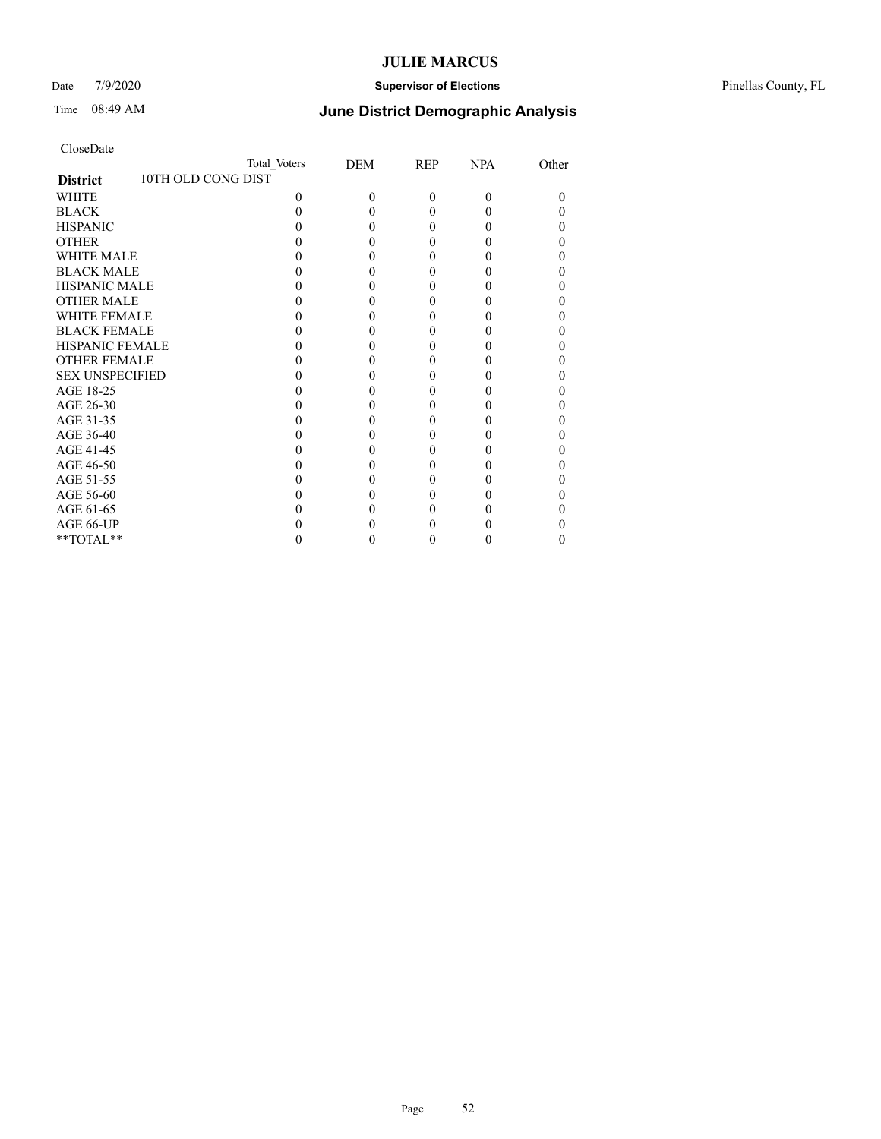### Date 7/9/2020 **Supervisor of Elections** Pinellas County, FL

## Time 08:49 AM **June District Demographic Analysis**

|                                       | Total Voters | DEM      | REP      | <b>NPA</b> | Other |
|---------------------------------------|--------------|----------|----------|------------|-------|
| 10TH OLD CONG DIST<br><b>District</b> |              |          |          |            |       |
| WHITE                                 | $\theta$     | $\Omega$ | $\theta$ | $\Omega$   | 0     |
| <b>BLACK</b>                          |              |          | 0        |            |       |
| <b>HISPANIC</b>                       |              | 0        | 0        |            |       |
| <b>OTHER</b>                          |              |          |          |            |       |
| <b>WHITE MALE</b>                     |              |          |          |            |       |
| <b>BLACK MALE</b>                     |              |          |          |            |       |
| <b>HISPANIC MALE</b>                  |              |          |          |            |       |
| <b>OTHER MALE</b>                     |              |          | 0        |            |       |
| <b>WHITE FEMALE</b>                   |              |          |          |            |       |
| <b>BLACK FEMALE</b>                   |              |          | 0        |            |       |
| <b>HISPANIC FEMALE</b>                |              |          |          |            |       |
| <b>OTHER FEMALE</b>                   |              |          |          |            |       |
| <b>SEX UNSPECIFIED</b>                |              |          |          |            |       |
| AGE 18-25                             |              |          |          |            |       |
| AGE 26-30                             |              |          |          |            |       |
| AGE 31-35                             |              |          |          |            |       |
| AGE 36-40                             |              |          | 0        |            |       |
| AGE 41-45                             |              |          |          |            |       |
| AGE 46-50                             |              |          | 0        |            |       |
| AGE 51-55                             |              |          |          |            |       |
| AGE 56-60                             |              |          | 0        |            |       |
| AGE 61-65                             |              |          |          |            |       |
| AGE 66-UP                             |              |          |          |            |       |
| **TOTAL**                             |              |          | 0        |            | 0     |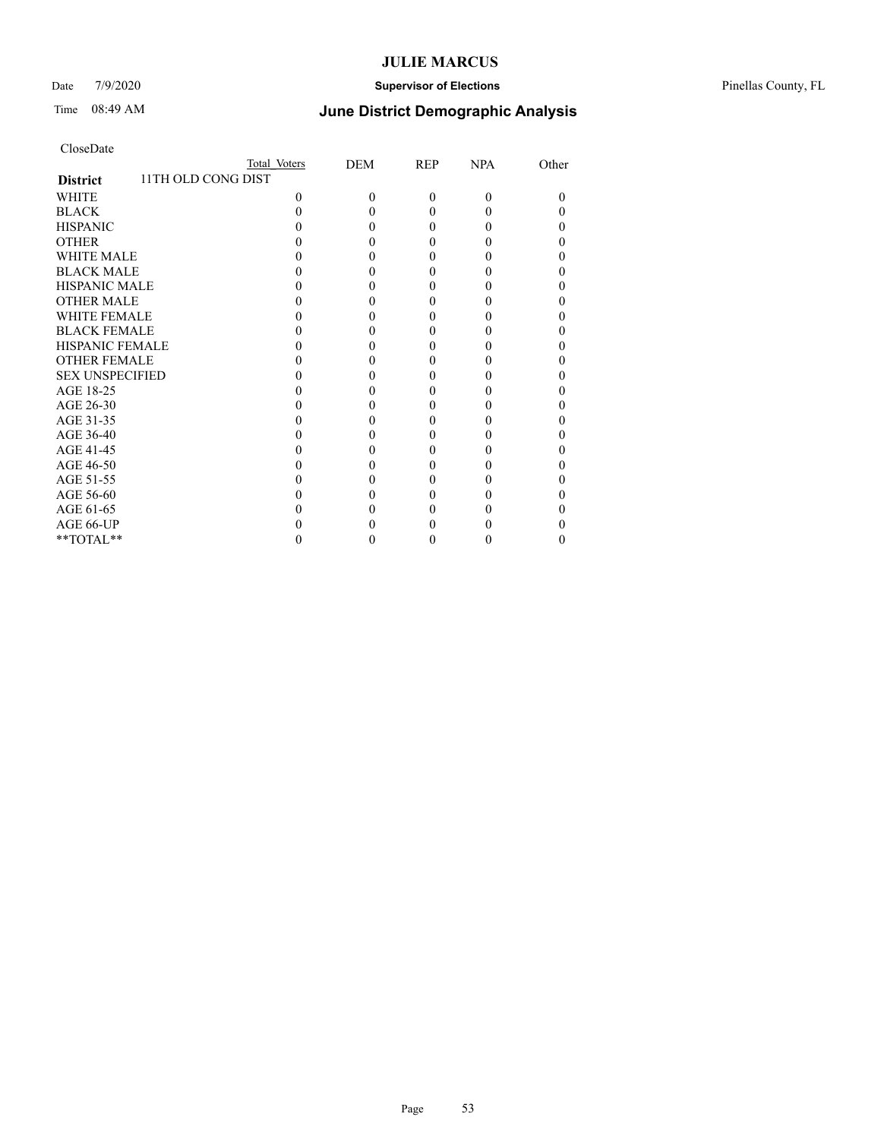### Date 7/9/2020 **Supervisor of Elections** Pinellas County, FL

## Time 08:49 AM **June District Demographic Analysis**

|                                       | Total Voters | DEM      | REP      | <b>NPA</b> | Other |
|---------------------------------------|--------------|----------|----------|------------|-------|
| 11TH OLD CONG DIST<br><b>District</b> |              |          |          |            |       |
| WHITE                                 | $\Omega$     | $\theta$ | $\theta$ | $\Omega$   | 0     |
| <b>BLACK</b>                          |              | 0        | 0        |            |       |
| <b>HISPANIC</b>                       |              | 0        | 0        |            | 0     |
| <b>OTHER</b>                          |              |          |          |            |       |
| <b>WHITE MALE</b>                     |              |          |          |            |       |
| <b>BLACK MALE</b>                     |              |          |          |            |       |
| <b>HISPANIC MALE</b>                  |              |          |          |            |       |
| <b>OTHER MALE</b>                     |              |          |          |            |       |
| <b>WHITE FEMALE</b>                   |              |          |          |            |       |
| <b>BLACK FEMALE</b>                   |              | 0        |          |            |       |
| <b>HISPANIC FEMALE</b>                |              |          |          |            |       |
| <b>OTHER FEMALE</b>                   |              |          |          |            |       |
| <b>SEX UNSPECIFIED</b>                |              |          |          |            |       |
| AGE 18-25                             |              |          |          |            |       |
| AGE 26-30                             |              |          |          |            | 0     |
| AGE 31-35                             |              |          |          |            |       |
| AGE 36-40                             |              |          |          |            | 0     |
| AGE 41-45                             |              |          |          |            |       |
| AGE 46-50                             |              | 0        |          |            |       |
| AGE 51-55                             |              |          |          |            |       |
| AGE 56-60                             |              |          |          |            |       |
| AGE 61-65                             |              |          |          |            |       |
| AGE 66-UP                             |              |          |          |            |       |
| **TOTAL**                             |              |          | 0        |            | 0     |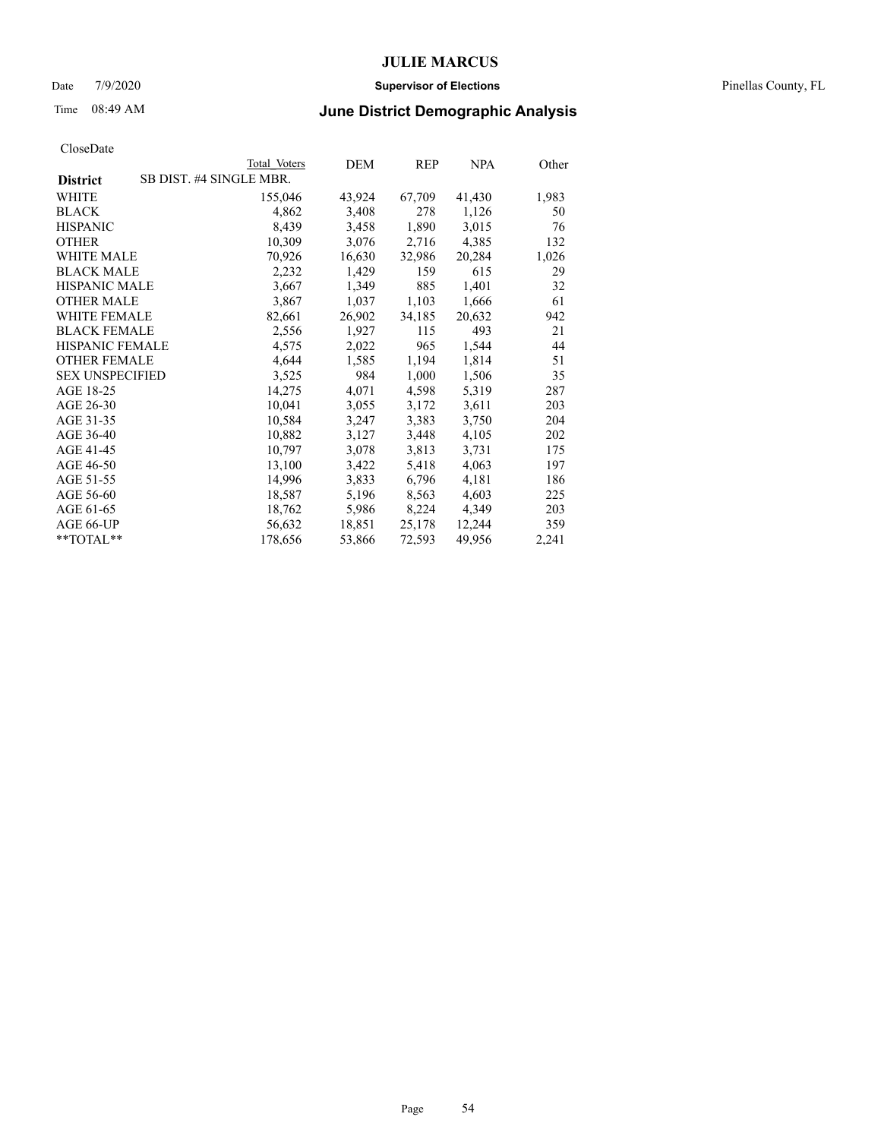### Date 7/9/2020 **Supervisor of Elections** Pinellas County, FL

# Time 08:49 AM **June District Demographic Analysis**

|                        | Total Voters            | DEM    | REP    | <b>NPA</b> | Other |
|------------------------|-------------------------|--------|--------|------------|-------|
| <b>District</b>        | SB DIST. #4 SINGLE MBR. |        |        |            |       |
| <b>WHITE</b>           | 155,046                 | 43,924 | 67,709 | 41,430     | 1,983 |
| <b>BLACK</b>           | 4,862                   | 3,408  | 278    | 1,126      | 50    |
| <b>HISPANIC</b>        | 8,439                   | 3,458  | 1,890  | 3,015      | 76    |
| <b>OTHER</b>           | 10,309                  | 3,076  | 2,716  | 4,385      | 132   |
| WHITE MALE             | 70,926                  | 16,630 | 32,986 | 20,284     | 1,026 |
| <b>BLACK MALE</b>      | 2,232                   | 1,429  | 159    | 615        | 29    |
| <b>HISPANIC MALE</b>   | 3,667                   | 1,349  | 885    | 1,401      | 32    |
| <b>OTHER MALE</b>      | 3,867                   | 1,037  | 1,103  | 1,666      | 61    |
| <b>WHITE FEMALE</b>    | 82,661                  | 26,902 | 34,185 | 20,632     | 942   |
| <b>BLACK FEMALE</b>    | 2,556                   | 1,927  | 115    | 493        | 21    |
| <b>HISPANIC FEMALE</b> | 4,575                   | 2,022  | 965    | 1,544      | 44    |
| <b>OTHER FEMALE</b>    | 4,644                   | 1,585  | 1,194  | 1,814      | 51    |
| <b>SEX UNSPECIFIED</b> | 3,525                   | 984    | 1,000  | 1,506      | 35    |
| AGE 18-25              | 14,275                  | 4,071  | 4,598  | 5,319      | 287   |
| AGE 26-30              | 10,041                  | 3,055  | 3,172  | 3,611      | 203   |
| AGE 31-35              | 10,584                  | 3,247  | 3,383  | 3,750      | 204   |
| AGE 36-40              | 10,882                  | 3,127  | 3,448  | 4,105      | 202   |
| AGE 41-45              | 10,797                  | 3,078  | 3,813  | 3,731      | 175   |
| AGE 46-50              | 13,100                  | 3,422  | 5,418  | 4,063      | 197   |
| AGE 51-55              | 14,996                  | 3,833  | 6,796  | 4,181      | 186   |
| AGE 56-60              | 18,587                  | 5,196  | 8,563  | 4,603      | 225   |
| AGE 61-65              | 18,762                  | 5,986  | 8,224  | 4,349      | 203   |
| AGE 66-UP              | 56,632                  | 18,851 | 25,178 | 12,244     | 359   |
| **TOTAL**              | 178,656                 | 53,866 | 72,593 | 49,956     | 2,241 |
|                        |                         |        |        |            |       |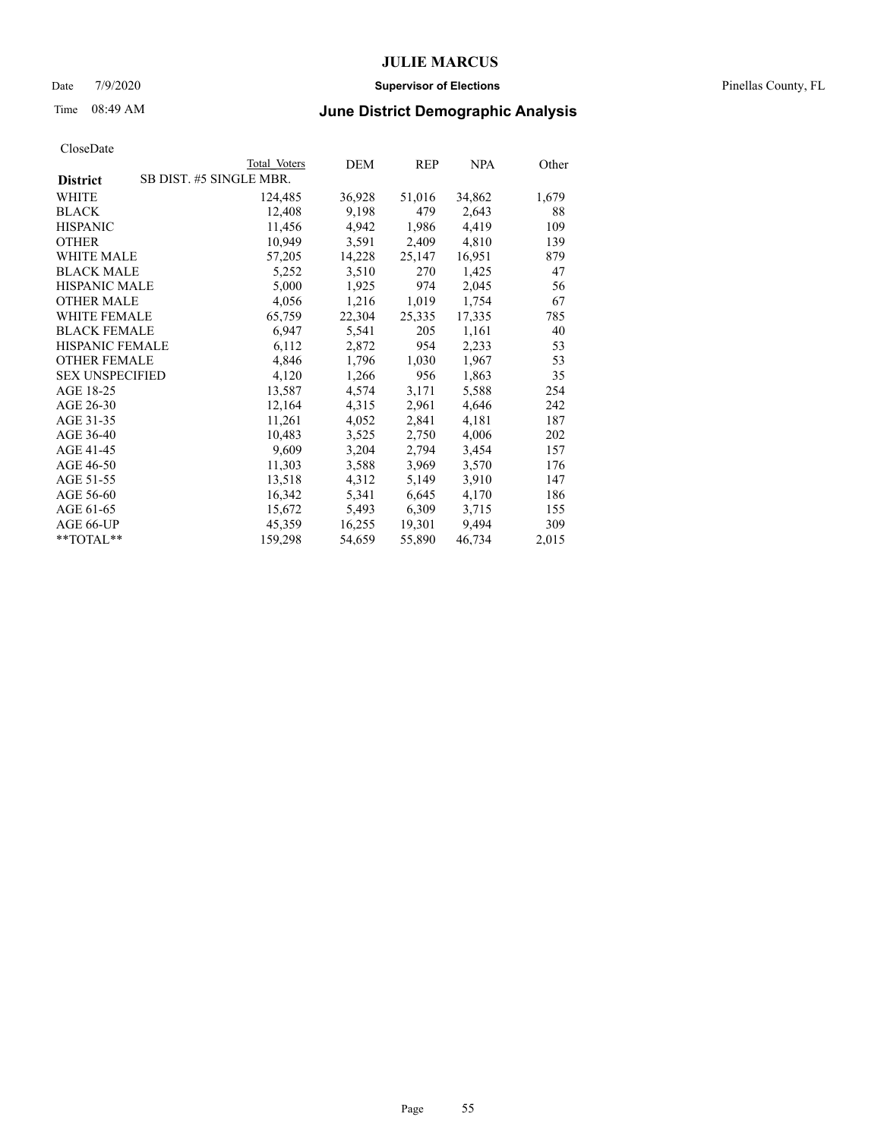### Date 7/9/2020 **Supervisor of Elections** Pinellas County, FL

# Time 08:49 AM **June District Demographic Analysis**

|                                            | Total Voters | DEM    | REP    | <b>NPA</b> | Other |
|--------------------------------------------|--------------|--------|--------|------------|-------|
| SB DIST. #5 SINGLE MBR.<br><b>District</b> |              |        |        |            |       |
| <b>WHITE</b>                               | 124,485      | 36,928 | 51,016 | 34,862     | 1,679 |
| <b>BLACK</b>                               | 12,408       | 9,198  | 479    | 2,643      | 88    |
| <b>HISPANIC</b>                            | 11,456       | 4,942  | 1,986  | 4,419      | 109   |
| <b>OTHER</b>                               | 10,949       | 3,591  | 2,409  | 4,810      | 139   |
| WHITE MALE                                 | 57,205       | 14,228 | 25,147 | 16,951     | 879   |
| <b>BLACK MALE</b>                          | 5,252        | 3,510  | 270    | 1,425      | 47    |
| <b>HISPANIC MALE</b>                       | 5,000        | 1,925  | 974    | 2,045      | 56    |
| <b>OTHER MALE</b>                          | 4,056        | 1,216  | 1,019  | 1,754      | 67    |
| <b>WHITE FEMALE</b>                        | 65,759       | 22,304 | 25,335 | 17,335     | 785   |
| <b>BLACK FEMALE</b>                        | 6,947        | 5,541  | 205    | 1,161      | 40    |
| <b>HISPANIC FEMALE</b>                     | 6,112        | 2,872  | 954    | 2,233      | 53    |
| <b>OTHER FEMALE</b>                        | 4,846        | 1,796  | 1,030  | 1,967      | 53    |
| <b>SEX UNSPECIFIED</b>                     | 4,120        | 1,266  | 956    | 1,863      | 35    |
| AGE 18-25                                  | 13,587       | 4,574  | 3,171  | 5,588      | 254   |
| AGE 26-30                                  | 12,164       | 4,315  | 2,961  | 4,646      | 242   |
| AGE 31-35                                  | 11,261       | 4,052  | 2,841  | 4,181      | 187   |
| AGE 36-40                                  | 10,483       | 3,525  | 2,750  | 4,006      | 202   |
| AGE 41-45                                  | 9,609        | 3,204  | 2,794  | 3,454      | 157   |
| AGE 46-50                                  | 11,303       | 3,588  | 3,969  | 3,570      | 176   |
| AGE 51-55                                  | 13,518       | 4,312  | 5,149  | 3,910      | 147   |
| AGE 56-60                                  | 16,342       | 5,341  | 6,645  | 4,170      | 186   |
| AGE 61-65                                  | 15,672       | 5,493  | 6,309  | 3,715      | 155   |
| AGE 66-UP                                  | 45,359       | 16,255 | 19,301 | 9,494      | 309   |
| **TOTAL**                                  | 159,298      | 54,659 | 55,890 | 46,734     | 2,015 |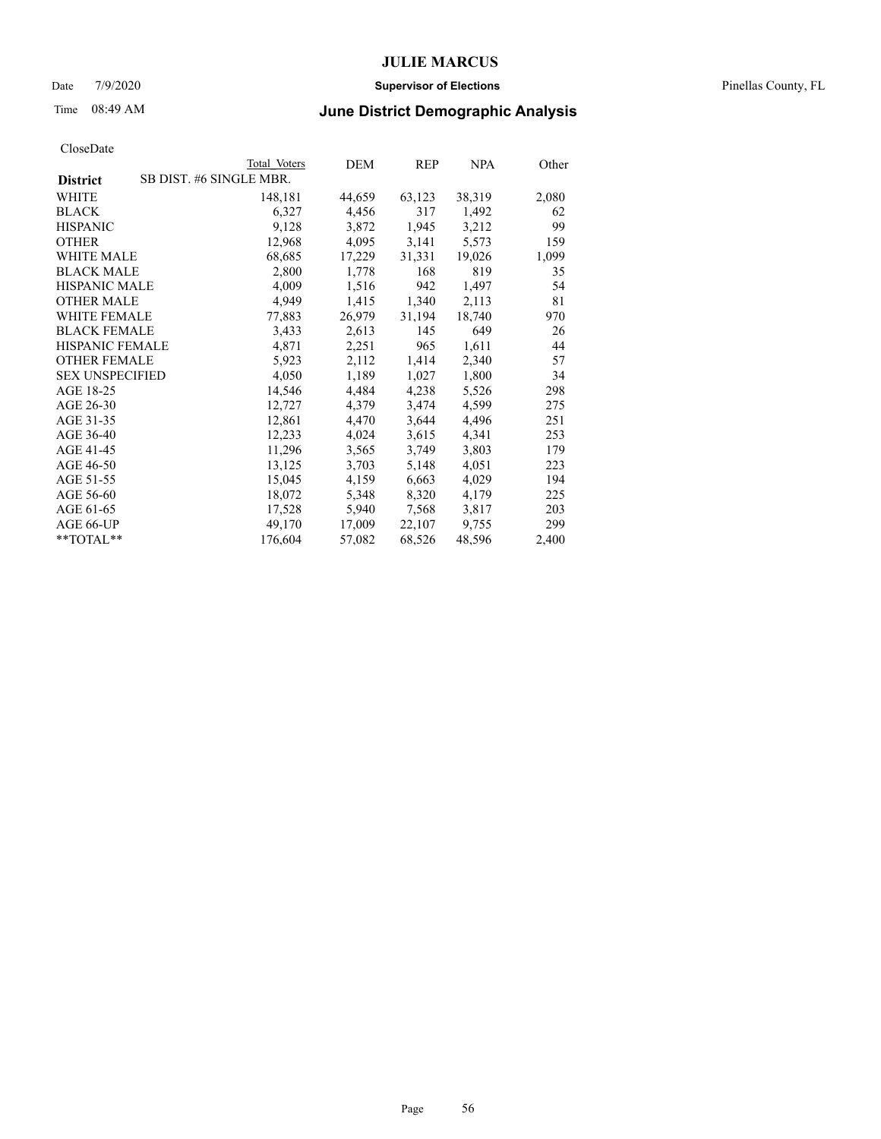### Date 7/9/2020 **Supervisor of Elections** Pinellas County, FL

# Time 08:49 AM **June District Demographic Analysis**

|                        | Total Voters            | DEM    | REP    | <b>NPA</b> | Other |
|------------------------|-------------------------|--------|--------|------------|-------|
| <b>District</b>        | SB DIST. #6 SINGLE MBR. |        |        |            |       |
| WHITE                  | 148,181                 | 44,659 | 63,123 | 38,319     | 2,080 |
| <b>BLACK</b>           | 6,327                   | 4,456  | 317    | 1,492      | 62    |
| <b>HISPANIC</b>        | 9,128                   | 3,872  | 1,945  | 3,212      | 99    |
| <b>OTHER</b>           | 12,968                  | 4,095  | 3,141  | 5,573      | 159   |
| <b>WHITE MALE</b>      | 68,685                  | 17,229 | 31,331 | 19,026     | 1,099 |
| <b>BLACK MALE</b>      | 2,800                   | 1,778  | 168    | 819        | 35    |
| <b>HISPANIC MALE</b>   | 4,009                   | 1,516  | 942    | 1,497      | 54    |
| <b>OTHER MALE</b>      | 4,949                   | 1,415  | 1,340  | 2,113      | 81    |
| <b>WHITE FEMALE</b>    | 77,883                  | 26,979 | 31,194 | 18,740     | 970   |
| <b>BLACK FEMALE</b>    | 3,433                   | 2,613  | 145    | 649        | 26    |
| HISPANIC FEMALE        | 4,871                   | 2,251  | 965    | 1,611      | 44    |
| <b>OTHER FEMALE</b>    | 5,923                   | 2,112  | 1,414  | 2,340      | 57    |
| <b>SEX UNSPECIFIED</b> | 4,050                   | 1,189  | 1,027  | 1,800      | 34    |
| AGE 18-25              | 14,546                  | 4,484  | 4,238  | 5,526      | 298   |
| AGE 26-30              | 12,727                  | 4,379  | 3,474  | 4,599      | 275   |
| AGE 31-35              | 12,861                  | 4,470  | 3,644  | 4,496      | 251   |
| AGE 36-40              | 12,233                  | 4,024  | 3,615  | 4,341      | 253   |
| AGE 41-45              | 11,296                  | 3,565  | 3,749  | 3,803      | 179   |
| AGE 46-50              | 13,125                  | 3,703  | 5,148  | 4,051      | 223   |
| AGE 51-55              | 15,045                  | 4,159  | 6,663  | 4,029      | 194   |
| AGE 56-60              | 18,072                  | 5,348  | 8,320  | 4,179      | 225   |
| AGE 61-65              | 17,528                  | 5,940  | 7,568  | 3,817      | 203   |
| AGE 66-UP              | 49,170                  | 17,009 | 22,107 | 9,755      | 299   |
| **TOTAL**              | 176,604                 | 57,082 | 68,526 | 48,596     | 2,400 |
|                        |                         |        |        |            |       |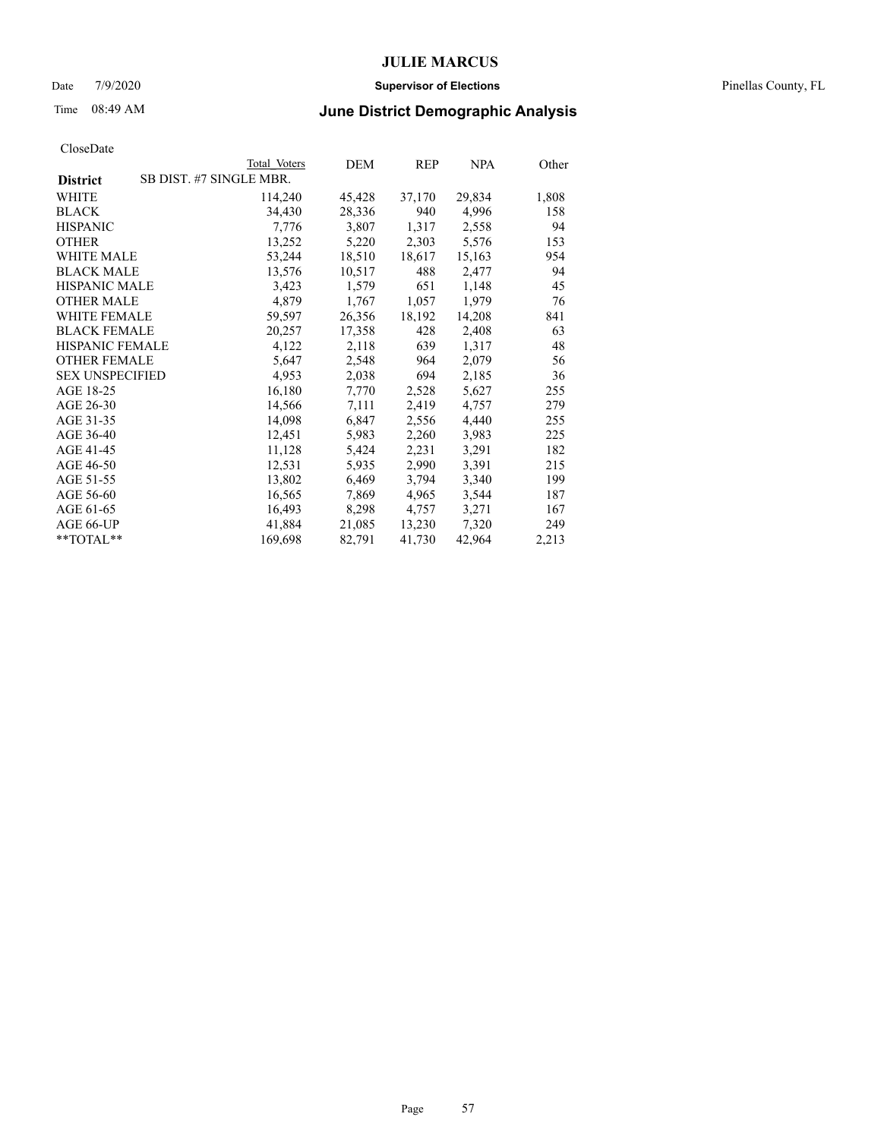### Date 7/9/2020 **Supervisor of Elections** Pinellas County, FL

# Time 08:49 AM **June District Demographic Analysis**

|                        | Total Voters            | DEM    | <b>REP</b> | <b>NPA</b> | Other |
|------------------------|-------------------------|--------|------------|------------|-------|
| <b>District</b>        | SB DIST. #7 SINGLE MBR. |        |            |            |       |
| WHITE                  | 114,240                 | 45,428 | 37,170     | 29,834     | 1,808 |
| <b>BLACK</b>           | 34,430                  | 28,336 | 940        | 4,996      | 158   |
| <b>HISPANIC</b>        | 7,776                   | 3,807  | 1,317      | 2,558      | 94    |
| <b>OTHER</b>           | 13,252                  | 5,220  | 2,303      | 5,576      | 153   |
| <b>WHITE MALE</b>      | 53,244                  | 18,510 | 18,617     | 15,163     | 954   |
| <b>BLACK MALE</b>      | 13,576                  | 10,517 | 488        | 2,477      | 94    |
| <b>HISPANIC MALE</b>   | 3,423                   | 1,579  | 651        | 1,148      | 45    |
| <b>OTHER MALE</b>      | 4,879                   | 1,767  | 1,057      | 1,979      | 76    |
| <b>WHITE FEMALE</b>    | 59,597                  | 26,356 | 18,192     | 14,208     | 841   |
| <b>BLACK FEMALE</b>    | 20,257                  | 17,358 | 428        | 2,408      | 63    |
| <b>HISPANIC FEMALE</b> | 4,122                   | 2,118  | 639        | 1,317      | 48    |
| <b>OTHER FEMALE</b>    | 5,647                   | 2,548  | 964        | 2,079      | 56    |
| <b>SEX UNSPECIFIED</b> | 4,953                   | 2,038  | 694        | 2,185      | 36    |
| AGE 18-25              | 16,180                  | 7,770  | 2,528      | 5,627      | 255   |
| AGE 26-30              | 14,566                  | 7,111  | 2,419      | 4,757      | 279   |
| AGE 31-35              | 14,098                  | 6,847  | 2,556      | 4,440      | 255   |
| AGE 36-40              | 12,451                  | 5,983  | 2,260      | 3,983      | 225   |
| AGE 41-45              | 11,128                  | 5,424  | 2,231      | 3,291      | 182   |
| AGE 46-50              | 12,531                  | 5,935  | 2,990      | 3,391      | 215   |
| AGE 51-55              | 13,802                  | 6,469  | 3,794      | 3,340      | 199   |
| AGE 56-60              | 16,565                  | 7,869  | 4,965      | 3,544      | 187   |
| AGE 61-65              | 16,493                  | 8,298  | 4,757      | 3,271      | 167   |
| AGE 66-UP              | 41,884                  | 21,085 | 13,230     | 7,320      | 249   |
| **TOTAL**              | 169,698                 | 82,791 | 41,730     | 42,964     | 2,213 |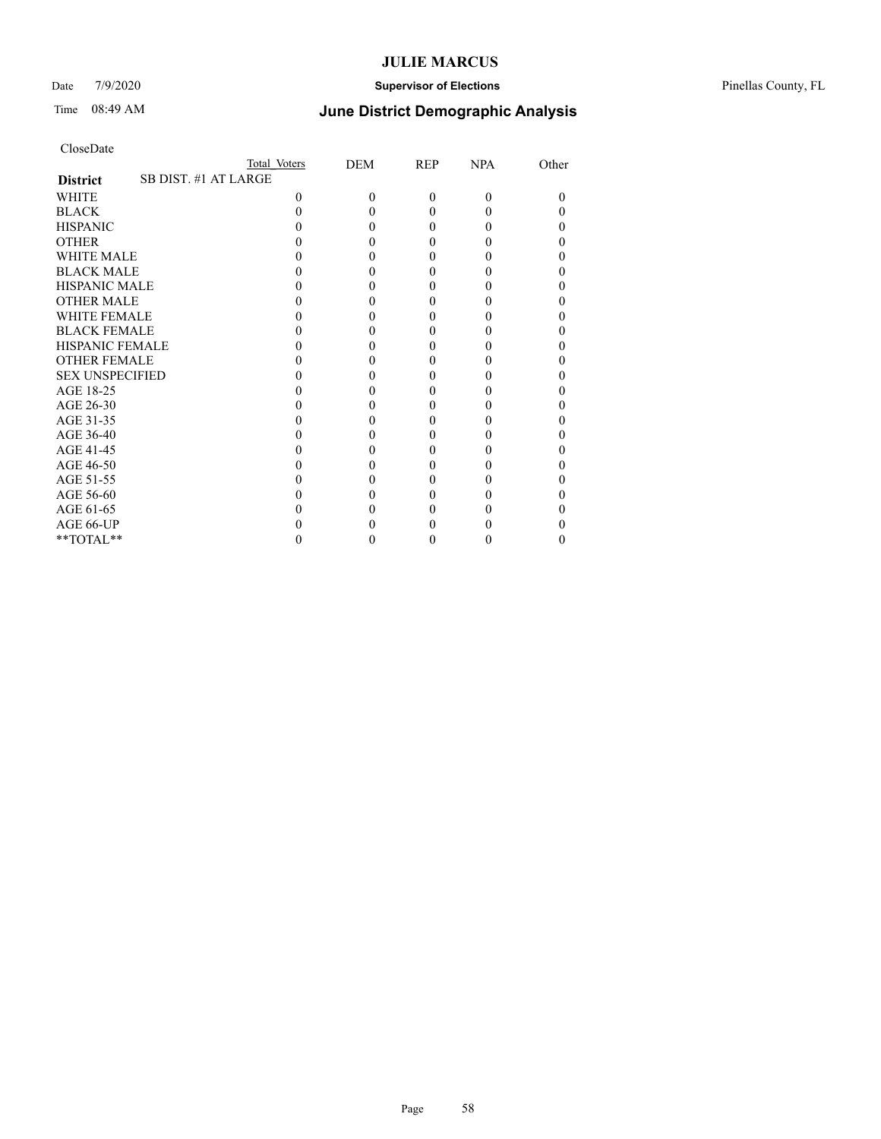### Date 7/9/2020 **Supervisor of Elections** Pinellas County, FL

| CloseDate |
|-----------|
|-----------|

|                                         | Total Voters | <b>DEM</b> | <b>REP</b> | <b>NPA</b>   | Other |
|-----------------------------------------|--------------|------------|------------|--------------|-------|
| SB DIST. #1 AT LARGE<br><b>District</b> |              |            |            |              |       |
| <b>WHITE</b>                            | 0            | 0          | $\Omega$   | $\Omega$     | 0     |
| <b>BLACK</b>                            |              |            | 0          | 0            |       |
| <b>HISPANIC</b>                         |              |            | 0          | $\theta$     |       |
| <b>OTHER</b>                            |              |            |            |              |       |
| <b>WHITE MALE</b>                       |              |            |            |              |       |
| <b>BLACK MALE</b>                       |              |            |            |              |       |
| <b>HISPANIC MALE</b>                    |              |            |            |              |       |
| <b>OTHER MALE</b>                       |              |            |            |              |       |
| <b>WHITE FEMALE</b>                     |              |            |            |              |       |
| <b>BLACK FEMALE</b>                     |              |            | 0          | $\mathbf{0}$ |       |
| <b>HISPANIC FEMALE</b>                  |              |            |            |              |       |
| <b>OTHER FEMALE</b>                     |              |            |            |              |       |
| <b>SEX UNSPECIFIED</b>                  |              |            |            |              |       |
| AGE 18-25                               |              |            |            |              |       |
| AGE 26-30                               |              |            |            |              |       |
| AGE 31-35                               |              |            |            |              |       |
| AGE 36-40                               |              |            | 0          | $\theta$     |       |
| AGE 41-45                               |              |            |            |              |       |
| AGE 46-50                               |              |            |            |              |       |
| AGE 51-55                               |              |            |            |              |       |
| AGE 56-60                               |              |            |            |              |       |
| AGE 61-65                               |              |            |            |              |       |
| AGE 66-UP                               |              |            |            |              |       |
| $**TOTAL**$                             |              |            | 0          | $\theta$     | 0     |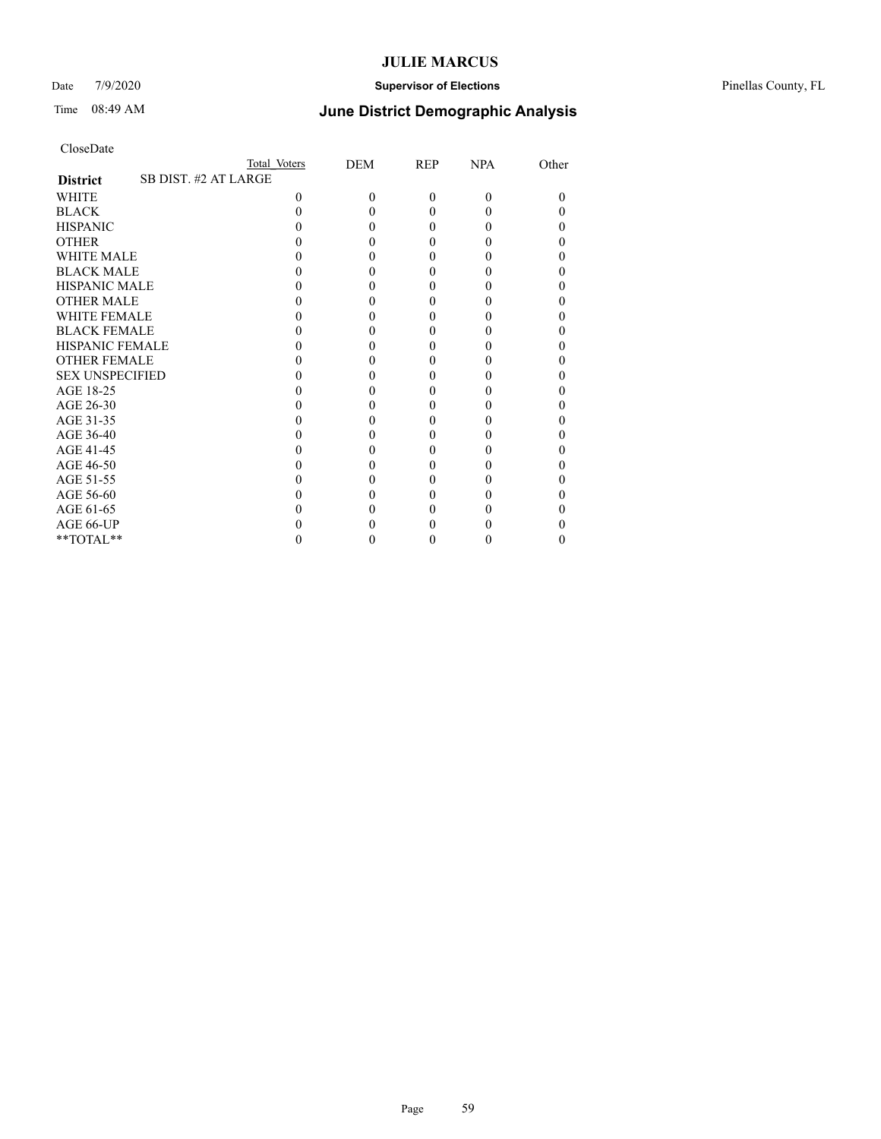### Date 7/9/2020 **Supervisor of Elections** Pinellas County, FL

| CloseDate |
|-----------|
|-----------|

|                        | Total Voters         | <b>DEM</b> | <b>REP</b> | <b>NPA</b>   | Other |
|------------------------|----------------------|------------|------------|--------------|-------|
| <b>District</b>        | SB DIST. #2 AT LARGE |            |            |              |       |
| <b>WHITE</b>           | 0                    | 0          | $\Omega$   | $\Omega$     | 0     |
| <b>BLACK</b>           |                      |            | 0          | 0            |       |
| <b>HISPANIC</b>        |                      |            | 0          | $\theta$     |       |
| <b>OTHER</b>           |                      |            |            |              |       |
| <b>WHITE MALE</b>      |                      |            |            |              |       |
| <b>BLACK MALE</b>      |                      |            |            |              |       |
| <b>HISPANIC MALE</b>   |                      |            |            |              |       |
| <b>OTHER MALE</b>      |                      |            | 0          |              |       |
| <b>WHITE FEMALE</b>    |                      |            |            |              |       |
| <b>BLACK FEMALE</b>    |                      |            | 0          | 0            |       |
| <b>HISPANIC FEMALE</b> |                      |            |            |              |       |
| <b>OTHER FEMALE</b>    |                      |            |            |              |       |
| <b>SEX UNSPECIFIED</b> |                      |            |            |              |       |
| AGE 18-25              |                      |            |            |              |       |
| AGE 26-30              |                      |            |            |              |       |
| AGE 31-35              |                      |            |            |              |       |
| AGE 36-40              |                      |            | 0          | $\mathbf{0}$ |       |
| AGE 41-45              |                      |            |            |              |       |
| AGE 46-50              |                      |            |            |              |       |
| AGE 51-55              |                      |            |            |              |       |
| AGE 56-60              |                      |            |            |              |       |
| AGE 61-65              |                      |            |            |              |       |
| AGE 66-UP              |                      |            |            |              |       |
| **TOTAL**              |                      |            | 0          | $\theta$     | 0     |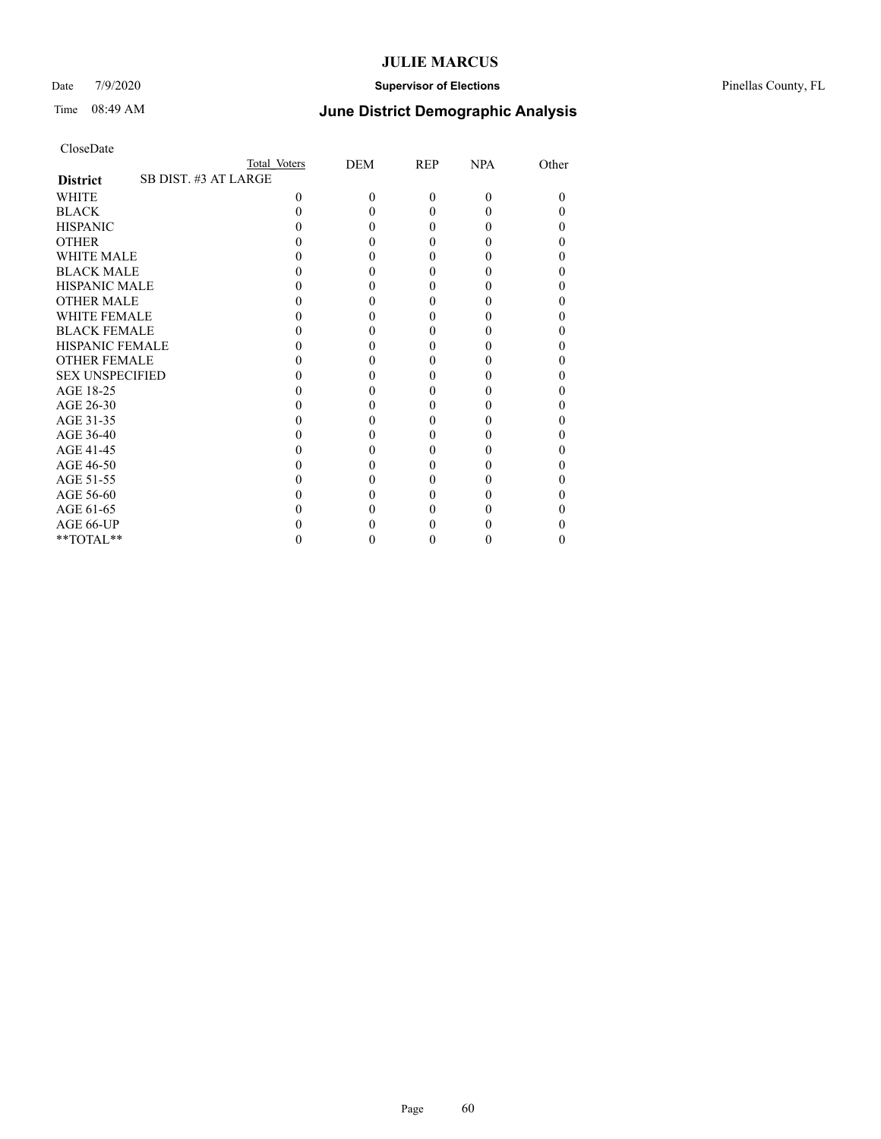### Date 7/9/2020 **Supervisor of Elections** Pinellas County, FL

| CloseDate |
|-----------|
|-----------|

|                                         | Total Voters | <b>DEM</b> | <b>REP</b> | <b>NPA</b>   | Other |
|-----------------------------------------|--------------|------------|------------|--------------|-------|
| SB DIST. #3 AT LARGE<br><b>District</b> |              |            |            |              |       |
| <b>WHITE</b>                            | 0            | 0          | $\Omega$   | $\Omega$     | 0     |
| <b>BLACK</b>                            |              |            | 0          | 0            |       |
| <b>HISPANIC</b>                         |              |            | 0          | $\theta$     |       |
| <b>OTHER</b>                            |              |            |            |              |       |
| <b>WHITE MALE</b>                       |              |            |            |              |       |
| <b>BLACK MALE</b>                       |              |            |            |              |       |
| <b>HISPANIC MALE</b>                    |              |            |            |              |       |
| <b>OTHER MALE</b>                       |              |            | 0          |              |       |
| <b>WHITE FEMALE</b>                     |              |            |            |              |       |
| <b>BLACK FEMALE</b>                     |              |            | 0          | 0            |       |
| <b>HISPANIC FEMALE</b>                  |              |            |            |              |       |
| <b>OTHER FEMALE</b>                     |              |            |            |              |       |
| <b>SEX UNSPECIFIED</b>                  |              |            |            |              |       |
| AGE 18-25                               |              |            |            |              |       |
| AGE 26-30                               |              |            |            |              |       |
| AGE 31-35                               |              |            |            |              |       |
| AGE 36-40                               |              |            | 0          | $\mathbf{0}$ |       |
| AGE 41-45                               |              |            |            |              |       |
| AGE 46-50                               |              |            |            |              |       |
| AGE 51-55                               |              |            |            |              |       |
| AGE 56-60                               |              |            |            |              |       |
| AGE 61-65                               |              |            |            |              |       |
| AGE 66-UP                               |              |            |            |              |       |
| **TOTAL**                               |              |            | 0          | $\theta$     | 0     |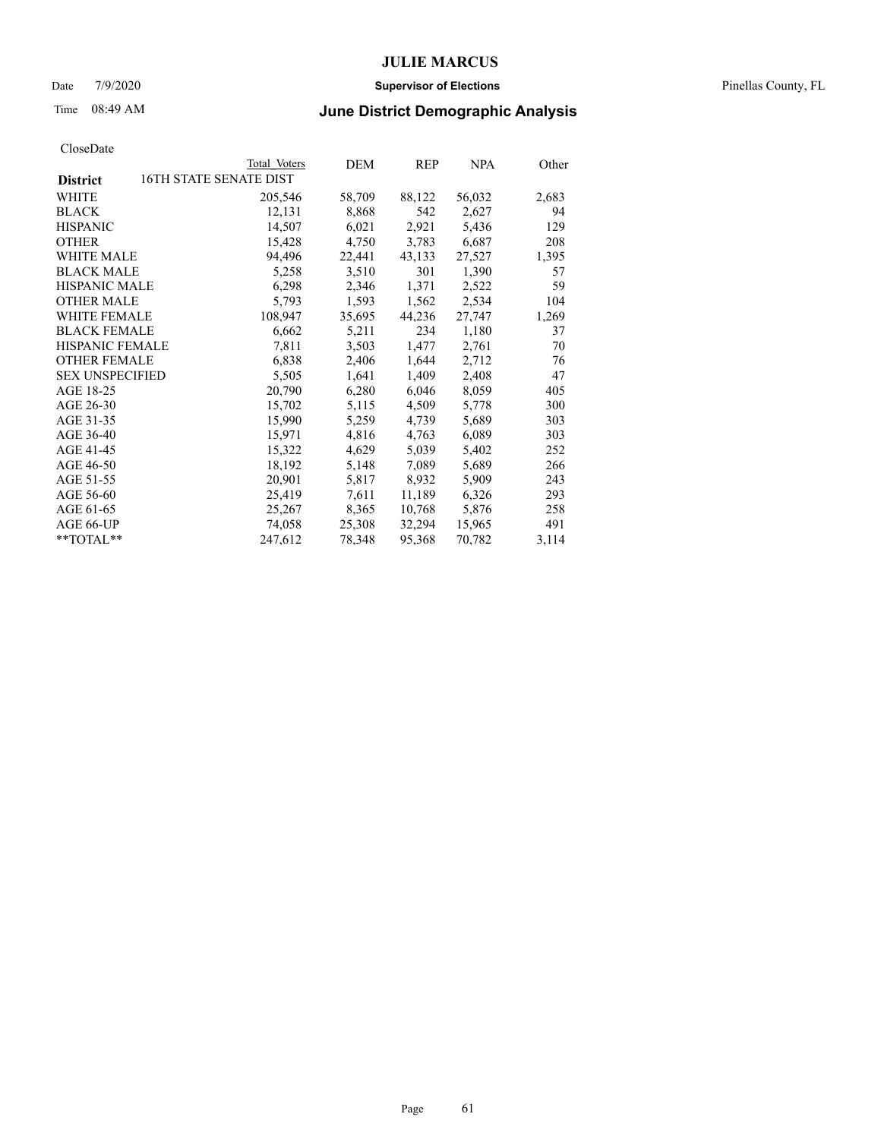### Date 7/9/2020 **Supervisor of Elections** Pinellas County, FL

## Time 08:49 AM **June District Demographic Analysis**

|                        | Total Voters           | DEM    | REP    | NPA    | Other |
|------------------------|------------------------|--------|--------|--------|-------|
| <b>District</b>        | 16TH STATE SENATE DIST |        |        |        |       |
| WHITE                  | 205,546                | 58,709 | 88,122 | 56,032 | 2,683 |
| <b>BLACK</b>           | 12,131                 | 8,868  | 542    | 2,627  | 94    |
| <b>HISPANIC</b>        | 14,507                 | 6,021  | 2,921  | 5,436  | 129   |
| <b>OTHER</b>           | 15,428                 | 4,750  | 3,783  | 6,687  | 208   |
| <b>WHITE MALE</b>      | 94,496                 | 22,441 | 43,133 | 27,527 | 1,395 |
| <b>BLACK MALE</b>      | 5,258                  | 3,510  | 301    | 1,390  | 57    |
| <b>HISPANIC MALE</b>   | 6,298                  | 2,346  | 1,371  | 2,522  | 59    |
| <b>OTHER MALE</b>      | 5,793                  | 1,593  | 1,562  | 2,534  | 104   |
| <b>WHITE FEMALE</b>    | 108,947                | 35,695 | 44,236 | 27,747 | 1,269 |
| <b>BLACK FEMALE</b>    | 6,662                  | 5,211  | 234    | 1,180  | 37    |
| <b>HISPANIC FEMALE</b> | 7,811                  | 3,503  | 1,477  | 2,761  | 70    |
| <b>OTHER FEMALE</b>    | 6,838                  | 2,406  | 1,644  | 2,712  | 76    |
| <b>SEX UNSPECIFIED</b> | 5,505                  | 1,641  | 1,409  | 2,408  | 47    |
| AGE 18-25              | 20,790                 | 6,280  | 6,046  | 8,059  | 405   |
| AGE 26-30              | 15,702                 | 5,115  | 4,509  | 5,778  | 300   |
| AGE 31-35              | 15,990                 | 5,259  | 4,739  | 5,689  | 303   |
| AGE 36-40              | 15,971                 | 4,816  | 4,763  | 6,089  | 303   |
| AGE 41-45              | 15,322                 | 4,629  | 5,039  | 5,402  | 252   |
| AGE 46-50              | 18,192                 | 5,148  | 7,089  | 5,689  | 266   |
| AGE 51-55              | 20,901                 | 5,817  | 8,932  | 5,909  | 243   |
| AGE 56-60              | 25,419                 | 7,611  | 11,189 | 6,326  | 293   |
| AGE 61-65              | 25,267                 | 8,365  | 10,768 | 5,876  | 258   |
| AGE 66-UP              | 74,058                 | 25,308 | 32,294 | 15,965 | 491   |
| $*$ TOTAL $*$          | 247,612                | 78,348 | 95,368 | 70,782 | 3,114 |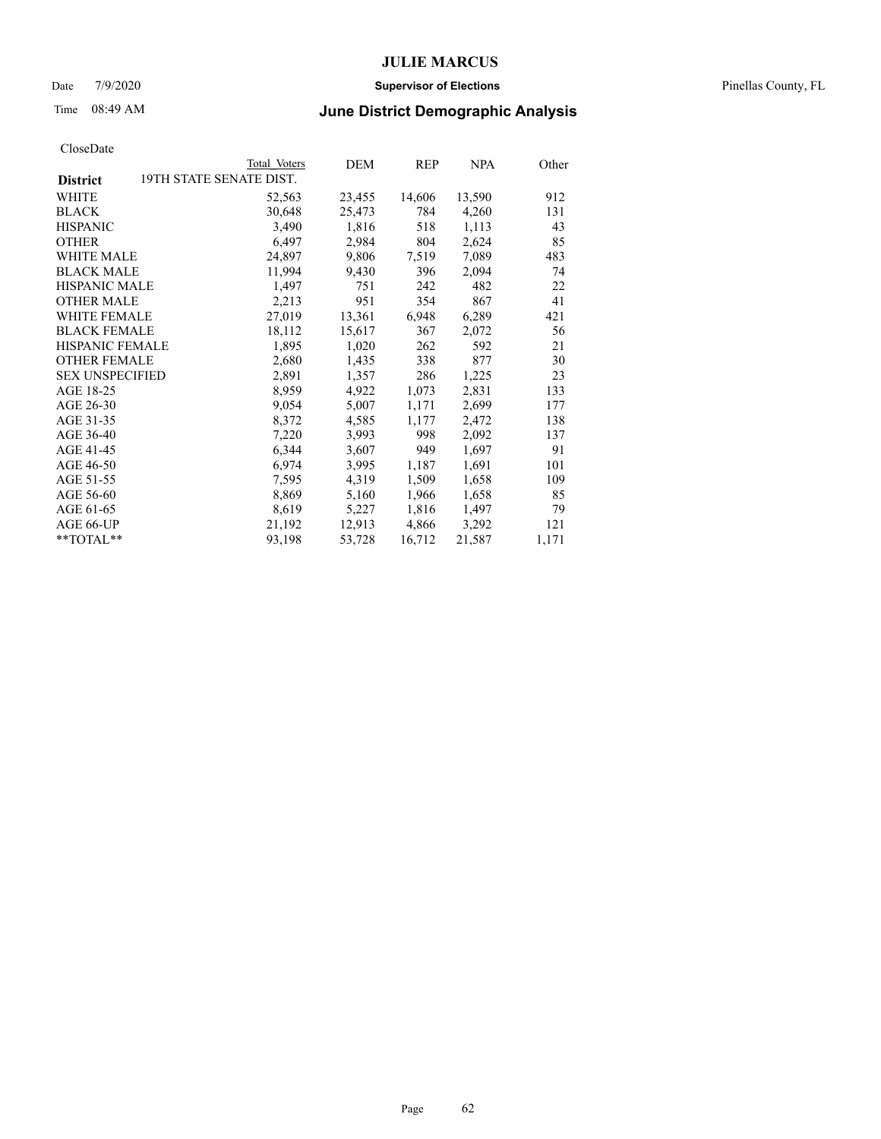### Date 7/9/2020 **Supervisor of Elections** Pinellas County, FL

# Time 08:49 AM **June District Demographic Analysis**

|                                            | Total Voters | DEM    | REP    | <b>NPA</b> | Other |
|--------------------------------------------|--------------|--------|--------|------------|-------|
| 19TH STATE SENATE DIST.<br><b>District</b> |              |        |        |            |       |
| <b>WHITE</b>                               | 52,563       | 23,455 | 14,606 | 13,590     | 912   |
| <b>BLACK</b>                               | 30,648       | 25,473 | 784    | 4,260      | 131   |
| <b>HISPANIC</b>                            | 3,490        | 1,816  | 518    | 1,113      | 43    |
| <b>OTHER</b>                               | 6,497        | 2,984  | 804    | 2,624      | 85    |
| WHITE MALE                                 | 24,897       | 9,806  | 7,519  | 7,089      | 483   |
| <b>BLACK MALE</b>                          | 11,994       | 9,430  | 396    | 2,094      | 74    |
| <b>HISPANIC MALE</b>                       | 1,497        | 751    | 242    | 482        | 22    |
| <b>OTHER MALE</b>                          | 2,213        | 951    | 354    | 867        | 41    |
| <b>WHITE FEMALE</b>                        | 27,019       | 13,361 | 6,948  | 6,289      | 421   |
| <b>BLACK FEMALE</b>                        | 18,112       | 15,617 | 367    | 2,072      | 56    |
| <b>HISPANIC FEMALE</b>                     | 1,895        | 1,020  | 262    | 592        | 21    |
| <b>OTHER FEMALE</b>                        | 2,680        | 1,435  | 338    | 877        | 30    |
| <b>SEX UNSPECIFIED</b>                     | 2,891        | 1,357  | 286    | 1,225      | 23    |
| AGE 18-25                                  | 8,959        | 4,922  | 1,073  | 2,831      | 133   |
| AGE 26-30                                  | 9,054        | 5,007  | 1,171  | 2,699      | 177   |
| AGE 31-35                                  | 8,372        | 4,585  | 1,177  | 2,472      | 138   |
| AGE 36-40                                  | 7,220        | 3,993  | 998    | 2,092      | 137   |
| AGE 41-45                                  | 6,344        | 3,607  | 949    | 1,697      | 91    |
| AGE 46-50                                  | 6,974        | 3,995  | 1,187  | 1,691      | 101   |
| AGE 51-55                                  | 7,595        | 4,319  | 1,509  | 1,658      | 109   |
| AGE 56-60                                  | 8,869        | 5,160  | 1,966  | 1,658      | 85    |
| AGE 61-65                                  | 8,619        | 5,227  | 1,816  | 1,497      | 79    |
| AGE 66-UP                                  | 21,192       | 12,913 | 4,866  | 3,292      | 121   |
| **TOTAL**                                  | 93,198       | 53,728 | 16,712 | 21,587     | 1,171 |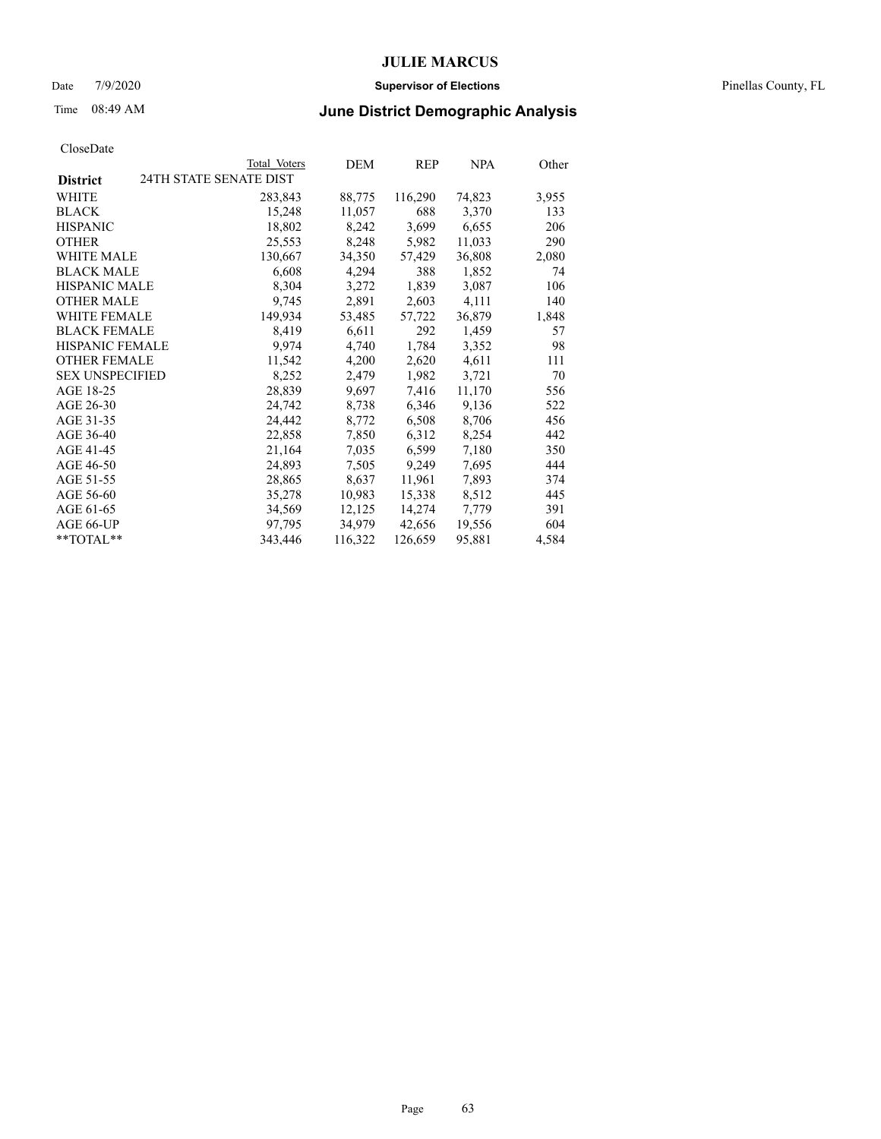### Date 7/9/2020 **Supervisor of Elections** Pinellas County, FL

# Time 08:49 AM **June District Demographic Analysis**

|                        |                        | Total Voters | DEM     | REP     | NPA    | Other |
|------------------------|------------------------|--------------|---------|---------|--------|-------|
| <b>District</b>        | 24TH STATE SENATE DIST |              |         |         |        |       |
| WHITE                  |                        | 283,843      | 88,775  | 116,290 | 74,823 | 3,955 |
| <b>BLACK</b>           |                        | 15,248       | 11,057  | 688     | 3,370  | 133   |
| <b>HISPANIC</b>        |                        | 18,802       | 8,242   | 3,699   | 6,655  | 206   |
| <b>OTHER</b>           |                        | 25,553       | 8,248   | 5,982   | 11,033 | 290   |
| WHITE MALE             |                        | 130,667      | 34,350  | 57,429  | 36,808 | 2,080 |
| <b>BLACK MALE</b>      |                        | 6,608        | 4,294   | 388     | 1,852  | 74    |
| <b>HISPANIC MALE</b>   |                        | 8,304        | 3,272   | 1,839   | 3,087  | 106   |
| <b>OTHER MALE</b>      |                        | 9,745        | 2,891   | 2,603   | 4,111  | 140   |
| <b>WHITE FEMALE</b>    |                        | 149.934      | 53,485  | 57,722  | 36,879 | 1,848 |
| <b>BLACK FEMALE</b>    |                        | 8,419        | 6,611   | 292     | 1,459  | 57    |
| <b>HISPANIC FEMALE</b> |                        | 9,974        | 4,740   | 1,784   | 3,352  | 98    |
| <b>OTHER FEMALE</b>    |                        | 11,542       | 4,200   | 2,620   | 4,611  | 111   |
| <b>SEX UNSPECIFIED</b> |                        | 8,252        | 2,479   | 1,982   | 3,721  | 70    |
| AGE 18-25              |                        | 28,839       | 9,697   | 7,416   | 11,170 | 556   |
| AGE 26-30              |                        | 24,742       | 8,738   | 6,346   | 9,136  | 522   |
| AGE 31-35              |                        | 24,442       | 8,772   | 6,508   | 8,706  | 456   |
| AGE 36-40              |                        | 22,858       | 7,850   | 6,312   | 8,254  | 442   |
| AGE 41-45              |                        | 21,164       | 7,035   | 6,599   | 7,180  | 350   |
| AGE 46-50              |                        | 24,893       | 7,505   | 9,249   | 7,695  | 444   |
| AGE 51-55              |                        | 28,865       | 8,637   | 11,961  | 7,893  | 374   |
| AGE 56-60              |                        | 35,278       | 10,983  | 15,338  | 8,512  | 445   |
| AGE 61-65              |                        | 34,569       | 12,125  | 14,274  | 7,779  | 391   |
| AGE 66-UP              |                        | 97,795       | 34,979  | 42,656  | 19,556 | 604   |
| $*$ $TOTAL**$          |                        | 343,446      | 116,322 | 126,659 | 95,881 | 4,584 |
|                        |                        |              |         |         |        |       |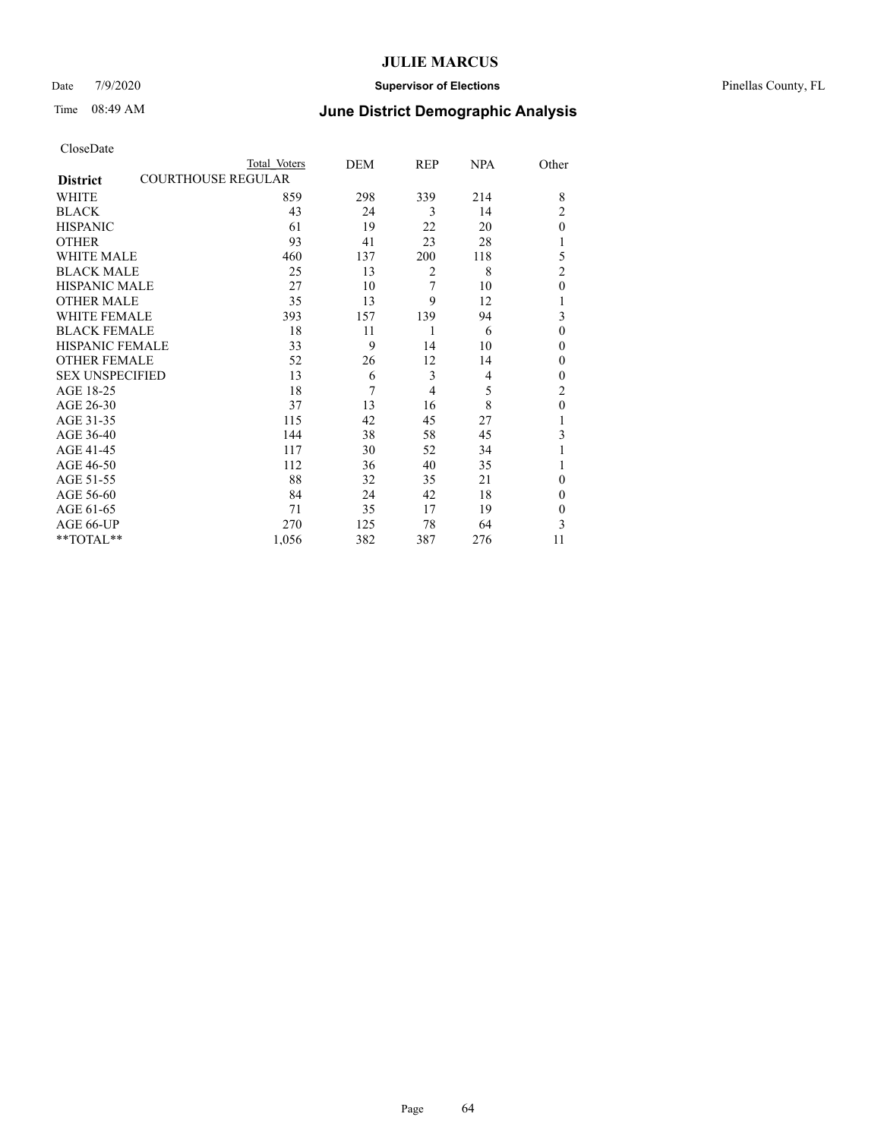### Date 7/9/2020 **Supervisor of Elections** Pinellas County, FL

| CloseDate |
|-----------|
|-----------|

|                        | Total Voters              | DEM | REP            | <b>NPA</b> | Other          |
|------------------------|---------------------------|-----|----------------|------------|----------------|
| <b>District</b>        | <b>COURTHOUSE REGULAR</b> |     |                |            |                |
| WHITE                  | 859                       | 298 | 339            | 214        | 8              |
| <b>BLACK</b>           | 43                        | 24  | 3              | 14         | $\overline{c}$ |
| <b>HISPANIC</b>        | 61                        | 19  | 22             | 20         | $\theta$       |
| <b>OTHER</b>           | 93                        | 41  | 23             | 28         |                |
| <b>WHITE MALE</b>      | 460                       | 137 | 200            | 118        | 5              |
| <b>BLACK MALE</b>      | 25                        | 13  | 2              | 8          | $\overline{c}$ |
| <b>HISPANIC MALE</b>   | 27                        | 10  | 7              | 10         | $\theta$       |
| <b>OTHER MALE</b>      | 35                        | 13  | 9              | 12         | 1              |
| <b>WHITE FEMALE</b>    | 393                       | 157 | 139            | 94         | 3              |
| <b>BLACK FEMALE</b>    | 18                        | 11  | 1              | 6          | $\theta$       |
| <b>HISPANIC FEMALE</b> | 33                        | 9   | 14             | 10         | $\theta$       |
| <b>OTHER FEMALE</b>    | 52                        | 26  | 12             | 14         | $\theta$       |
| <b>SEX UNSPECIFIED</b> | 13                        | 6   | 3              | 4          | $\theta$       |
| AGE 18-25              | 18                        | 7   | $\overline{4}$ | 5          | $\overline{2}$ |
| AGE 26-30              | 37                        | 13  | 16             | 8          | $\theta$       |
| AGE 31-35              | 115                       | 42  | 45             | 27         |                |
| AGE 36-40              | 144                       | 38  | 58             | 45         | 3              |
| AGE 41-45              | 117                       | 30  | 52             | 34         |                |
| AGE 46-50              | 112                       | 36  | 40             | 35         |                |
| AGE 51-55              | 88                        | 32  | 35             | 21         | $\theta$       |
| AGE 56-60              | 84                        | 24  | 42             | 18         | $\theta$       |
| AGE 61-65              | 71                        | 35  | 17             | 19         | $\mathbf{0}$   |
| AGE 66-UP              | 270                       | 125 | 78             | 64         | 3              |
| **TOTAL**              | 1,056                     | 382 | 387            | 276        | 11             |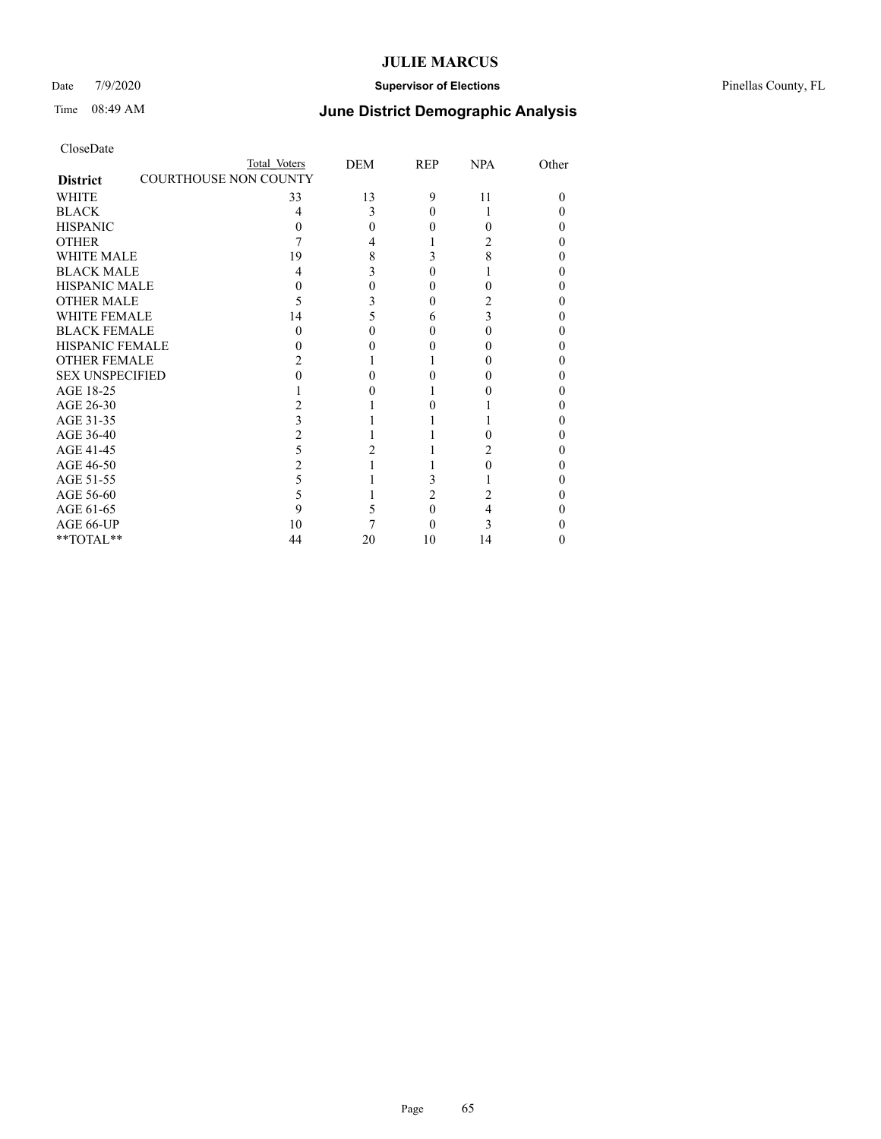### Date 7/9/2020 **Supervisor of Elections** Pinellas County, FL

# Time 08:49 AM **June District Demographic Analysis**

|                                                 | Total Voters | DEM      | REP | <b>NPA</b> | Other    |
|-------------------------------------------------|--------------|----------|-----|------------|----------|
| <b>COURTHOUSE NON COUNTY</b><br><b>District</b> |              |          |     |            |          |
| WHITE                                           | 33           | 13       | 9   | 11         | $\Omega$ |
| <b>BLACK</b>                                    | 4            | 3        |     |            | 0        |
| <b>HISPANIC</b>                                 | $\theta$     | $\Omega$ |     |            | 0        |
| <b>OTHER</b>                                    |              | 4        |     |            | 0        |
| WHITE MALE                                      | 19           | 8        |     |            | 0        |
| <b>BLACK MALE</b>                               | 4            | 3        |     |            | 0        |
| <b>HISPANIC MALE</b>                            |              | 0        |     |            | 0        |
| <b>OTHER MALE</b>                               |              | 3        |     |            | 0        |
| WHITE FEMALE                                    | 14           | 5        | h   |            | 0        |
| <b>BLACK FEMALE</b>                             | 0            | 0        |     |            | 0        |
| <b>HISPANIC FEMALE</b>                          |              |          |     |            |          |
| <b>OTHER FEMALE</b>                             |              |          |     |            | 0        |
| <b>SEX UNSPECIFIED</b>                          |              |          |     |            | 0        |
| AGE 18-25                                       |              |          |     |            | 0        |
| AGE 26-30                                       |              |          |     |            | 0        |
| AGE 31-35                                       |              |          |     |            | 0        |
| AGE 36-40                                       |              |          |     |            | 0        |
| AGE 41-45                                       |              |          |     |            | 0        |
| AGE 46-50                                       |              |          |     |            | 0        |
| AGE 51-55                                       | 5            |          |     |            | 0        |
| AGE 56-60                                       |              |          | 2   |            | 0        |
| AGE 61-65                                       | 9            |          |     |            | 0        |
| AGE 66-UP                                       | 10           |          |     |            | 0        |
| **TOTAL**                                       | 44           | 20       | 10  | 14         | 0        |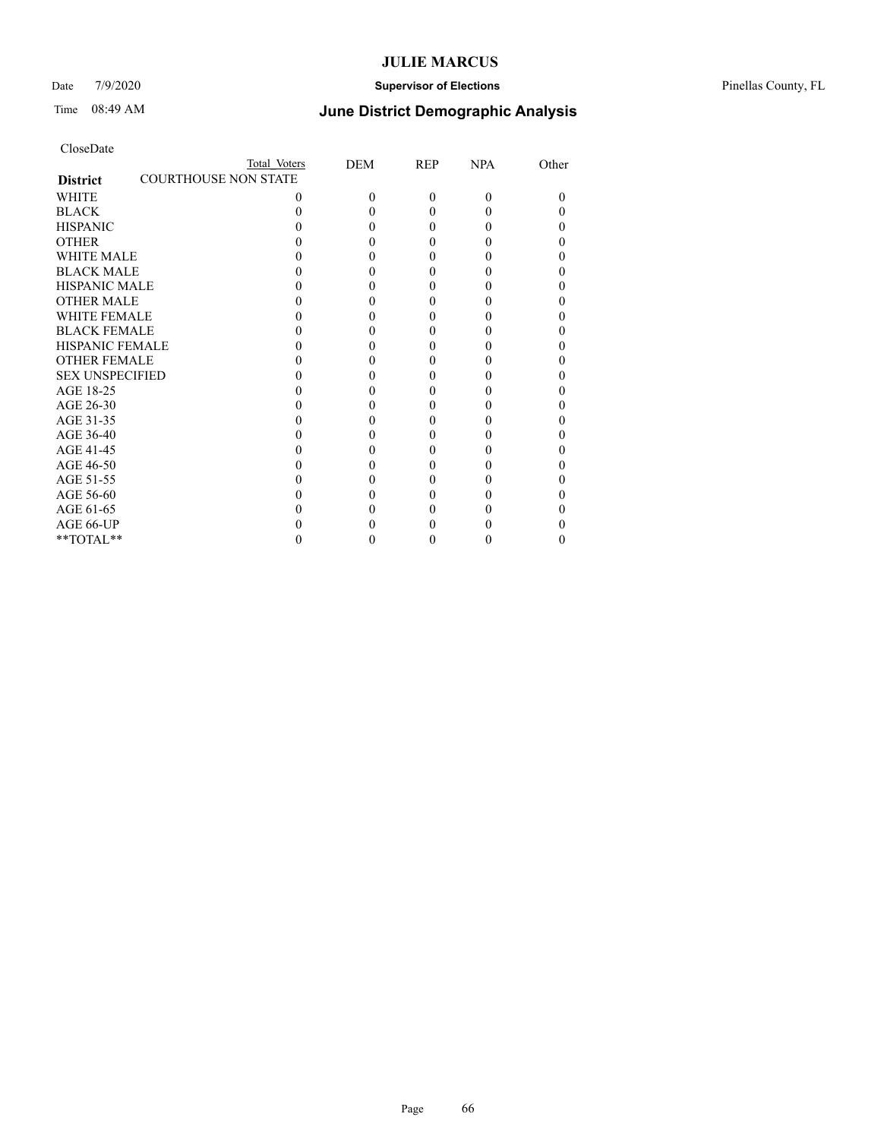### Date 7/9/2020 **Supervisor of Elections** Pinellas County, FL

| CloseDate |
|-----------|
|-----------|

|                                                | Total Voters | <b>DEM</b> | <b>REP</b> | <b>NPA</b> | Other |
|------------------------------------------------|--------------|------------|------------|------------|-------|
| <b>COURTHOUSE NON STATE</b><br><b>District</b> |              |            |            |            |       |
| WHITE                                          | 0            | 0          | $\Omega$   | $\Omega$   |       |
| <b>BLACK</b>                                   |              |            | 0          | 0          |       |
| <b>HISPANIC</b>                                |              |            | 0          | 0          |       |
| <b>OTHER</b>                                   |              |            |            |            |       |
| <b>WHITE MALE</b>                              |              |            |            |            |       |
| <b>BLACK MALE</b>                              |              |            |            |            |       |
| <b>HISPANIC MALE</b>                           |              |            |            |            |       |
| <b>OTHER MALE</b>                              |              |            |            |            |       |
| <b>WHITE FEMALE</b>                            |              |            |            |            |       |
| <b>BLACK FEMALE</b>                            |              |            | 0          | 0          |       |
| <b>HISPANIC FEMALE</b>                         |              |            |            |            |       |
| <b>OTHER FEMALE</b>                            |              |            |            |            |       |
| <b>SEX UNSPECIFIED</b>                         |              |            |            |            |       |
| AGE 18-25                                      |              |            |            |            |       |
| AGE 26-30                                      |              |            |            |            |       |
| AGE 31-35                                      |              |            |            |            |       |
| AGE 36-40                                      |              |            | 0          | 0          |       |
| AGE 41-45                                      |              |            |            |            |       |
| AGE 46-50                                      |              |            |            |            |       |
| AGE 51-55                                      |              |            |            |            |       |
| AGE 56-60                                      |              |            |            |            |       |
| AGE 61-65                                      |              |            |            |            |       |
| AGE 66-UP                                      |              |            |            |            |       |
| $**TOTAL**$                                    |              |            | 0          | 0          |       |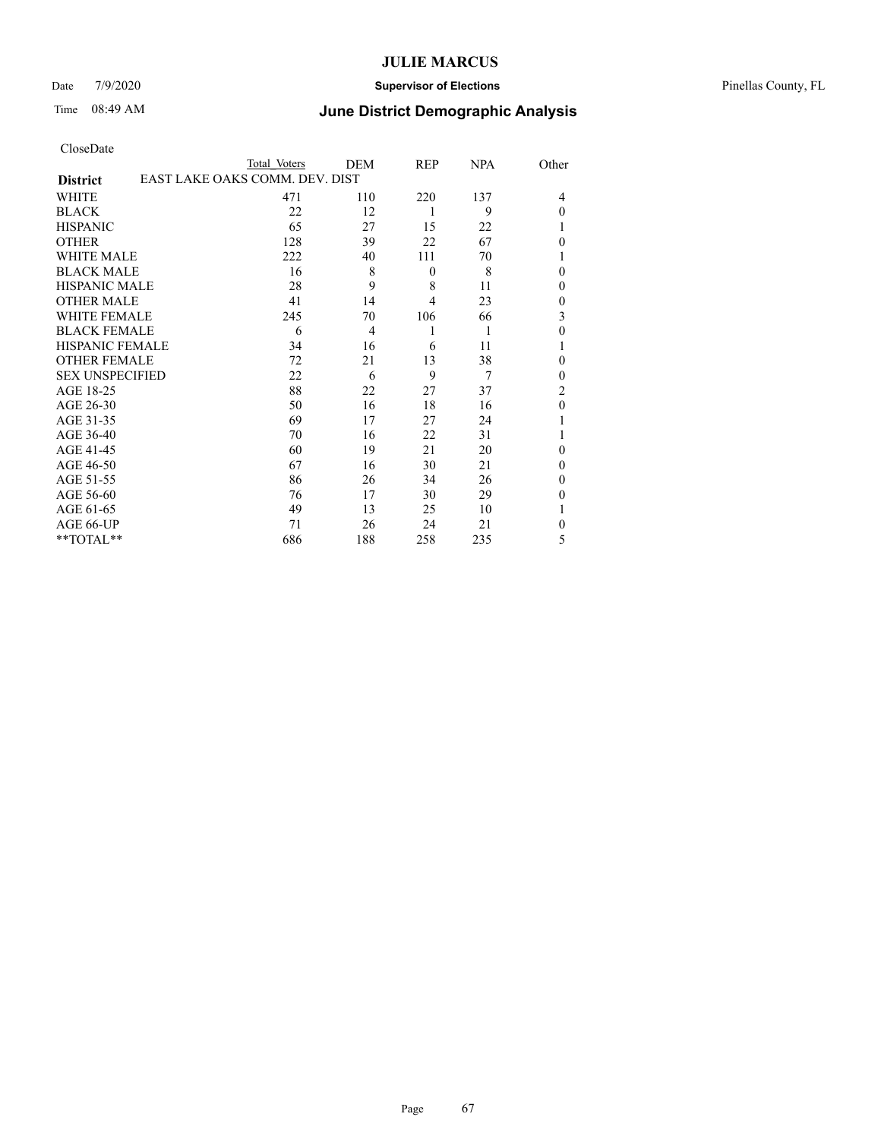### Date 7/9/2020 **Supervisor of Elections** Pinellas County, FL

# Time 08:49 AM **June District Demographic Analysis**

| 137<br>9 | 4                |
|----------|------------------|
|          |                  |
|          |                  |
|          | $\theta$         |
| 22       | 1                |
| 67       | $\theta$         |
| 70       | 1                |
| 8        | $\theta$         |
| 11       | $\boldsymbol{0}$ |
| 23       | $\boldsymbol{0}$ |
| 66       | 3                |
| 1        | $\mathbf{0}$     |
| 11       | 1                |
| 38       | $\theta$         |
| 7        | $\theta$         |
| 37       | 2                |
| 16       | $\mathbf{0}$     |
| 24       | 1                |
| 31       | 1                |
| 20       | $\theta$         |
| 21       | $\theta$         |
| 26       | $\theta$         |
| 29       | $\theta$         |
| 10       | 1                |
| 21       | $\theta$         |
|          | 5                |
|          | 235              |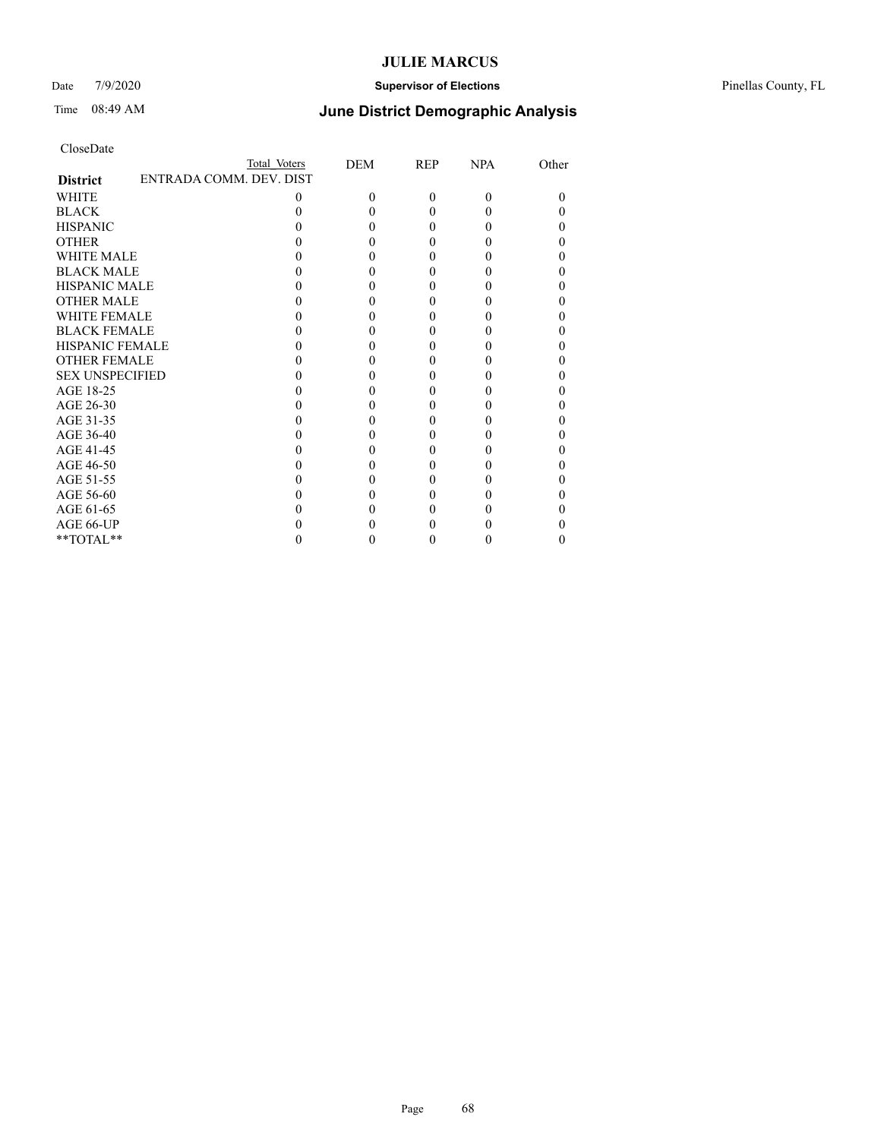### Date 7/9/2020 **Supervisor of Elections** Pinellas County, FL

## Time 08:49 AM **June District Demographic Analysis**

|                        | Total Voters            | DEM      | REP      | <b>NPA</b> | Other |
|------------------------|-------------------------|----------|----------|------------|-------|
| <b>District</b>        | ENTRADA COMM. DEV. DIST |          |          |            |       |
| WHITE                  | 0                       | $\Omega$ | $\theta$ | $\Omega$   | 0     |
| <b>BLACK</b>           |                         |          | 0        |            |       |
| <b>HISPANIC</b>        |                         | 0        | 0        |            |       |
| <b>OTHER</b>           |                         |          |          |            |       |
| <b>WHITE MALE</b>      |                         |          |          |            |       |
| <b>BLACK MALE</b>      |                         |          |          |            |       |
| <b>HISPANIC MALE</b>   |                         |          |          |            |       |
| <b>OTHER MALE</b>      |                         |          |          |            |       |
| <b>WHITE FEMALE</b>    |                         |          |          |            |       |
| <b>BLACK FEMALE</b>    |                         |          | 0        |            |       |
| <b>HISPANIC FEMALE</b> |                         |          |          |            |       |
| <b>OTHER FEMALE</b>    |                         |          |          |            |       |
| <b>SEX UNSPECIFIED</b> |                         |          |          |            |       |
| AGE 18-25              |                         |          |          |            |       |
| AGE 26-30              |                         |          |          |            |       |
| AGE 31-35              |                         |          |          |            |       |
| AGE 36-40              |                         |          | 0        |            |       |
| AGE 41-45              |                         |          |          |            |       |
| AGE 46-50              |                         |          | 0        |            |       |
| AGE 51-55              |                         |          |          |            |       |
| AGE 56-60              |                         |          |          |            |       |
| AGE 61-65              |                         |          |          |            |       |
| AGE 66-UP              |                         |          |          |            |       |
| **TOTAL**              |                         |          | 0        |            |       |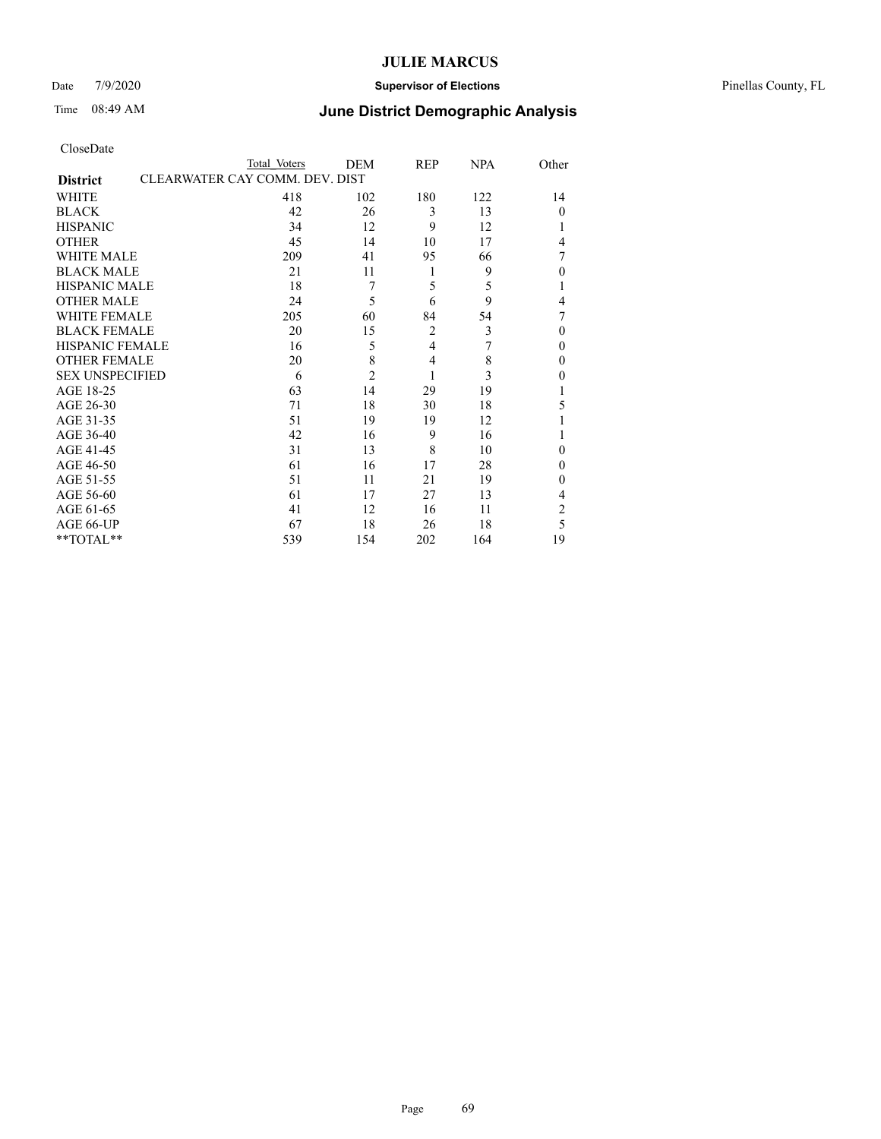### Date 7/9/2020 **Supervisor of Elections** Pinellas County, FL

# Time 08:49 AM **June District Demographic Analysis**

|                                                   | Total Voters | DEM            | REP            | <b>NPA</b> | Other          |
|---------------------------------------------------|--------------|----------------|----------------|------------|----------------|
| CLEARWATER CAY COMM. DEV. DIST<br><b>District</b> |              |                |                |            |                |
| WHITE                                             | 418          | 102            | 180            | 122        | 14             |
| <b>BLACK</b>                                      | 42           | 26             | 3              | 13         | $\theta$       |
| <b>HISPANIC</b>                                   | 34           | 12             | 9              | 12         | 1              |
| <b>OTHER</b>                                      | 45           | 14             | 10             | 17         | 4              |
| <b>WHITE MALE</b>                                 | 209          | 41             | 95             | 66         | 7              |
| <b>BLACK MALE</b>                                 | 21           | 11             | 1              | 9          | $\theta$       |
| <b>HISPANIC MALE</b>                              | 18           | 7              | 5              | 5          | 1              |
| <b>OTHER MALE</b>                                 | 24           | 5              | 6              | 9          | 4              |
| <b>WHITE FEMALE</b>                               | 205          | 60             | 84             | 54         | 7              |
| <b>BLACK FEMALE</b>                               | 20           | 15             | $\overline{2}$ | 3          | $\theta$       |
| <b>HISPANIC FEMALE</b>                            | 16           | 5              | 4              | 7          | $\theta$       |
| <b>OTHER FEMALE</b>                               | 20           | 8              | 4              | 8          | $\theta$       |
| <b>SEX UNSPECIFIED</b>                            | 6            | $\overline{2}$ | 1              | 3          | $\theta$       |
| AGE 18-25                                         | 63           | 14             | 29             | 19         | 1              |
| AGE 26-30                                         | 71           | 18             | 30             | 18         | 5              |
| AGE 31-35                                         | 51           | 19             | 19             | 12         | 1              |
| AGE 36-40                                         | 42           | 16             | 9              | 16         |                |
| AGE 41-45                                         | 31           | 13             | 8              | 10         | $\theta$       |
| AGE 46-50                                         | 61           | 16             | 17             | 28         | $\theta$       |
| AGE 51-55                                         | 51           | 11             | 21             | 19         | $\theta$       |
| AGE 56-60                                         | 61           | 17             | 27             | 13         | 4              |
| AGE 61-65                                         | 41           | 12             | 16             | 11         | $\overline{2}$ |
| AGE 66-UP                                         | 67           | 18             | 26             | 18         | 5              |
| **TOTAL**                                         | 539          | 154            | 202            | 164        | 19             |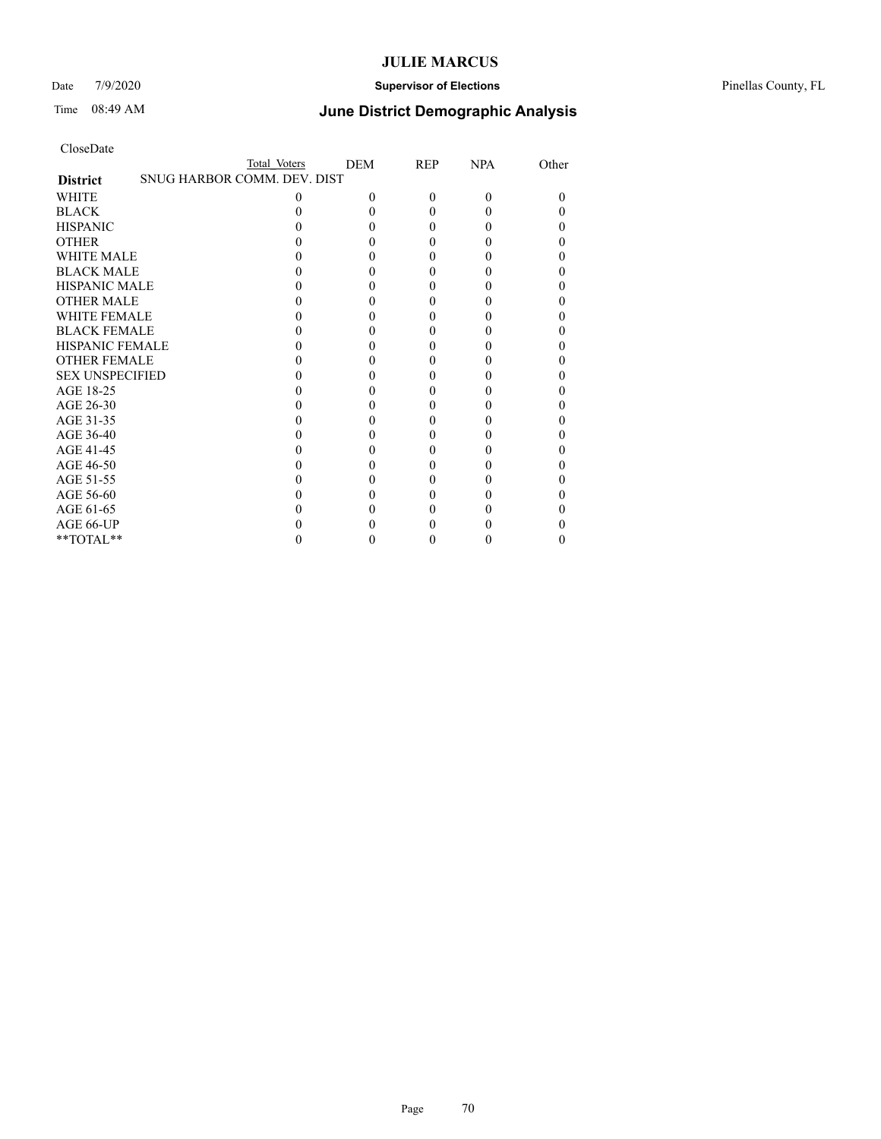### Date 7/9/2020 **Supervisor of Elections** Pinellas County, FL

# Time 08:49 AM **June District Demographic Analysis**

|                        |                             | Total Voters | DEM | REP | <b>NPA</b> | Other |
|------------------------|-----------------------------|--------------|-----|-----|------------|-------|
| <b>District</b>        | SNUG HARBOR COMM. DEV. DIST |              |     |     |            |       |
| WHITE                  |                             | 0            | 0   | 0   | $\theta$   | 0     |
| <b>BLACK</b>           |                             |              |     |     |            |       |
| <b>HISPANIC</b>        |                             |              |     |     |            | 0     |
| <b>OTHER</b>           |                             |              |     |     |            |       |
| WHITE MALE             |                             |              |     |     |            | 0     |
| <b>BLACK MALE</b>      |                             |              |     |     |            |       |
| <b>HISPANIC MALE</b>   |                             |              |     |     |            | 0     |
| <b>OTHER MALE</b>      |                             |              |     |     |            | 0     |
| <b>WHITE FEMALE</b>    |                             |              |     |     |            |       |
| <b>BLACK FEMALE</b>    |                             |              |     |     |            | 0     |
| <b>HISPANIC FEMALE</b> |                             |              |     |     |            |       |
| <b>OTHER FEMALE</b>    |                             |              |     |     |            | 0     |
| <b>SEX UNSPECIFIED</b> |                             |              |     |     |            |       |
| AGE 18-25              |                             |              |     |     |            | 0     |
| AGE 26-30              |                             |              |     |     |            | 0     |
| AGE 31-35              |                             |              |     |     |            |       |
| AGE 36-40              |                             |              |     |     |            |       |
| AGE 41-45              |                             |              |     |     |            |       |
| AGE 46-50              |                             |              |     |     |            | 0     |
| AGE 51-55              |                             |              |     |     |            |       |
| AGE 56-60              |                             |              |     |     |            |       |
| AGE 61-65              |                             |              |     |     |            | 0     |
| AGE 66-UP              |                             |              |     |     |            |       |
| **TOTAL**              |                             |              |     |     |            |       |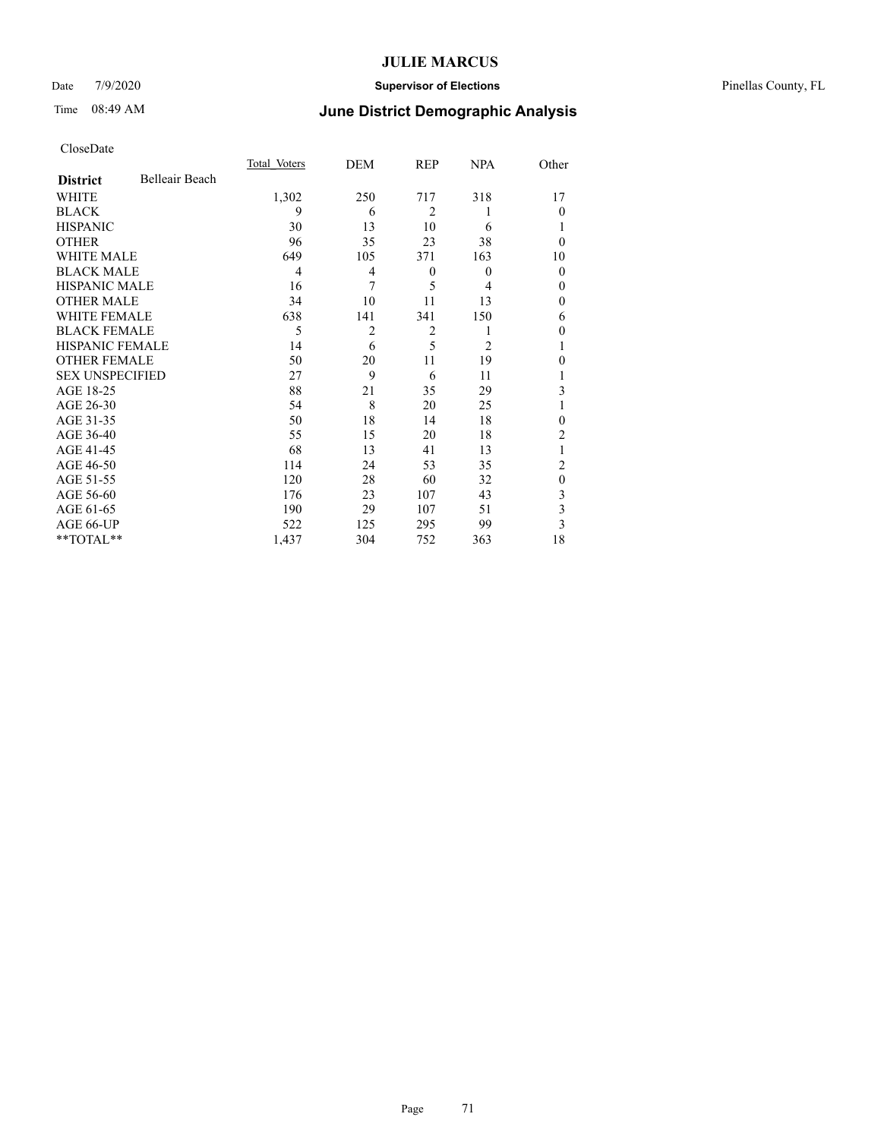### Date 7/9/2020 **Supervisor of Elections** Pinellas County, FL

# Time 08:49 AM **June District Demographic Analysis**

|                        |                | Total Voters | DEM            | REP            | <b>NPA</b> | Other          |
|------------------------|----------------|--------------|----------------|----------------|------------|----------------|
| <b>District</b>        | Belleair Beach |              |                |                |            |                |
| WHITE                  |                | 1,302        | 250            | 717            | 318        | 17             |
| <b>BLACK</b>           |                | 9            | 6              | $\overline{2}$ |            | $\theta$       |
| <b>HISPANIC</b>        |                | 30           | 13             | 10             | 6          | 1              |
| <b>OTHER</b>           |                | 96           | 35             | 23             | 38         | $\theta$       |
| WHITE MALE             |                | 649          | 105            | 371            | 163        | 10             |
| <b>BLACK MALE</b>      |                | 4            | $\overline{4}$ | $\theta$       | $\theta$   | $\mathbf{0}$   |
| <b>HISPANIC MALE</b>   |                | 16           | 7              | 5              | 4          | $\theta$       |
| <b>OTHER MALE</b>      |                | 34           | 10             | 11             | 13         | $\theta$       |
| WHITE FEMALE           |                | 638          | 141            | 341            | 150        | 6              |
| <b>BLACK FEMALE</b>    |                | 5            | $\overline{2}$ | $\overline{2}$ |            | $\theta$       |
| HISPANIC FEMALE        |                | 14           | 6              | 5              | 2          | 1              |
| <b>OTHER FEMALE</b>    |                | 50           | 20             | 11             | 19         | $\theta$       |
| <b>SEX UNSPECIFIED</b> |                | 27           | 9              | 6              | 11         |                |
| AGE 18-25              |                | 88           | 21             | 35             | 29         | 3              |
| AGE 26-30              |                | 54           | 8              | 20             | 25         | 1              |
| AGE 31-35              |                | 50           | 18             | 14             | 18         | $\mathbf{0}$   |
| AGE 36-40              |                | 55           | 15             | 20             | 18         | $\overline{2}$ |
| AGE 41-45              |                | 68           | 13             | 41             | 13         |                |
| AGE 46-50              |                | 114          | 24             | 53             | 35         | 2              |
| AGE 51-55              |                | 120          | 28             | 60             | 32         | $\mathbf{0}$   |
| AGE 56-60              |                | 176          | 23             | 107            | 43         | 3              |
| AGE 61-65              |                | 190          | 29             | 107            | 51         | 3              |
| AGE 66-UP              |                | 522          | 125            | 295            | 99         | 3              |
| **TOTAL**              |                | 1,437        | 304            | 752            | 363        | 18             |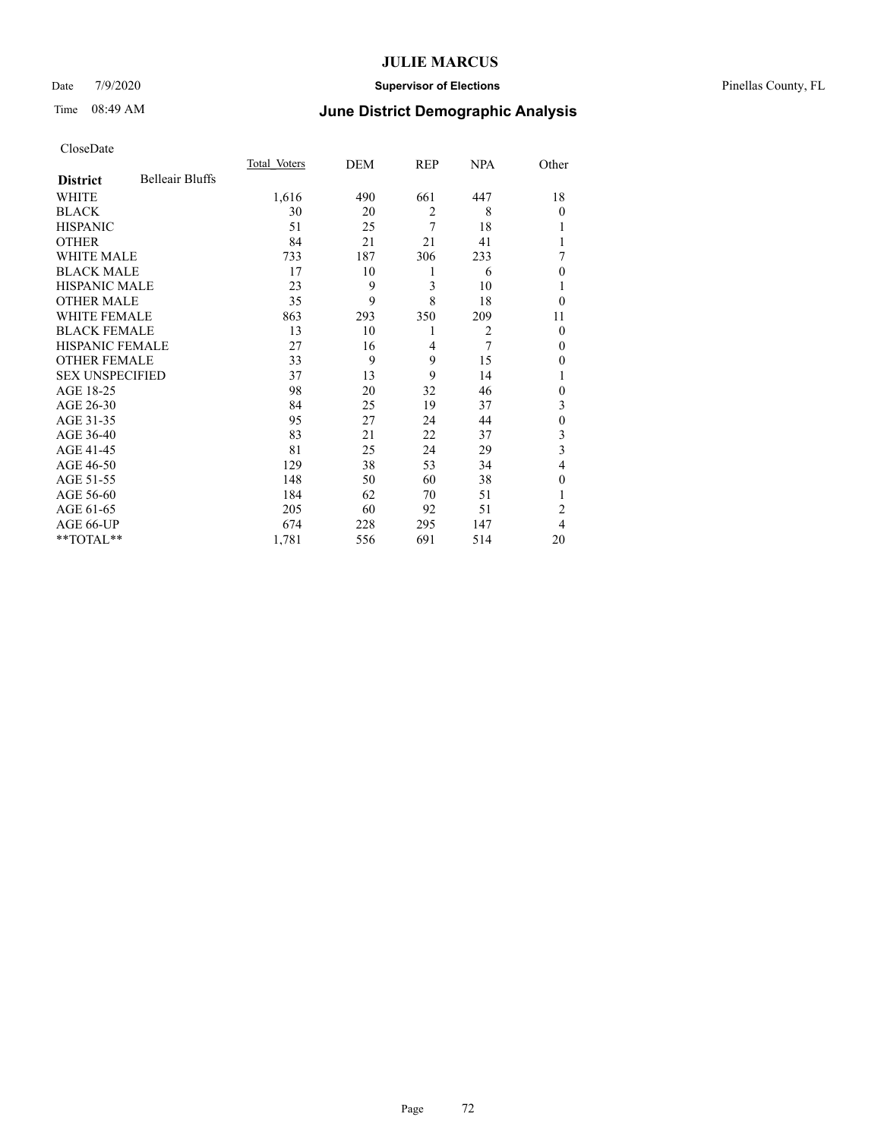### Date 7/9/2020 **Supervisor of Elections** Pinellas County, FL

# Time 08:49 AM **June District Demographic Analysis**

|                        |                        | Total Voters | DEM | REP            | NPA            | Other          |
|------------------------|------------------------|--------------|-----|----------------|----------------|----------------|
| <b>District</b>        | <b>Belleair Bluffs</b> |              |     |                |                |                |
| WHITE                  |                        | 1,616        | 490 | 661            | 447            | 18             |
| <b>BLACK</b>           |                        | 30           | 20  | $\overline{2}$ | 8              | $\Omega$       |
| <b>HISPANIC</b>        |                        | 51           | 25  | 7              | 18             |                |
| <b>OTHER</b>           |                        | 84           | 21  | 21             | 41             |                |
| WHITE MALE             |                        | 733          | 187 | 306            | 233            | 7              |
| <b>BLACK MALE</b>      |                        | 17           | 10  | 1              | 6              | $\Omega$       |
| <b>HISPANIC MALE</b>   |                        | 23           | 9   | 3              | 10             | 1              |
| <b>OTHER MALE</b>      |                        | 35           | 9   | 8              | 18             | $\theta$       |
| WHITE FEMALE           |                        | 863          | 293 | 350            | 209            | 11             |
| <b>BLACK FEMALE</b>    |                        | 13           | 10  | 1              | $\overline{2}$ | $\mathbf{0}$   |
| HISPANIC FEMALE        |                        | 27           | 16  | 4              | 7              | $\Omega$       |
| <b>OTHER FEMALE</b>    |                        | 33           | 9   | 9              | 15             | $\Omega$       |
| <b>SEX UNSPECIFIED</b> |                        | 37           | 13  | 9              | 14             | 1              |
| AGE 18-25              |                        | 98           | 20  | 32             | 46             | $\Omega$       |
| AGE 26-30              |                        | 84           | 25  | 19             | 37             | 3              |
| AGE 31-35              |                        | 95           | 27  | 24             | 44             | $\theta$       |
| AGE 36-40              |                        | 83           | 21  | 22             | 37             | 3              |
| AGE 41-45              |                        | 81           | 25  | 24             | 29             | 3              |
| AGE 46-50              |                        | 129          | 38  | 53             | 34             | 4              |
| AGE 51-55              |                        | 148          | 50  | 60             | 38             | $\Omega$       |
| AGE 56-60              |                        | 184          | 62  | 70             | 51             |                |
| AGE 61-65              |                        | 205          | 60  | 92             | 51             | $\overline{c}$ |
| AGE 66-UP              |                        | 674          | 228 | 295            | 147            | 4              |
| **TOTAL**              |                        | 1,781        | 556 | 691            | 514            | 20             |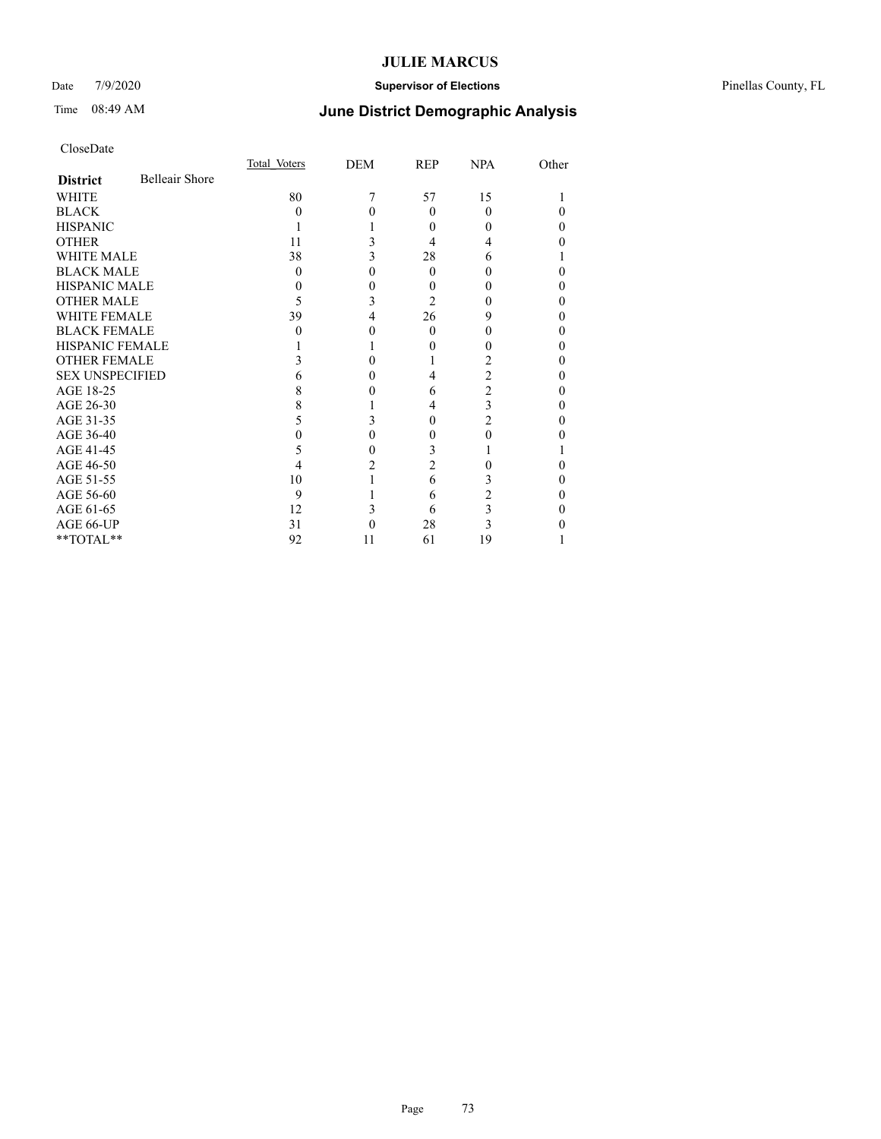### Date 7/9/2020 **Supervisor of Elections** Pinellas County, FL

# Time 08:49 AM **June District Demographic Analysis**

|                        |                       | Total Voters | DEM | <b>REP</b>     | NPA      | Other |
|------------------------|-----------------------|--------------|-----|----------------|----------|-------|
| <b>District</b>        | <b>Belleair Shore</b> |              |     |                |          |       |
| <b>WHITE</b>           |                       | 80           |     | 57             | 15       |       |
| <b>BLACK</b>           |                       | 0            |     | $\Omega$       | $\Omega$ |       |
| <b>HISPANIC</b>        |                       |              |     | 0              |          | 0     |
| <b>OTHER</b>           |                       | 11           |     | 4              |          |       |
| <b>WHITE MALE</b>      |                       | 38           | 3   | 28             | 6        |       |
| <b>BLACK MALE</b>      |                       | $\theta$     | 0   | $\Omega$       |          |       |
| <b>HISPANIC MALE</b>   |                       |              | 0   | 0              |          |       |
| <b>OTHER MALE</b>      |                       | 5            | 3   | $\overline{2}$ |          | 0     |
| <b>WHITE FEMALE</b>    |                       | 39           | 4   | 26             | 9        | 0     |
| <b>BLACK FEMALE</b>    |                       | $\theta$     | 0   | $\theta$       |          | 0     |
| <b>HISPANIC FEMALE</b> |                       |              |     |                |          |       |
| <b>OTHER FEMALE</b>    |                       |              | 0   |                |          | 0     |
| <b>SEX UNSPECIFIED</b> |                       |              |     | 4              | 2        |       |
| AGE 18-25              |                       |              |     | 6              | 2        |       |
| AGE 26-30              |                       |              |     | 4              | 3        | 0     |
| AGE 31-35              |                       |              |     | 0              | 2        |       |
| AGE 36-40              |                       |              | 0   | 0              | 0        |       |
| AGE 41-45              |                       | 5            | 0   | 3              |          |       |
| AGE 46-50              |                       | 4            | 2   | 2              |          | 0     |
| AGE 51-55              |                       | 10           |     | 6              | 3        |       |
| AGE 56-60              |                       | 9            |     | 6              |          |       |
| AGE 61-65              |                       | 12           |     | 6              | 3        |       |
| AGE 66-UP              |                       | 31           |     | 28             | 3        |       |
| **TOTAL**              |                       | 92           | 11  | 61             | 19       |       |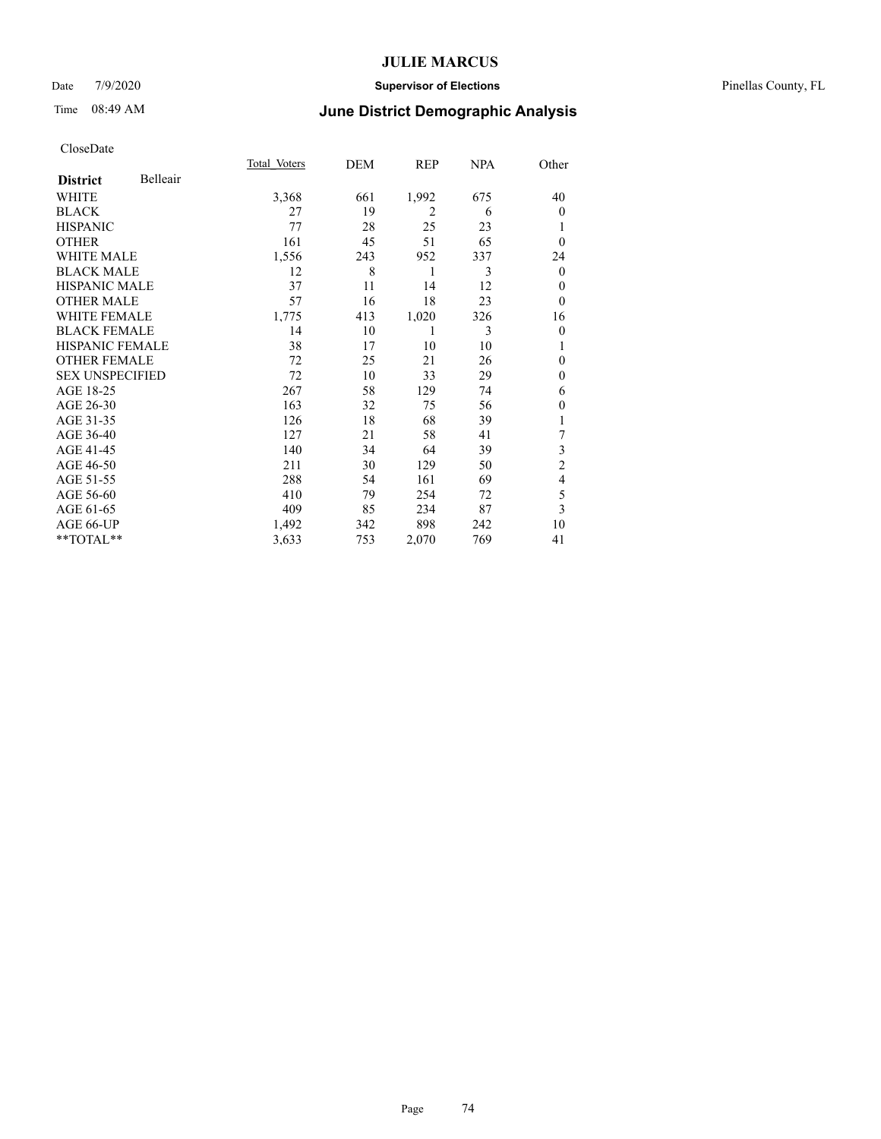### Date 7/9/2020 **Supervisor of Elections** Pinellas County, FL

| CloseDate |
|-----------|
|-----------|

|                        |          | Total Voters | DEM | REP            | NPA | Other          |
|------------------------|----------|--------------|-----|----------------|-----|----------------|
| <b>District</b>        | Belleair |              |     |                |     |                |
| WHITE                  |          | 3,368        | 661 | 1,992          | 675 | 40             |
| <b>BLACK</b>           |          | 27           | 19  | $\overline{2}$ | 6   | $\overline{0}$ |
| <b>HISPANIC</b>        |          | 77           | 28  | 25             | 23  | 1              |
| <b>OTHER</b>           |          | 161          | 45  | 51             | 65  | $\theta$       |
| <b>WHITE MALE</b>      |          | 1,556        | 243 | 952            | 337 | 24             |
| <b>BLACK MALE</b>      |          | 12           | 8   | 1              | 3   | $\mathbf{0}$   |
| <b>HISPANIC MALE</b>   |          | 37           | 11  | 14             | 12  | $\theta$       |
| <b>OTHER MALE</b>      |          | 57           | 16  | 18             | 23  | $\theta$       |
| WHITE FEMALE           |          | 1,775        | 413 | 1,020          | 326 | 16             |
| <b>BLACK FEMALE</b>    |          | 14           | 10  | 1              | 3   | $\overline{0}$ |
| <b>HISPANIC FEMALE</b> |          | 38           | 17  | 10             | 10  | 1              |
| <b>OTHER FEMALE</b>    |          | 72           | 25  | 21             | 26  | $\theta$       |
| <b>SEX UNSPECIFIED</b> |          | 72           | 10  | 33             | 29  | $\mathbf{0}$   |
| AGE 18-25              |          | 267          | 58  | 129            | 74  | 6              |
| AGE 26-30              |          | 163          | 32  | 75             | 56  | $\mathbf{0}$   |
| AGE 31-35              |          | 126          | 18  | 68             | 39  |                |
| AGE 36-40              |          | 127          | 21  | 58             | 41  | 7              |
| AGE 41-45              |          | 140          | 34  | 64             | 39  | 3              |
| AGE 46-50              |          | 211          | 30  | 129            | 50  | $\overline{2}$ |
| AGE 51-55              |          | 288          | 54  | 161            | 69  | 4              |
| AGE 56-60              |          | 410          | 79  | 254            | 72  | 5              |
| AGE 61-65              |          | 409          | 85  | 234            | 87  | 3              |
| AGE 66-UP              |          | 1,492        | 342 | 898            | 242 | 10             |
| **TOTAL**              |          | 3,633        | 753 | 2,070          | 769 | 41             |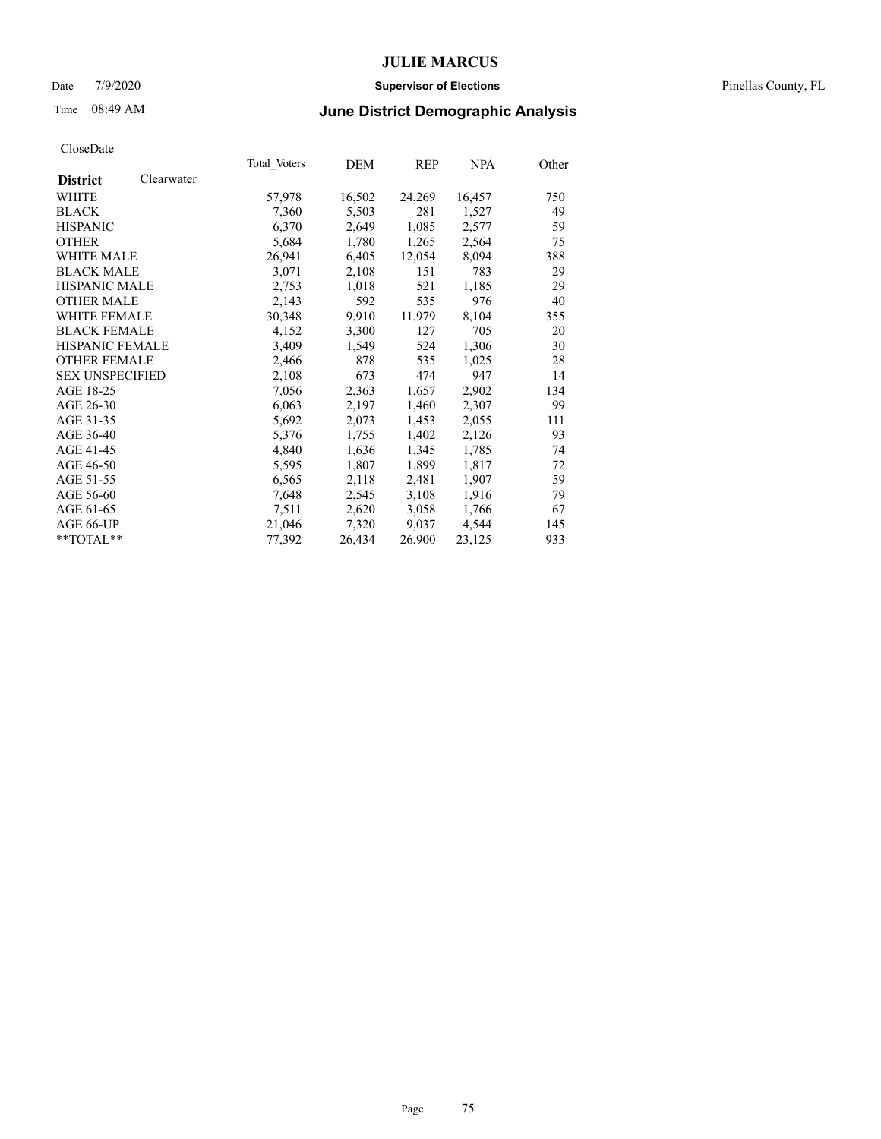#### Date 7/9/2020 **Supervisor of Elections** Pinellas County, FL

# Time 08:49 AM **June District Demographic Analysis**

|                        |            | Total Voters | DEM    | REP    | <b>NPA</b> | Other |
|------------------------|------------|--------------|--------|--------|------------|-------|
| <b>District</b>        | Clearwater |              |        |        |            |       |
| <b>WHITE</b>           |            | 57,978       | 16,502 | 24,269 | 16,457     | 750   |
| <b>BLACK</b>           |            | 7,360        | 5,503  | 281    | 1,527      | 49    |
| <b>HISPANIC</b>        |            | 6,370        | 2,649  | 1,085  | 2,577      | 59    |
| <b>OTHER</b>           |            | 5,684        | 1,780  | 1,265  | 2,564      | 75    |
| WHITE MALE             |            | 26,941       | 6,405  | 12,054 | 8,094      | 388   |
| <b>BLACK MALE</b>      |            | 3,071        | 2,108  | 151    | 783        | 29    |
| <b>HISPANIC MALE</b>   |            | 2,753        | 1,018  | 521    | 1,185      | 29    |
| <b>OTHER MALE</b>      |            | 2,143        | 592    | 535    | 976        | 40    |
| <b>WHITE FEMALE</b>    |            | 30,348       | 9,910  | 11,979 | 8,104      | 355   |
| <b>BLACK FEMALE</b>    |            | 4,152        | 3,300  | 127    | 705        | 20    |
| <b>HISPANIC FEMALE</b> |            | 3,409        | 1,549  | 524    | 1,306      | 30    |
| <b>OTHER FEMALE</b>    |            | 2,466        | 878    | 535    | 1,025      | 28    |
| <b>SEX UNSPECIFIED</b> |            | 2,108        | 673    | 474    | 947        | 14    |
| AGE 18-25              |            | 7,056        | 2,363  | 1,657  | 2,902      | 134   |
| AGE 26-30              |            | 6,063        | 2,197  | 1,460  | 2,307      | 99    |
| AGE 31-35              |            | 5,692        | 2,073  | 1,453  | 2,055      | 111   |
| AGE 36-40              |            | 5,376        | 1,755  | 1,402  | 2,126      | 93    |
| AGE 41-45              |            | 4,840        | 1,636  | 1,345  | 1,785      | 74    |
| AGE 46-50              |            | 5,595        | 1,807  | 1,899  | 1,817      | 72    |
| AGE 51-55              |            | 6,565        | 2,118  | 2,481  | 1,907      | 59    |
| AGE 56-60              |            | 7,648        | 2,545  | 3,108  | 1,916      | 79    |
| AGE 61-65              |            | 7,511        | 2,620  | 3,058  | 1,766      | 67    |
| AGE 66-UP              |            | 21,046       | 7,320  | 9,037  | 4,544      | 145   |
| $*$ TOTAL $*$          |            | 77,392       | 26,434 | 26,900 | 23,125     | 933   |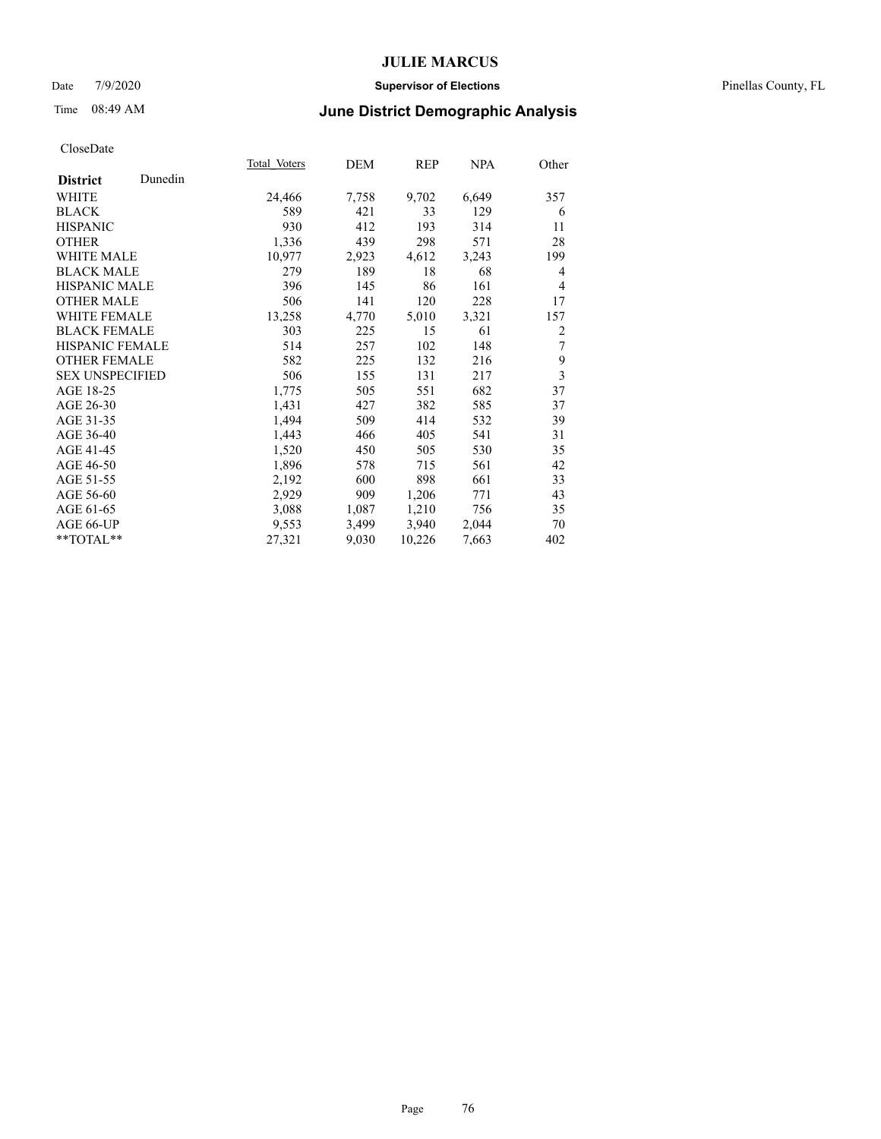#### Date 7/9/2020 **Supervisor of Elections** Pinellas County, FL

# Time 08:49 AM **June District Demographic Analysis**

|                        |         | Total Voters | DEM   | REP    | NPA   | Other |
|------------------------|---------|--------------|-------|--------|-------|-------|
| <b>District</b>        | Dunedin |              |       |        |       |       |
| WHITE                  |         | 24,466       | 7,758 | 9,702  | 6,649 | 357   |
| <b>BLACK</b>           |         | 589          | 421   | 33     | 129   | 6     |
| <b>HISPANIC</b>        |         | 930          | 412   | 193    | 314   | 11    |
| <b>OTHER</b>           |         | 1,336        | 439   | 298    | 571   | 28    |
| WHITE MALE             |         | 10,977       | 2,923 | 4,612  | 3,243 | 199   |
| <b>BLACK MALE</b>      |         | 279          | 189   | 18     | 68    | 4     |
| <b>HISPANIC MALE</b>   |         | 396          | 145   | 86     | 161   | 4     |
| <b>OTHER MALE</b>      |         | 506          | 141   | 120    | 228   | 17    |
| <b>WHITE FEMALE</b>    |         | 13,258       | 4,770 | 5,010  | 3,321 | 157   |
| <b>BLACK FEMALE</b>    |         | 303          | 225   | 15     | 61    | 2     |
| HISPANIC FEMALE        |         | 514          | 257   | 102    | 148   | 7     |
| <b>OTHER FEMALE</b>    |         | 582          | 225   | 132    | 216   | 9     |
| <b>SEX UNSPECIFIED</b> |         | 506          | 155   | 131    | 217   | 3     |
| AGE 18-25              |         | 1,775        | 505   | 551    | 682   | 37    |
| AGE 26-30              |         | 1,431        | 427   | 382    | 585   | 37    |
| AGE 31-35              |         | 1,494        | 509   | 414    | 532   | 39    |
| AGE 36-40              |         | 1,443        | 466   | 405    | 541   | 31    |
| AGE 41-45              |         | 1,520        | 450   | 505    | 530   | 35    |
| AGE 46-50              |         | 1,896        | 578   | 715    | 561   | 42    |
| AGE 51-55              |         | 2,192        | 600   | 898    | 661   | 33    |
| AGE 56-60              |         | 2,929        | 909   | 1,206  | 771   | 43    |
| AGE 61-65              |         | 3,088        | 1,087 | 1,210  | 756   | 35    |
| AGE 66-UP              |         | 9,553        | 3,499 | 3,940  | 2,044 | 70    |
| $*$ TOTAL $*$          |         | 27,321       | 9,030 | 10,226 | 7,663 | 402   |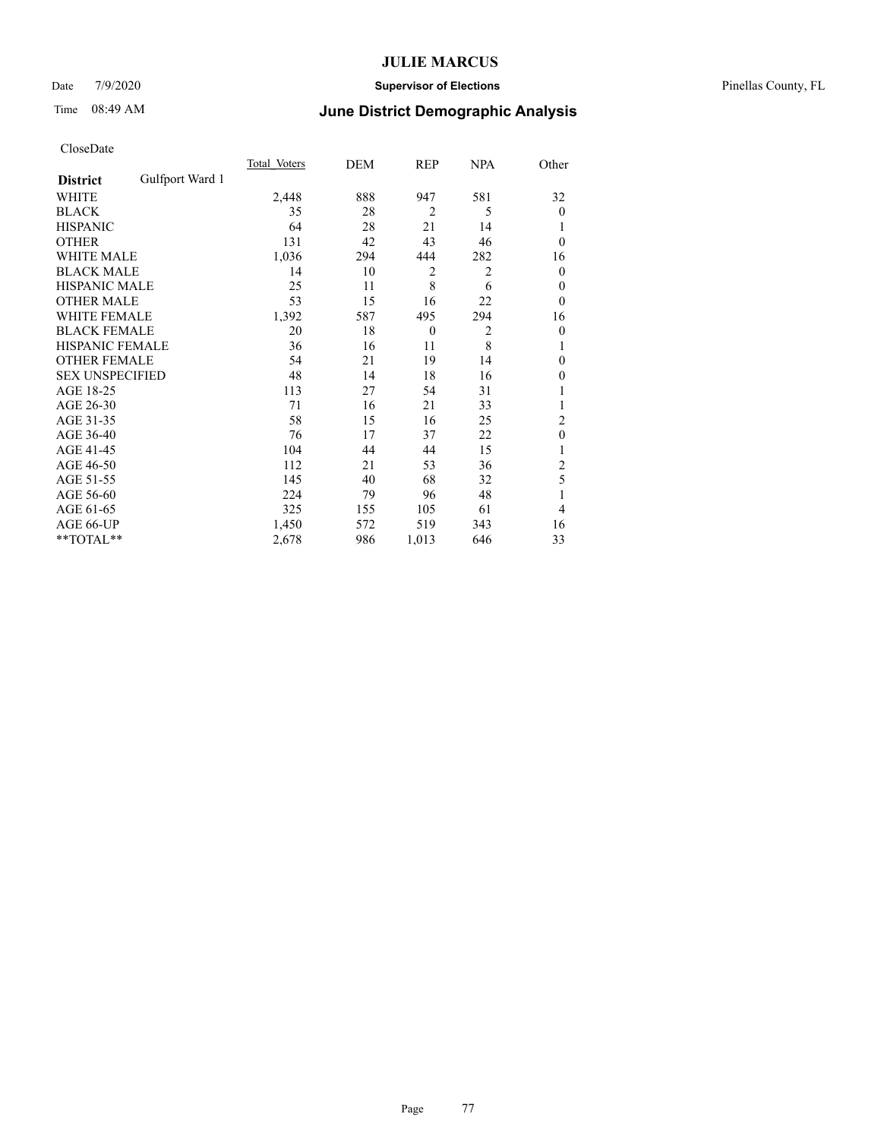### Date 7/9/2020 **Supervisor of Elections** Pinellas County, FL

## Time 08:49 AM **June District Demographic Analysis**

|                        |                 | Total Voters | DEM | REP            | NPA            | Other          |
|------------------------|-----------------|--------------|-----|----------------|----------------|----------------|
| <b>District</b>        | Gulfport Ward 1 |              |     |                |                |                |
| WHITE                  |                 | 2,448        | 888 | 947            | 581            | 32             |
| <b>BLACK</b>           |                 | 35           | 28  | $\overline{2}$ | 5              | $\mathbf{0}$   |
| <b>HISPANIC</b>        |                 | 64           | 28  | 21             | 14             | 1              |
| <b>OTHER</b>           |                 | 131          | 42  | 43             | 46             | $\theta$       |
| WHITE MALE             |                 | 1,036        | 294 | 444            | 282            | 16             |
| <b>BLACK MALE</b>      |                 | 14           | 10  | 2              | 2              | $\mathbf{0}$   |
| <b>HISPANIC MALE</b>   |                 | 25           | 11  | 8              | 6              | 0              |
| <b>OTHER MALE</b>      |                 | 53           | 15  | 16             | 22             | $\mathbf{0}$   |
| <b>WHITE FEMALE</b>    |                 | 1,392        | 587 | 495            | 294            | 16             |
| <b>BLACK FEMALE</b>    |                 | 20           | 18  | $\mathbf{0}$   | $\overline{2}$ | $\theta$       |
| <b>HISPANIC FEMALE</b> |                 | 36           | 16  | 11             | 8              | 1              |
| <b>OTHER FEMALE</b>    |                 | 54           | 21  | 19             | 14             | $\Omega$       |
| <b>SEX UNSPECIFIED</b> |                 | 48           | 14  | 18             | 16             | $\mathbf{0}$   |
| AGE 18-25              |                 | 113          | 27  | 54             | 31             |                |
| AGE 26-30              |                 | 71           | 16  | 21             | 33             | 1              |
| AGE 31-35              |                 | 58           | 15  | 16             | 25             | $\overline{2}$ |
| AGE 36-40              |                 | 76           | 17  | 37             | 22             | $\theta$       |
| AGE 41-45              |                 | 104          | 44  | 44             | 15             |                |
| AGE 46-50              |                 | 112          | 21  | 53             | 36             | 2              |
| AGE 51-55              |                 | 145          | 40  | 68             | 32             | 5              |
| AGE 56-60              |                 | 224          | 79  | 96             | 48             |                |
| AGE 61-65              |                 | 325          | 155 | 105            | 61             | 4              |
| AGE 66-UP              |                 | 1,450        | 572 | 519            | 343            | 16             |
| **TOTAL**              |                 | 2,678        | 986 | 1,013          | 646            | 33             |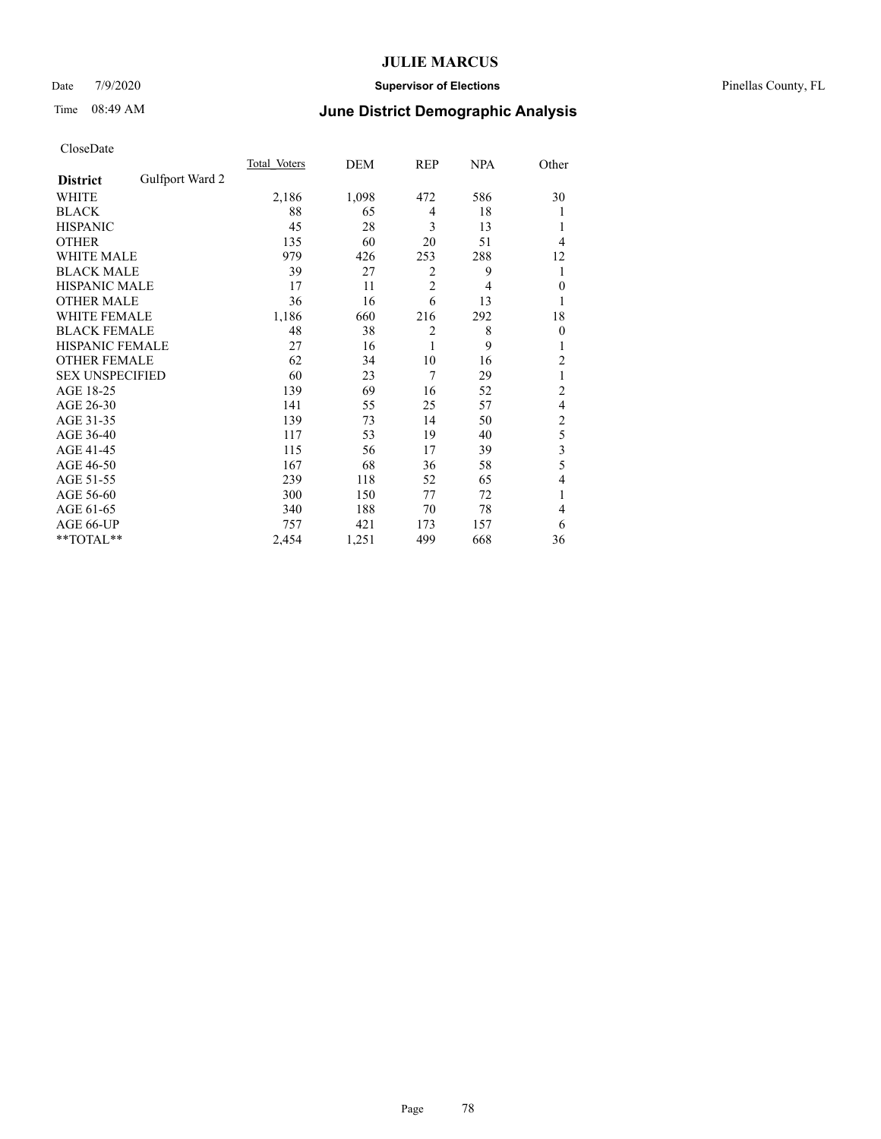### Date 7/9/2020 **Supervisor of Elections** Pinellas County, FL

# Time 08:49 AM **June District Demographic Analysis**

|                        |                 | Total Voters | DEM   | REP            | <b>NPA</b> | Other          |
|------------------------|-----------------|--------------|-------|----------------|------------|----------------|
| <b>District</b>        | Gulfport Ward 2 |              |       |                |            |                |
| WHITE                  |                 | 2,186        | 1,098 | 472            | 586        | 30             |
| <b>BLACK</b>           |                 | 88           | 65    | $\overline{4}$ | 18         |                |
| <b>HISPANIC</b>        |                 | 45           | 28    | 3              | 13         | 1              |
| <b>OTHER</b>           |                 | 135          | 60    | 20             | 51         | 4              |
| WHITE MALE             |                 | 979          | 426   | 253            | 288        | 12             |
| <b>BLACK MALE</b>      |                 | 39           | 27    | 2              | 9          | 1              |
| <b>HISPANIC MALE</b>   |                 | 17           | 11    | $\overline{2}$ | 4          | $\mathbf{0}$   |
| <b>OTHER MALE</b>      |                 | 36           | 16    | 6              | 13         | 1              |
| <b>WHITE FEMALE</b>    |                 | 1,186        | 660   | 216            | 292        | 18             |
| <b>BLACK FEMALE</b>    |                 | 48           | 38    | $\overline{2}$ | 8          | $\theta$       |
| <b>HISPANIC FEMALE</b> |                 | 27           | 16    | 1              | 9          | 1              |
| <b>OTHER FEMALE</b>    |                 | 62           | 34    | 10             | 16         | 2              |
| <b>SEX UNSPECIFIED</b> |                 | 60           | 23    | 7              | 29         | 1              |
| AGE 18-25              |                 | 139          | 69    | 16             | 52         | $\overline{2}$ |
| AGE 26-30              |                 | 141          | 55    | 25             | 57         | 4              |
| AGE 31-35              |                 | 139          | 73    | 14             | 50         | $\overline{c}$ |
| AGE 36-40              |                 | 117          | 53    | 19             | 40         | 5              |
| AGE 41-45              |                 | 115          | 56    | 17             | 39         | 3              |
| AGE 46-50              |                 | 167          | 68    | 36             | 58         | 5              |
| AGE 51-55              |                 | 239          | 118   | 52             | 65         | 4              |
| AGE 56-60              |                 | 300          | 150   | 77             | 72         |                |
| AGE 61-65              |                 | 340          | 188   | 70             | 78         | 4              |
| AGE 66-UP              |                 | 757          | 421   | 173            | 157        | 6              |
| **TOTAL**              |                 | 2,454        | 1,251 | 499            | 668        | 36             |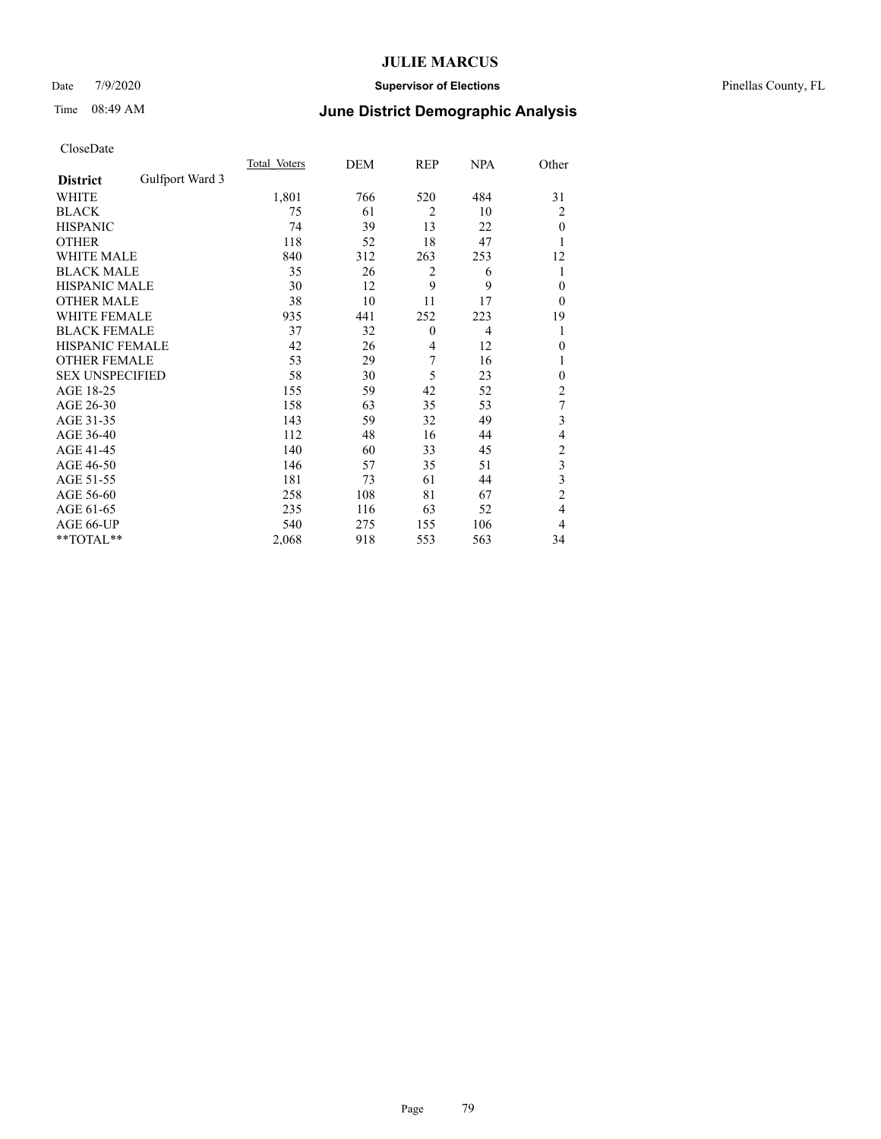### Date 7/9/2020 **Supervisor of Elections** Pinellas County, FL

# Time 08:49 AM **June District Demographic Analysis**

|                        |                 | Total Voters | DEM | REP            | <b>NPA</b>     | Other          |
|------------------------|-----------------|--------------|-----|----------------|----------------|----------------|
| <b>District</b>        | Gulfport Ward 3 |              |     |                |                |                |
| WHITE                  |                 | 1,801        | 766 | 520            | 484            | 31             |
| <b>BLACK</b>           |                 | 75           | 61  | $\overline{2}$ | 10             | 2              |
| <b>HISPANIC</b>        |                 | 74           | 39  | 13             | 22             | $\theta$       |
| <b>OTHER</b>           |                 | 118          | 52  | 18             | 47             | 1              |
| WHITE MALE             |                 | 840          | 312 | 263            | 253            | 12             |
| <b>BLACK MALE</b>      |                 | 35           | 26  | 2              | 6              | 1              |
| <b>HISPANIC MALE</b>   |                 | 30           | 12  | 9              | 9              | $\mathbf{0}$   |
| <b>OTHER MALE</b>      |                 | 38           | 10  | 11             | 17             | $\overline{0}$ |
| <b>WHITE FEMALE</b>    |                 | 935          | 441 | 252            | 223            | 19             |
| <b>BLACK FEMALE</b>    |                 | 37           | 32  | $\mathbf{0}$   | $\overline{4}$ | 1              |
| <b>HISPANIC FEMALE</b> |                 | 42           | 26  | 4              | 12             | $\theta$       |
| <b>OTHER FEMALE</b>    |                 | 53           | 29  | 7              | 16             | 1              |
| <b>SEX UNSPECIFIED</b> |                 | 58           | 30  | 5              | 23             | $\mathbf{0}$   |
| AGE 18-25              |                 | 155          | 59  | 42             | 52             | $\overline{2}$ |
| AGE 26-30              |                 | 158          | 63  | 35             | 53             | 7              |
| AGE 31-35              |                 | 143          | 59  | 32             | 49             | 3              |
| AGE 36-40              |                 | 112          | 48  | 16             | 44             | $\overline{4}$ |
| AGE 41-45              |                 | 140          | 60  | 33             | 45             | $\overline{c}$ |
| AGE 46-50              |                 | 146          | 57  | 35             | 51             | 3              |
| AGE 51-55              |                 | 181          | 73  | 61             | 44             | 3              |
| AGE 56-60              |                 | 258          | 108 | 81             | 67             | $\overline{c}$ |
| AGE 61-65              |                 | 235          | 116 | 63             | 52             | 4              |
| AGE 66-UP              |                 | 540          | 275 | 155            | 106            | 4              |
| **TOTAL**              |                 | 2,068        | 918 | 553            | 563            | 34             |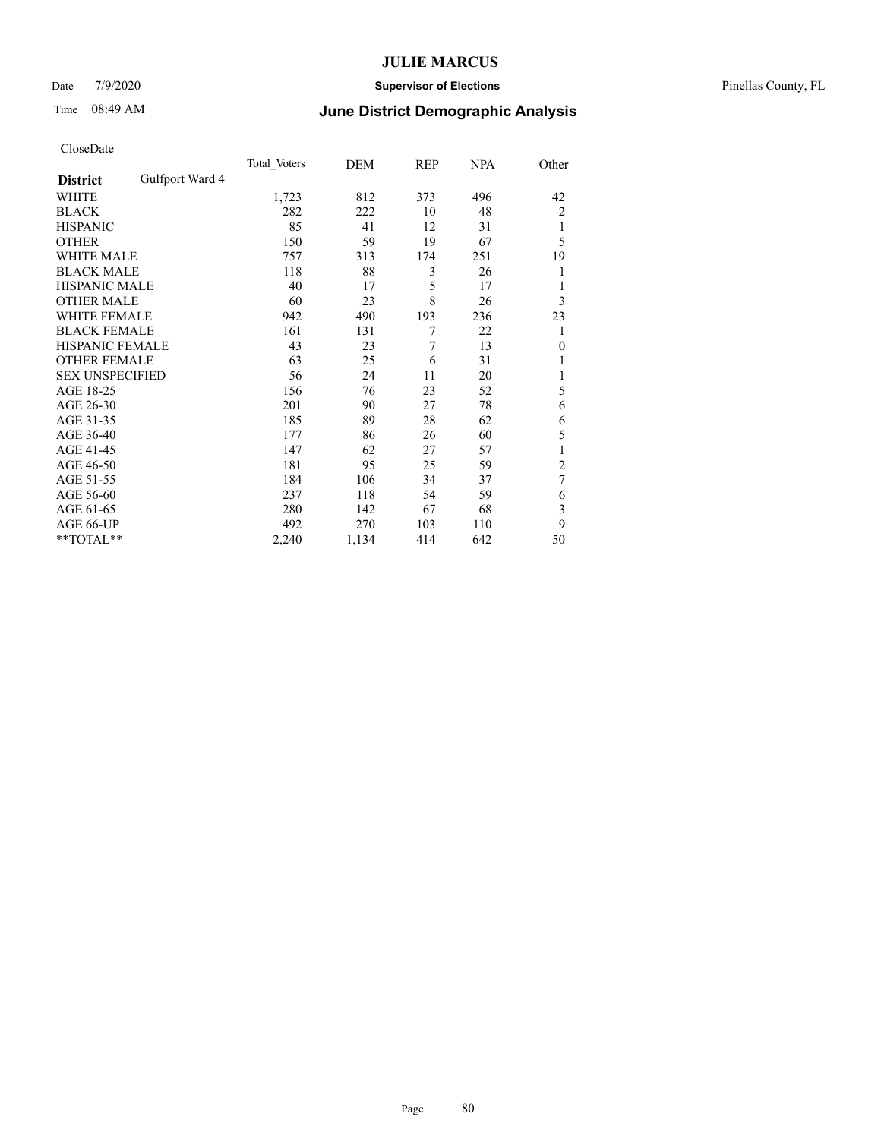### Date 7/9/2020 **Supervisor of Elections** Pinellas County, FL

## Time 08:49 AM **June District Demographic Analysis**

|                        |                 | Total Voters | DEM   | REP | NPA | Other          |
|------------------------|-----------------|--------------|-------|-----|-----|----------------|
| <b>District</b>        | Gulfport Ward 4 |              |       |     |     |                |
| WHITE                  |                 | 1,723        | 812   | 373 | 496 | 42             |
| <b>BLACK</b>           |                 | 282          | 222   | 10  | 48  | $\overline{2}$ |
| <b>HISPANIC</b>        |                 | 85           | 41    | 12  | 31  | 1              |
| <b>OTHER</b>           |                 | 150          | 59    | 19  | 67  | 5              |
| WHITE MALE             |                 | 757          | 313   | 174 | 251 | 19             |
| <b>BLACK MALE</b>      |                 | 118          | 88    | 3   | 26  | 1              |
| <b>HISPANIC MALE</b>   |                 | 40           | 17    | 5   | 17  | 1              |
| <b>OTHER MALE</b>      |                 | 60           | 23    | 8   | 26  | 3              |
| <b>WHITE FEMALE</b>    |                 | 942          | 490   | 193 | 236 | 23             |
| <b>BLACK FEMALE</b>    |                 | 161          | 131   | 7   | 22  | 1              |
| <b>HISPANIC FEMALE</b> |                 | 43           | 23    | 7   | 13  | $\theta$       |
| <b>OTHER FEMALE</b>    |                 | 63           | 25    | 6   | 31  |                |
| <b>SEX UNSPECIFIED</b> |                 | 56           | 24    | 11  | 20  | 1              |
| AGE 18-25              |                 | 156          | 76    | 23  | 52  | 5              |
| AGE 26-30              |                 | 201          | 90    | 27  | 78  | 6              |
| AGE 31-35              |                 | 185          | 89    | 28  | 62  | 6              |
| AGE 36-40              |                 | 177          | 86    | 26  | 60  | 5              |
| AGE 41-45              |                 | 147          | 62    | 27  | 57  |                |
| AGE 46-50              |                 | 181          | 95    | 25  | 59  | 2              |
| AGE 51-55              |                 | 184          | 106   | 34  | 37  | 7              |
| AGE 56-60              |                 | 237          | 118   | 54  | 59  | 6              |
| AGE 61-65              |                 | 280          | 142   | 67  | 68  | 3              |
| AGE 66-UP              |                 | 492          | 270   | 103 | 110 | 9              |
| **TOTAL**              |                 | 2,240        | 1,134 | 414 | 642 | 50             |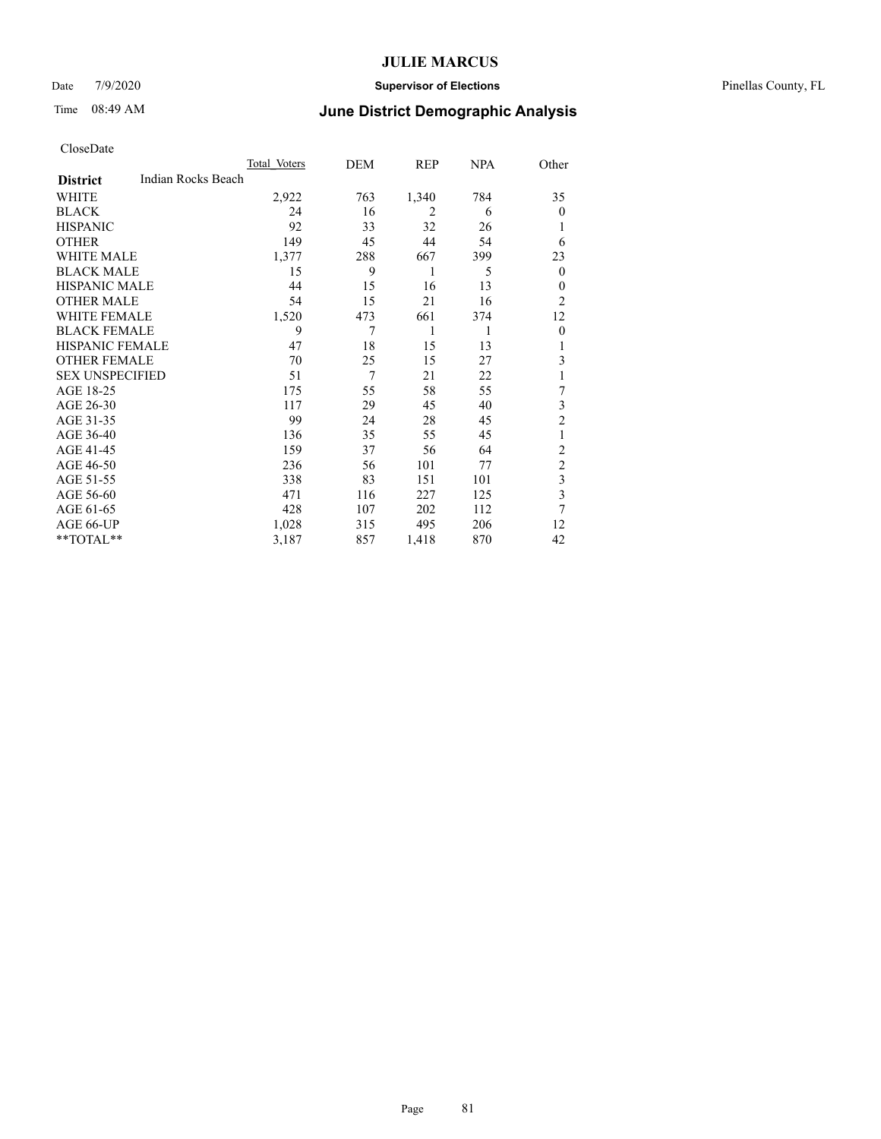### Date 7/9/2020 **Supervisor of Elections** Pinellas County, FL

| CloseDate |
|-----------|
|-----------|

|                                       | Total Voters | DEM | REP            | NPA | Other          |
|---------------------------------------|--------------|-----|----------------|-----|----------------|
| Indian Rocks Beach<br><b>District</b> |              |     |                |     |                |
| WHITE                                 | 2,922        | 763 | 1,340          | 784 | 35             |
| <b>BLACK</b>                          | 24           | 16  | $\overline{2}$ | 6   | $\theta$       |
| <b>HISPANIC</b>                       | 92           | 33  | 32             | 26  | 1              |
| <b>OTHER</b>                          | 149          | 45  | 44             | 54  | 6              |
| <b>WHITE MALE</b>                     | 1,377        | 288 | 667            | 399 | 23             |
| <b>BLACK MALE</b>                     | 15           | 9   | 1              | 5   | $\theta$       |
| <b>HISPANIC MALE</b>                  | 44           | 15  | 16             | 13  | 0              |
| <b>OTHER MALE</b>                     | 54           | 15  | 21             | 16  | $\overline{2}$ |
| <b>WHITE FEMALE</b>                   | 1,520        | 473 | 661            | 374 | 12             |
| <b>BLACK FEMALE</b>                   | 9            | 7   | 1              | 1   | $\theta$       |
| <b>HISPANIC FEMALE</b>                | 47           | 18  | 15             | 13  | 1              |
| <b>OTHER FEMALE</b>                   | 70           | 25  | 15             | 27  | 3              |
| <b>SEX UNSPECIFIED</b>                | 51           | 7   | 21             | 22  | 1              |
| AGE 18-25                             | 175          | 55  | 58             | 55  | 7              |
| AGE 26-30                             | 117          | 29  | 45             | 40  | 3              |
| AGE 31-35                             | 99           | 24  | 28             | 45  | $\overline{c}$ |
| AGE 36-40                             | 136          | 35  | 55             | 45  | 1              |
| AGE 41-45                             | 159          | 37  | 56             | 64  | $\overline{c}$ |
| AGE 46-50                             | 236          | 56  | 101            | 77  | $\overline{2}$ |
| AGE 51-55                             | 338          | 83  | 151            | 101 | 3              |
| AGE 56-60                             | 471          | 116 | 227            | 125 | 3              |
| AGE 61-65                             | 428          | 107 | 202            | 112 | 7              |
| AGE 66-UP                             | 1,028        | 315 | 495            | 206 | 12             |
| **TOTAL**                             | 3,187        | 857 | 1,418          | 870 | 42             |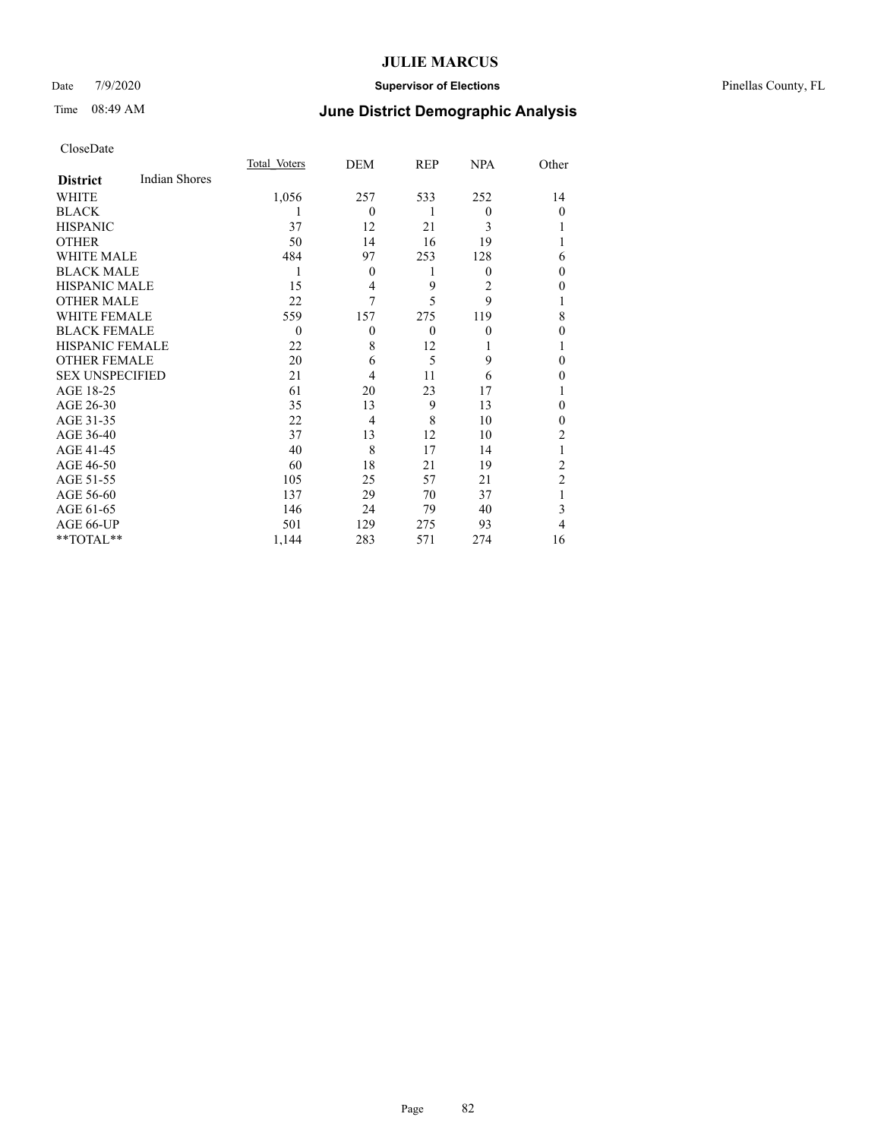### Date 7/9/2020 **Supervisor of Elections** Pinellas County, FL

# Time 08:49 AM **June District Demographic Analysis**

|                        |                      | Total Voters | DEM      | REP      | <b>NPA</b> | Other          |
|------------------------|----------------------|--------------|----------|----------|------------|----------------|
| <b>District</b>        | <b>Indian Shores</b> |              |          |          |            |                |
| WHITE                  |                      | 1,056        | 257      | 533      | 252        | 14             |
| <b>BLACK</b>           |                      |              | $\theta$ | 1        | $\theta$   | $\theta$       |
| <b>HISPANIC</b>        |                      | 37           | 12       | 21       | 3          |                |
| <b>OTHER</b>           |                      | 50           | 14       | 16       | 19         |                |
| WHITE MALE             |                      | 484          | 97       | 253      | 128        | 6              |
| <b>BLACK MALE</b>      |                      | 1            | $\theta$ | 1        | $\theta$   | 0              |
| <b>HISPANIC MALE</b>   |                      | 15           | 4        | 9        | 2          | 0              |
| <b>OTHER MALE</b>      |                      | 22           | 7        | 5        | 9          | 1              |
| <b>WHITE FEMALE</b>    |                      | 559          | 157      | 275      | 119        | 8              |
| <b>BLACK FEMALE</b>    |                      | $\theta$     | $\theta$ | $\theta$ | $\theta$   | 0              |
| <b>HISPANIC FEMALE</b> |                      | 22           | 8        | 12       |            |                |
| <b>OTHER FEMALE</b>    |                      | 20           | 6        | 5        | 9          | 0              |
| <b>SEX UNSPECIFIED</b> |                      | 21           | 4        | 11       | 6          | 0              |
| AGE 18-25              |                      | 61           | 20       | 23       | 17         |                |
| AGE 26-30              |                      | 35           | 13       | 9        | 13         | 0              |
| AGE 31-35              |                      | 22           | 4        | 8        | 10         | 0              |
| AGE 36-40              |                      | 37           | 13       | 12       | 10         | $\overline{2}$ |
| AGE 41-45              |                      | 40           | 8        | 17       | 14         |                |
| AGE 46-50              |                      | 60           | 18       | 21       | 19         | 2              |
| AGE 51-55              |                      | 105          | 25       | 57       | 21         | $\overline{2}$ |
| AGE 56-60              |                      | 137          | 29       | 70       | 37         |                |
| AGE 61-65              |                      | 146          | 24       | 79       | 40         | 3              |
| AGE 66-UP              |                      | 501          | 129      | 275      | 93         | 4              |
| **TOTAL**              |                      | 1,144        | 283      | 571      | 274        | 16             |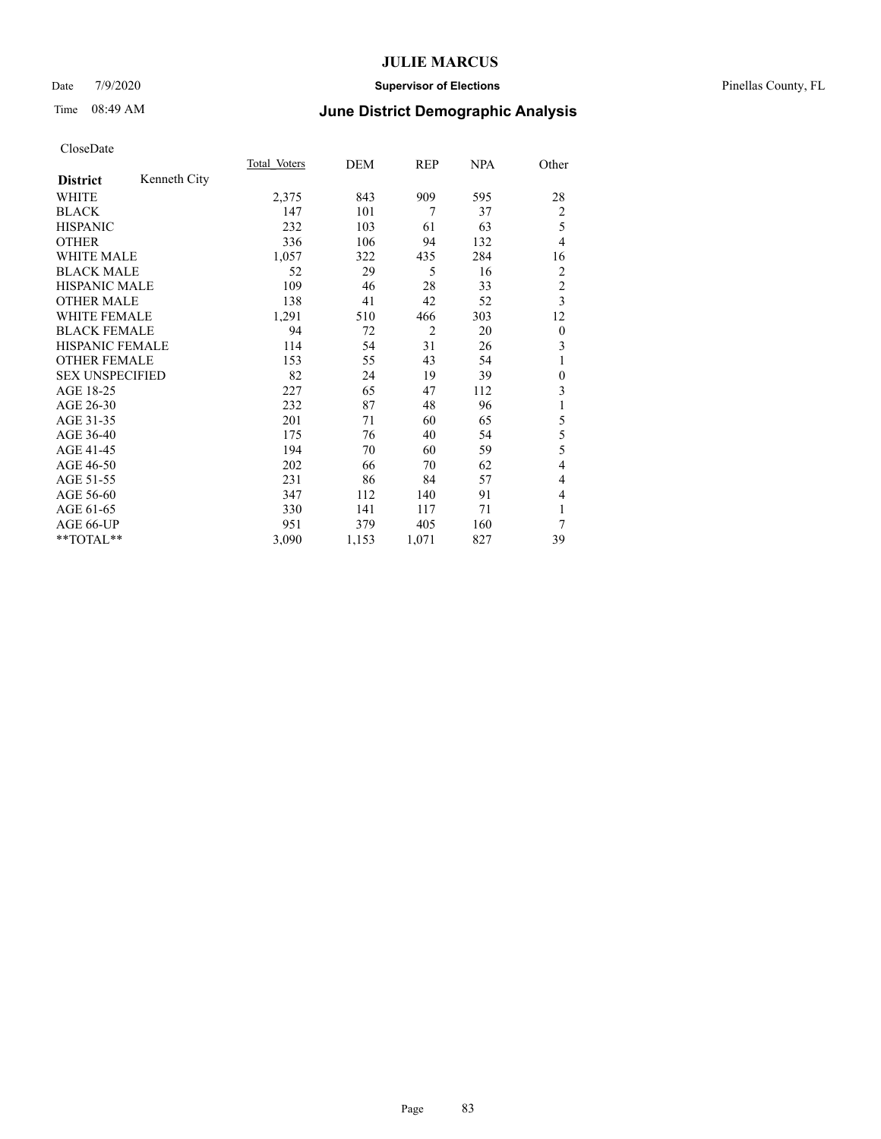#### Date 7/9/2020 **Supervisor of Elections** Pinellas County, FL

# Time 08:49 AM **June District Demographic Analysis**

|                        |              | Total Voters | DEM   | REP            | <b>NPA</b> | Other            |
|------------------------|--------------|--------------|-------|----------------|------------|------------------|
| <b>District</b>        | Kenneth City |              |       |                |            |                  |
| WHITE                  |              | 2,375        | 843   | 909            | 595        | 28               |
| <b>BLACK</b>           |              | 147          | 101   | 7              | 37         | $\overline{2}$   |
| <b>HISPANIC</b>        |              | 232          | 103   | 61             | 63         | 5                |
| <b>OTHER</b>           |              | 336          | 106   | 94             | 132        | $\overline{4}$   |
| <b>WHITE MALE</b>      |              | 1,057        | 322   | 435            | 284        | 16               |
| <b>BLACK MALE</b>      |              | 52           | 29    | 5              | 16         | 2                |
| <b>HISPANIC MALE</b>   |              | 109          | 46    | 28             | 33         | $\overline{2}$   |
| <b>OTHER MALE</b>      |              | 138          | 41    | 42             | 52         | 3                |
| <b>WHITE FEMALE</b>    |              | 1,291        | 510   | 466            | 303        | 12               |
| <b>BLACK FEMALE</b>    |              | 94           | 72    | $\overline{c}$ | 20         | $\boldsymbol{0}$ |
| <b>HISPANIC FEMALE</b> |              | 114          | 54    | 31             | 26         | 3                |
| <b>OTHER FEMALE</b>    |              | 153          | 55    | 43             | 54         | 1                |
| <b>SEX UNSPECIFIED</b> |              | 82           | 24    | 19             | 39         | $\mathbf{0}$     |
| AGE 18-25              |              | 227          | 65    | 47             | 112        | 3                |
| AGE 26-30              |              | 232          | 87    | 48             | 96         | 1                |
| AGE 31-35              |              | 201          | 71    | 60             | 65         | 5                |
| AGE 36-40              |              | 175          | 76    | 40             | 54         | 5                |
| AGE 41-45              |              | 194          | 70    | 60             | 59         | 5                |
| AGE 46-50              |              | 202          | 66    | 70             | 62         | $\overline{4}$   |
| AGE 51-55              |              | 231          | 86    | 84             | 57         | 4                |
| AGE 56-60              |              | 347          | 112   | 140            | 91         | 4                |
| AGE 61-65              |              | 330          | 141   | 117            | 71         | 1                |
| AGE 66-UP              |              | 951          | 379   | 405            | 160        | 7                |
| $*$ $TOTAL**$          |              | 3,090        | 1,153 | 1,071          | 827        | 39               |
|                        |              |              |       |                |            |                  |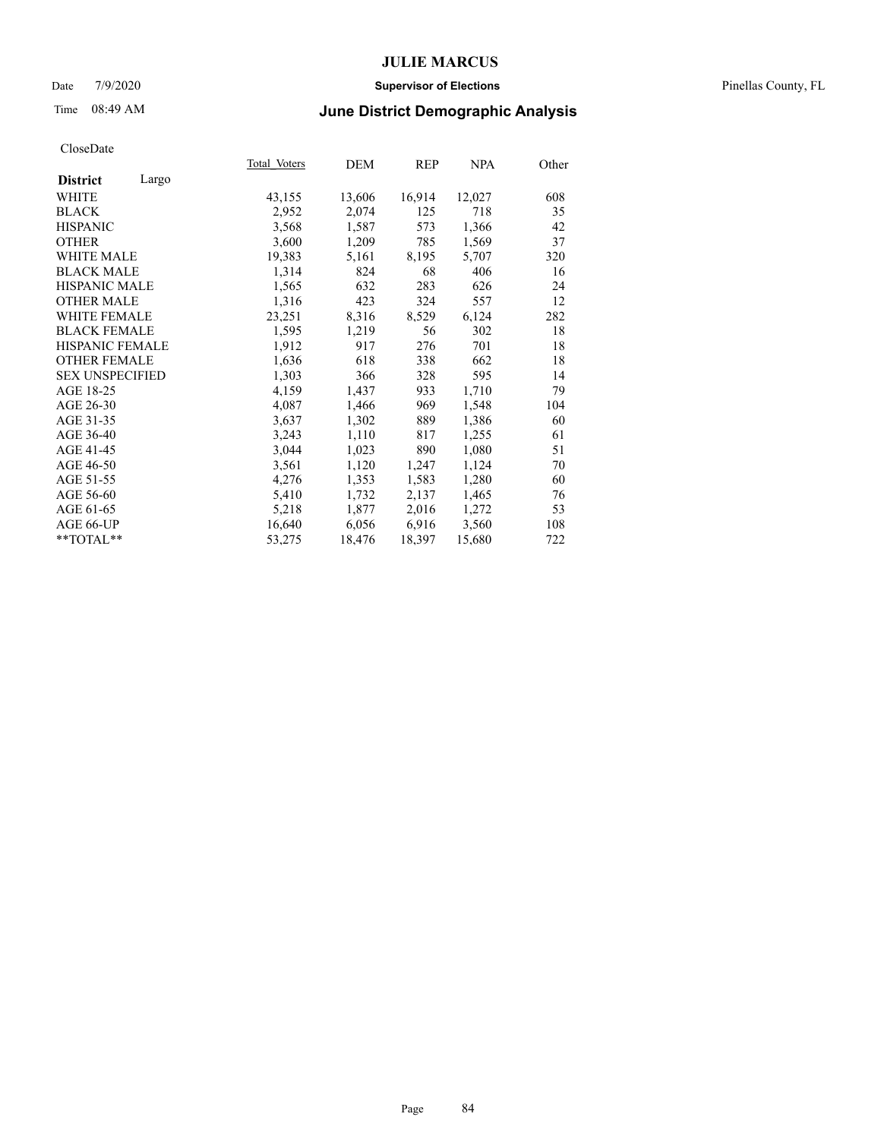#### Date 7/9/2020 **Supervisor of Elections** Pinellas County, FL

# Time 08:49 AM **June District Demographic Analysis**

| Total Voters | DEM    | REP    | NPA    | Other |
|--------------|--------|--------|--------|-------|
|              |        |        |        |       |
| 43,155       | 13,606 | 16,914 | 12,027 | 608   |
| 2,952        | 2,074  | 125    | 718    | 35    |
| 3,568        | 1,587  | 573    | 1,366  | 42    |
| 3,600        | 1,209  | 785    | 1,569  | 37    |
| 19,383       | 5,161  | 8,195  | 5,707  | 320   |
| 1,314        | 824    | 68     | 406    | 16    |
| 1,565        | 632    | 283    | 626    | 24    |
| 1,316        | 423    | 324    | 557    | 12    |
| 23,251       | 8,316  | 8,529  | 6,124  | 282   |
| 1,595        | 1,219  | 56     | 302    | 18    |
| 1,912        | 917    | 276    | 701    | 18    |
| 1,636        | 618    | 338    | 662    | 18    |
| 1,303        | 366    | 328    | 595    | 14    |
| 4,159        | 1,437  | 933    | 1,710  | 79    |
| 4,087        | 1,466  | 969    | 1,548  | 104   |
| 3,637        | 1,302  | 889    | 1,386  | 60    |
| 3,243        | 1,110  | 817    | 1,255  | 61    |
| 3,044        | 1,023  | 890    | 1,080  | 51    |
| 3,561        | 1,120  | 1,247  | 1,124  | 70    |
| 4,276        | 1,353  | 1,583  | 1,280  | 60    |
| 5,410        | 1,732  | 2,137  | 1,465  | 76    |
| 5,218        | 1,877  | 2,016  | 1,272  | 53    |
| 16,640       | 6,056  | 6,916  | 3,560  | 108   |
| 53,275       | 18,476 | 18,397 | 15,680 | 722   |
|              |        |        |        |       |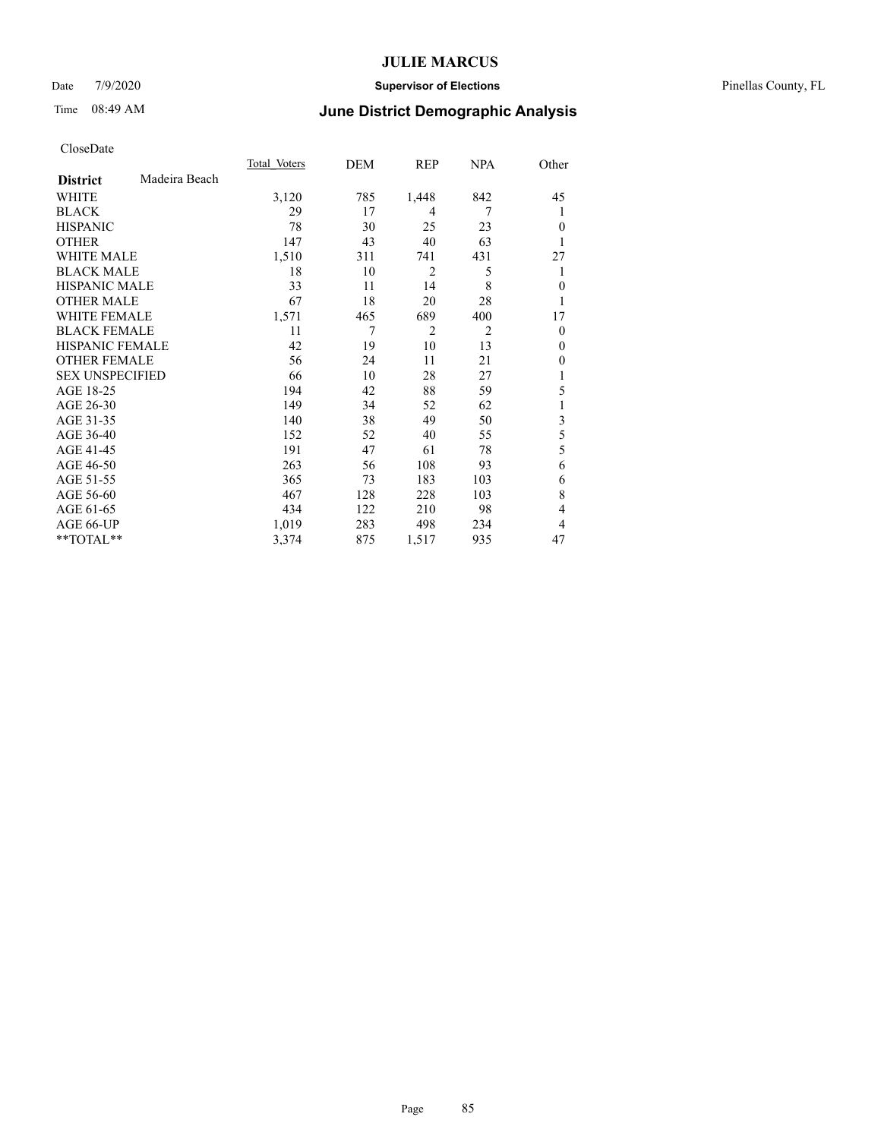### Date 7/9/2020 **Supervisor of Elections** Pinellas County, FL

## Time 08:49 AM **June District Demographic Analysis**

|                        |               | Total Voters | DEM | REP            | NPA            | Other        |
|------------------------|---------------|--------------|-----|----------------|----------------|--------------|
| <b>District</b>        | Madeira Beach |              |     |                |                |              |
| WHITE                  |               | 3,120        | 785 | 1,448          | 842            | 45           |
| <b>BLACK</b>           |               | 29           | 17  | 4              | 7              | 1            |
| <b>HISPANIC</b>        |               | 78           | 30  | 25             | 23             | $\theta$     |
| <b>OTHER</b>           |               | 147          | 43  | 40             | 63             | 1            |
| WHITE MALE             |               | 1,510        | 311 | 741            | 431            | 27           |
| <b>BLACK MALE</b>      |               | 18           | 10  | $\overline{2}$ | 5              | 1            |
| <b>HISPANIC MALE</b>   |               | 33           | 11  | 14             | 8              | $\mathbf{0}$ |
| <b>OTHER MALE</b>      |               | 67           | 18  | 20             | 28             | 1            |
| <b>WHITE FEMALE</b>    |               | 1,571        | 465 | 689            | 400            | 17           |
| <b>BLACK FEMALE</b>    |               | 11           | 7   | $\overline{2}$ | $\overline{2}$ | $\mathbf{0}$ |
| HISPANIC FEMALE        |               | 42           | 19  | 10             | 13             | $\Omega$     |
| <b>OTHER FEMALE</b>    |               | 56           | 24  | 11             | 21             | $\Omega$     |
| <b>SEX UNSPECIFIED</b> |               | 66           | 10  | 28             | 27             | 1            |
| AGE 18-25              |               | 194          | 42  | 88             | 59             | 5            |
| AGE 26-30              |               | 149          | 34  | 52             | 62             | 1            |
| AGE 31-35              |               | 140          | 38  | 49             | 50             | 3            |
| AGE 36-40              |               | 152          | 52  | 40             | 55             | 5            |
| AGE 41-45              |               | 191          | 47  | 61             | 78             | 5            |
| AGE 46-50              |               | 263          | 56  | 108            | 93             | 6            |
| AGE 51-55              |               | 365          | 73  | 183            | 103            | 6            |
| AGE 56-60              |               | 467          | 128 | 228            | 103            | 8            |
| AGE 61-65              |               | 434          | 122 | 210            | 98             | 4            |
| AGE 66-UP              |               | 1,019        | 283 | 498            | 234            | 4            |
| **TOTAL**              |               | 3,374        | 875 | 1,517          | 935            | 47           |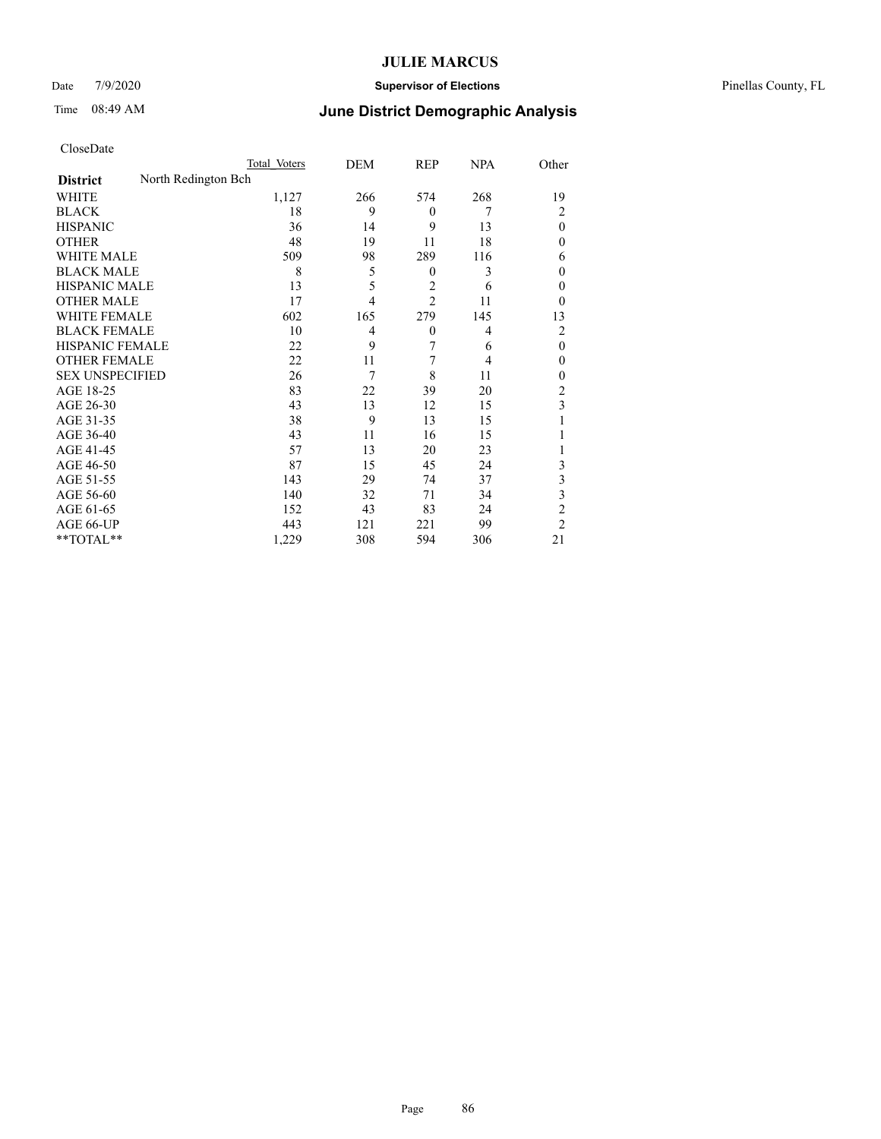### Date 7/9/2020 **Supervisor of Elections** Pinellas County, FL

| CloseDate |
|-----------|
|-----------|

|                        |                     | Total Voters | DEM            | REP              | <b>NPA</b> | Other          |
|------------------------|---------------------|--------------|----------------|------------------|------------|----------------|
| <b>District</b>        | North Redington Bch |              |                |                  |            |                |
| WHITE                  |                     | 1,127        | 266            | 574              | 268        | 19             |
| <b>BLACK</b>           |                     | 18           | 9              | $\theta$         | 7          | 2              |
| <b>HISPANIC</b>        |                     | 36           | 14             | 9                | 13         | $\theta$       |
| <b>OTHER</b>           |                     | 48           | 19             | 11               | 18         | 0              |
| WHITE MALE             |                     | 509          | 98             | 289              | 116        | 6              |
| <b>BLACK MALE</b>      |                     | 8            | 5              | $\boldsymbol{0}$ | 3          | 0              |
| <b>HISPANIC MALE</b>   |                     | 13           | 5              | 2                | 6          | 0              |
| <b>OTHER MALE</b>      |                     | 17           | $\overline{4}$ | $\overline{2}$   | 11         | $\theta$       |
| <b>WHITE FEMALE</b>    |                     | 602          | 165            | 279              | 145        | 13             |
| <b>BLACK FEMALE</b>    |                     | 10           | 4              | $\theta$         | 4          | 2              |
| <b>HISPANIC FEMALE</b> |                     | 22           | 9              | 7                | 6          | $\theta$       |
| <b>OTHER FEMALE</b>    |                     | 22           | 11             | 7                | 4          | $\theta$       |
| <b>SEX UNSPECIFIED</b> |                     | 26           | 7              | 8                | 11         | 0              |
| AGE 18-25              |                     | 83           | 22             | 39               | 20         | 2              |
| AGE 26-30              |                     | 43           | 13             | 12               | 15         | 3              |
| AGE 31-35              |                     | 38           | 9              | 13               | 15         |                |
| AGE 36-40              |                     | 43           | 11             | 16               | 15         |                |
| AGE 41-45              |                     | 57           | 13             | 20               | 23         |                |
| AGE 46-50              |                     | 87           | 15             | 45               | 24         | 3              |
| AGE 51-55              |                     | 143          | 29             | 74               | 37         | 3              |
| AGE 56-60              |                     | 140          | 32             | 71               | 34         | 3              |
| AGE 61-65              |                     | 152          | 43             | 83               | 24         | $\overline{c}$ |
| AGE 66-UP              |                     | 443          | 121            | 221              | 99         | $\overline{2}$ |
| $*$ TOTAL $**$         |                     | 1,229        | 308            | 594              | 306        | 21             |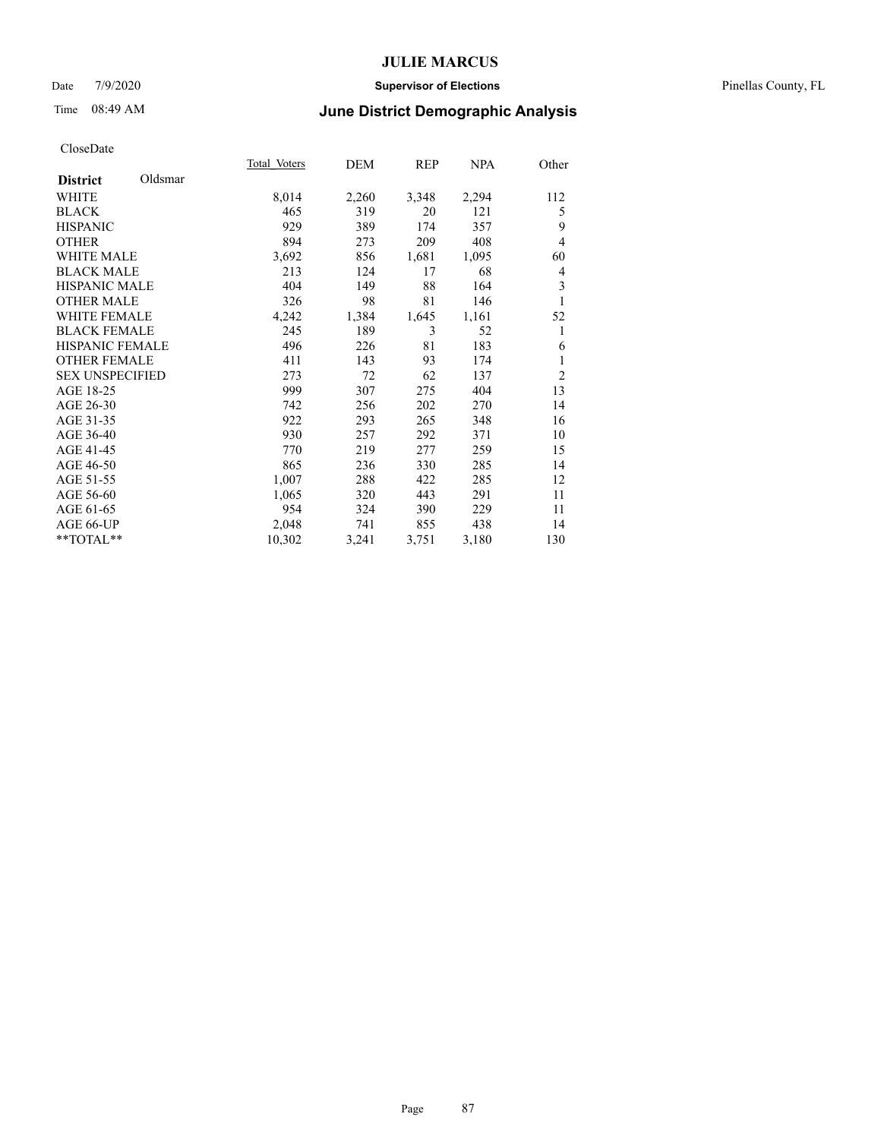#### Date 7/9/2020 **Supervisor of Elections** Pinellas County, FL

# Time 08:49 AM **June District Demographic Analysis**

|                            | Total Voters | DEM   | REP   | <b>NPA</b> | Other          |
|----------------------------|--------------|-------|-------|------------|----------------|
| Oldsmar<br><b>District</b> |              |       |       |            |                |
| WHITE                      | 8,014        | 2,260 | 3,348 | 2,294      | 112            |
| <b>BLACK</b>               | 465          | 319   | 20    | 121        | 5              |
| <b>HISPANIC</b>            | 929          | 389   | 174   | 357        | 9              |
| <b>OTHER</b>               | 894          | 273   | 209   | 408        | 4              |
| <b>WHITE MALE</b>          | 3,692        | 856   | 1,681 | 1,095      | 60             |
| <b>BLACK MALE</b>          | 213          | 124   | 17    | 68         | 4              |
| <b>HISPANIC MALE</b>       | 404          | 149   | 88    | 164        | 3              |
| <b>OTHER MALE</b>          | 326          | 98    | 81    | 146        | 1              |
| <b>WHITE FEMALE</b>        | 4,242        | 1,384 | 1,645 | 1,161      | 52             |
| <b>BLACK FEMALE</b>        | 245          | 189   | 3     | 52         | 1              |
| <b>HISPANIC FEMALE</b>     | 496          | 226   | 81    | 183        | 6              |
| <b>OTHER FEMALE</b>        | 411          | 143   | 93    | 174        | 1              |
| <b>SEX UNSPECIFIED</b>     | 273          | 72    | 62    | 137        | $\overline{c}$ |
| AGE 18-25                  | 999          | 307   | 275   | 404        | 13             |
| AGE 26-30                  | 742          | 256   | 202   | 270        | 14             |
| AGE 31-35                  | 922          | 293   | 265   | 348        | 16             |
| AGE 36-40                  | 930          | 257   | 292   | 371        | 10             |
| AGE 41-45                  | 770          | 219   | 277   | 259        | 15             |
| AGE 46-50                  | 865          | 236   | 330   | 285        | 14             |
| AGE 51-55                  | 1,007        | 288   | 422   | 285        | 12             |
| AGE 56-60                  | 1,065        | 320   | 443   | 291        | 11             |
| AGE 61-65                  | 954          | 324   | 390   | 229        | 11             |
| AGE 66-UP                  | 2,048        | 741   | 855   | 438        | 14             |
| $*$ $TOTAL**$              | 10,302       | 3,241 | 3,751 | 3,180      | 130            |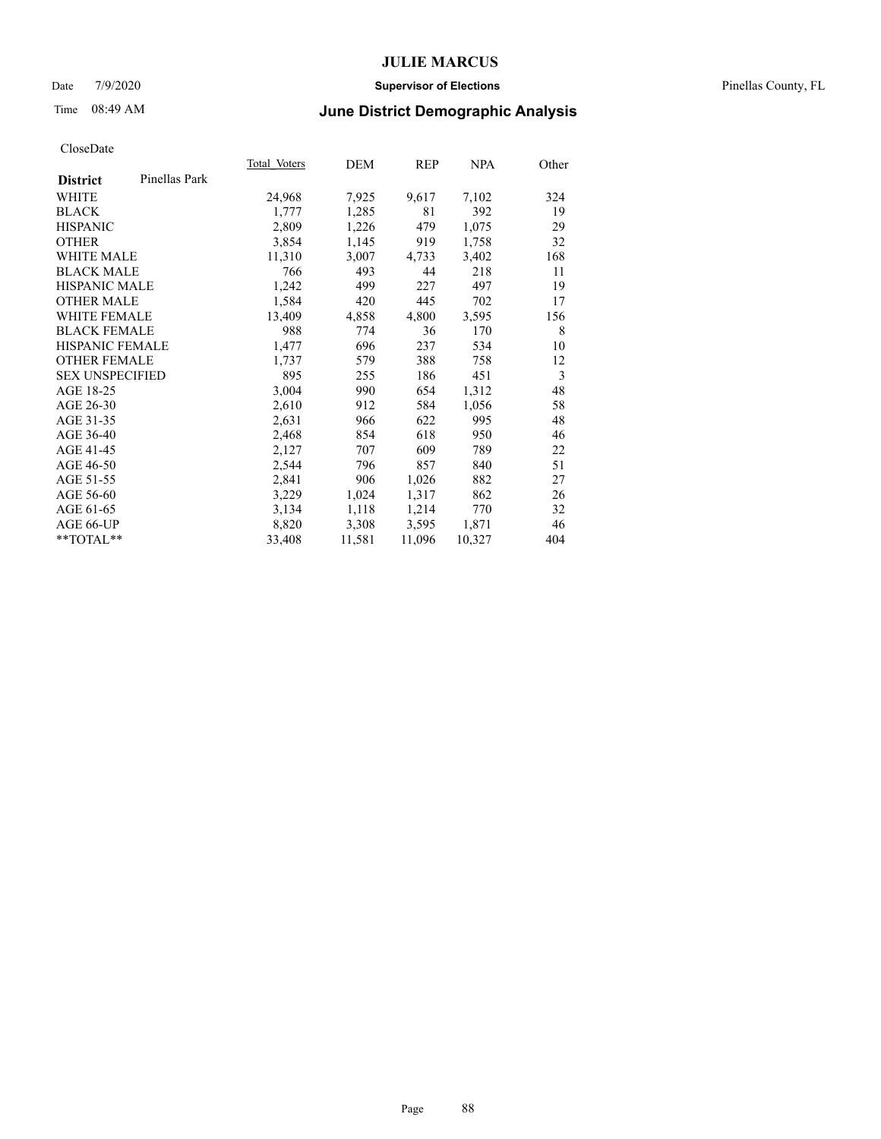#### Date 7/9/2020 **Supervisor of Elections** Pinellas County, FL

# Time 08:49 AM **June District Demographic Analysis**

|                        |               | Total Voters | DEM    | REP    | <b>NPA</b> | Other |
|------------------------|---------------|--------------|--------|--------|------------|-------|
| <b>District</b>        | Pinellas Park |              |        |        |            |       |
| <b>WHITE</b>           |               | 24,968       | 7,925  | 9,617  | 7,102      | 324   |
| <b>BLACK</b>           |               | 1,777        | 1,285  | 81     | 392        | 19    |
| <b>HISPANIC</b>        |               | 2,809        | 1,226  | 479    | 1,075      | 29    |
| <b>OTHER</b>           |               | 3,854        | 1,145  | 919    | 1,758      | 32    |
| WHITE MALE             |               | 11,310       | 3,007  | 4,733  | 3,402      | 168   |
| <b>BLACK MALE</b>      |               | 766          | 493    | 44     | 218        | 11    |
| <b>HISPANIC MALE</b>   |               | 1,242        | 499    | 227    | 497        | 19    |
| <b>OTHER MALE</b>      |               | 1,584        | 420    | 445    | 702        | 17    |
| <b>WHITE FEMALE</b>    |               | 13,409       | 4,858  | 4,800  | 3,595      | 156   |
| <b>BLACK FEMALE</b>    |               | 988          | 774    | 36     | 170        | 8     |
| <b>HISPANIC FEMALE</b> |               | 1,477        | 696    | 237    | 534        | 10    |
| <b>OTHER FEMALE</b>    |               | 1,737        | 579    | 388    | 758        | 12    |
| <b>SEX UNSPECIFIED</b> |               | 895          | 255    | 186    | 451        | 3     |
| AGE 18-25              |               | 3,004        | 990    | 654    | 1,312      | 48    |
| AGE 26-30              |               | 2,610        | 912    | 584    | 1,056      | 58    |
| AGE 31-35              |               | 2,631        | 966    | 622    | 995        | 48    |
| AGE 36-40              |               | 2,468        | 854    | 618    | 950        | 46    |
| AGE 41-45              |               | 2,127        | 707    | 609    | 789        | 22    |
| AGE 46-50              |               | 2,544        | 796    | 857    | 840        | 51    |
| AGE 51-55              |               | 2,841        | 906    | 1,026  | 882        | 27    |
| AGE 56-60              |               | 3,229        | 1,024  | 1,317  | 862        | 26    |
| AGE 61-65              |               | 3,134        | 1,118  | 1,214  | 770        | 32    |
| AGE 66-UP              |               | 8,820        | 3,308  | 3,595  | 1,871      | 46    |
| **TOTAL**              |               | 33,408       | 11,581 | 11,096 | 10,327     | 404   |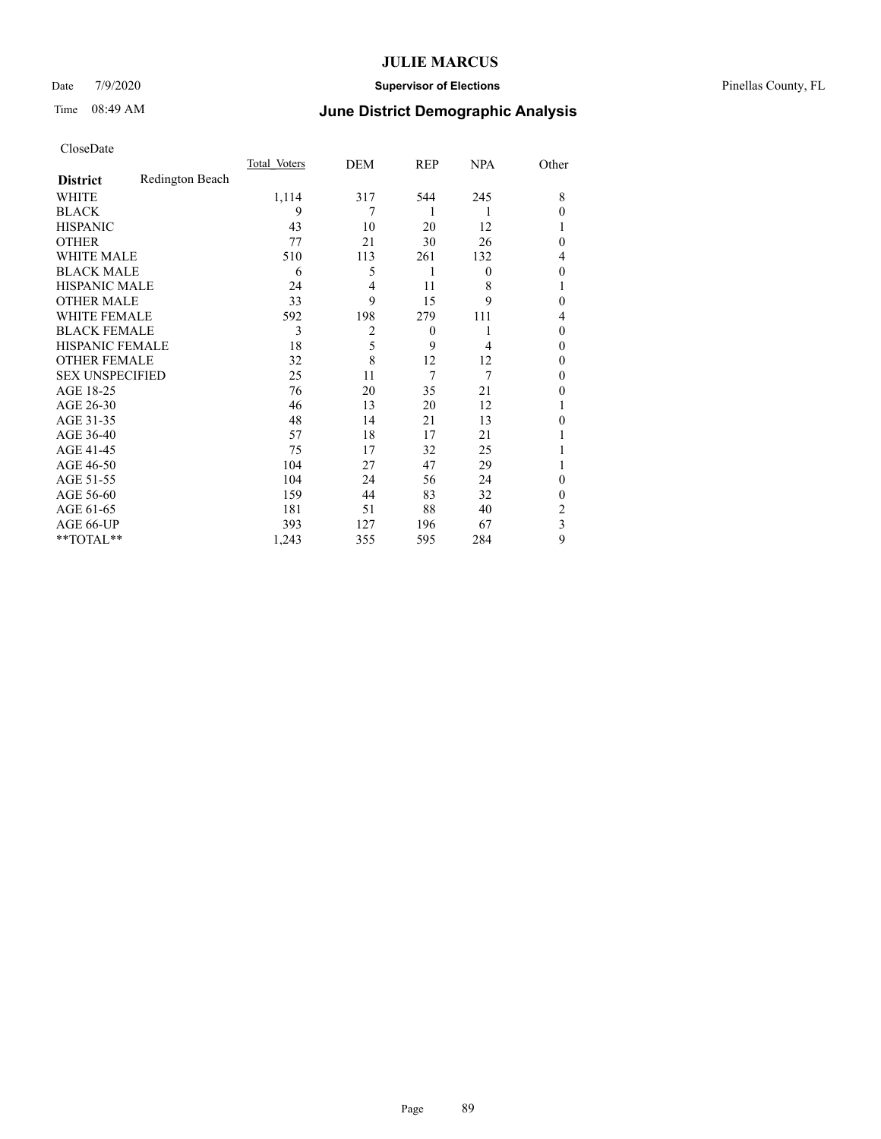### Date 7/9/2020 **Supervisor of Elections** Pinellas County, FL

# Time 08:49 AM **June District Demographic Analysis**

|                        |                 | Total Voters | DEM            | REP      | <b>NPA</b>     | Other    |
|------------------------|-----------------|--------------|----------------|----------|----------------|----------|
| <b>District</b>        | Redington Beach |              |                |          |                |          |
| WHITE                  |                 | 1,114        | 317            | 544      | 245            | 8        |
| <b>BLACK</b>           |                 | 9            | 7              | 1        | 1              | $\theta$ |
| <b>HISPANIC</b>        |                 | 43           | 10             | 20       | 12             |          |
| <b>OTHER</b>           |                 | 77           | 21             | 30       | 26             | $\theta$ |
| WHITE MALE             |                 | 510          | 113            | 261      | 132            | 4        |
| <b>BLACK MALE</b>      |                 | 6            | 5              | 1        | $\overline{0}$ | $\theta$ |
| <b>HISPANIC MALE</b>   |                 | 24           | 4              | 11       | 8              | 1        |
| <b>OTHER MALE</b>      |                 | 33           | 9              | 15       | 9              | $\theta$ |
| WHITE FEMALE           |                 | 592          | 198            | 279      | 111            | 4        |
| <b>BLACK FEMALE</b>    |                 | 3            | $\overline{2}$ | $\theta$ |                | $\theta$ |
| <b>HISPANIC FEMALE</b> |                 | 18           | 5              | 9        | 4              | $\theta$ |
| <b>OTHER FEMALE</b>    |                 | 32           | 8              | 12       | 12             | $\theta$ |
| <b>SEX UNSPECIFIED</b> |                 | 25           | 11             | 7        | 7              | $\theta$ |
| AGE 18-25              |                 | 76           | 20             | 35       | 21             | $\theta$ |
| AGE 26-30              |                 | 46           | 13             | 20       | 12             | 1        |
| AGE 31-35              |                 | 48           | 14             | 21       | 13             | $\theta$ |
| AGE 36-40              |                 | 57           | 18             | 17       | 21             |          |
| AGE 41-45              |                 | 75           | 17             | 32       | 25             |          |
| AGE 46-50              |                 | 104          | 27             | 47       | 29             | 1        |
| AGE 51-55              |                 | 104          | 24             | 56       | 24             | $\theta$ |
| AGE 56-60              |                 | 159          | 44             | 83       | 32             | $\theta$ |
| AGE 61-65              |                 | 181          | 51             | 88       | 40             | 2        |
| AGE 66-UP              |                 | 393          | 127            | 196      | 67             | 3        |
| **TOTAL**              |                 | 1,243        | 355            | 595      | 284            | 9        |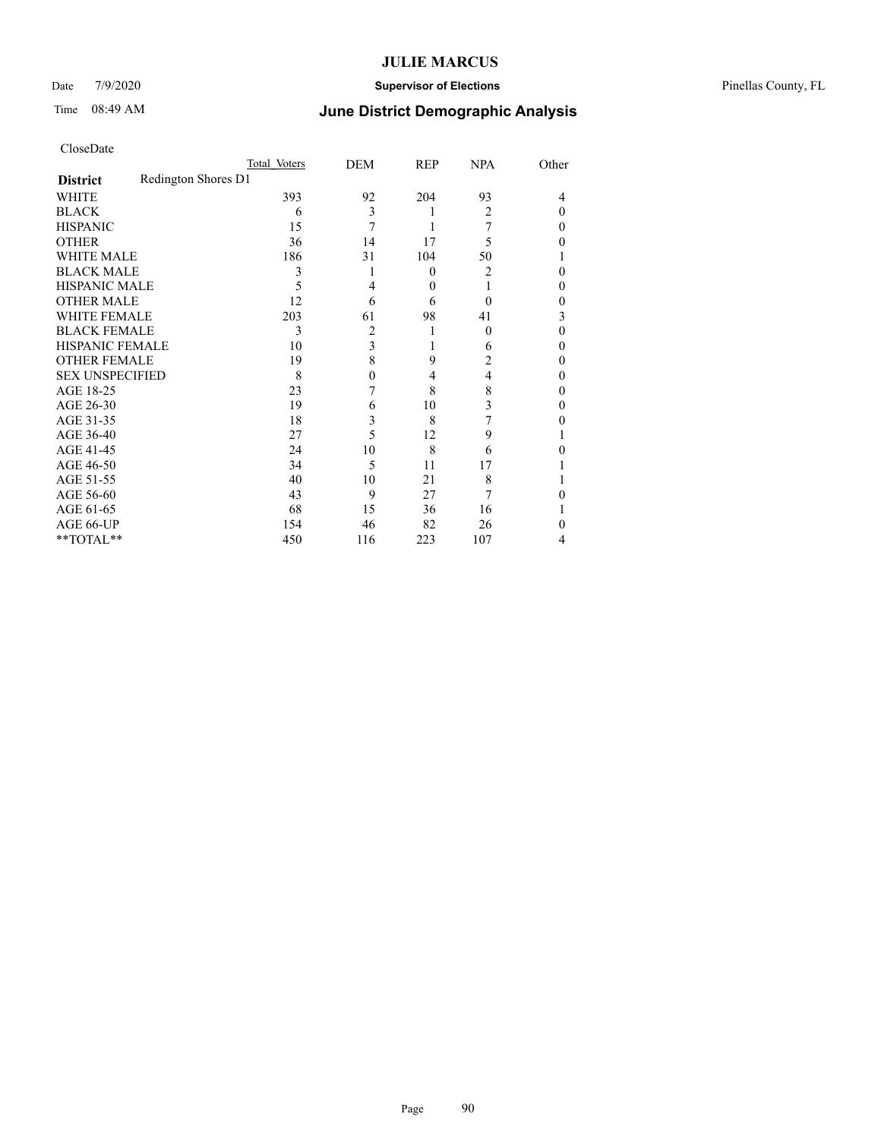### Date 7/9/2020 **Supervisor of Elections** Pinellas County, FL

| CloseDate |
|-----------|
|-----------|

|                        |                     | Total Voters | DEM      | REP      | <b>NPA</b>     | Other |
|------------------------|---------------------|--------------|----------|----------|----------------|-------|
| <b>District</b>        | Redington Shores D1 |              |          |          |                |       |
| WHITE                  |                     | 393          | 92       | 204      | 93             | 4     |
| <b>BLACK</b>           |                     | 6            | 3        |          | 2              | 0     |
| <b>HISPANIC</b>        |                     | 15           | 7        |          | 7              | 0     |
| <b>OTHER</b>           |                     | 36           | 14       | 17       | 5              | 0     |
| <b>WHITE MALE</b>      |                     | 186          | 31       | 104      | 50             |       |
| <b>BLACK MALE</b>      |                     | 3            |          | $\theta$ | $\overline{c}$ | 0     |
| <b>HISPANIC MALE</b>   |                     | 5            | 4        | $\theta$ |                | 0     |
| <b>OTHER MALE</b>      |                     | 12           | 6        | 6        | $\theta$       | 0     |
| <b>WHITE FEMALE</b>    |                     | 203          | 61       | 98       | 41             | 3     |
| <b>BLACK FEMALE</b>    |                     | 3            | 2        |          | $\theta$       | 0     |
| HISPANIC FEMALE        |                     | 10           | 3        |          | 6              | 0     |
| <b>OTHER FEMALE</b>    |                     | 19           | 8        | 9        | 2              | 0     |
| <b>SEX UNSPECIFIED</b> |                     | 8            | $\theta$ | 4        | 4              | 0     |
| AGE 18-25              |                     | 23           | 7        | 8        | 8              | 0     |
| AGE 26-30              |                     | 19           | 6        | 10       | 3              | 0     |
| AGE 31-35              |                     | 18           | 3        | 8        | 7              | 0     |
| AGE 36-40              |                     | 27           | 5        | 12       | 9              |       |
| AGE 41-45              |                     | 24           | 10       | 8        | 6              | 0     |
| AGE 46-50              |                     | 34           | 5        | 11       | 17             |       |
| AGE 51-55              |                     | 40           | 10       | 21       | 8              |       |
| AGE 56-60              |                     | 43           | 9        | 27       | 7              |       |
| AGE 61-65              |                     | 68           | 15       | 36       | 16             |       |
| AGE 66-UP              |                     | 154          | 46       | 82       | 26             | 0     |
| **TOTAL**              |                     | 450          | 116      | 223      | 107            | 4     |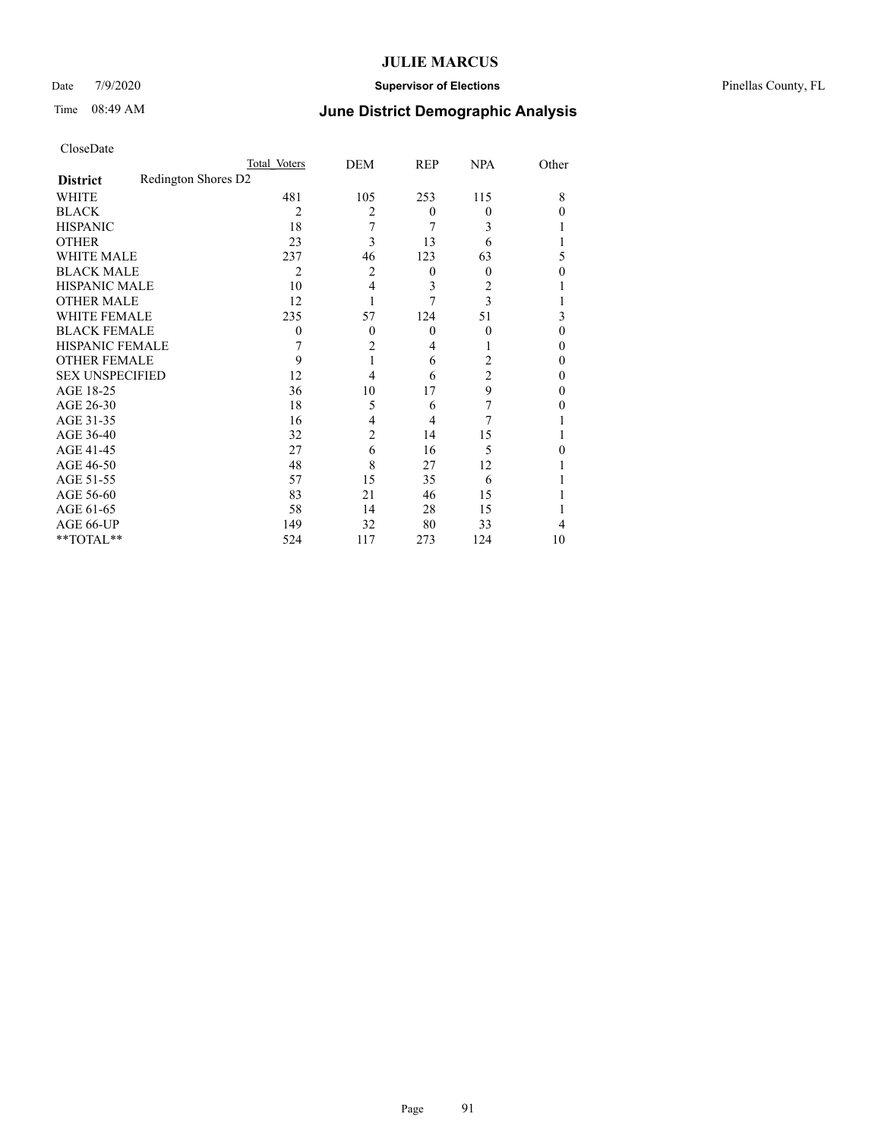### Date 7/9/2020 **Supervisor of Elections** Pinellas County, FL

|                        |                     | Total Voters   | DEM            | REP          | <b>NPA</b> | Other    |
|------------------------|---------------------|----------------|----------------|--------------|------------|----------|
| <b>District</b>        | Redington Shores D2 |                |                |              |            |          |
| WHITE                  |                     | 481            | 105            | 253          | 115        | 8        |
| <b>BLACK</b>           |                     | $\overline{c}$ | 2              | $\theta$     | $\Omega$   | 0        |
| <b>HISPANIC</b>        |                     | 18             | 7              | 7            | 3          |          |
| <b>OTHER</b>           |                     | 23             | 3              | 13           | 6          |          |
| WHITE MALE             |                     | 237            | 46             | 123          | 63         | 5        |
| <b>BLACK MALE</b>      |                     | 2              | 2              | $\mathbf{0}$ | $\Omega$   | 0        |
| <b>HISPANIC MALE</b>   |                     | 10             | 4              | 3            | 2          |          |
| <b>OTHER MALE</b>      |                     | 12             |                | 7            | 3          |          |
| <b>WHITE FEMALE</b>    |                     | 235            | 57             | 124          | 51         | 3        |
| <b>BLACK FEMALE</b>    |                     | $\theta$       | $\theta$       | $\mathbf{0}$ | $\theta$   | $\theta$ |
| <b>HISPANIC FEMALE</b> |                     |                | 2              | 4            |            | 0        |
| <b>OTHER FEMALE</b>    |                     | 9              |                | 6            | 2          | 0        |
| <b>SEX UNSPECIFIED</b> |                     | 12             | 4              | 6            | 2          | 0        |
| AGE 18-25              |                     | 36             | 10             | 17           | 9          | $\theta$ |
| AGE 26-30              |                     | 18             | 5              | 6            | 7          | 0        |
| AGE 31-35              |                     | 16             | 4              | 4            | 7          |          |
| AGE 36-40              |                     | 32             | $\overline{c}$ | 14           | 15         |          |
| AGE 41-45              |                     | 27             | 6              | 16           | 5          |          |
| AGE 46-50              |                     | 48             | 8              | 27           | 12         |          |
| AGE 51-55              |                     | 57             | 15             | 35           | 6          |          |
| AGE 56-60              |                     | 83             | 21             | 46           | 15         |          |
| AGE 61-65              |                     | 58             | 14             | 28           | 15         |          |
| AGE 66-UP              |                     | 149            | 32             | 80           | 33         | 4        |
| **TOTAL**              |                     | 524            | 117            | 273          | 124        | 10       |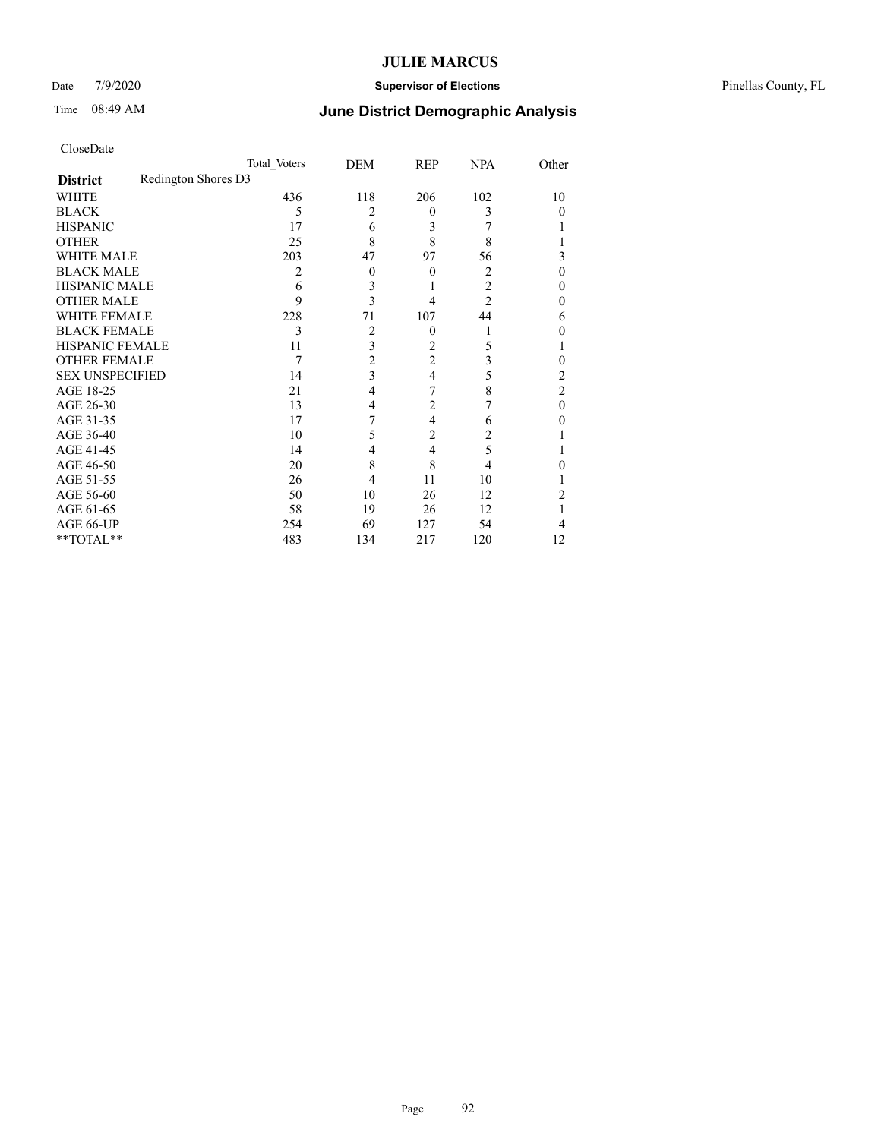### Date 7/9/2020 **Supervisor of Elections** Pinellas County, FL

| CloseDate |  |
|-----------|--|
|-----------|--|

|                        |                     | Total Voters | DEM            | REP            | <b>NPA</b>     | Other          |
|------------------------|---------------------|--------------|----------------|----------------|----------------|----------------|
| <b>District</b>        | Redington Shores D3 |              |                |                |                |                |
| WHITE                  |                     | 436          | 118            | 206            | 102            | 10             |
| <b>BLACK</b>           |                     | 5            | $\overline{c}$ | $\Omega$       | 3              | 0              |
| <b>HISPANIC</b>        |                     | 17           | 6              | 3              |                |                |
| <b>OTHER</b>           |                     | 25           | 8              | 8              | 8              |                |
| <b>WHITE MALE</b>      |                     | 203          | 47             | 97             | 56             | 3              |
| <b>BLACK MALE</b>      |                     | 2            | $\theta$       | $\theta$       | $\overline{2}$ | 0              |
| <b>HISPANIC MALE</b>   |                     | 6            | 3              |                | 2              | 0              |
| <b>OTHER MALE</b>      |                     | 9            | 3              | 4              | 2              | 0              |
| <b>WHITE FEMALE</b>    |                     | 228          | 71             | 107            | 44             | 6              |
| <b>BLACK FEMALE</b>    |                     | 3            | 2              | $\overline{0}$ |                | 0              |
| HISPANIC FEMALE        |                     | 11           | 3              | 2              | 5              |                |
| <b>OTHER FEMALE</b>    |                     | 7            | 2              | 2              | 3              | 0              |
| <b>SEX UNSPECIFIED</b> |                     | 14           | 3              | 4              | 5              | 2              |
| AGE 18-25              |                     | 21           | 4              | 7              | 8              | $\overline{c}$ |
| AGE 26-30              |                     | 13           | 4              | $\overline{2}$ | 7              | 0              |
| AGE 31-35              |                     | 17           | 7              | 4              | 6              | 0              |
| AGE 36-40              |                     | 10           | 5              | 2              | 2              |                |
| AGE 41-45              |                     | 14           | 4              | $\overline{4}$ | 5              |                |
| AGE 46-50              |                     | 20           | 8              | 8              | 4              | 0              |
| AGE 51-55              |                     | 26           | 4              | 11             | 10             |                |
| AGE 56-60              |                     | 50           | 10             | 26             | 12             | 2              |
| AGE 61-65              |                     | 58           | 19             | 26             | 12             |                |
| AGE 66-UP              |                     | 254          | 69             | 127            | 54             | 4              |
| **TOTAL**              |                     | 483          | 134            | 217            | 120            | 12             |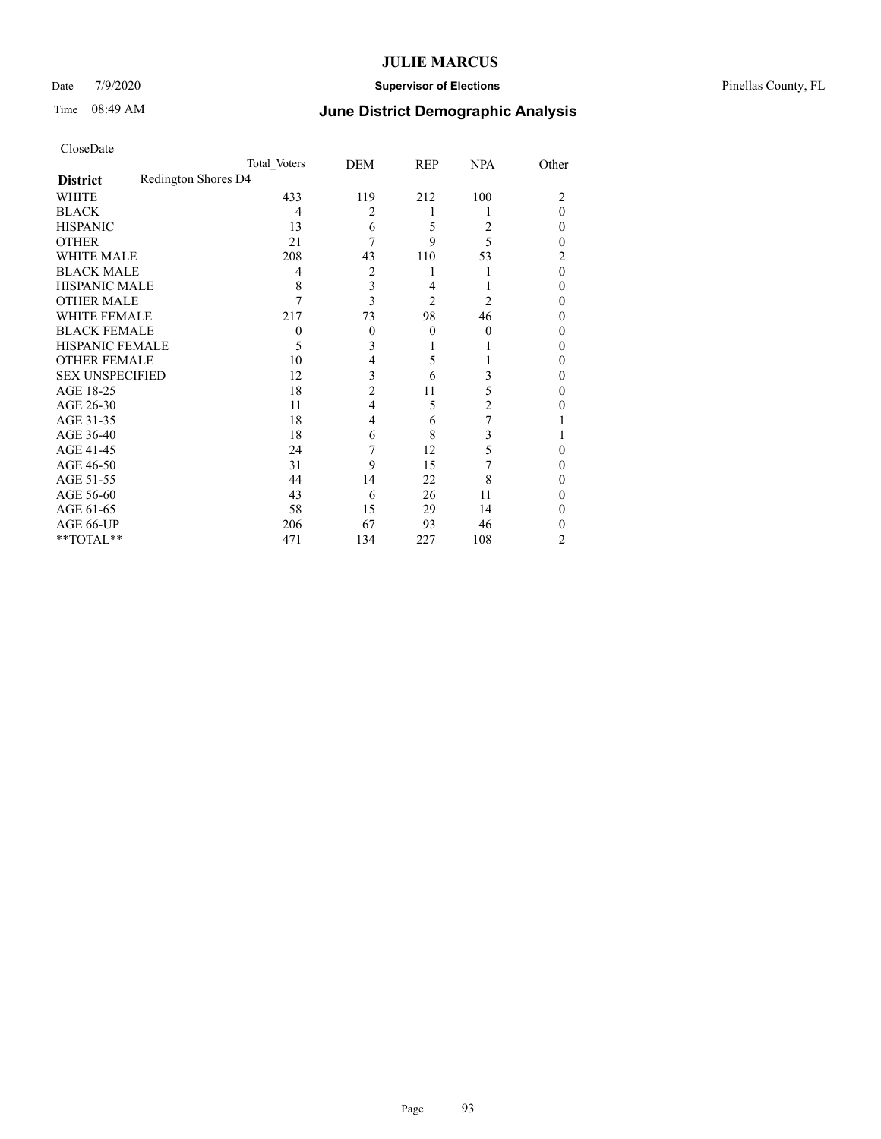### Date 7/9/2020 **Supervisor of Elections** Pinellas County, FL

|                        |                     | Total Voters | DEM                     | REP      | <b>NPA</b> | Other          |
|------------------------|---------------------|--------------|-------------------------|----------|------------|----------------|
| <b>District</b>        | Redington Shores D4 |              |                         |          |            |                |
| WHITE                  |                     | 433          | 119                     | 212      | 100        | $\overline{c}$ |
| <b>BLACK</b>           |                     | 4            | $\overline{c}$          |          |            | 0              |
| <b>HISPANIC</b>        |                     | 13           | 6                       | 5        | 2          | 0              |
| <b>OTHER</b>           |                     | 21           | 7                       | 9        | 5          | 0              |
| <b>WHITE MALE</b>      |                     | 208          | 43                      | 110      | 53         | 2              |
| <b>BLACK MALE</b>      |                     | 4            | 2                       |          |            | 0              |
| <b>HISPANIC MALE</b>   |                     | 8            | $\overline{\mathbf{3}}$ | 4        |            | 0              |
| <b>OTHER MALE</b>      |                     | 7            | 3                       | 2        | 2          | 0              |
| WHITE FEMALE           |                     | 217          | 73                      | 98       | 46         | 0              |
| <b>BLACK FEMALE</b>    |                     | 0            | $\theta$                | $\theta$ | $\theta$   | 0              |
| HISPANIC FEMALE        |                     | 5            | 3                       |          |            | 0              |
| <b>OTHER FEMALE</b>    |                     | 10           | 4                       | 5        |            | 0              |
| <b>SEX UNSPECIFIED</b> |                     | 12           | 3                       | 6        | 3          | 0              |
| AGE 18-25              |                     | 18           | $\overline{2}$          | 11       | 5          | 0              |
| AGE 26-30              |                     | 11           | $\overline{4}$          | 5        | 2          | 0              |
| AGE 31-35              |                     | 18           | 4                       | 6        | 7          |                |
| AGE 36-40              |                     | 18           | 6                       | 8        | 3          |                |
| AGE 41-45              |                     | 24           |                         | 12       | 5          | 0              |
| AGE 46-50              |                     | 31           | 9                       | 15       | 7          | 0              |
| AGE 51-55              |                     | 44           | 14                      | 22       | 8          | 0              |
| AGE 56-60              |                     | 43           | 6                       | 26       | 11         | 0              |
| AGE 61-65              |                     | 58           | 15                      | 29       | 14         | 0              |
| AGE 66-UP              |                     | 206          | 67                      | 93       | 46         | 0              |
| **TOTAL**              |                     | 471          | 134                     | 227      | 108        | 2              |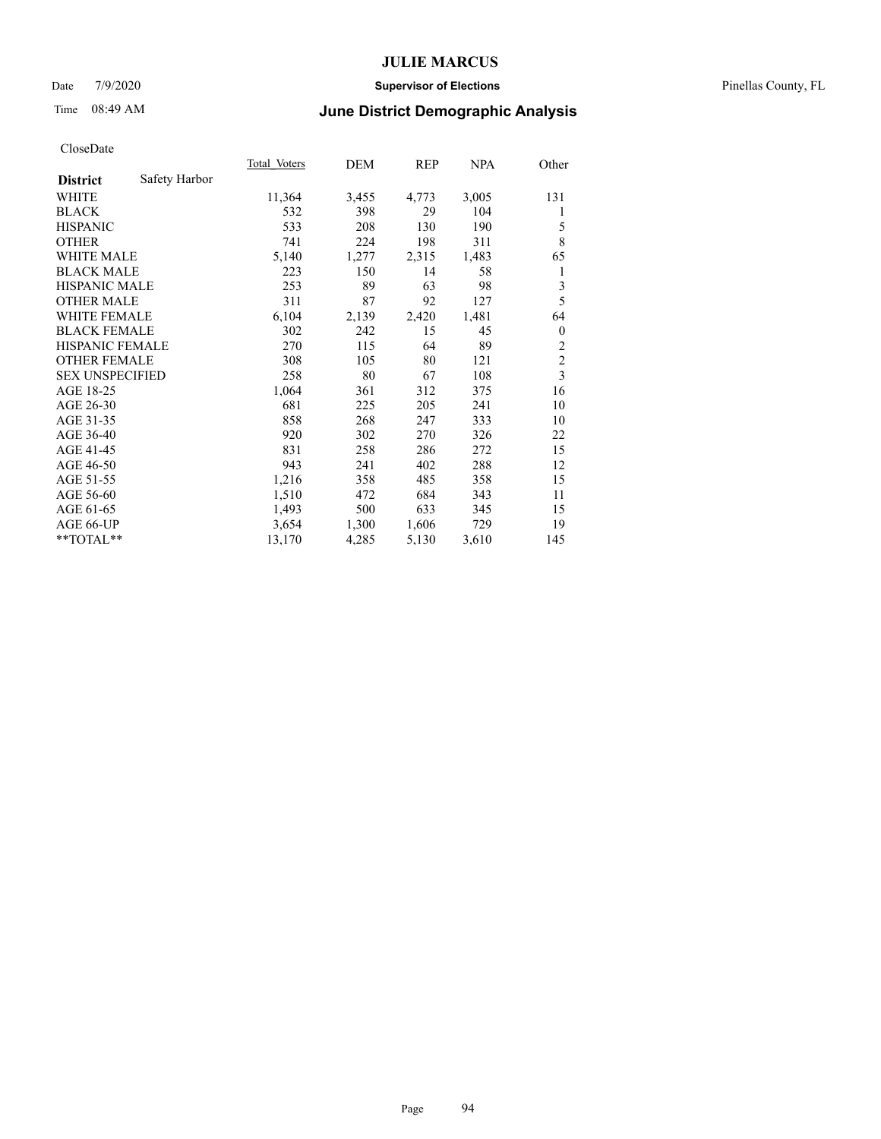#### Date 7/9/2020 **Supervisor of Elections** Pinellas County, FL

# Time 08:49 AM **June District Demographic Analysis**

|                        |               | Total Voters | <b>DEM</b> | <b>REP</b> | NPA   | Other                   |
|------------------------|---------------|--------------|------------|------------|-------|-------------------------|
| <b>District</b>        | Safety Harbor |              |            |            |       |                         |
| WHITE                  |               | 11,364       | 3,455      | 4,773      | 3,005 | 131                     |
| <b>BLACK</b>           |               | 532          | 398        | 29         | 104   | 1                       |
| <b>HISPANIC</b>        |               | 533          | 208        | 130        | 190   | 5                       |
| <b>OTHER</b>           |               | 741          | 224        | 198        | 311   | 8                       |
| WHITE MALE             |               | 5,140        | 1,277      | 2,315      | 1,483 | 65                      |
| <b>BLACK MALE</b>      |               | 223          | 150        | 14         | 58    | 1                       |
| <b>HISPANIC MALE</b>   |               | 253          | 89         | 63         | 98    | 3                       |
| <b>OTHER MALE</b>      |               | 311          | 87         | 92         | 127   | 5                       |
| <b>WHITE FEMALE</b>    |               | 6,104        | 2,139      | 2,420      | 1,481 | 64                      |
| <b>BLACK FEMALE</b>    |               | 302          | 242        | 15         | 45    | $\theta$                |
| HISPANIC FEMALE        |               | 270          | 115        | 64         | 89    | $\overline{c}$          |
| <b>OTHER FEMALE</b>    |               | 308          | 105        | 80         | 121   | $\overline{c}$          |
| <b>SEX UNSPECIFIED</b> |               | 258          | 80         | 67         | 108   | $\overline{\mathbf{3}}$ |
| AGE 18-25              |               | 1,064        | 361        | 312        | 375   | 16                      |
| AGE 26-30              |               | 681          | 225        | 205        | 241   | 10                      |
| AGE 31-35              |               | 858          | 268        | 247        | 333   | 10                      |
| AGE 36-40              |               | 920          | 302        | 270        | 326   | 22                      |
| AGE 41-45              |               | 831          | 258        | 286        | 272   | 15                      |
| AGE 46-50              |               | 943          | 241        | 402        | 288   | 12                      |
| AGE 51-55              |               | 1,216        | 358        | 485        | 358   | 15                      |
| AGE 56-60              |               | 1,510        | 472        | 684        | 343   | 11                      |
| AGE 61-65              |               | 1,493        | 500        | 633        | 345   | 15                      |
| AGE 66-UP              |               | 3,654        | 1,300      | 1,606      | 729   | 19                      |
| **TOTAL**              |               | 13,170       | 4,285      | 5,130      | 3,610 | 145                     |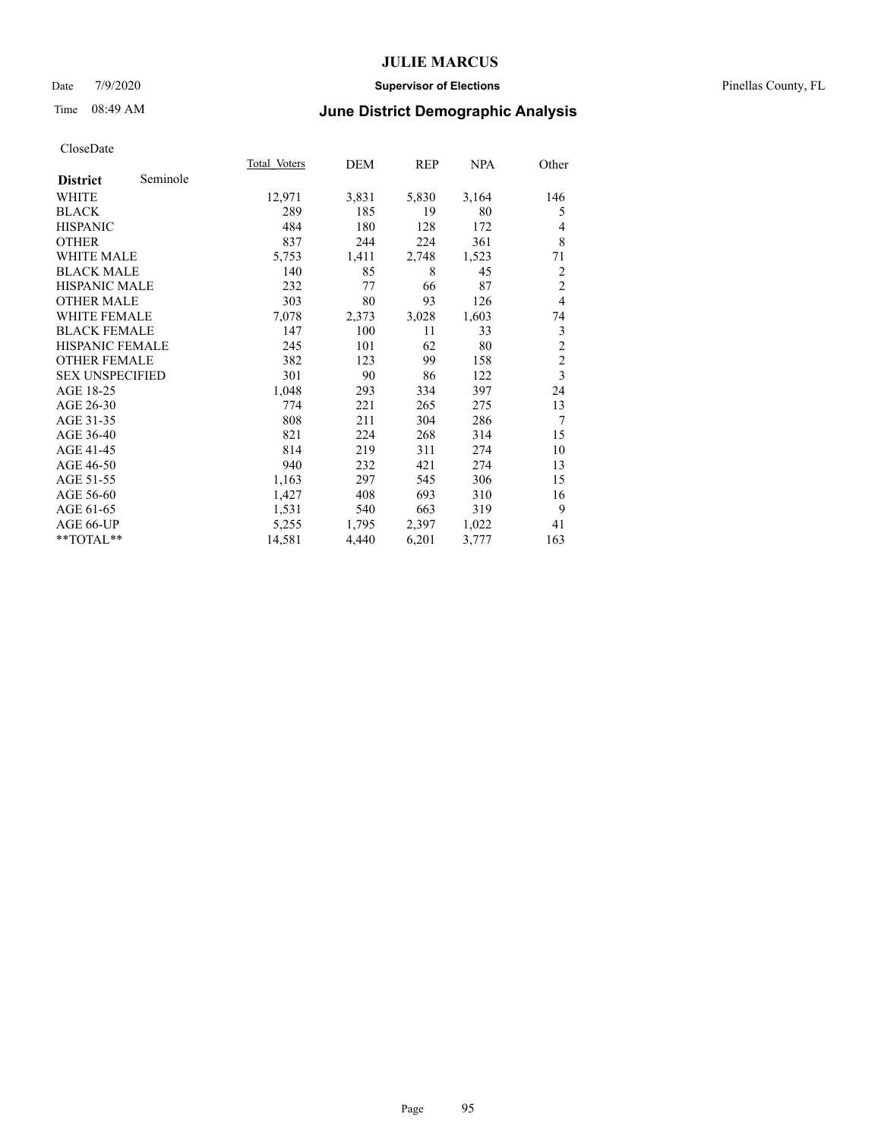#### Date 7/9/2020 **Supervisor of Elections** Pinellas County, FL

# Time 08:49 AM **June District Demographic Analysis**

|                        |          | Total Voters | DEM   | REP   | <b>NPA</b> | Other          |
|------------------------|----------|--------------|-------|-------|------------|----------------|
| <b>District</b>        | Seminole |              |       |       |            |                |
| WHITE                  |          | 12,971       | 3,831 | 5,830 | 3,164      | 146            |
| <b>BLACK</b>           |          | 289          | 185   | 19    | 80         | 5              |
| <b>HISPANIC</b>        |          | 484          | 180   | 128   | 172        | 4              |
| <b>OTHER</b>           |          | 837          | 244   | 224   | 361        | 8              |
| <b>WHITE MALE</b>      |          | 5,753        | 1,411 | 2,748 | 1,523      | 71             |
| <b>BLACK MALE</b>      |          | 140          | 85    | 8     | 45         | $\overline{2}$ |
| <b>HISPANIC MALE</b>   |          | 232          | 77    | 66    | 87         | $\overline{2}$ |
| <b>OTHER MALE</b>      |          | 303          | 80    | 93    | 126        | $\overline{4}$ |
| <b>WHITE FEMALE</b>    |          | 7,078        | 2,373 | 3,028 | 1,603      | 74             |
| <b>BLACK FEMALE</b>    |          | 147          | 100   | 11    | 33         | 3              |
| HISPANIC FEMALE        |          | 245          | 101   | 62    | 80         | $\overline{2}$ |
| <b>OTHER FEMALE</b>    |          | 382          | 123   | 99    | 158        | $\overline{c}$ |
| <b>SEX UNSPECIFIED</b> |          | 301          | 90    | 86    | 122        | $\overline{3}$ |
| AGE 18-25              |          | 1,048        | 293   | 334   | 397        | 24             |
| AGE 26-30              |          | 774          | 221   | 265   | 275        | 13             |
| AGE 31-35              |          | 808          | 211   | 304   | 286        | $\overline{7}$ |
| AGE 36-40              |          | 821          | 224   | 268   | 314        | 15             |
| AGE 41-45              |          | 814          | 219   | 311   | 274        | 10             |
| AGE 46-50              |          | 940          | 232   | 421   | 274        | 13             |
| AGE 51-55              |          | 1,163        | 297   | 545   | 306        | 15             |
| AGE 56-60              |          | 1,427        | 408   | 693   | 310        | 16             |
| AGE 61-65              |          | 1,531        | 540   | 663   | 319        | 9              |
| AGE 66-UP              |          | 5,255        | 1,795 | 2,397 | 1,022      | 41             |
| **TOTAL**              |          | 14,581       | 4,440 | 6,201 | 3,777      | 163            |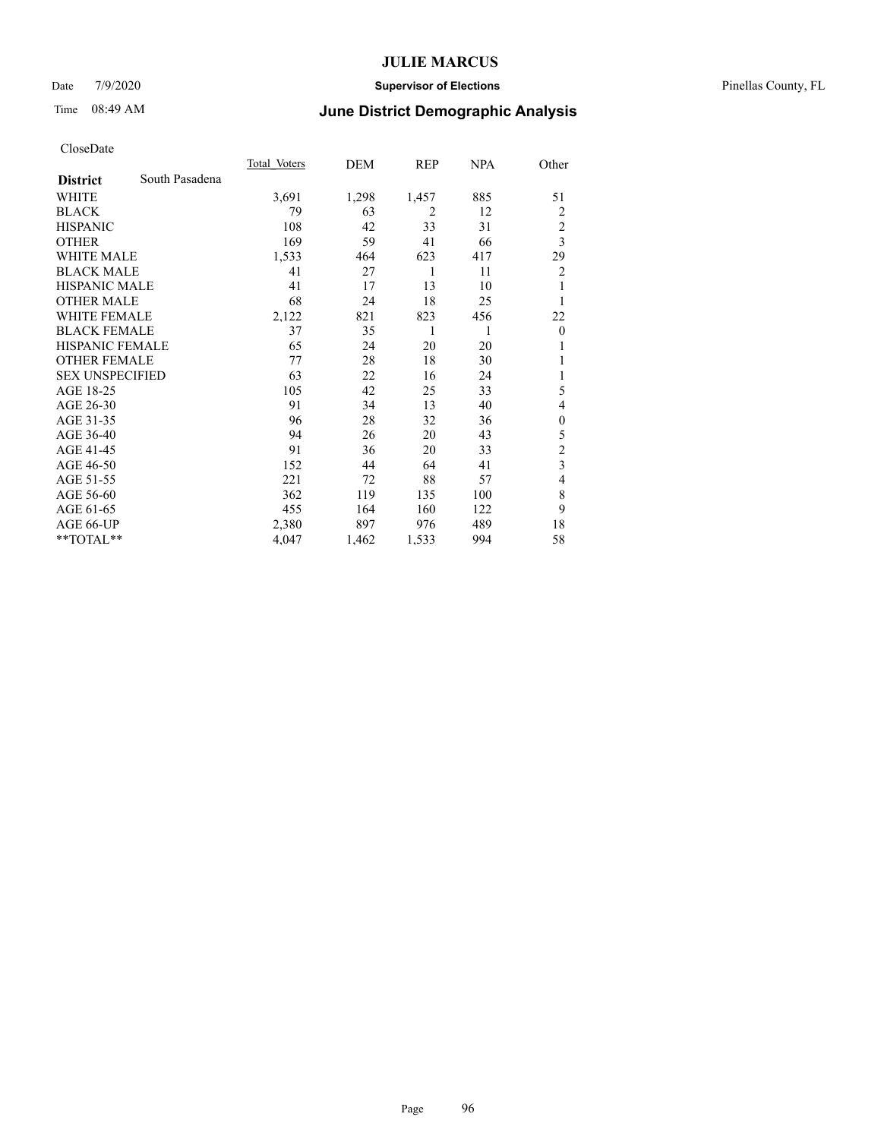#### Date 7/9/2020 **Supervisor of Elections** Pinellas County, FL

# Time 08:49 AM **June District Demographic Analysis**

|                        |                | Total Voters | DEM   | REP            | <u>NPA</u> | Other                   |
|------------------------|----------------|--------------|-------|----------------|------------|-------------------------|
| <b>District</b>        | South Pasadena |              |       |                |            |                         |
| WHITE                  |                | 3,691        | 1,298 | 1,457          | 885        | 51                      |
| <b>BLACK</b>           |                | 79           | 63    | $\overline{2}$ | 12         | 2                       |
| <b>HISPANIC</b>        |                | 108          | 42    | 33             | 31         | $\overline{c}$          |
| <b>OTHER</b>           |                | 169          | 59    | 41             | 66         | $\overline{\mathbf{3}}$ |
| <b>WHITE MALE</b>      |                | 1,533        | 464   | 623            | 417        | 29                      |
| <b>BLACK MALE</b>      |                | 41           | 27    | 1              | 11         | $\overline{c}$          |
| HISPANIC MALE          |                | 41           | 17    | 13             | 10         |                         |
| <b>OTHER MALE</b>      |                | 68           | 24    | 18             | 25         | 1                       |
| <b>WHITE FEMALE</b>    |                | 2,122        | 821   | 823            | 456        | 22                      |
| <b>BLACK FEMALE</b>    |                | 37           | 35    | 1              | 1          | $\boldsymbol{0}$        |
| <b>HISPANIC FEMALE</b> |                | 65           | 24    | 20             | 20         | 1                       |
| <b>OTHER FEMALE</b>    |                | 77           | 28    | 18             | 30         |                         |
| <b>SEX UNSPECIFIED</b> |                | 63           | 22    | 16             | 24         | 1                       |
| AGE 18-25              |                | 105          | 42    | 25             | 33         | 5                       |
| AGE 26-30              |                | 91           | 34    | 13             | 40         | 4                       |
| AGE 31-35              |                | 96           | 28    | 32             | 36         | $\mathbf{0}$            |
| AGE 36-40              |                | 94           | 26    | 20             | 43         | 5                       |
| AGE 41-45              |                | 91           | 36    | 20             | 33         | $\overline{c}$          |
| AGE 46-50              |                | 152          | 44    | 64             | 41         | 3                       |
| AGE 51-55              |                | 221          | 72    | 88             | 57         | 4                       |
| AGE 56-60              |                | 362          | 119   | 135            | 100        | 8                       |
| AGE 61-65              |                | 455          | 164   | 160            | 122        | 9                       |
| AGE 66-UP              |                | 2,380        | 897   | 976            | 489        | 18                      |
| **TOTAL**              |                | 4,047        | 1,462 | 1,533          | 994        | 58                      |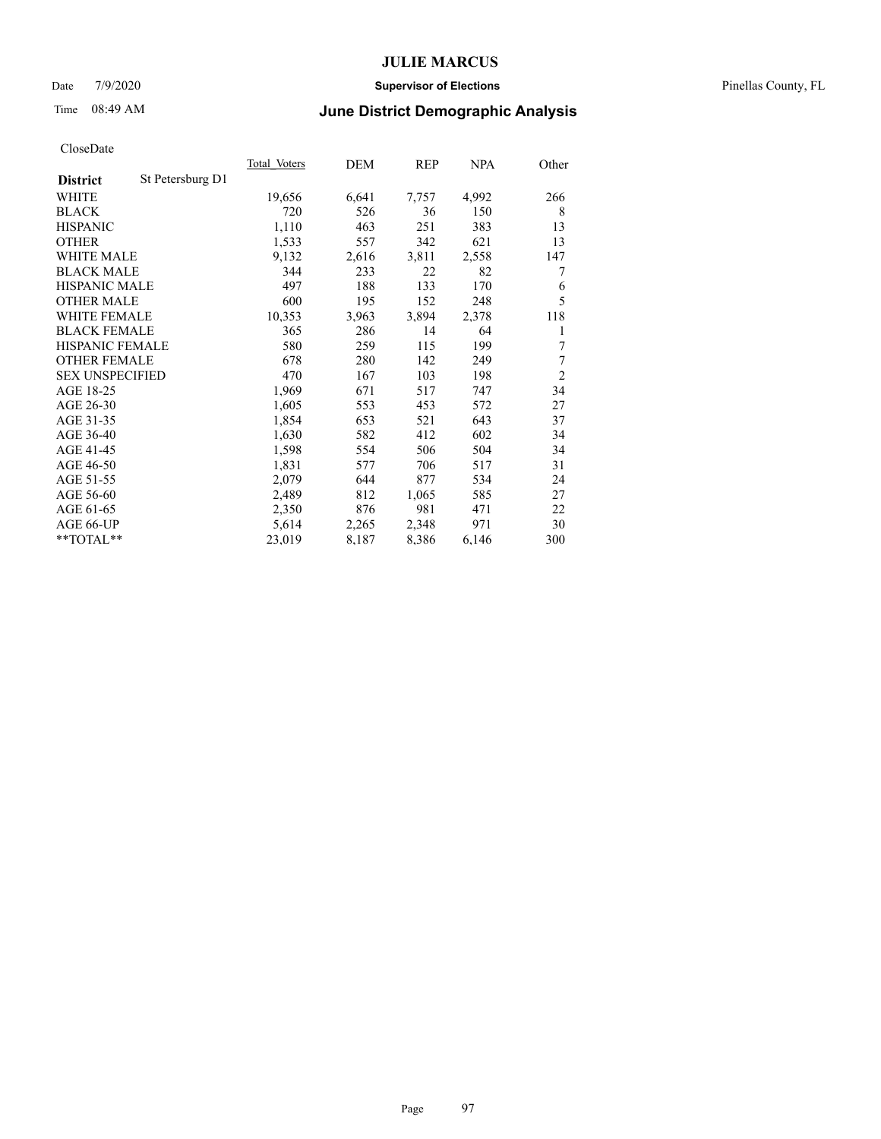#### Date 7/9/2020 **Supervisor of Elections** Pinellas County, FL

# Time 08:49 AM **June District Demographic Analysis**

|                        |                  | Total Voters | DEM   | REP   | NPA   | Other          |
|------------------------|------------------|--------------|-------|-------|-------|----------------|
| <b>District</b>        | St Petersburg D1 |              |       |       |       |                |
| WHITE                  |                  | 19,656       | 6,641 | 7,757 | 4,992 | 266            |
| <b>BLACK</b>           |                  | 720          | 526   | 36    | 150   | 8              |
| <b>HISPANIC</b>        |                  | 1,110        | 463   | 251   | 383   | 13             |
| <b>OTHER</b>           |                  | 1,533        | 557   | 342   | 621   | 13             |
| WHITE MALE             |                  | 9,132        | 2,616 | 3,811 | 2,558 | 147            |
| <b>BLACK MALE</b>      |                  | 344          | 233   | 22    | 82    | 7              |
| <b>HISPANIC MALE</b>   |                  | 497          | 188   | 133   | 170   | 6              |
| <b>OTHER MALE</b>      |                  | 600          | 195   | 152   | 248   | 5              |
| WHITE FEMALE           |                  | 10,353       | 3,963 | 3,894 | 2,378 | 118            |
| <b>BLACK FEMALE</b>    |                  | 365          | 286   | 14    | 64    | 1              |
| HISPANIC FEMALE        |                  | 580          | 259   | 115   | 199   | 7              |
| <b>OTHER FEMALE</b>    |                  | 678          | 280   | 142   | 249   | 7              |
| <b>SEX UNSPECIFIED</b> |                  | 470          | 167   | 103   | 198   | $\overline{2}$ |
| AGE 18-25              |                  | 1,969        | 671   | 517   | 747   | 34             |
| AGE 26-30              |                  | 1,605        | 553   | 453   | 572   | 27             |
| AGE 31-35              |                  | 1,854        | 653   | 521   | 643   | 37             |
| AGE 36-40              |                  | 1,630        | 582   | 412   | 602   | 34             |
| AGE 41-45              |                  | 1,598        | 554   | 506   | 504   | 34             |
| AGE 46-50              |                  | 1,831        | 577   | 706   | 517   | 31             |
| AGE 51-55              |                  | 2,079        | 644   | 877   | 534   | 24             |
| AGE 56-60              |                  | 2,489        | 812   | 1,065 | 585   | 27             |
| AGE 61-65              |                  | 2,350        | 876   | 981   | 471   | 22             |
| AGE 66-UP              |                  | 5,614        | 2,265 | 2,348 | 971   | 30             |
| $*$ $TOTAL**$          |                  | 23,019       | 8,187 | 8,386 | 6,146 | 300            |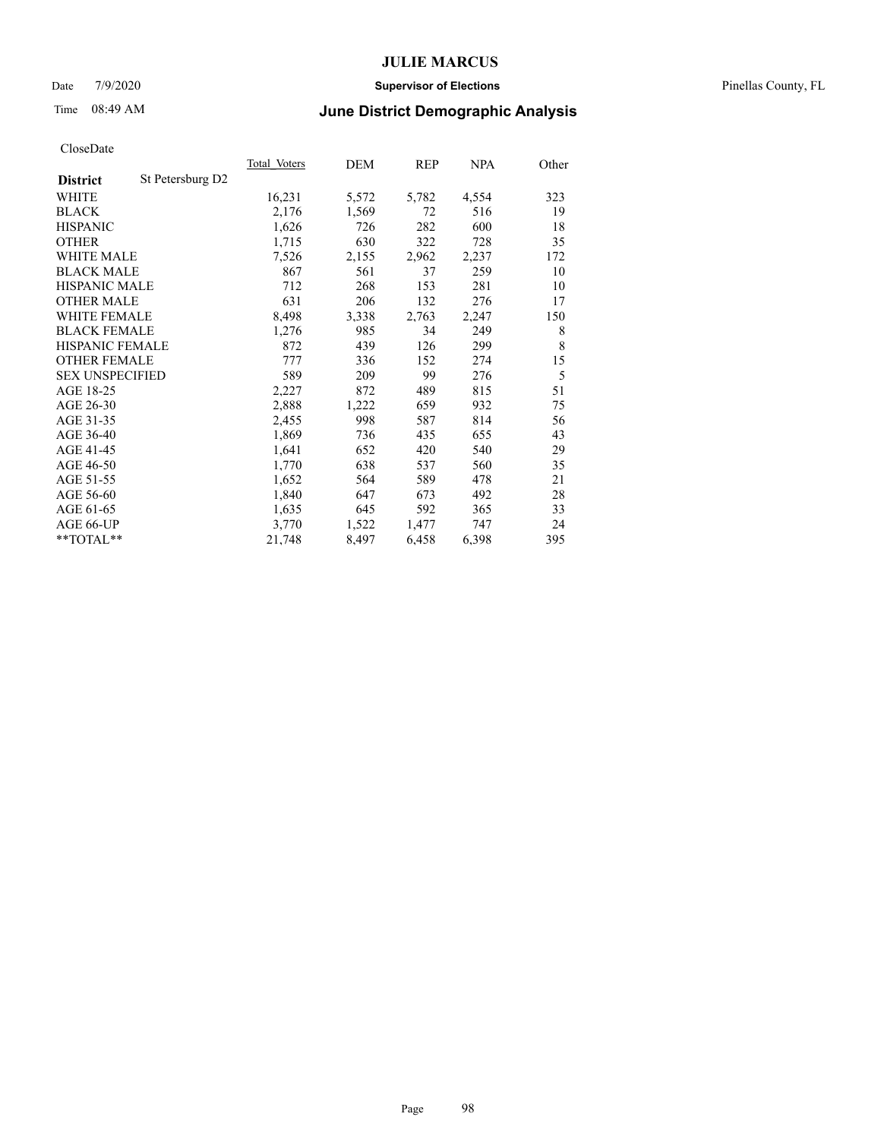#### Date 7/9/2020 **Supervisor of Elections** Pinellas County, FL

# Time 08:49 AM **June District Demographic Analysis**

|                        |                  | Total Voters | DEM   | REP   | NPA   | Other |
|------------------------|------------------|--------------|-------|-------|-------|-------|
| <b>District</b>        | St Petersburg D2 |              |       |       |       |       |
| WHITE                  |                  | 16,231       | 5,572 | 5,782 | 4,554 | 323   |
| <b>BLACK</b>           |                  | 2,176        | 1,569 | 72    | 516   | 19    |
| <b>HISPANIC</b>        |                  | 1,626        | 726   | 282   | 600   | 18    |
| <b>OTHER</b>           |                  | 1,715        | 630   | 322   | 728   | 35    |
| WHITE MALE             |                  | 7,526        | 2,155 | 2,962 | 2,237 | 172   |
| <b>BLACK MALE</b>      |                  | 867          | 561   | 37    | 259   | 10    |
| <b>HISPANIC MALE</b>   |                  | 712          | 268   | 153   | 281   | 10    |
| <b>OTHER MALE</b>      |                  | 631          | 206   | 132   | 276   | 17    |
| <b>WHITE FEMALE</b>    |                  | 8,498        | 3,338 | 2,763 | 2,247 | 150   |
| <b>BLACK FEMALE</b>    |                  | 1,276        | 985   | 34    | 249   | 8     |
| HISPANIC FEMALE        |                  | 872          | 439   | 126   | 299   | 8     |
| <b>OTHER FEMALE</b>    |                  | 777          | 336   | 152   | 274   | 15    |
| <b>SEX UNSPECIFIED</b> |                  | 589          | 209   | 99    | 276   | 5     |
| AGE 18-25              |                  | 2,227        | 872   | 489   | 815   | 51    |
| AGE 26-30              |                  | 2,888        | 1,222 | 659   | 932   | 75    |
| AGE 31-35              |                  | 2,455        | 998   | 587   | 814   | 56    |
| AGE 36-40              |                  | 1,869        | 736   | 435   | 655   | 43    |
| AGE 41-45              |                  | 1,641        | 652   | 420   | 540   | 29    |
| AGE 46-50              |                  | 1,770        | 638   | 537   | 560   | 35    |
| AGE 51-55              |                  | 1,652        | 564   | 589   | 478   | 21    |
| AGE 56-60              |                  | 1,840        | 647   | 673   | 492   | 28    |
| AGE 61-65              |                  | 1,635        | 645   | 592   | 365   | 33    |
| AGE 66-UP              |                  | 3,770        | 1,522 | 1,477 | 747   | 24    |
| $*$ $TOTAL**$          |                  | 21,748       | 8,497 | 6,458 | 6,398 | 395   |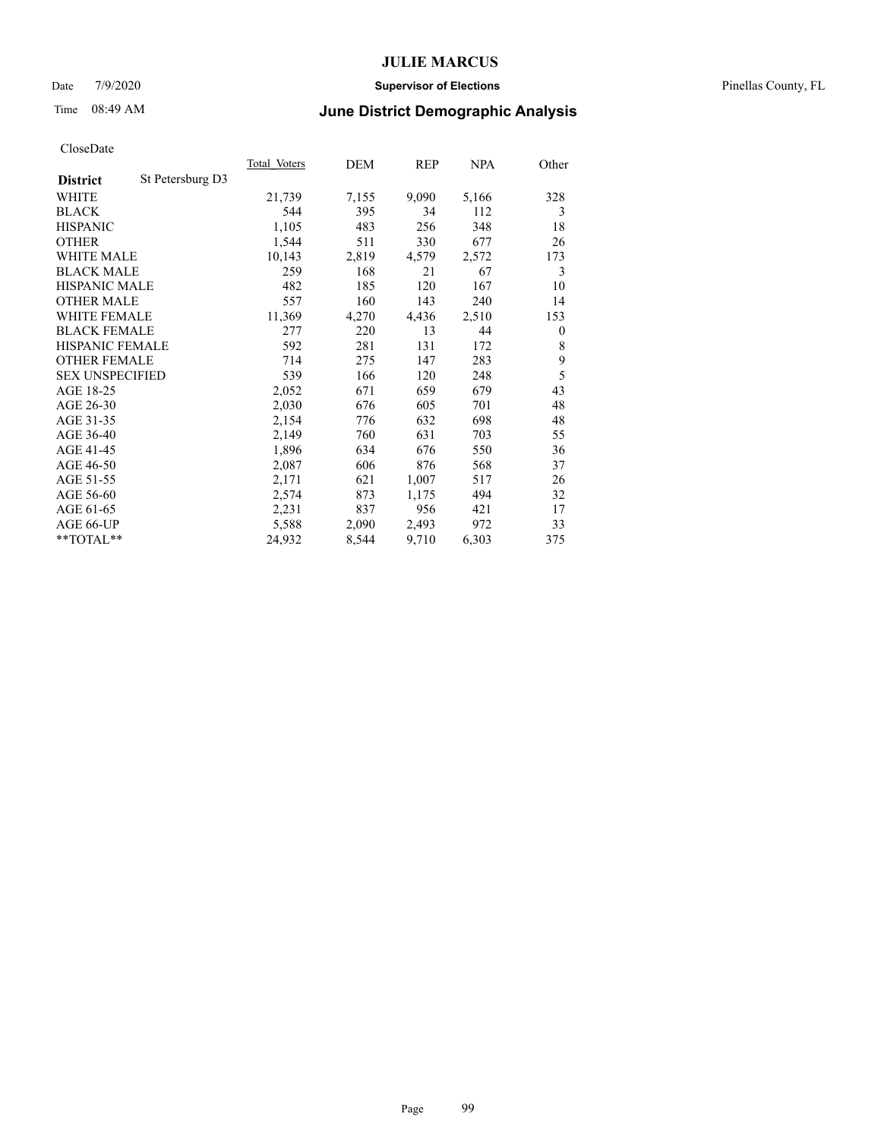#### Date 7/9/2020 **Supervisor of Elections** Pinellas County, FL

# Time 08:49 AM **June District Demographic Analysis**

|                        |                  | Total Voters | DEM   | REP   | NPA   | Other        |
|------------------------|------------------|--------------|-------|-------|-------|--------------|
| <b>District</b>        | St Petersburg D3 |              |       |       |       |              |
| WHITE                  |                  | 21,739       | 7,155 | 9,090 | 5,166 | 328          |
| <b>BLACK</b>           |                  | 544          | 395   | 34    | 112   | 3            |
| <b>HISPANIC</b>        |                  | 1,105        | 483   | 256   | 348   | 18           |
| <b>OTHER</b>           |                  | 1,544        | 511   | 330   | 677   | 26           |
| WHITE MALE             |                  | 10,143       | 2,819 | 4,579 | 2,572 | 173          |
| <b>BLACK MALE</b>      |                  | 259          | 168   | 21    | 67    | 3            |
| <b>HISPANIC MALE</b>   |                  | 482          | 185   | 120   | 167   | 10           |
| <b>OTHER MALE</b>      |                  | 557          | 160   | 143   | 240   | 14           |
| <b>WHITE FEMALE</b>    |                  | 11,369       | 4,270 | 4,436 | 2,510 | 153          |
| <b>BLACK FEMALE</b>    |                  | 277          | 220   | 13    | 44    | $\mathbf{0}$ |
| HISPANIC FEMALE        |                  | 592          | 281   | 131   | 172   | 8            |
| <b>OTHER FEMALE</b>    |                  | 714          | 275   | 147   | 283   | 9            |
| <b>SEX UNSPECIFIED</b> |                  | 539          | 166   | 120   | 248   | 5            |
| AGE 18-25              |                  | 2,052        | 671   | 659   | 679   | 43           |
| AGE 26-30              |                  | 2,030        | 676   | 605   | 701   | 48           |
| AGE 31-35              |                  | 2,154        | 776   | 632   | 698   | 48           |
| AGE 36-40              |                  | 2,149        | 760   | 631   | 703   | 55           |
| AGE 41-45              |                  | 1,896        | 634   | 676   | 550   | 36           |
| AGE 46-50              |                  | 2,087        | 606   | 876   | 568   | 37           |
| AGE 51-55              |                  | 2,171        | 621   | 1,007 | 517   | 26           |
| AGE 56-60              |                  | 2,574        | 873   | 1,175 | 494   | 32           |
| AGE 61-65              |                  | 2,231        | 837   | 956   | 421   | 17           |
| AGE 66-UP              |                  | 5,588        | 2,090 | 2,493 | 972   | 33           |
| $*$ $TOTAL**$          |                  | 24,932       | 8,544 | 9,710 | 6,303 | 375          |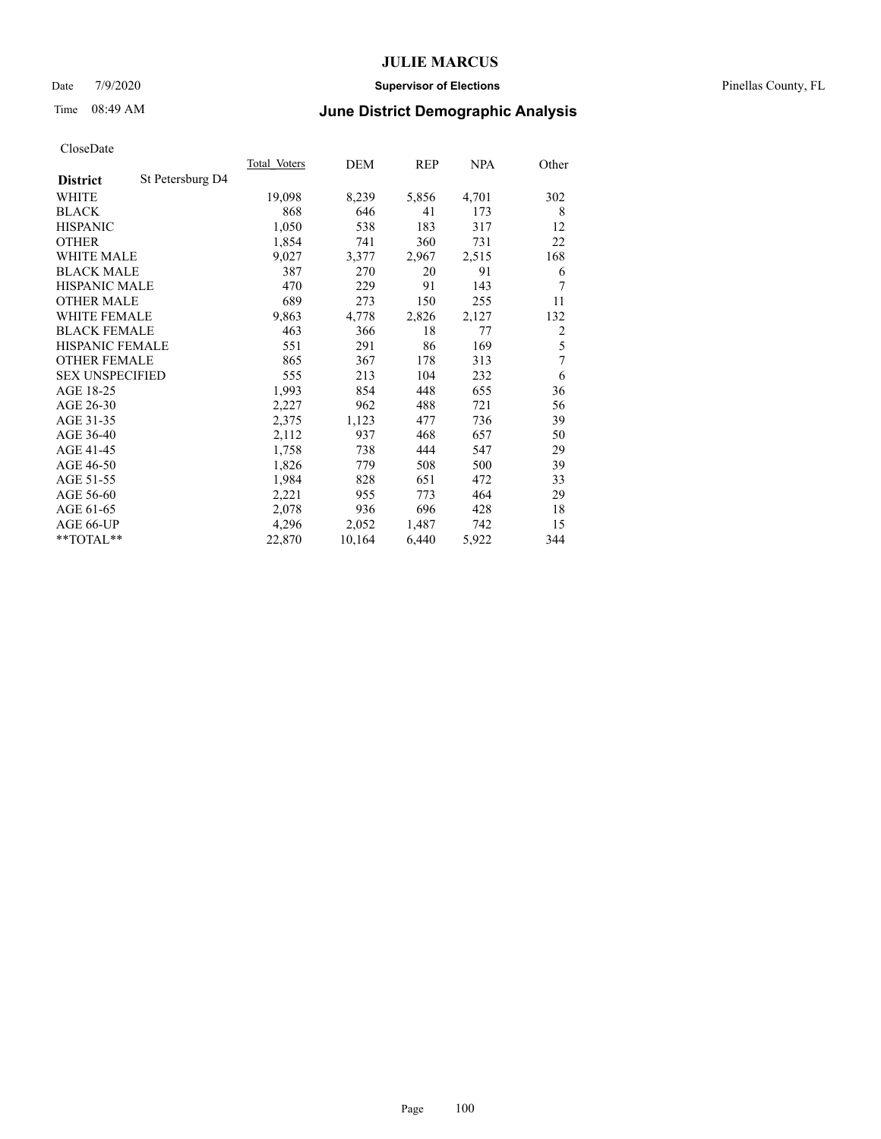#### Date 7/9/2020 **Supervisor of Elections** Pinellas County, FL

# Time 08:49 AM **June District Demographic Analysis**

|                                     | Total Voters | DEM    | REP   | <b>NPA</b> | Other          |
|-------------------------------------|--------------|--------|-------|------------|----------------|
| St Petersburg D4<br><b>District</b> |              |        |       |            |                |
| WHITE                               | 19,098       | 8,239  | 5,856 | 4,701      | 302            |
| <b>BLACK</b>                        | 868          | 646    | 41    | 173        | 8              |
| <b>HISPANIC</b>                     | 1,050        | 538    | 183   | 317        | 12             |
| <b>OTHER</b>                        | 1,854        | 741    | 360   | 731        | 22             |
| WHITE MALE                          | 9,027        | 3,377  | 2,967 | 2,515      | 168            |
| <b>BLACK MALE</b>                   | 387          | 270    | 20    | 91         | 6              |
| <b>HISPANIC MALE</b>                | 470          | 229    | 91    | 143        | 7              |
| <b>OTHER MALE</b>                   | 689          | 273    | 150   | 255        | 11             |
| <b>WHITE FEMALE</b>                 | 9,863        | 4,778  | 2,826 | 2,127      | 132            |
| <b>BLACK FEMALE</b>                 | 463          | 366    | 18    | 77         | $\overline{c}$ |
| HISPANIC FEMALE                     | 551          | 291    | 86    | 169        | 5              |
| <b>OTHER FEMALE</b>                 | 865          | 367    | 178   | 313        | 7              |
| <b>SEX UNSPECIFIED</b>              | 555          | 213    | 104   | 232        | 6              |
| AGE 18-25                           | 1,993        | 854    | 448   | 655        | 36             |
| AGE 26-30                           | 2,227        | 962    | 488   | 721        | 56             |
| AGE 31-35                           | 2,375        | 1,123  | 477   | 736        | 39             |
| AGE 36-40                           | 2,112        | 937    | 468   | 657        | 50             |
| AGE 41-45                           | 1,758        | 738    | 444   | 547        | 29             |
| AGE 46-50                           | 1,826        | 779    | 508   | 500        | 39             |
| AGE 51-55                           | 1,984        | 828    | 651   | 472        | 33             |
| AGE 56-60                           | 2,221        | 955    | 773   | 464        | 29             |
| AGE 61-65                           | 2,078        | 936    | 696   | 428        | 18             |
| AGE 66-UP                           | 4,296        | 2,052  | 1,487 | 742        | 15             |
| $*$ $TOTAL**$                       | 22,870       | 10,164 | 6,440 | 5,922      | 344            |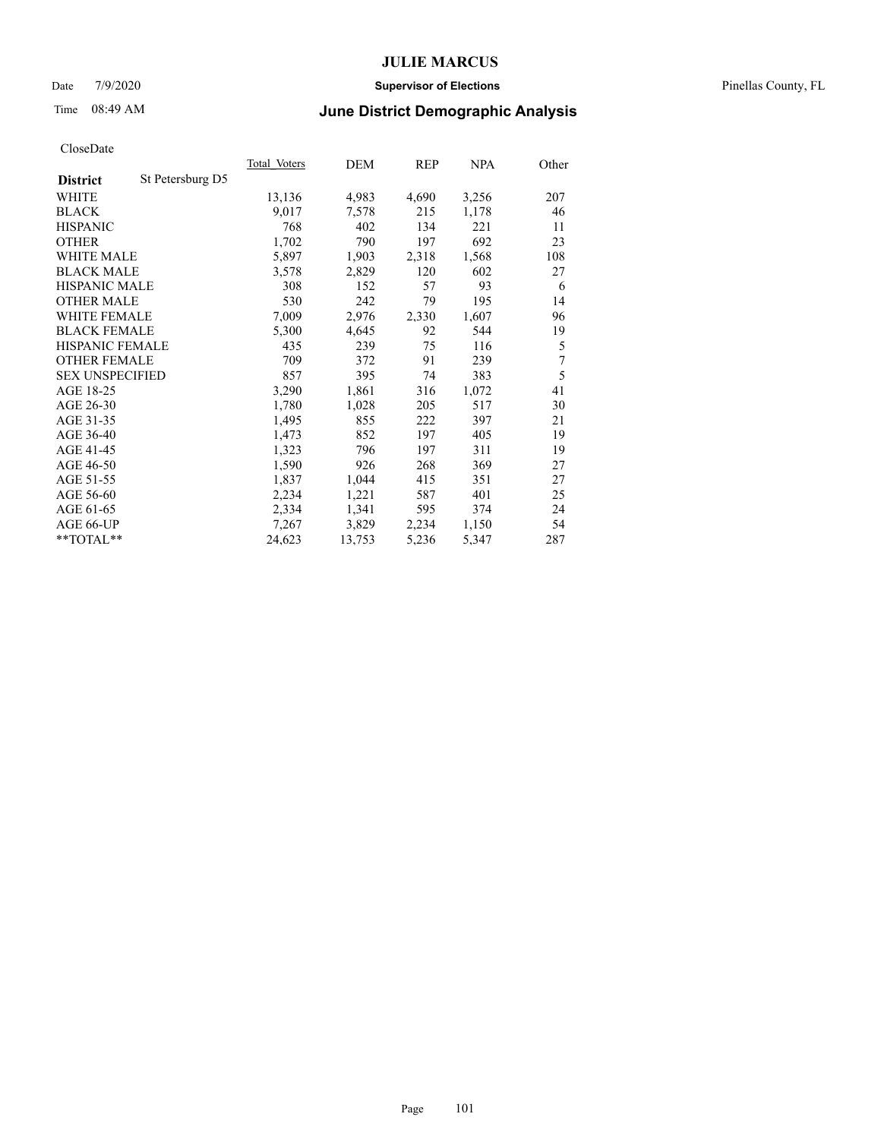#### Date 7/9/2020 **Supervisor of Elections** Pinellas County, FL

# Time 08:49 AM **June District Demographic Analysis**

|                        |                  | Total Voters | DEM    | REP   | NPA   | Other |
|------------------------|------------------|--------------|--------|-------|-------|-------|
| <b>District</b>        | St Petersburg D5 |              |        |       |       |       |
| WHITE                  |                  | 13,136       | 4,983  | 4,690 | 3,256 | 207   |
| <b>BLACK</b>           |                  | 9,017        | 7,578  | 215   | 1,178 | 46    |
| <b>HISPANIC</b>        |                  | 768          | 402    | 134   | 221   | 11    |
| <b>OTHER</b>           |                  | 1,702        | 790    | 197   | 692   | 23    |
| <b>WHITE MALE</b>      |                  | 5,897        | 1,903  | 2,318 | 1,568 | 108   |
| <b>BLACK MALE</b>      |                  | 3,578        | 2,829  | 120   | 602   | 27    |
| <b>HISPANIC MALE</b>   |                  | 308          | 152    | 57    | 93    | 6     |
| <b>OTHER MALE</b>      |                  | 530          | 242    | 79    | 195   | 14    |
| <b>WHITE FEMALE</b>    |                  | 7,009        | 2,976  | 2,330 | 1,607 | 96    |
| <b>BLACK FEMALE</b>    |                  | 5,300        | 4,645  | 92    | 544   | 19    |
| HISPANIC FEMALE        |                  | 435          | 239    | 75    | 116   | 5     |
| <b>OTHER FEMALE</b>    |                  | 709          | 372    | 91    | 239   | 7     |
| <b>SEX UNSPECIFIED</b> |                  | 857          | 395    | 74    | 383   | 5     |
| AGE 18-25              |                  | 3,290        | 1,861  | 316   | 1,072 | 41    |
| AGE 26-30              |                  | 1,780        | 1,028  | 205   | 517   | 30    |
| AGE 31-35              |                  | 1,495        | 855    | 222   | 397   | 21    |
| AGE 36-40              |                  | 1,473        | 852    | 197   | 405   | 19    |
| AGE 41-45              |                  | 1,323        | 796    | 197   | 311   | 19    |
| AGE 46-50              |                  | 1,590        | 926    | 268   | 369   | 27    |
| AGE 51-55              |                  | 1,837        | 1,044  | 415   | 351   | 27    |
| AGE 56-60              |                  | 2,234        | 1,221  | 587   | 401   | 25    |
| AGE 61-65              |                  | 2,334        | 1,341  | 595   | 374   | 24    |
| AGE 66-UP              |                  | 7,267        | 3,829  | 2,234 | 1,150 | 54    |
| $*$ $TOTAL**$          |                  | 24,623       | 13,753 | 5,236 | 5,347 | 287   |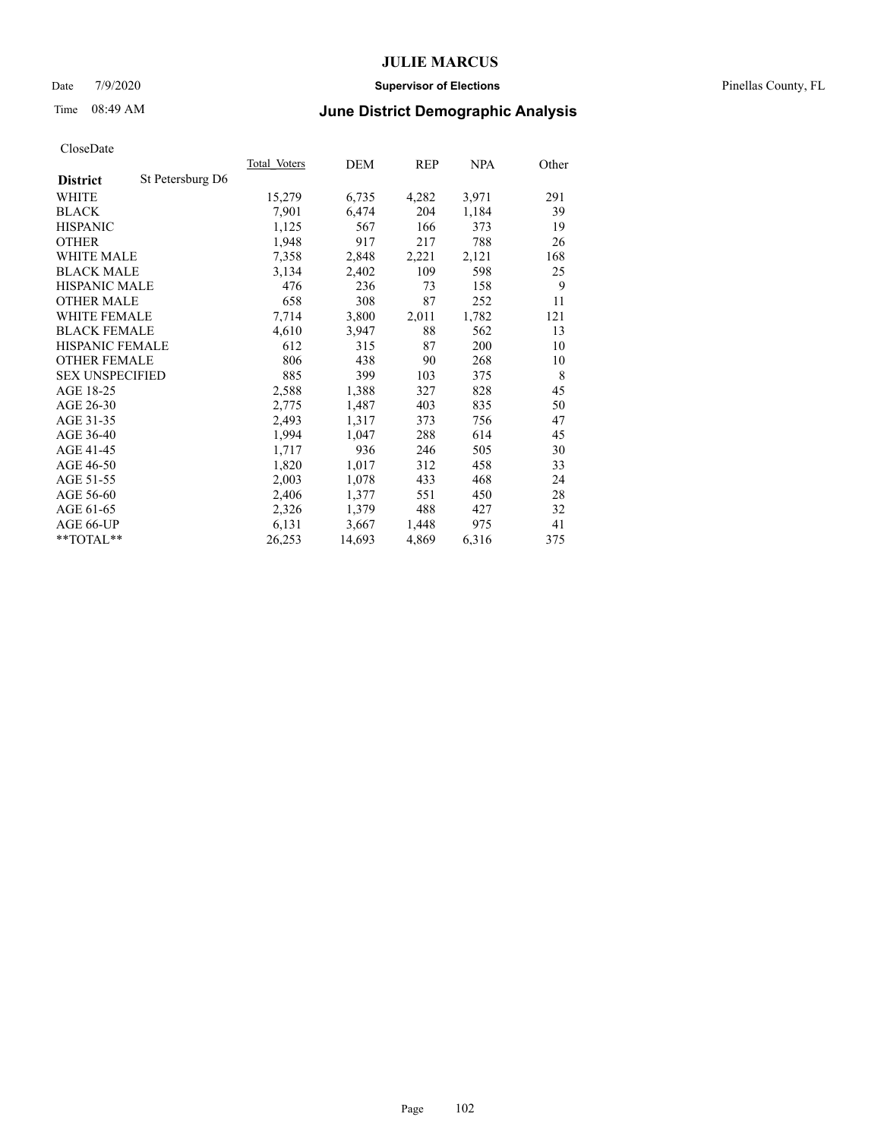#### Date 7/9/2020 **Supervisor of Elections** Pinellas County, FL

# Time 08:49 AM **June District Demographic Analysis**

|                        |                  | Total Voters | DEM    | REP   | NPA   | Other |
|------------------------|------------------|--------------|--------|-------|-------|-------|
| <b>District</b>        | St Petersburg D6 |              |        |       |       |       |
| WHITE                  |                  | 15,279       | 6,735  | 4,282 | 3,971 | 291   |
| <b>BLACK</b>           |                  | 7,901        | 6,474  | 204   | 1,184 | 39    |
| <b>HISPANIC</b>        |                  | 1,125        | 567    | 166   | 373   | 19    |
| <b>OTHER</b>           |                  | 1,948        | 917    | 217   | 788   | 26    |
| <b>WHITE MALE</b>      |                  | 7,358        | 2,848  | 2,221 | 2,121 | 168   |
| <b>BLACK MALE</b>      |                  | 3,134        | 2,402  | 109   | 598   | 25    |
| <b>HISPANIC MALE</b>   |                  | 476          | 236    | 73    | 158   | 9     |
| <b>OTHER MALE</b>      |                  | 658          | 308    | 87    | 252   | 11    |
| <b>WHITE FEMALE</b>    |                  | 7,714        | 3,800  | 2,011 | 1,782 | 121   |
| <b>BLACK FEMALE</b>    |                  | 4,610        | 3,947  | 88    | 562   | 13    |
| <b>HISPANIC FEMALE</b> |                  | 612          | 315    | 87    | 200   | 10    |
| <b>OTHER FEMALE</b>    |                  | 806          | 438    | 90    | 268   | 10    |
| <b>SEX UNSPECIFIED</b> |                  | 885          | 399    | 103   | 375   | 8     |
| AGE 18-25              |                  | 2,588        | 1,388  | 327   | 828   | 45    |
| AGE 26-30              |                  | 2,775        | 1,487  | 403   | 835   | 50    |
| AGE 31-35              |                  | 2,493        | 1,317  | 373   | 756   | 47    |
| AGE 36-40              |                  | 1,994        | 1,047  | 288   | 614   | 45    |
| AGE 41-45              |                  | 1,717        | 936    | 246   | 505   | 30    |
| AGE 46-50              |                  | 1,820        | 1,017  | 312   | 458   | 33    |
| AGE 51-55              |                  | 2,003        | 1,078  | 433   | 468   | 24    |
| AGE 56-60              |                  | 2,406        | 1,377  | 551   | 450   | 28    |
| AGE 61-65              |                  | 2,326        | 1,379  | 488   | 427   | 32    |
| AGE 66-UP              |                  | 6,131        | 3,667  | 1,448 | 975   | 41    |
| **TOTAL**              |                  | 26,253       | 14,693 | 4,869 | 6,316 | 375   |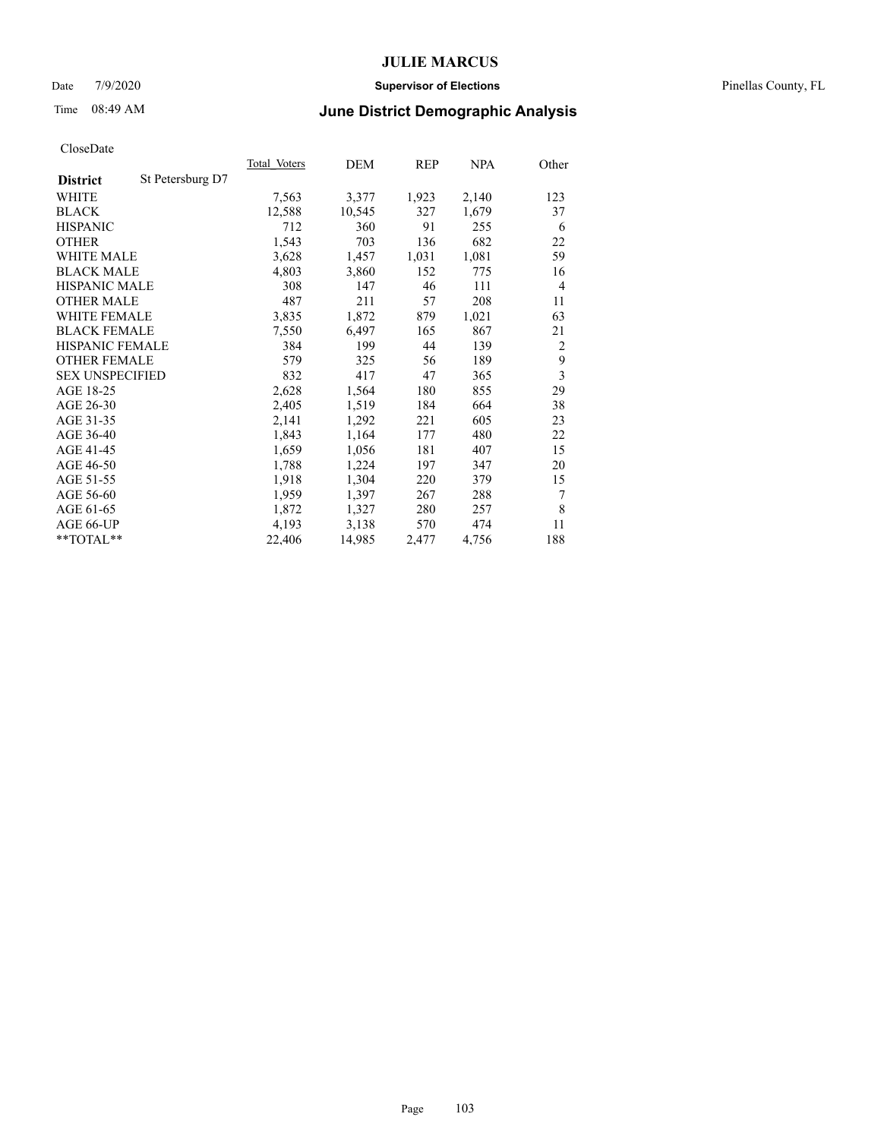#### Date 7/9/2020 **Supervisor of Elections** Pinellas County, FL

# Time 08:49 AM **June District Demographic Analysis**

|                        |                  | Total Voters | DEM    | <b>REP</b> | <b>NPA</b> | Other                   |
|------------------------|------------------|--------------|--------|------------|------------|-------------------------|
| <b>District</b>        | St Petersburg D7 |              |        |            |            |                         |
| WHITE                  |                  | 7,563        | 3,377  | 1,923      | 2,140      | 123                     |
| <b>BLACK</b>           |                  | 12,588       | 10,545 | 327        | 1,679      | 37                      |
| <b>HISPANIC</b>        |                  | 712          | 360    | 91         | 255        | 6                       |
| <b>OTHER</b>           |                  | 1,543        | 703    | 136        | 682        | 22                      |
| <b>WHITE MALE</b>      |                  | 3,628        | 1,457  | 1,031      | 1,081      | 59                      |
| <b>BLACK MALE</b>      |                  | 4,803        | 3,860  | 152        | 775        | 16                      |
| <b>HISPANIC MALE</b>   |                  | 308          | 147    | 46         | 111        | 4                       |
| <b>OTHER MALE</b>      |                  | 487          | 211    | 57         | 208        | 11                      |
| <b>WHITE FEMALE</b>    |                  | 3,835        | 1,872  | 879        | 1,021      | 63                      |
| <b>BLACK FEMALE</b>    |                  | 7,550        | 6,497  | 165        | 867        | 21                      |
| HISPANIC FEMALE        |                  | 384          | 199    | 44         | 139        | 2                       |
| <b>OTHER FEMALE</b>    |                  | 579          | 325    | 56         | 189        | 9                       |
| <b>SEX UNSPECIFIED</b> |                  | 832          | 417    | 47         | 365        | $\overline{\mathbf{3}}$ |
| AGE 18-25              |                  | 2,628        | 1,564  | 180        | 855        | 29                      |
| AGE 26-30              |                  | 2,405        | 1,519  | 184        | 664        | 38                      |
| AGE 31-35              |                  | 2,141        | 1,292  | 221        | 605        | 23                      |
| AGE 36-40              |                  | 1,843        | 1,164  | 177        | 480        | 22                      |
| AGE 41-45              |                  | 1,659        | 1,056  | 181        | 407        | 15                      |
| AGE 46-50              |                  | 1,788        | 1,224  | 197        | 347        | 20                      |
| AGE 51-55              |                  | 1,918        | 1,304  | 220        | 379        | 15                      |
| AGE 56-60              |                  | 1,959        | 1,397  | 267        | 288        | 7                       |
| AGE 61-65              |                  | 1,872        | 1,327  | 280        | 257        | 8                       |
| AGE 66-UP              |                  | 4,193        | 3,138  | 570        | 474        | 11                      |
| $*$ $TOTAL**$          |                  | 22,406       | 14,985 | 2,477      | 4,756      | 188                     |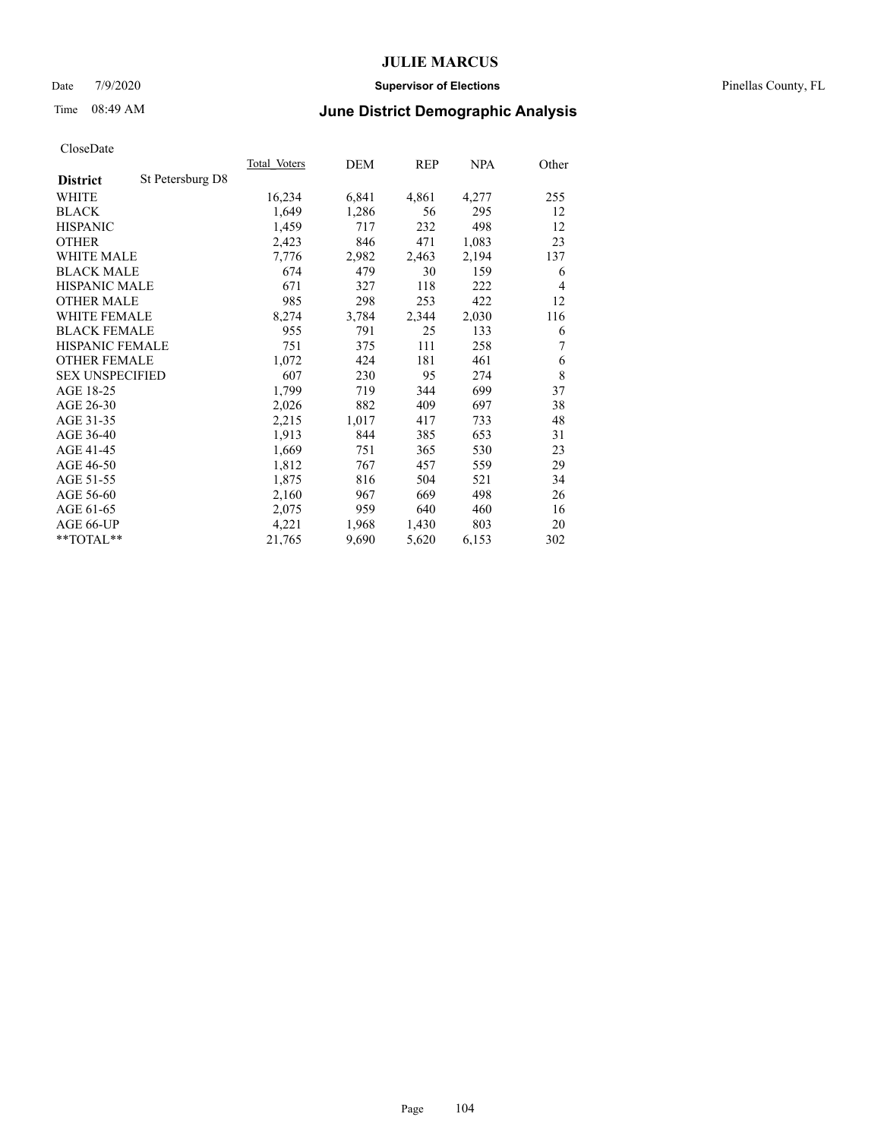#### Date 7/9/2020 **Supervisor of Elections** Pinellas County, FL

# Time 08:49 AM **June District Demographic Analysis**

|                                     | Total Voters | DEM   | REP   | NPA   | Other          |
|-------------------------------------|--------------|-------|-------|-------|----------------|
| St Petersburg D8<br><b>District</b> |              |       |       |       |                |
| WHITE                               | 16,234       | 6,841 | 4,861 | 4,277 | 255            |
| <b>BLACK</b>                        | 1,649        | 1,286 | 56    | 295   | 12             |
| <b>HISPANIC</b>                     | 1,459        | 717   | 232   | 498   | 12             |
| <b>OTHER</b>                        | 2,423        | 846   | 471   | 1,083 | 23             |
| WHITE MALE                          | 7,776        | 2,982 | 2,463 | 2,194 | 137            |
| <b>BLACK MALE</b>                   | 674          | 479   | 30    | 159   | 6              |
| <b>HISPANIC MALE</b>                | 671          | 327   | 118   | 222   | $\overline{4}$ |
| <b>OTHER MALE</b>                   | 985          | 298   | 253   | 422   | 12             |
| <b>WHITE FEMALE</b>                 | 8,274        | 3,784 | 2,344 | 2,030 | 116            |
| <b>BLACK FEMALE</b>                 | 955          | 791   | 25    | 133   | 6              |
| HISPANIC FEMALE                     | 751          | 375   | 111   | 258   | 7              |
| <b>OTHER FEMALE</b>                 | 1,072        | 424   | 181   | 461   | 6              |
| <b>SEX UNSPECIFIED</b>              | 607          | 230   | 95    | 274   | 8              |
| AGE 18-25                           | 1,799        | 719   | 344   | 699   | 37             |
| AGE 26-30                           | 2,026        | 882   | 409   | 697   | 38             |
| AGE 31-35                           | 2,215        | 1,017 | 417   | 733   | 48             |
| AGE 36-40                           | 1,913        | 844   | 385   | 653   | 31             |
| AGE 41-45                           | 1,669        | 751   | 365   | 530   | 23             |
| AGE 46-50                           | 1,812        | 767   | 457   | 559   | 29             |
| AGE 51-55                           | 1,875        | 816   | 504   | 521   | 34             |
| AGE 56-60                           | 2,160        | 967   | 669   | 498   | 26             |
| AGE 61-65                           | 2,075        | 959   | 640   | 460   | 16             |
| AGE 66-UP                           | 4,221        | 1,968 | 1,430 | 803   | 20             |
| $*$ $TOTAL**$                       | 21,765       | 9,690 | 5,620 | 6,153 | 302            |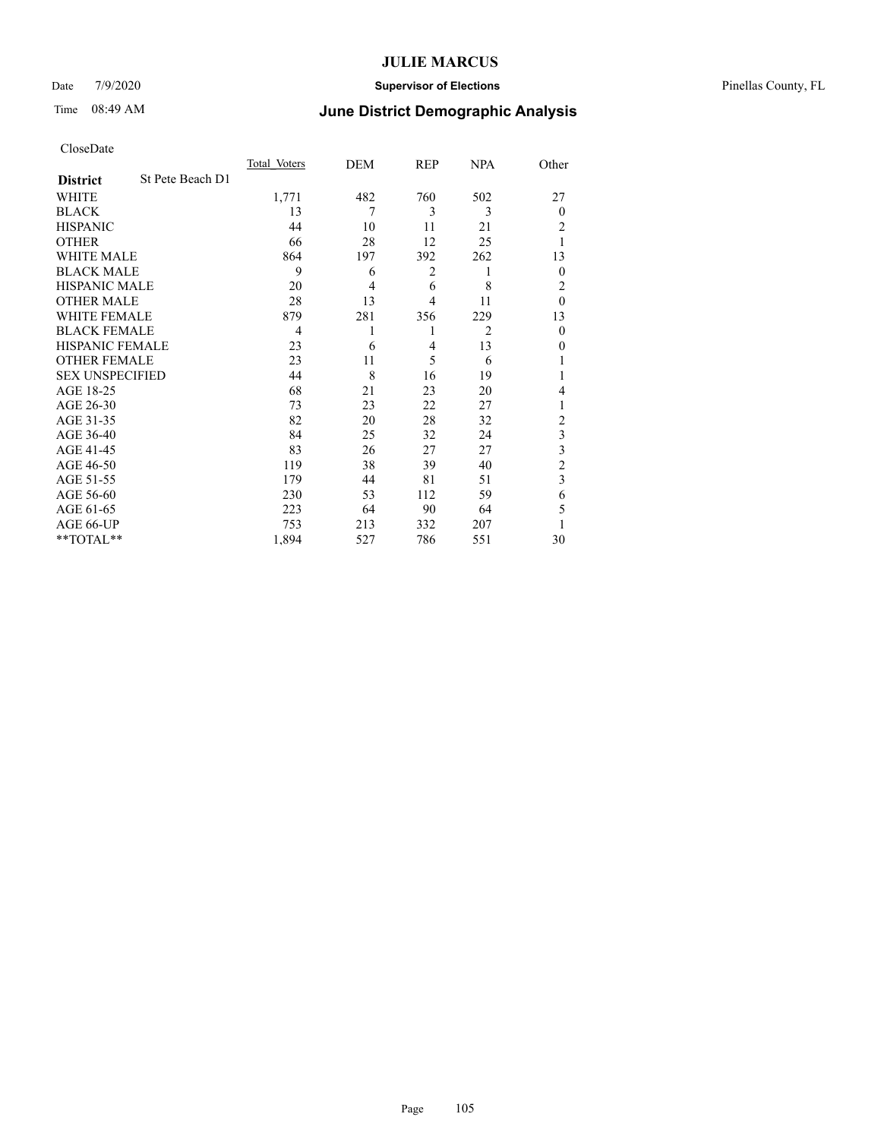### Date 7/9/2020 **Supervisor of Elections** Pinellas County, FL

## Time 08:49 AM **June District Demographic Analysis**

|                        |                  | Total Voters | DEM            | REP | NPA            | Other          |
|------------------------|------------------|--------------|----------------|-----|----------------|----------------|
| <b>District</b>        | St Pete Beach D1 |              |                |     |                |                |
| WHITE                  |                  | 1,771        | 482            | 760 | 502            | 27             |
| <b>BLACK</b>           |                  | 13           | 7              | 3   | 3              | $\theta$       |
| <b>HISPANIC</b>        |                  | 44           | 10             | 11  | 21             | 2              |
| <b>OTHER</b>           |                  | 66           | 28             | 12  | 25             |                |
| WHITE MALE             |                  | 864          | 197            | 392 | 262            | 13             |
| <b>BLACK MALE</b>      |                  | 9            | 6              | 2   | 1              | $\theta$       |
| <b>HISPANIC MALE</b>   |                  | 20           | $\overline{4}$ | 6   | 8              | 2              |
| <b>OTHER MALE</b>      |                  | 28           | 13             | 4   | 11             | $\theta$       |
| <b>WHITE FEMALE</b>    |                  | 879          | 281            | 356 | 229            | 13             |
| <b>BLACK FEMALE</b>    |                  | 4            | 1              | 1   | $\overline{2}$ | $\mathbf{0}$   |
| HISPANIC FEMALE        |                  | 23           | 6              | 4   | 13             | 0              |
| <b>OTHER FEMALE</b>    |                  | 23           | 11             | 5   | 6              |                |
| <b>SEX UNSPECIFIED</b> |                  | 44           | 8              | 16  | 19             |                |
| AGE 18-25              |                  | 68           | 21             | 23  | 20             | 4              |
| AGE 26-30              |                  | 73           | 23             | 22  | 27             | 1              |
| AGE 31-35              |                  | 82           | 20             | 28  | 32             | $\overline{c}$ |
| AGE 36-40              |                  | 84           | 25             | 32  | 24             | 3              |
| AGE 41-45              |                  | 83           | 26             | 27  | 27             | 3              |
| AGE 46-50              |                  | 119          | 38             | 39  | 40             | $\overline{2}$ |
| AGE 51-55              |                  | 179          | 44             | 81  | 51             | 3              |
| AGE 56-60              |                  | 230          | 53             | 112 | 59             | 6              |
| AGE 61-65              |                  | 223          | 64             | 90  | 64             | 5              |
| AGE 66-UP              |                  | 753          | 213            | 332 | 207            |                |
| **TOTAL**              |                  | 1,894        | 527            | 786 | 551            | 30             |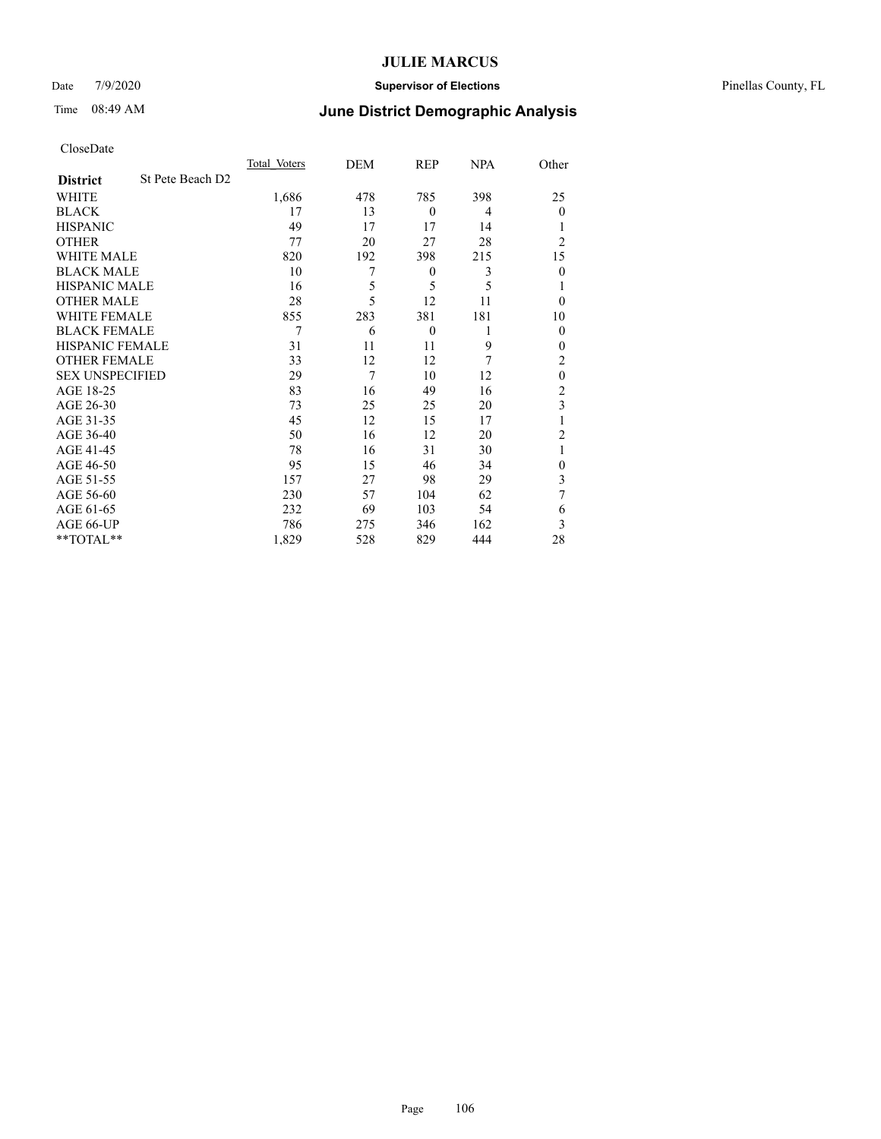### Date 7/9/2020 **Supervisor of Elections** Pinellas County, FL

# Time 08:49 AM **June District Demographic Analysis**

|                        |                  | Total Voters | DEM | REP              | NPA | Other          |
|------------------------|------------------|--------------|-----|------------------|-----|----------------|
| <b>District</b>        | St Pete Beach D2 |              |     |                  |     |                |
| WHITE                  |                  | 1,686        | 478 | 785              | 398 | 25             |
| <b>BLACK</b>           |                  | 17           | 13  | $\theta$         | 4   | $\theta$       |
| <b>HISPANIC</b>        |                  | 49           | 17  | 17               | 14  |                |
| <b>OTHER</b>           |                  | 77           | 20  | 27               | 28  | $\overline{2}$ |
| <b>WHITE MALE</b>      |                  | 820          | 192 | 398              | 215 | 15             |
| <b>BLACK MALE</b>      |                  | 10           | 7   | $\boldsymbol{0}$ | 3   | $\theta$       |
| <b>HISPANIC MALE</b>   |                  | 16           | 5   | 5                | 5   | 1              |
| <b>OTHER MALE</b>      |                  | 28           | 5   | 12               | 11  | $\theta$       |
| <b>WHITE FEMALE</b>    |                  | 855          | 283 | 381              | 181 | 10             |
| <b>BLACK FEMALE</b>    |                  | 7            | 6   | $\mathbf{0}$     | 1   | $\theta$       |
| HISPANIC FEMALE        |                  | 31           | 11  | 11               | 9   | $\theta$       |
| <b>OTHER FEMALE</b>    |                  | 33           | 12  | 12               | 7   | 2              |
| <b>SEX UNSPECIFIED</b> |                  | 29           | 7   | 10               | 12  | $\mathbf{0}$   |
| AGE 18-25              |                  | 83           | 16  | 49               | 16  | $\overline{2}$ |
| AGE 26-30              |                  | 73           | 25  | 25               | 20  | 3              |
| AGE 31-35              |                  | 45           | 12  | 15               | 17  | 1              |
| AGE 36-40              |                  | 50           | 16  | 12               | 20  | $\overline{2}$ |
| AGE 41-45              |                  | 78           | 16  | 31               | 30  | 1              |
| AGE 46-50              |                  | 95           | 15  | 46               | 34  | $\theta$       |
| AGE 51-55              |                  | 157          | 27  | 98               | 29  | 3              |
| AGE 56-60              |                  | 230          | 57  | 104              | 62  | 7              |
| AGE 61-65              |                  | 232          | 69  | 103              | 54  | 6              |
| AGE 66-UP              |                  | 786          | 275 | 346              | 162 | 3              |
| **TOTAL**              |                  | 1,829        | 528 | 829              | 444 | 28             |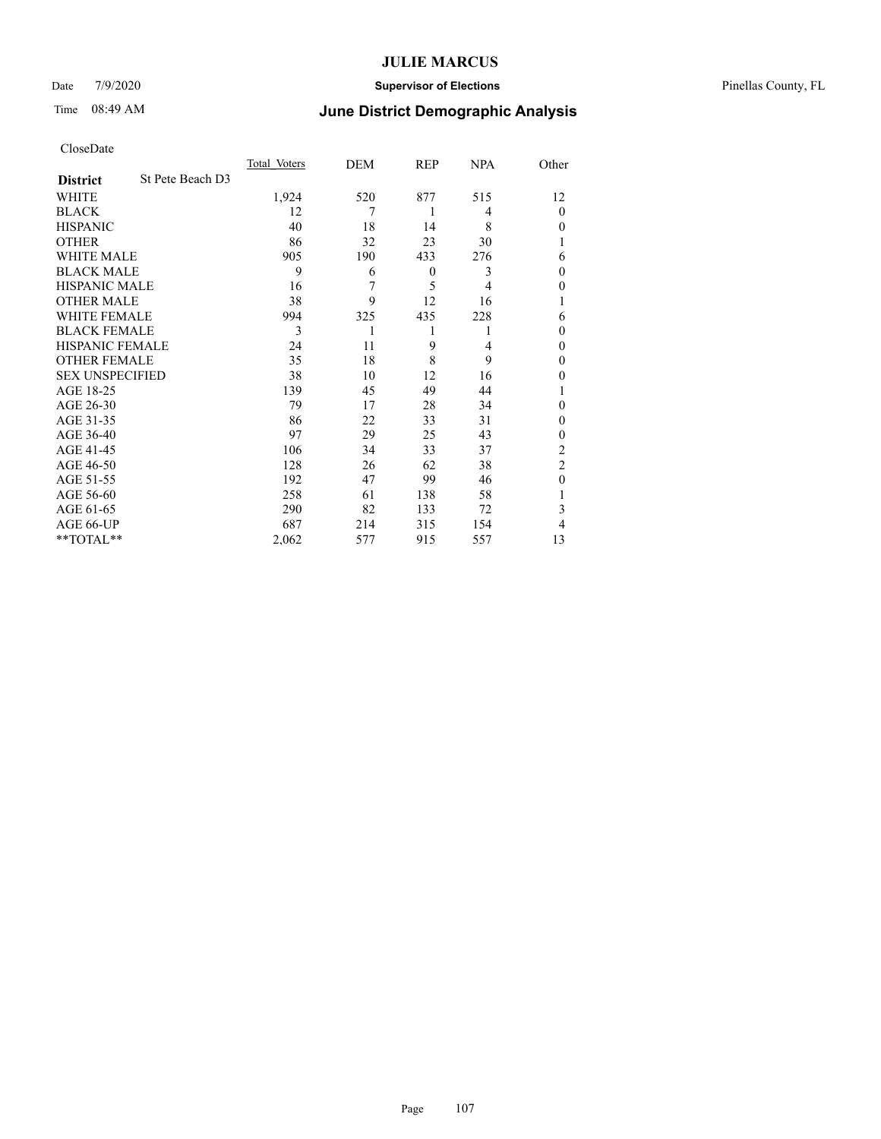### Date 7/9/2020 **Supervisor of Elections** Pinellas County, FL

# Time 08:49 AM **June District Demographic Analysis**

|                        |                  | Total Voters | DEM | REP              | NPA | Other          |
|------------------------|------------------|--------------|-----|------------------|-----|----------------|
| <b>District</b>        | St Pete Beach D3 |              |     |                  |     |                |
| WHITE                  |                  | 1,924        | 520 | 877              | 515 | 12             |
| <b>BLACK</b>           |                  | 12           | 7   | 1                | 4   | $\theta$       |
| <b>HISPANIC</b>        |                  | 40           | 18  | 14               | 8   | $\theta$       |
| <b>OTHER</b>           |                  | 86           | 32  | 23               | 30  |                |
| WHITE MALE             |                  | 905          | 190 | 433              | 276 | 6              |
| <b>BLACK MALE</b>      |                  | 9            | 6   | $\boldsymbol{0}$ | 3   | $\theta$       |
| <b>HISPANIC MALE</b>   |                  | 16           | 7   | 5                | 4   | $\mathbf{0}$   |
| <b>OTHER MALE</b>      |                  | 38           | 9   | 12               | 16  | 1              |
| WHITE FEMALE           |                  | 994          | 325 | 435              | 228 | 6              |
| <b>BLACK FEMALE</b>    |                  | 3            | 1   | 1                |     | $\theta$       |
| HISPANIC FEMALE        |                  | 24           | 11  | 9                | 4   | $\theta$       |
| <b>OTHER FEMALE</b>    |                  | 35           | 18  | 8                | 9   | $\theta$       |
| <b>SEX UNSPECIFIED</b> |                  | 38           | 10  | 12               | 16  | $\theta$       |
| AGE 18-25              |                  | 139          | 45  | 49               | 44  |                |
| AGE 26-30              |                  | 79           | 17  | 28               | 34  | $\mathbf{0}$   |
| AGE 31-35              |                  | 86           | 22  | 33               | 31  | $\theta$       |
| AGE 36-40              |                  | 97           | 29  | 25               | 43  | $\theta$       |
| AGE 41-45              |                  | 106          | 34  | 33               | 37  | $\overline{2}$ |
| AGE 46-50              |                  | 128          | 26  | 62               | 38  | $\overline{2}$ |
| AGE 51-55              |                  | 192          | 47  | 99               | 46  | $\theta$       |
| AGE 56-60              |                  | 258          | 61  | 138              | 58  |                |
| AGE 61-65              |                  | 290          | 82  | 133              | 72  | 3              |
| AGE 66-UP              |                  | 687          | 214 | 315              | 154 | 4              |
| **TOTAL**              |                  | 2,062        | 577 | 915              | 557 | 13             |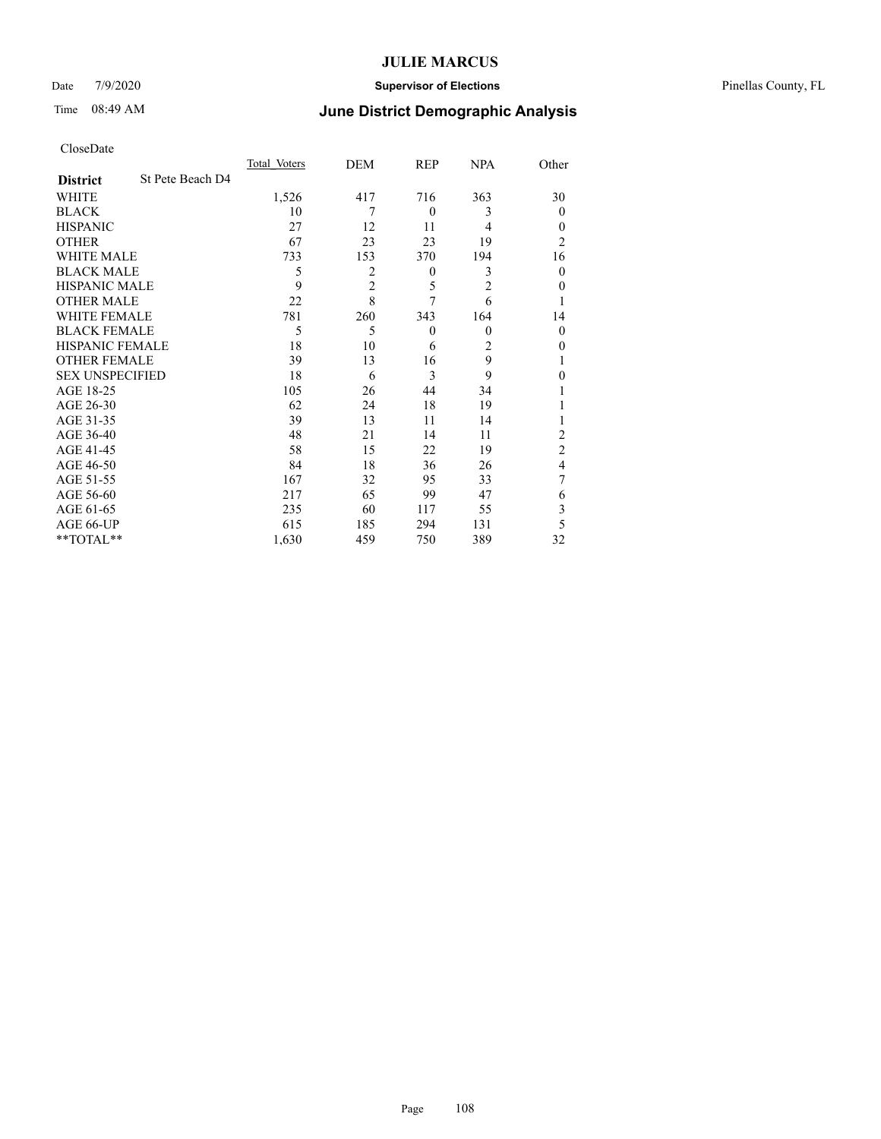### Date 7/9/2020 **Supervisor of Elections** Pinellas County, FL

# Time 08:49 AM **June District Demographic Analysis**

|                        |                  | Total Voters | DEM            | REP              | NPA            | Other          |
|------------------------|------------------|--------------|----------------|------------------|----------------|----------------|
| <b>District</b>        | St Pete Beach D4 |              |                |                  |                |                |
| WHITE                  |                  | 1,526        | 417            | 716              | 363            | 30             |
| <b>BLACK</b>           |                  | 10           | 7              | $\theta$         | 3              | $\mathbf{0}$   |
| <b>HISPANIC</b>        |                  | 27           | 12             | 11               | 4              | $\Omega$       |
| <b>OTHER</b>           |                  | 67           | 23             | 23               | 19             | 2              |
| WHITE MALE             |                  | 733          | 153            | 370              | 194            | 16             |
| <b>BLACK MALE</b>      |                  | 5            | 2              | $\boldsymbol{0}$ | 3              | $\mathbf{0}$   |
| <b>HISPANIC MALE</b>   |                  | 9            | $\overline{2}$ | 5                | $\overline{2}$ | 0              |
| <b>OTHER MALE</b>      |                  | 22           | 8              | 7                | 6              |                |
| WHITE FEMALE           |                  | 781          | 260            | 343              | 164            | 14             |
| <b>BLACK FEMALE</b>    |                  | 5            | 5              | $\theta$         | $\theta$       | $\mathbf{0}$   |
| HISPANIC FEMALE        |                  | 18           | 10             | 6                | 2              | 0              |
| <b>OTHER FEMALE</b>    |                  | 39           | 13             | 16               | 9              |                |
| <b>SEX UNSPECIFIED</b> |                  | 18           | 6              | 3                | 9              | 0              |
| AGE 18-25              |                  | 105          | 26             | 44               | 34             |                |
| AGE 26-30              |                  | 62           | 24             | 18               | 19             |                |
| AGE 31-35              |                  | 39           | 13             | 11               | 14             |                |
| AGE 36-40              |                  | 48           | 21             | 14               | 11             | 2              |
| AGE 41-45              |                  | 58           | 15             | 22               | 19             | $\overline{c}$ |
| AGE 46-50              |                  | 84           | 18             | 36               | 26             | 4              |
| AGE 51-55              |                  | 167          | 32             | 95               | 33             | 7              |
| AGE 56-60              |                  | 217          | 65             | 99               | 47             | 6              |
| AGE 61-65              |                  | 235          | 60             | 117              | 55             | 3              |
| AGE 66-UP              |                  | 615          | 185            | 294              | 131            | 5              |
| **TOTAL**              |                  | 1,630        | 459            | 750              | 389            | 32             |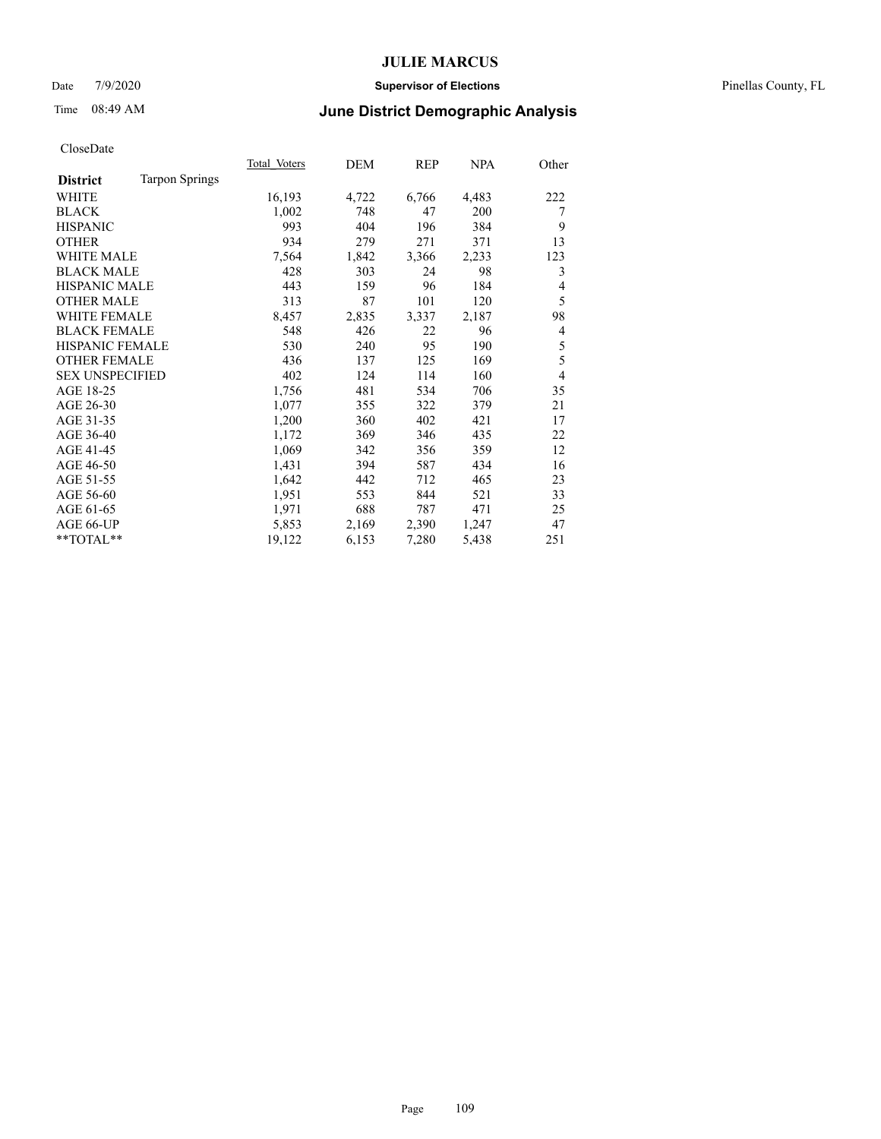#### Date 7/9/2020 **Supervisor of Elections** Pinellas County, FL

## Time 08:49 AM **June District Demographic Analysis**

|                                          | Total Voters | DEM   | <b>REP</b> | <b>NPA</b> | Other          |
|------------------------------------------|--------------|-------|------------|------------|----------------|
| <b>Tarpon Springs</b><br><b>District</b> |              |       |            |            |                |
| WHITE                                    | 16,193       | 4,722 | 6,766      | 4,483      | 222            |
| <b>BLACK</b>                             | 1,002        | 748   | 47         | 200        | 7              |
| <b>HISPANIC</b>                          | 993          | 404   | 196        | 384        | 9              |
| <b>OTHER</b>                             | 934          | 279   | 271        | 371        | 13             |
| <b>WHITE MALE</b>                        | 7,564        | 1,842 | 3,366      | 2,233      | 123            |
| <b>BLACK MALE</b>                        | 428          | 303   | 24         | 98         | 3              |
| <b>HISPANIC MALE</b>                     | 443          | 159   | 96         | 184        | 4              |
| <b>OTHER MALE</b>                        | 313          | 87    | 101        | 120        | 5              |
| <b>WHITE FEMALE</b>                      | 8,457        | 2,835 | 3,337      | 2,187      | 98             |
| <b>BLACK FEMALE</b>                      | 548          | 426   | 22         | 96         | 4              |
| HISPANIC FEMALE                          | 530          | 240   | 95         | 190        | 5              |
| <b>OTHER FEMALE</b>                      | 436          | 137   | 125        | 169        | 5              |
| <b>SEX UNSPECIFIED</b>                   | 402          | 124   | 114        | 160        | $\overline{4}$ |
| AGE 18-25                                | 1,756        | 481   | 534        | 706        | 35             |
| AGE 26-30                                | 1,077        | 355   | 322        | 379        | 21             |
| AGE 31-35                                | 1,200        | 360   | 402        | 421        | 17             |
| AGE 36-40                                | 1,172        | 369   | 346        | 435        | 22             |
| AGE 41-45                                | 1,069        | 342   | 356        | 359        | 12             |
| AGE 46-50                                | 1,431        | 394   | 587        | 434        | 16             |
| AGE 51-55                                | 1,642        | 442   | 712        | 465        | 23             |
| AGE 56-60                                | 1,951        | 553   | 844        | 521        | 33             |
| AGE 61-65                                | 1,971        | 688   | 787        | 471        | 25             |
| AGE 66-UP                                | 5,853        | 2,169 | 2,390      | 1,247      | 47             |
| $*$ $TOTAL**$                            | 19,122       | 6,153 | 7,280      | 5,438      | 251            |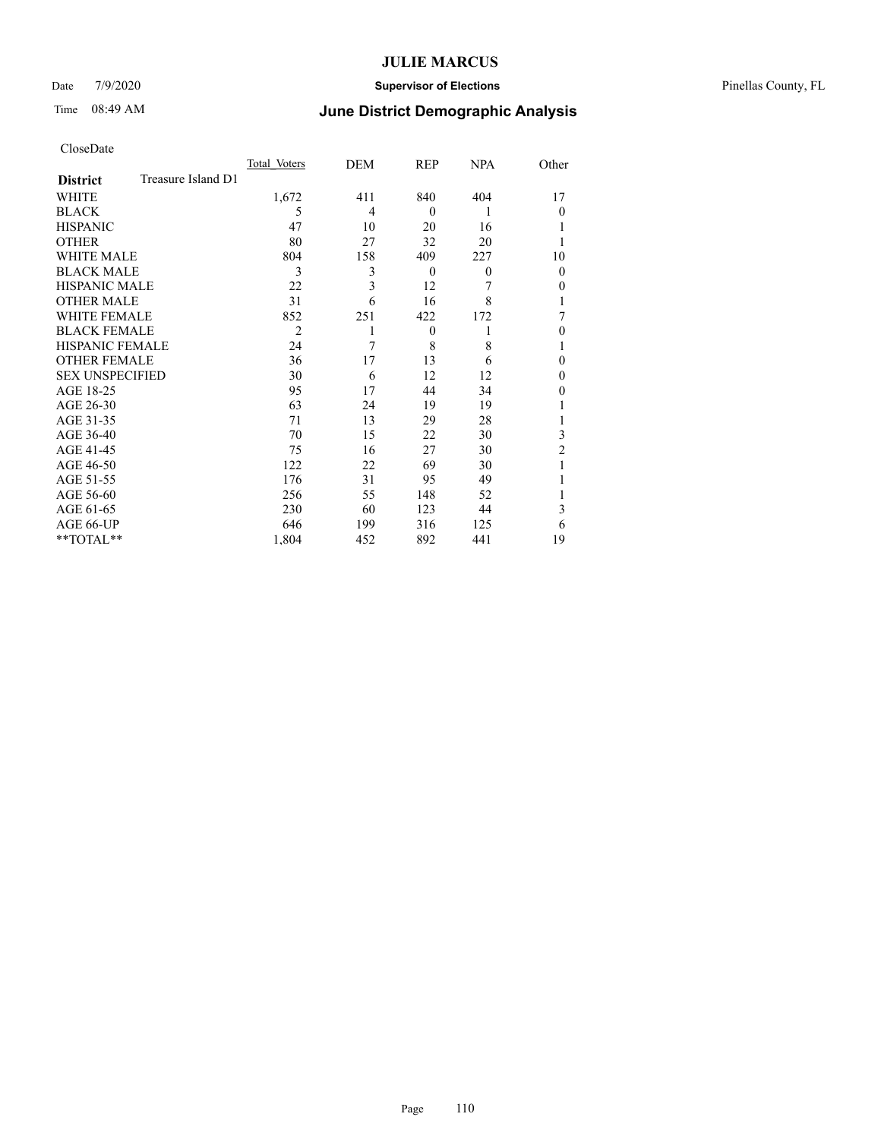#### Date 7/9/2020 **Supervisor of Elections** Pinellas County, FL

# Time 08:49 AM **June District Demographic Analysis**

|                        |                    | Total Voters   | DEM | REP      | NPA      | Other    |
|------------------------|--------------------|----------------|-----|----------|----------|----------|
| <b>District</b>        | Treasure Island D1 |                |     |          |          |          |
| WHITE                  |                    | 1,672          | 411 | 840      | 404      | 17       |
| <b>BLACK</b>           |                    | 5              | 4   | $\theta$ | 1        | $\Omega$ |
| <b>HISPANIC</b>        |                    | 47             | 10  | 20       | 16       |          |
| <b>OTHER</b>           |                    | 80             | 27  | 32       | 20       |          |
| WHITE MALE             |                    | 804            | 158 | 409      | 227      | 10       |
| <b>BLACK MALE</b>      |                    | 3              | 3   | $\theta$ | $\theta$ | $\Omega$ |
| <b>HISPANIC MALE</b>   |                    | 22             | 3   | 12       | 7        | 0        |
| <b>OTHER MALE</b>      |                    | 31             | 6   | 16       | 8        |          |
| WHITE FEMALE           |                    | 852            | 251 | 422      | 172      | 7        |
| <b>BLACK FEMALE</b>    |                    | $\overline{2}$ |     | $\theta$ |          | 0        |
| HISPANIC FEMALE        |                    | 24             | 7   | 8        | 8        |          |
| <b>OTHER FEMALE</b>    |                    | 36             | 17  | 13       | 6        | 0        |
| <b>SEX UNSPECIFIED</b> |                    | 30             | 6   | 12       | 12       | $\Omega$ |
| AGE 18-25              |                    | 95             | 17  | 44       | 34       | 0        |
| AGE 26-30              |                    | 63             | 24  | 19       | 19       |          |
| AGE 31-35              |                    | 71             | 13  | 29       | 28       |          |
| AGE 36-40              |                    | 70             | 15  | 22       | 30       | 3        |
| AGE 41-45              |                    | 75             | 16  | 27       | 30       | 2        |
| AGE 46-50              |                    | 122            | 22  | 69       | 30       | 1        |
| AGE 51-55              |                    | 176            | 31  | 95       | 49       |          |
| AGE 56-60              |                    | 256            | 55  | 148      | 52       |          |
| AGE 61-65              |                    | 230            | 60  | 123      | 44       | 3        |
| AGE 66-UP              |                    | 646            | 199 | 316      | 125      | 6        |
| **TOTAL**              |                    | 1,804          | 452 | 892      | 441      | 19       |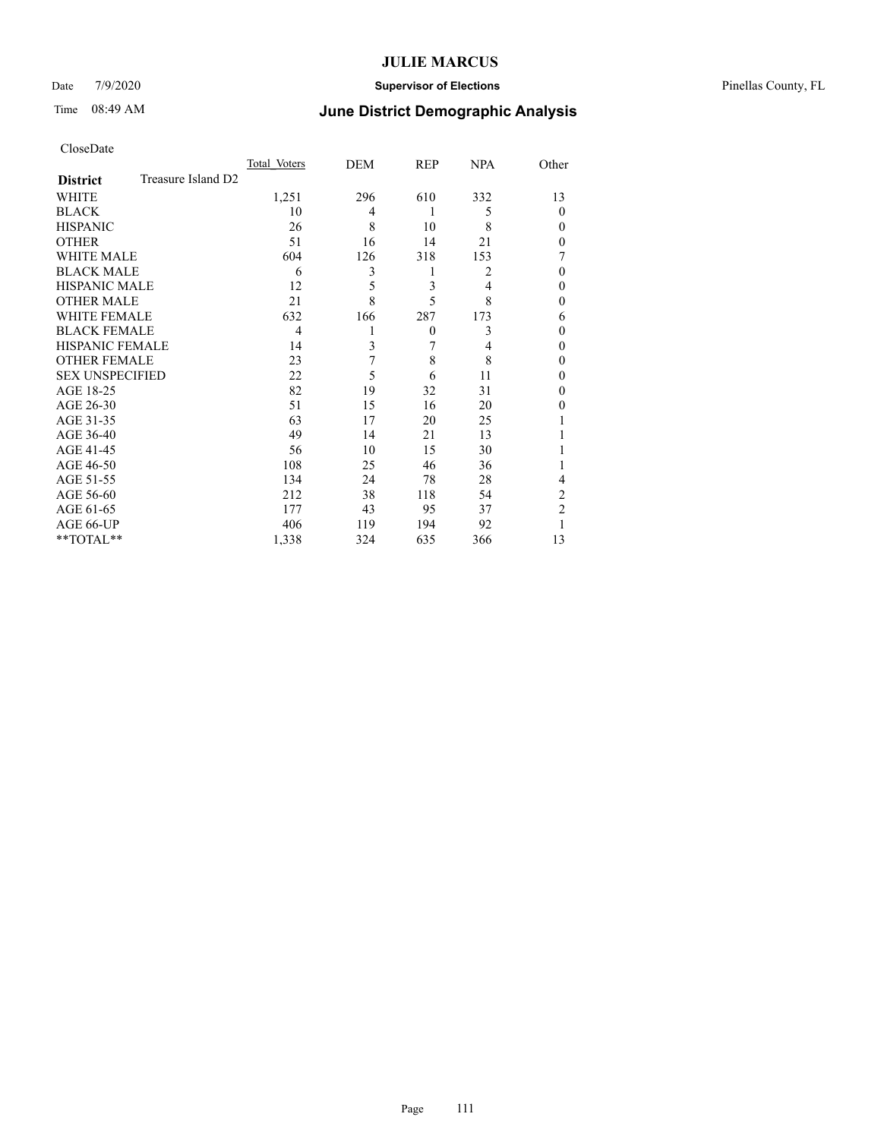#### Date 7/9/2020 **Supervisor of Elections** Pinellas County, FL

# Time 08:49 AM **June District Demographic Analysis**

|                        |                    | Total Voters | DEM | REP            | <b>NPA</b> | Other          |
|------------------------|--------------------|--------------|-----|----------------|------------|----------------|
| <b>District</b>        | Treasure Island D2 |              |     |                |            |                |
| WHITE                  |                    | 1,251        | 296 | 610            | 332        | 13             |
| <b>BLACK</b>           |                    | 10           | 4   | 1              | 5          | $\Omega$       |
| <b>HISPANIC</b>        |                    | 26           | 8   | 10             | 8          | $\theta$       |
| <b>OTHER</b>           |                    | 51           | 16  | 14             | 21         | $\theta$       |
| WHITE MALE             |                    | 604          | 126 | 318            | 153        | 7              |
| <b>BLACK MALE</b>      |                    | 6            | 3   | 1              | 2          | $\theta$       |
| <b>HISPANIC MALE</b>   |                    | 12           | 5   | 3              | 4          | $\theta$       |
| <b>OTHER MALE</b>      |                    | 21           | 8   | 5              | 8          | $\theta$       |
| WHITE FEMALE           |                    | 632          | 166 | 287            | 173        | 6              |
| <b>BLACK FEMALE</b>    |                    | 4            | 1   | $\overline{0}$ | 3          | $\theta$       |
| HISPANIC FEMALE        |                    | 14           | 3   | 7              | 4          | $\theta$       |
| <b>OTHER FEMALE</b>    |                    | 23           | 7   | 8              | 8          | $\theta$       |
| <b>SEX UNSPECIFIED</b> |                    | 22           | 5   | 6              | 11         | $\theta$       |
| AGE 18-25              |                    | 82           | 19  | 32             | 31         | $\theta$       |
| AGE 26-30              |                    | 51           | 15  | 16             | 20         | $\theta$       |
| AGE 31-35              |                    | 63           | 17  | 20             | 25         |                |
| AGE 36-40              |                    | 49           | 14  | 21             | 13         |                |
| AGE 41-45              |                    | 56           | 10  | 15             | 30         |                |
| AGE 46-50              |                    | 108          | 25  | 46             | 36         | 1              |
| AGE 51-55              |                    | 134          | 24  | 78             | 28         | 4              |
| AGE 56-60              |                    | 212          | 38  | 118            | 54         | 2              |
| AGE 61-65              |                    | 177          | 43  | 95             | 37         | $\overline{2}$ |
| AGE 66-UP              |                    | 406          | 119 | 194            | 92         |                |
| **TOTAL**              |                    | 1,338        | 324 | 635            | 366        | 13             |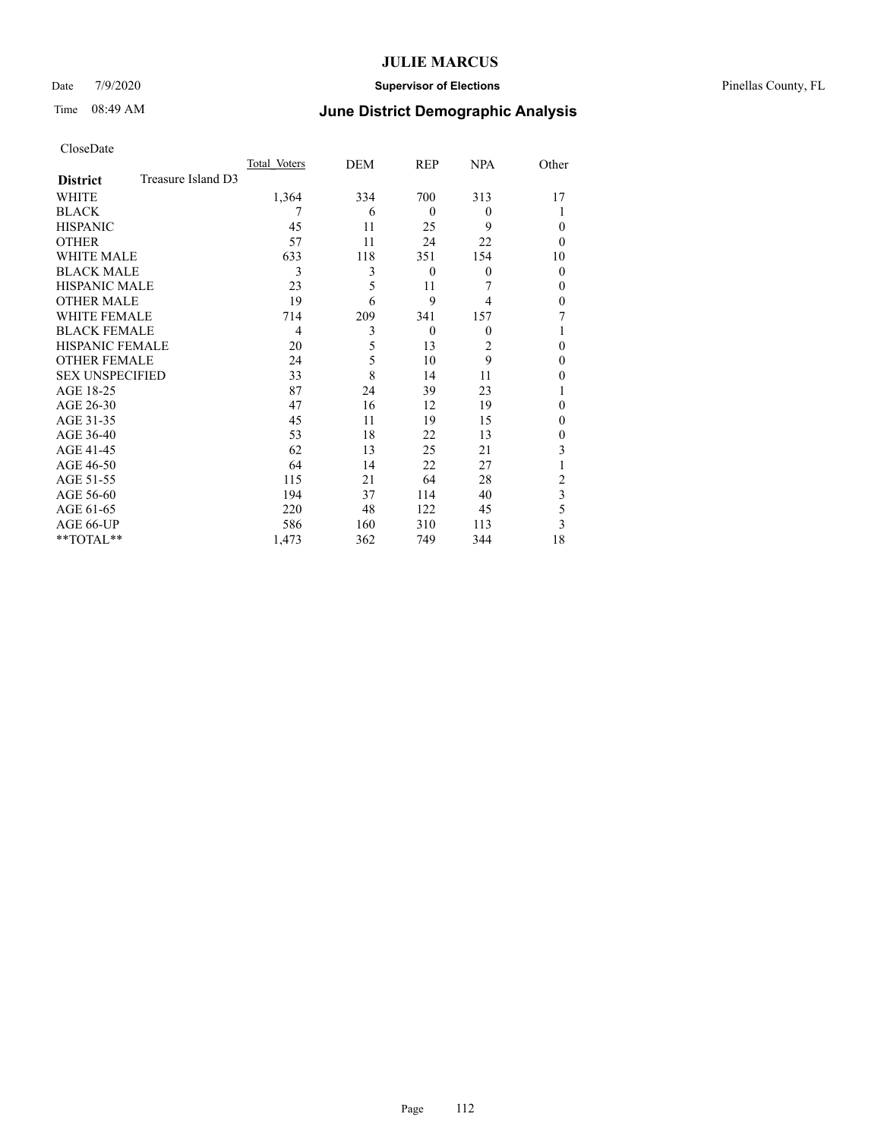#### Date 7/9/2020 **Supervisor of Elections** Pinellas County, FL

# Time 08:49 AM **June District Demographic Analysis**

|                        |                    | Total Voters | DEM | REP      | <b>NPA</b>     | Other        |
|------------------------|--------------------|--------------|-----|----------|----------------|--------------|
| <b>District</b>        | Treasure Island D3 |              |     |          |                |              |
| WHITE                  |                    | 1,364        | 334 | 700      | 313            | 17           |
| <b>BLACK</b>           |                    | 7            | 6   | $\theta$ | $\theta$       |              |
| <b>HISPANIC</b>        |                    | 45           | 11  | 25       | 9              | $\theta$     |
| <b>OTHER</b>           |                    | 57           | 11  | 24       | 22             | $\theta$     |
| WHITE MALE             |                    | 633          | 118 | 351      | 154            | 10           |
| <b>BLACK MALE</b>      |                    | 3            | 3   | $\theta$ | $\theta$       | $\mathbf{0}$ |
| <b>HISPANIC MALE</b>   |                    | 23           | 5   | 11       | 7              | $\theta$     |
| <b>OTHER MALE</b>      |                    | 19           | 6   | 9        | 4              | $\theta$     |
| <b>WHITE FEMALE</b>    |                    | 714          | 209 | 341      | 157            | 7            |
| <b>BLACK FEMALE</b>    |                    | 4            | 3   | $\theta$ | $\theta$       |              |
| HISPANIC FEMALE        |                    | 20           | 5   | 13       | $\overline{2}$ | $\theta$     |
| <b>OTHER FEMALE</b>    |                    | 24           | 5   | 10       | 9              | $\theta$     |
| <b>SEX UNSPECIFIED</b> |                    | 33           | 8   | 14       | 11             | $\theta$     |
| AGE 18-25              |                    | 87           | 24  | 39       | 23             |              |
| AGE 26-30              |                    | 47           | 16  | 12       | 19             | $\mathbf{0}$ |
| AGE 31-35              |                    | 45           | 11  | 19       | 15             | $\theta$     |
| AGE 36-40              |                    | 53           | 18  | 22       | 13             | $\theta$     |
| AGE 41-45              |                    | 62           | 13  | 25       | 21             | 3            |
| AGE 46-50              |                    | 64           | 14  | 22       | 27             |              |
| AGE 51-55              |                    | 115          | 21  | 64       | 28             | 2            |
| AGE 56-60              |                    | 194          | 37  | 114      | 40             | 3            |
| AGE 61-65              |                    | 220          | 48  | 122      | 45             | 5            |
| AGE 66-UP              |                    | 586          | 160 | 310      | 113            | 3            |
| **TOTAL**              |                    | 1,473        | 362 | 749      | 344            | 18           |